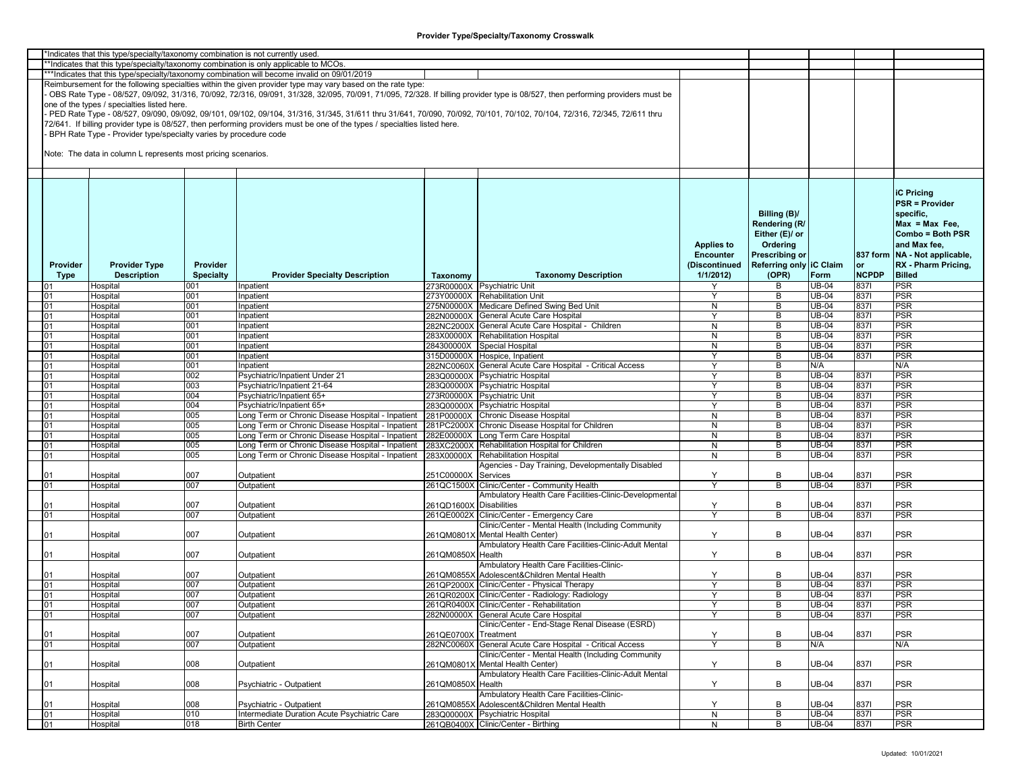|          | *Indicates that this type/specialty/taxonomy combination is not currently used        |                  |                                                                                                                                                                         |                         |                                                                                                                                                                               |                   |                         |              |              |                               |
|----------|---------------------------------------------------------------------------------------|------------------|-------------------------------------------------------------------------------------------------------------------------------------------------------------------------|-------------------------|-------------------------------------------------------------------------------------------------------------------------------------------------------------------------------|-------------------|-------------------------|--------------|--------------|-------------------------------|
|          | **Indicates that this type/specialty/taxonomy combination is only applicable to MCOs. |                  |                                                                                                                                                                         |                         |                                                                                                                                                                               |                   |                         |              |              |                               |
|          |                                                                                       |                  | ***Indicates that this type/specialty/taxonomy combination will become invalid on 09/01/2019                                                                            |                         |                                                                                                                                                                               |                   |                         |              |              |                               |
|          |                                                                                       |                  | Reimbursement for the following specialties within the given provider type may vary based on the rate type:                                                             |                         |                                                                                                                                                                               |                   |                         |              |              |                               |
|          |                                                                                       |                  |                                                                                                                                                                         |                         | OBS Rate Type - 08/527, 09/092, 31/316, 70/092, 72/316, 09/091, 31/328, 32/095, 70/091, 71/095, 72/328. If billing provider type is 08/527, then performing providers must be |                   |                         |              |              |                               |
|          | one of the types / specialties listed here.                                           |                  |                                                                                                                                                                         |                         |                                                                                                                                                                               |                   |                         |              |              |                               |
|          |                                                                                       |                  | PED Rate Type - 08/527, 09/090, 09/092, 09/101, 09/102, 09/104, 31/316, 31/345, 31/611 thru 31/641, 70/090, 70/092, 70/101, 70/102, 70/104, 72/316, 72/345, 72/611 thru |                         |                                                                                                                                                                               |                   |                         |              |              |                               |
|          |                                                                                       |                  | 72/641. If billing provider type is 08/527, then performing providers must be one of the types / specialties listed here.                                               |                         |                                                                                                                                                                               |                   |                         |              |              |                               |
|          | BPH Rate Type - Provider type/specialty varies by procedure code                      |                  |                                                                                                                                                                         |                         |                                                                                                                                                                               |                   |                         |              |              |                               |
|          |                                                                                       |                  |                                                                                                                                                                         |                         |                                                                                                                                                                               |                   |                         |              |              |                               |
|          | Note: The data in column L represents most pricing scenarios.                         |                  |                                                                                                                                                                         |                         |                                                                                                                                                                               |                   |                         |              |              |                               |
|          |                                                                                       |                  |                                                                                                                                                                         |                         |                                                                                                                                                                               |                   |                         |              |              |                               |
|          |                                                                                       |                  |                                                                                                                                                                         |                         |                                                                                                                                                                               |                   |                         |              |              |                               |
|          |                                                                                       |                  |                                                                                                                                                                         |                         |                                                                                                                                                                               |                   |                         |              |              |                               |
|          |                                                                                       |                  |                                                                                                                                                                         |                         |                                                                                                                                                                               |                   |                         |              |              | <b>iC Pricing</b>             |
|          |                                                                                       |                  |                                                                                                                                                                         |                         |                                                                                                                                                                               |                   |                         |              |              |                               |
|          |                                                                                       |                  |                                                                                                                                                                         |                         |                                                                                                                                                                               |                   |                         |              |              | <b>PSR = Provider</b>         |
|          |                                                                                       |                  |                                                                                                                                                                         |                         |                                                                                                                                                                               |                   | Billing (B)/            |              |              | specific,                     |
|          |                                                                                       |                  |                                                                                                                                                                         |                         |                                                                                                                                                                               |                   | Rendering (R/           |              |              | $Max = Max Free$              |
|          |                                                                                       |                  |                                                                                                                                                                         |                         |                                                                                                                                                                               |                   | Either (E)/ or          |              |              | Combo = Both PSR              |
|          |                                                                                       |                  |                                                                                                                                                                         |                         |                                                                                                                                                                               | <b>Applies to</b> | Ordering                |              |              | and Max fee.                  |
|          |                                                                                       |                  |                                                                                                                                                                         |                         |                                                                                                                                                                               | <b>Encounter</b>  | <b>Prescribing or</b>   |              |              | 837 form NA - Not applicable, |
| Provider | <b>Provider Type</b>                                                                  | Provider         |                                                                                                                                                                         |                         |                                                                                                                                                                               | (Discontinued     | Referring only IC Claim |              | <b>or</b>    | RX - Pharm Pricing,           |
| Type     | <b>Description</b>                                                                    | <b>Specialty</b> | <b>Provider Specialty Description</b>                                                                                                                                   |                         | <b>Taxonomy Description</b>                                                                                                                                                   | 1/1/2012          | (OPR)                   | Form         | <b>NCPDP</b> | <b>Billed</b>                 |
|          |                                                                                       |                  |                                                                                                                                                                         | Taxonomy                |                                                                                                                                                                               |                   |                         |              |              |                               |
| በ1       | Hospital                                                                              | 001              | Inpatient                                                                                                                                                               |                         | 273R00000X Psychiatric Unit                                                                                                                                                   |                   | В                       | <b>UB-04</b> | 8371         | <b>PSR</b>                    |
| 01       | Hospital                                                                              | 001              | Inpatient                                                                                                                                                               |                         | 273Y00000X Rehabilitation Unit                                                                                                                                                |                   | B                       | <b>UB-04</b> | 8371         | <b>PSR</b>                    |
| 01       | Hospital                                                                              | 001              | Inpatient                                                                                                                                                               |                         | 275N00000X Medicare Defined Swing Bed Unit                                                                                                                                    | N                 | B                       | $UB-04$      | 8371         | <b>PSR</b>                    |
| 01       | Hospital                                                                              | 001              | Inpatient                                                                                                                                                               |                         | 282N00000X General Acute Care Hospital                                                                                                                                        | Y                 | B                       | UB-04        | 8371         | PSR                           |
| 01       | Hospital                                                                              | 001              | Inpatient                                                                                                                                                               |                         | 282NC2000X General Acute Care Hospital - Children                                                                                                                             | N                 | B                       | $UB-04$      | 8371         | PSR                           |
| 01       | Hospital                                                                              | 001              | Inpatient                                                                                                                                                               |                         | 283X00000X Rehabilitation Hospital                                                                                                                                            | N                 | B                       | <b>UB-04</b> | 8371         | PSR                           |
| 01       | Hospital                                                                              | 001              | Inpatient                                                                                                                                                               |                         | 284300000X Special Hospital                                                                                                                                                   | N                 | B                       | <b>UB-04</b> | 8371         | PSR                           |
| 01       | Hospital                                                                              | 001              | Inpatient                                                                                                                                                               |                         | 315D00000X Hospice, Inpatient                                                                                                                                                 | Y                 | B                       | <b>UB-04</b> | 8371         | <b>PSR</b>                    |
| 01       | Hospital                                                                              | 001              | Inpatient                                                                                                                                                               |                         | 282NC0060X General Acute Care Hospital - Critical Access                                                                                                                      |                   | B                       | N/A          |              | N/A                           |
| 01       | Hospital                                                                              | 002              | Psychiatric/Inpatient Under 21                                                                                                                                          |                         | 283Q00000X Psychiatric Hospital                                                                                                                                               | Y                 | B                       | UB-04        | 8371         | PSR                           |
| 01       | Hospital                                                                              | 003              | Psychiatric/Inpatient 21-64                                                                                                                                             |                         | 283Q00000X Psychiatric Hospital                                                                                                                                               |                   | B                       | UB-04        | 8371         | PSR                           |
| 01       | Hospital                                                                              | 004              | Psychiatric/Inpatient 65+                                                                                                                                               |                         | 273R00000X Psychiatric Unit                                                                                                                                                   | ٧                 | B                       | <b>UB-04</b> | 8371         | <b>PSR</b>                    |
| 01       | Hospital                                                                              | 004              | Psychiatric/Inpatient 65+                                                                                                                                               |                         | 283Q00000X Psychiatric Hospital                                                                                                                                               | <b>Y</b>          | B                       | <b>UB-04</b> | 8371         | <b>PSR</b>                    |
| 01       | Hospital                                                                              | 005              | Long Term or Chronic Disease Hospital - Inpatient                                                                                                                       |                         | 281P00000X Chronic Disease Hospital                                                                                                                                           | N                 | B                       | $UB-04$      | 8371         | PSR                           |
| 01       | Hospital                                                                              | 005              | Long Term or Chronic Disease Hospital - Inpatient                                                                                                                       |                         | 281PC2000X Chronic Disease Hospital for Children                                                                                                                              | N                 | B                       | $UB-04$      | 8371         | PSR                           |
|          |                                                                                       | 005              | Long Term or Chronic Disease Hospital - Inpatient                                                                                                                       |                         | 282E00000X Long Term Care Hospital                                                                                                                                            |                   | В                       | $UB-04$      |              | PSR                           |
| 01       | Hospital                                                                              |                  |                                                                                                                                                                         |                         |                                                                                                                                                                               | N                 | B                       |              | 8371         |                               |
| 01       | Hospital                                                                              | 005              | Long Term or Chronic Disease Hospital - Inpatient                                                                                                                       |                         | 283XC2000X Rehabilitation Hospital for Children                                                                                                                               | $\mathsf{N}$      |                         | <b>UB-04</b> | 8371         | PSR                           |
| 01       | Hospital                                                                              | 005              | Long Term or Chronic Disease Hospital - Inpatient                                                                                                                       |                         | 283X00000X Rehabilitation Hospital                                                                                                                                            | N                 | B                       | UB-04        | 8371         | <b>PSR</b>                    |
|          |                                                                                       |                  |                                                                                                                                                                         |                         | Agencies - Day Training, Developmentally Disabled                                                                                                                             |                   |                         |              |              |                               |
| 01       | Hospital                                                                              | 007              | Outpatient                                                                                                                                                              | 251C00000X              | Services                                                                                                                                                                      | Y                 | B                       | UB-04        | 8371         | <b>PSR</b>                    |
| 01       | Hospital                                                                              | 007              | Outpatient                                                                                                                                                              |                         | 261QC1500X Clinic/Center - Community Health                                                                                                                                   |                   | B                       | UB-04        | 8371         | PSR                           |
|          |                                                                                       |                  |                                                                                                                                                                         |                         | Ambulatory Health Care Facilities-Clinic-Developmental                                                                                                                        |                   |                         |              |              |                               |
| 01       | Hospital                                                                              | 007              | Outpatient                                                                                                                                                              | 261QD1600X Disabilities |                                                                                                                                                                               | Y                 | B                       | <b>JB-04</b> | 8371         | <b>PSR</b>                    |
| 01       | Hospital                                                                              | 007              | Outpatient                                                                                                                                                              |                         | 261QE0002X Clinic/Center - Emergency Care                                                                                                                                     |                   | B                       | UB-04        | 8371         | PSR                           |
|          |                                                                                       |                  |                                                                                                                                                                         |                         | Clinic/Center - Mental Health (Including Community                                                                                                                            |                   |                         |              |              |                               |
| 01       | Hospital                                                                              | 007              | Outpatient                                                                                                                                                              |                         | 261QM0801X Mental Health Center)                                                                                                                                              | Y                 | B                       | UB-04        | 8371         | PSR                           |
|          |                                                                                       |                  |                                                                                                                                                                         |                         | Ambulatory Health Care Facilities-Clinic-Adult Mental                                                                                                                         |                   |                         |              |              |                               |
| 01       | Hospital                                                                              | 007              | Outpatient                                                                                                                                                              | 261QM0850X Health       |                                                                                                                                                                               | Y                 | В                       | <b>JB-04</b> | 8371         | <b>PSR</b>                    |
|          |                                                                                       |                  |                                                                                                                                                                         |                         | Ambulatory Health Care Facilities-Clinic-                                                                                                                                     |                   |                         |              |              |                               |
| 01       | Hospital                                                                              | 007              | Outpatient                                                                                                                                                              |                         | 261QM0855X Adolescent&Children Mental Health                                                                                                                                  | Y                 | B                       | UB-04        | 8371         | <b>PSR</b>                    |
| 01       | Hospital                                                                              | 007              | Outpatient                                                                                                                                                              |                         | 261QP2000X Clinic/Center - Physical Therapy                                                                                                                                   | Y                 | B                       | $UB-04$      | 8371         | <b>PSR</b>                    |
| 01       | Hospital                                                                              | 007              | Outpatient                                                                                                                                                              |                         | 261QR0200X Clinic/Center - Radiology: Radiology                                                                                                                               | Y                 | B                       | $UB-04$      | 8371         | PSR                           |
| 01       | Hospital                                                                              | 007              | Outpatient                                                                                                                                                              |                         | 261QR0400X Clinic/Center - Rehabilitation                                                                                                                                     | Y                 | В                       | <b>UB-04</b> | 8371         | <b>PSR</b>                    |
| 01       | Hospital                                                                              | 007              | Outpatient                                                                                                                                                              |                         | 282N00000X General Acute Care Hospital                                                                                                                                        |                   | B                       | <b>UB-04</b> | 8371         | <b>PSR</b>                    |
|          |                                                                                       |                  |                                                                                                                                                                         |                         | Clinic/Center - End-Stage Renal Disease (ESRD)                                                                                                                                |                   |                         |              |              |                               |
|          |                                                                                       |                  |                                                                                                                                                                         |                         |                                                                                                                                                                               |                   | B                       | <b>UB-04</b> | 8371         | <b>PSR</b>                    |
| 01       | Hospital                                                                              | 007              | Outpatient                                                                                                                                                              | 261QE0700X Treatment    |                                                                                                                                                                               | Y<br>Ÿ            |                         |              |              |                               |
| 01       | Hospital                                                                              | 007              | Outpatient                                                                                                                                                              |                         | 282NC0060X General Acute Care Hospital - Critical Access                                                                                                                      |                   | B                       | N/A          |              | N/A                           |
|          |                                                                                       |                  |                                                                                                                                                                         |                         | Clinic/Center - Mental Health (Including Community                                                                                                                            |                   |                         |              |              |                               |
| 01       | Hospital                                                                              | 008              | Outpatient                                                                                                                                                              |                         | 261QM0801X Mental Health Center)                                                                                                                                              | Y                 | B                       | UB-04        | 8371         | <b>PSR</b>                    |
|          |                                                                                       |                  |                                                                                                                                                                         |                         | Ambulatory Health Care Facilities-Clinic-Adult Mental                                                                                                                         |                   |                         |              |              |                               |
| 01       | Hospital                                                                              | 008              | Psychiatric - Outpatient                                                                                                                                                | 261QM0850X Health       |                                                                                                                                                                               | Y                 | В                       | <b>UB-04</b> | 8371         | <b>PSR</b>                    |
|          |                                                                                       |                  |                                                                                                                                                                         |                         | Ambulatory Health Care Facilities-Clinic-                                                                                                                                     |                   |                         |              |              |                               |
| 01       | Hospital                                                                              | 008              | Psychiatric - Outpatient                                                                                                                                                |                         | 261QM0855X Adolescent&Children Mental Health                                                                                                                                  | Y                 | В                       | <b>JB-04</b> | 8371         | <b>PSR</b>                    |
| 01       | Hospital                                                                              | 010              | Intermediate Duration Acute Psychiatric Care                                                                                                                            |                         | 283Q00000X Psychiatric Hospital                                                                                                                                               | $\overline{N}$    | B                       | $UB-04$      | 8371         | <b>PSR</b>                    |
| 01       | Hospital                                                                              | 018              | <b>Birth Center</b>                                                                                                                                                     |                         | 261QB0400X Clinic/Center - Birthing                                                                                                                                           | N                 | B                       | <b>UB-04</b> | 8371         | <b>PSR</b>                    |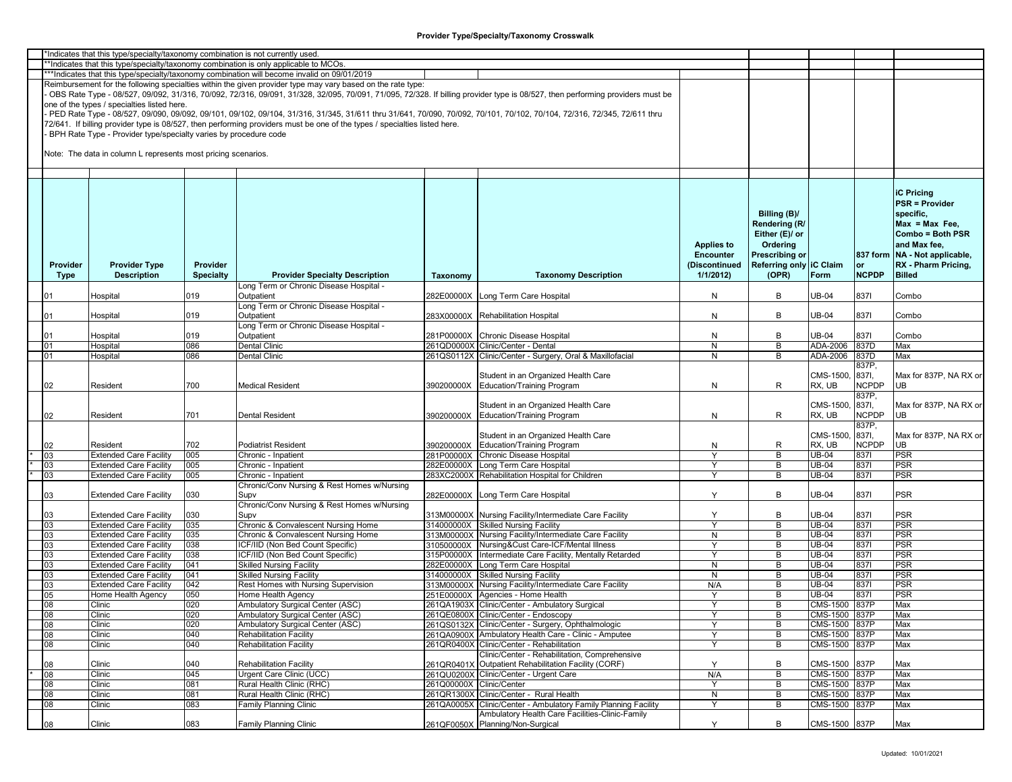|          | *Indicates that this type/specialty/taxonomy combination is not currently used |                  |                                                                                                                           |                          |                                                                                                                                                                               |                   |                         |               |              |                                 |
|----------|--------------------------------------------------------------------------------|------------------|---------------------------------------------------------------------------------------------------------------------------|--------------------------|-------------------------------------------------------------------------------------------------------------------------------------------------------------------------------|-------------------|-------------------------|---------------|--------------|---------------------------------|
|          |                                                                                |                  | *Indicates that this type/specialty/taxonomy combination is only applicable to MCOs.                                      |                          |                                                                                                                                                                               |                   |                         |               |              |                                 |
|          |                                                                                |                  | ***Indicates that this type/specialty/taxonomy combination will become invalid on 09/01/2019                              |                          |                                                                                                                                                                               |                   |                         |               |              |                                 |
|          |                                                                                |                  | Reimbursement for the following specialties within the given provider type may vary based on the rate type:               |                          |                                                                                                                                                                               |                   |                         |               |              |                                 |
|          |                                                                                |                  |                                                                                                                           |                          |                                                                                                                                                                               |                   |                         |               |              |                                 |
|          |                                                                                |                  |                                                                                                                           |                          | OBS Rate Type - 08/527, 09/092, 31/316, 70/092, 72/316, 09/091, 31/328, 32/095, 70/091, 71/095, 72/328. If billing provider type is 08/527, then performing providers must be |                   |                         |               |              |                                 |
|          | one of the types / specialties listed here.                                    |                  |                                                                                                                           |                          |                                                                                                                                                                               |                   |                         |               |              |                                 |
|          |                                                                                |                  |                                                                                                                           |                          | PED Rate Type - 08/527, 09/090, 09/092, 09/101, 09/102, 09/104, 31/316, 31/345, 31/611 thru 31/641, 70/090, 70/092, 70/101, 70/102, 70/104, 72/316, 72/345, 72/611 thru       |                   |                         |               |              |                                 |
|          |                                                                                |                  | 72/641. If billing provider type is 08/527, then performing providers must be one of the types / specialties listed here. |                          |                                                                                                                                                                               |                   |                         |               |              |                                 |
|          |                                                                                |                  |                                                                                                                           |                          |                                                                                                                                                                               |                   |                         |               |              |                                 |
|          | BPH Rate Type - Provider type/specialty varies by procedure code               |                  |                                                                                                                           |                          |                                                                                                                                                                               |                   |                         |               |              |                                 |
|          |                                                                                |                  |                                                                                                                           |                          |                                                                                                                                                                               |                   |                         |               |              |                                 |
|          | Note: The data in column L represents most pricing scenarios.                  |                  |                                                                                                                           |                          |                                                                                                                                                                               |                   |                         |               |              |                                 |
|          |                                                                                |                  |                                                                                                                           |                          |                                                                                                                                                                               |                   |                         |               |              |                                 |
|          |                                                                                |                  |                                                                                                                           |                          |                                                                                                                                                                               |                   |                         |               |              |                                 |
|          |                                                                                |                  |                                                                                                                           |                          |                                                                                                                                                                               |                   |                         |               |              |                                 |
|          |                                                                                |                  |                                                                                                                           |                          |                                                                                                                                                                               |                   |                         |               |              |                                 |
|          |                                                                                |                  |                                                                                                                           |                          |                                                                                                                                                                               |                   |                         |               |              | <b>iC Pricing</b>               |
|          |                                                                                |                  |                                                                                                                           |                          |                                                                                                                                                                               |                   |                         |               |              | <b>PSR = Provider</b>           |
|          |                                                                                |                  |                                                                                                                           |                          |                                                                                                                                                                               |                   | Billing (B)/            |               |              | specific.                       |
|          |                                                                                |                  |                                                                                                                           |                          |                                                                                                                                                                               |                   |                         |               |              |                                 |
|          |                                                                                |                  |                                                                                                                           |                          |                                                                                                                                                                               |                   | Rendering (R/           |               |              | $Max = Max Free$                |
|          |                                                                                |                  |                                                                                                                           |                          |                                                                                                                                                                               |                   | Either (E)/ or          |               |              | Combo = Both PSR                |
|          |                                                                                |                  |                                                                                                                           |                          |                                                                                                                                                                               | <b>Applies to</b> | Ordering                |               |              | and Max fee,                    |
|          |                                                                                |                  |                                                                                                                           |                          |                                                                                                                                                                               | Encounter         | Prescribing or          |               |              | 837 form   NA - Not applicable, |
|          |                                                                                |                  |                                                                                                                           |                          |                                                                                                                                                                               |                   |                         |               |              |                                 |
| Provider | <b>Provider Type</b>                                                           | <b>Provider</b>  |                                                                                                                           |                          |                                                                                                                                                                               | (Discontinued     | Referring only IC Claim |               | or           | RX - Pharm Pricing,             |
| Type     | <b>Description</b>                                                             | <b>Specialty</b> | <b>Provider Specialty Description</b>                                                                                     | Taxonomy                 | <b>Taxonomy Description</b>                                                                                                                                                   | 1/1/2012          | (OPR)                   | Form          | <b>NCPDP</b> | <b>Billed</b>                   |
|          |                                                                                |                  | Long Term or Chronic Disease Hospital -                                                                                   |                          |                                                                                                                                                                               |                   |                         |               |              |                                 |
|          | Hospital                                                                       | 019              | Outpatient                                                                                                                |                          | 282E00000X Long Term Care Hospital                                                                                                                                            | N                 | В                       | JB-04         | 8371         | Combo                           |
|          |                                                                                |                  | Long Term or Chronic Disease Hospital -                                                                                   |                          |                                                                                                                                                                               |                   |                         |               |              |                                 |
|          |                                                                                |                  |                                                                                                                           |                          |                                                                                                                                                                               |                   |                         |               |              |                                 |
|          | Hospital                                                                       | 019              | Outpatient                                                                                                                |                          | 283X00000X Rehabilitation Hospital                                                                                                                                            | N                 | B                       | UB-04         | 8371         | Combo                           |
|          |                                                                                |                  | Long Term or Chronic Disease Hospital -                                                                                   |                          |                                                                                                                                                                               |                   |                         |               |              |                                 |
|          | Hospital                                                                       | 019              | Outpatient                                                                                                                |                          | 281P00000X Chronic Disease Hospital                                                                                                                                           | N                 | В                       | UB-04         | 8371         | Combo                           |
|          | Hospital                                                                       | 086              | Dental Clinic                                                                                                             |                          | 261QD0000X Clinic/Center - Dental                                                                                                                                             | N                 | B                       | ADA-2006      | 837D         | Max                             |
|          |                                                                                |                  |                                                                                                                           |                          |                                                                                                                                                                               |                   |                         |               |              |                                 |
| 01       | Hospital                                                                       | 086              | Dental Clinic                                                                                                             |                          | 261QS0112X Clinic/Center - Surgery, Oral & Maxillofacial                                                                                                                      | N                 | B                       | ADA-2006      | 837D         | Max                             |
|          |                                                                                |                  |                                                                                                                           |                          |                                                                                                                                                                               |                   |                         |               | 837P,        |                                 |
|          |                                                                                |                  |                                                                                                                           |                          | Student in an Organized Health Care                                                                                                                                           |                   |                         | CMS-1500,     | 837I,        | Max for 837P, NA RX or          |
| 02       | Resident                                                                       | 700              | Medical Resident                                                                                                          |                          | 390200000X Education/Training Program                                                                                                                                         | N                 | R                       | rx, ub        | <b>NCPDP</b> | <b>UB</b>                       |
|          |                                                                                |                  |                                                                                                                           |                          |                                                                                                                                                                               |                   |                         |               |              |                                 |
|          |                                                                                |                  |                                                                                                                           |                          |                                                                                                                                                                               |                   |                         |               | 837P,        |                                 |
|          |                                                                                |                  |                                                                                                                           |                          | Student in an Organized Health Care                                                                                                                                           |                   |                         | CMS-1500,     | 837I,        | Max for 837P. NA RX or          |
| 02       | Resident                                                                       | 701              | <b>Dental Resident</b>                                                                                                    |                          | 390200000X Education/Training Program                                                                                                                                         | N                 | R                       | rx, ub        | <b>NCPDP</b> | <b>UB</b>                       |
|          |                                                                                |                  |                                                                                                                           |                          |                                                                                                                                                                               |                   |                         |               | 837P,        |                                 |
|          |                                                                                |                  |                                                                                                                           |                          |                                                                                                                                                                               |                   |                         | CMS-1500,     |              |                                 |
|          |                                                                                |                  |                                                                                                                           |                          | Student in an Organized Health Care                                                                                                                                           |                   |                         |               | 837I,        | Max for 837P, NA RX or          |
| 02       | Resident                                                                       | 702              | Podiatrist Resident                                                                                                       | 390200000X               | <b>Education/Training Program</b>                                                                                                                                             | N                 | R                       | rx, ub        | <b>NCPDP</b> | <b>UB</b>                       |
| 03       | <b>Extended Care Facility</b>                                                  | 005              | Chronic - Inpatient                                                                                                       |                          | 281P00000X Chronic Disease Hospital                                                                                                                                           | Y                 | В                       | UB-04         | 8371         | <b>PSR</b>                      |
| 03       | <b>Extended Care Facility</b>                                                  | 005              | Chronic - Inpatient                                                                                                       |                          | 282E00000X Long Term Care Hospital                                                                                                                                            |                   | B                       | UB-04         | 8371         | PSR                             |
| 03       | <b>Extended Care Facility</b>                                                  | 005              | Chronic - Inpatient                                                                                                       |                          | 283XC2000X Rehabilitation Hospital for Children                                                                                                                               | Y                 | B                       | UB-04         | 8371         | PSR                             |
|          |                                                                                |                  |                                                                                                                           |                          |                                                                                                                                                                               |                   |                         |               |              |                                 |
|          |                                                                                |                  | Chronic/Conv Nursing & Rest Homes w/Nursing                                                                               |                          |                                                                                                                                                                               |                   |                         |               |              |                                 |
| 03       | <b>Extended Care Facility</b>                                                  | 030              | Supv                                                                                                                      |                          | 282E00000X Long Term Care Hospital                                                                                                                                            | Y                 | В                       | JB-04         | 8371         | <b>PSR</b>                      |
|          |                                                                                |                  | Chronic/Conv Nursing & Rest Homes w/Nursing                                                                               |                          |                                                                                                                                                                               |                   |                         |               |              |                                 |
| 03       | <b>Extended Care Facility</b>                                                  | 030              | Supv                                                                                                                      |                          | 313M00000X Nursing Facility/Intermediate Care Facility                                                                                                                        | Y                 | В                       | JB-04         | 8371         | <b>PSR</b>                      |
| 03       | <b>Extended Care Facility</b>                                                  | 035              | Chronic & Convalescent Nursing Home                                                                                       |                          | 314000000X Skilled Nursing Facility                                                                                                                                           | Y                 | В                       | UB-04         | 8371         | PSR                             |
|          |                                                                                |                  |                                                                                                                           |                          |                                                                                                                                                                               |                   |                         |               |              |                                 |
| 03       | <b>Extended Care Facility</b>                                                  | 035              | Chronic & Convalescent Nursing Home                                                                                       |                          | 313M00000X Nursing Facility/Intermediate Care Facility                                                                                                                        | N                 | В                       | UB-04         | 8371         | <b>PSR</b>                      |
| 03       | <b>Extended Care Facility</b>                                                  | 038              | ICF/IID (Non Bed Count Specific)                                                                                          |                          | 310500000X Nursing&Cust Care-ICF/Mental Illness                                                                                                                               | Y                 | B                       | UB-04         | 8371         | <b>PSR</b>                      |
| 03       | <b>Extended Care Facility</b>                                                  | 038              | ICF/IID (Non Bed Count Specific)                                                                                          |                          | 315P00000X Intermediate Care Facility, Mentally Retarded                                                                                                                      | Y                 | В                       | UB-04         | 8371         | <b>PSR</b>                      |
| 03       | <b>Extended Care Facility</b>                                                  | 041              | <b>Skilled Nursing Facility</b>                                                                                           |                          | 282E00000X Long Term Care Hospital                                                                                                                                            | N                 | В                       | UB-04         | 8371         | <b>PSR</b>                      |
| 03       | <b>Extended Care Facility</b>                                                  | 041              | <b>Skilled Nursing Facility</b>                                                                                           |                          | 314000000X Skilled Nursing Facility                                                                                                                                           | N                 | В                       | UB-04         | 8371         | <b>PSR</b>                      |
| 03       | <b>Extended Care Facility</b>                                                  | 042              | Rest Homes with Nursing Supervision                                                                                       |                          | 313M00000X Nursing Facility/Intermediate Care Facility                                                                                                                        | N/A               | В                       | UB-04         | 8371         | <b>PSR</b>                      |
|          |                                                                                |                  |                                                                                                                           |                          |                                                                                                                                                                               |                   |                         |               |              |                                 |
| 05       | Home Health Agency                                                             | 050              | Home Health Agency                                                                                                        |                          | 251E00000X Agencies - Home Health                                                                                                                                             | Y                 | B                       | UB-04         | 8371         | PSR                             |
| 08       | Clinic                                                                         | 020              | Ambulatory Surgical Center (ASC)                                                                                          |                          | 261QA1903X Clinic/Center - Ambulatory Surgical                                                                                                                                | Y                 | В                       | CMS-1500      | 837P         | Max                             |
| 08       | Clinic                                                                         | 020              | Ambulatory Surgical Center (ASC)                                                                                          |                          | 261QE0800X Clinic/Center - Endoscopy                                                                                                                                          |                   | В                       | CMS-1500 837P |              | Max                             |
| 08       | Clinic                                                                         | 020              | Ambulatory Surgical Center (ASC)                                                                                          |                          | 261QS0132X Clinic/Center - Surgery, Ophthalmologic                                                                                                                            | Y                 | В                       | CMS-1500 837P |              | Max                             |
|          | Clinic                                                                         | 040              | <b>Rehabilitation Facility</b>                                                                                            |                          | 261QA0900X Ambulatory Health Care - Clinic - Amputee                                                                                                                          | Y                 | В                       | CMS-1500 837P |              | Max                             |
| 80       |                                                                                |                  |                                                                                                                           |                          |                                                                                                                                                                               |                   |                         |               |              |                                 |
| 08       | Clinic                                                                         | 040              | <b>Rehabilitation Facility</b>                                                                                            |                          | 261QR0400X Clinic/Center - Rehabilitation                                                                                                                                     | Ϋ                 | В                       | CMS-1500 837P |              | Max                             |
|          |                                                                                |                  |                                                                                                                           |                          | Clinic/Center - Rehabilitation, Comprehensive                                                                                                                                 |                   |                         |               |              |                                 |
| 08       | Clinic                                                                         | 040              | <b>Rehabilitation Facility</b>                                                                                            |                          | 261QR0401X Outpatient Rehabilitation Facility (CORF)                                                                                                                          | Y                 | В                       | CMS-1500 837P |              | Max                             |
| 80       | Clinic                                                                         | 045              | Urgent Care Clinic (UCC)                                                                                                  |                          | 261QU0200X Clinic/Center - Urgent Care                                                                                                                                        | N/A               | В                       | CMS-1500 837P |              | Max                             |
|          |                                                                                |                  |                                                                                                                           |                          |                                                                                                                                                                               |                   |                         |               |              |                                 |
| 08       | Clinic                                                                         | 081              | Rural Health Clinic (RHC)                                                                                                 | 261Q00000X Clinic/Center |                                                                                                                                                                               | Y                 | В                       | CMS-1500 837P |              | Max                             |
| 08       | Clinic                                                                         | 081              | Rural Health Clinic (RHC)                                                                                                 |                          | 261QR1300X Clinic/Center - Rural Health                                                                                                                                       | N                 | B                       | CMS-1500 837P |              | Max                             |
| 08       | Clinic                                                                         | 083              | <b>Family Planning Clinic</b>                                                                                             |                          | 261QA0005X Clinic/Center - Ambulatory Family Planning Facility                                                                                                                | Y                 | В                       | CMS-1500 837P |              | Max                             |
|          |                                                                                |                  |                                                                                                                           |                          | Ambulatory Health Care Facilities-Clinic-Family                                                                                                                               |                   |                         |               |              |                                 |
| 08       | Clinic                                                                         | 083              | Family Planning Clinic                                                                                                    |                          | 261QF0050X Planning/Non-Surgical                                                                                                                                              | Y                 | B                       | CMS-1500 837P |              | Max                             |
|          |                                                                                |                  |                                                                                                                           |                          |                                                                                                                                                                               |                   |                         |               |              |                                 |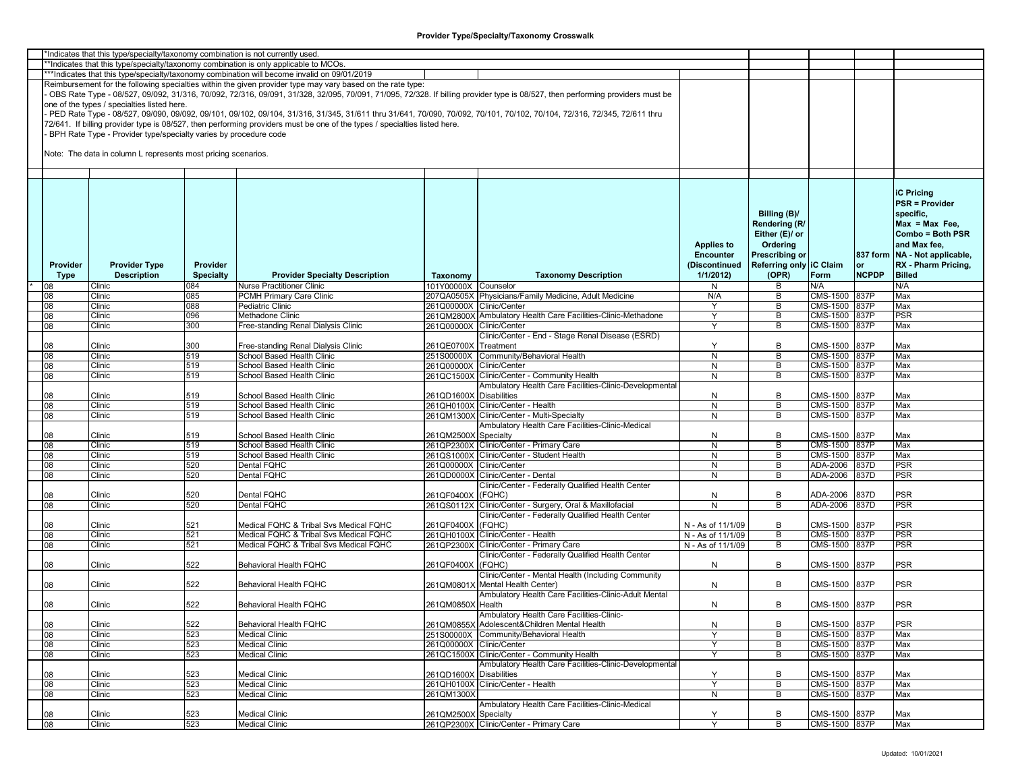|          | *Indicates that this type/specialty/taxonomy combination is not currently used |                  |                                                                                                                           |                          |                                                                                                                                                                               |                   |                         |               |              |                               |
|----------|--------------------------------------------------------------------------------|------------------|---------------------------------------------------------------------------------------------------------------------------|--------------------------|-------------------------------------------------------------------------------------------------------------------------------------------------------------------------------|-------------------|-------------------------|---------------|--------------|-------------------------------|
|          |                                                                                |                  | *Indicates that this type/specialty/taxonomy combination is only applicable to MCOs.                                      |                          |                                                                                                                                                                               |                   |                         |               |              |                               |
|          |                                                                                |                  | ***Indicates that this type/specialty/taxonomy combination will become invalid on 09/01/2019                              |                          |                                                                                                                                                                               |                   |                         |               |              |                               |
|          |                                                                                |                  | Reimbursement for the following specialties within the given provider type may vary based on the rate type:               |                          |                                                                                                                                                                               |                   |                         |               |              |                               |
|          |                                                                                |                  |                                                                                                                           |                          |                                                                                                                                                                               |                   |                         |               |              |                               |
|          |                                                                                |                  |                                                                                                                           |                          | OBS Rate Type - 08/527, 09/092, 31/316, 70/092, 72/316, 09/091, 31/328, 32/095, 70/091, 71/095, 72/328. If billing provider type is 08/527, then performing providers must be |                   |                         |               |              |                               |
|          | one of the types / specialties listed here.                                    |                  |                                                                                                                           |                          |                                                                                                                                                                               |                   |                         |               |              |                               |
|          |                                                                                |                  |                                                                                                                           |                          | PED Rate Type - 08/527, 09/090, 09/092, 09/101, 09/102, 09/104, 31/316, 31/345, 31/611 thru 31/641, 70/090, 70/092, 70/101, 70/102, 70/104, 72/316, 72/345, 72/611 thru       |                   |                         |               |              |                               |
|          |                                                                                |                  | 72/641. If billing provider type is 08/527, then performing providers must be one of the types / specialties listed here. |                          |                                                                                                                                                                               |                   |                         |               |              |                               |
|          |                                                                                |                  |                                                                                                                           |                          |                                                                                                                                                                               |                   |                         |               |              |                               |
|          | BPH Rate Type - Provider type/specialty varies by procedure code               |                  |                                                                                                                           |                          |                                                                                                                                                                               |                   |                         |               |              |                               |
|          |                                                                                |                  |                                                                                                                           |                          |                                                                                                                                                                               |                   |                         |               |              |                               |
|          | Note: The data in column L represents most pricing scenarios.                  |                  |                                                                                                                           |                          |                                                                                                                                                                               |                   |                         |               |              |                               |
|          |                                                                                |                  |                                                                                                                           |                          |                                                                                                                                                                               |                   |                         |               |              |                               |
|          |                                                                                |                  |                                                                                                                           |                          |                                                                                                                                                                               |                   |                         |               |              |                               |
|          |                                                                                |                  |                                                                                                                           |                          |                                                                                                                                                                               |                   |                         |               |              |                               |
|          |                                                                                |                  |                                                                                                                           |                          |                                                                                                                                                                               |                   |                         |               |              |                               |
|          |                                                                                |                  |                                                                                                                           |                          |                                                                                                                                                                               |                   |                         |               |              | <b>iC Pricing</b>             |
|          |                                                                                |                  |                                                                                                                           |                          |                                                                                                                                                                               |                   |                         |               |              | <b>PSR = Provider</b>         |
|          |                                                                                |                  |                                                                                                                           |                          |                                                                                                                                                                               |                   |                         |               |              |                               |
|          |                                                                                |                  |                                                                                                                           |                          |                                                                                                                                                                               |                   | Billing (B)/            |               |              | specific.                     |
|          |                                                                                |                  |                                                                                                                           |                          |                                                                                                                                                                               |                   | Rendering (R/           |               |              | $Max = Max Free$              |
|          |                                                                                |                  |                                                                                                                           |                          |                                                                                                                                                                               |                   | Either (E)/ or          |               |              | Combo = Both PSR              |
|          |                                                                                |                  |                                                                                                                           |                          |                                                                                                                                                                               |                   |                         |               |              |                               |
|          |                                                                                |                  |                                                                                                                           |                          |                                                                                                                                                                               | <b>Applies to</b> | Ordering                |               |              | and Max fee,                  |
|          |                                                                                |                  |                                                                                                                           |                          |                                                                                                                                                                               | <b>Encounter</b>  | Prescribing or          |               |              | 837 form NA - Not applicable, |
| Provider | <b>Provider Type</b>                                                           | <b>Provider</b>  |                                                                                                                           |                          |                                                                                                                                                                               | (Discontinued     | Referring only IC Claim |               | or           | RX - Pharm Pricing,           |
| Type     | <b>Description</b>                                                             | <b>Specialty</b> | <b>Provider Specialty Description</b>                                                                                     |                          | <b>Taxonomy Description</b>                                                                                                                                                   | 1/1/2012          | (OPR)                   | Form          | <b>NCPDP</b> | <b>Billed</b>                 |
|          |                                                                                |                  |                                                                                                                           | Taxonomy                 |                                                                                                                                                                               |                   |                         |               |              |                               |
|          | Clinic                                                                         | 084              | Nurse Practitioner Clinic                                                                                                 | 101Y00000X Counselor     |                                                                                                                                                                               | N                 | В                       | N/A           |              | N/A                           |
| 80       | Clinic                                                                         | 085              | <b>PCMH Primary Care Clinic</b>                                                                                           |                          | 207QA0505X Physicians/Family Medicine, Adult Medicine                                                                                                                         | N/A               | В                       | CMS-1500 837P |              | Max                           |
| 08       | Clinic                                                                         | 088              | Pediatric Clinic                                                                                                          | 261Q00000X Clinic/Center |                                                                                                                                                                               | Y                 | В                       | CMS-1500 837P |              | Max                           |
| 08       | Clinic                                                                         | 096              | Methadone Clinic                                                                                                          |                          | 261QM2800X Ambulatory Health Care Facilities-Clinic-Methadone                                                                                                                 | Y                 | B                       | CMS-1500 837P |              | <b>PSR</b>                    |
|          |                                                                                |                  |                                                                                                                           |                          |                                                                                                                                                                               |                   |                         |               |              |                               |
| 08       | Clinic                                                                         | 300              | Free-standing Renal Dialysis Clinic                                                                                       | 261Q00000X Clinic/Center |                                                                                                                                                                               | Y                 | В                       | CMS-1500      | 837P         | Max                           |
|          |                                                                                |                  |                                                                                                                           |                          | Clinic/Center - End - Stage Renal Disease (ESRD)                                                                                                                              |                   |                         |               |              |                               |
| 08       | Clinic                                                                         | 300              | Free-standing Renal Dialysis Clinic                                                                                       | 261QE0700X Treatment     |                                                                                                                                                                               | Y                 | B                       | CMS-1500      | 837P         | Max                           |
| 08       | Clinic                                                                         | 519              | School Based Health Clinic                                                                                                |                          | 251S00000X Community/Behavioral Health                                                                                                                                        | N                 | В                       | CMS-1500 837P |              | Max                           |
|          | Clinic                                                                         |                  | School Based Health Clinic                                                                                                |                          |                                                                                                                                                                               |                   | B                       | CMS-1500 837P |              |                               |
| 08       |                                                                                | 519              |                                                                                                                           | 261Q00000X Clinic/Center |                                                                                                                                                                               | N                 |                         |               |              | Max                           |
| 08       | Clinic                                                                         | 519              | School Based Health Clinic                                                                                                |                          | 261QC1500X Clinic/Center - Community Health                                                                                                                                   | N                 | B                       | CMS-1500      | 837P         | Max                           |
|          |                                                                                |                  |                                                                                                                           |                          | Ambulatory Health Care Facilities-Clinic-Developmental                                                                                                                        |                   |                         |               |              |                               |
| 80       | Clinic                                                                         | 519              | School Based Health Clinic                                                                                                | 261QD1600X Disabilities  |                                                                                                                                                                               | N                 | В                       | CMS-1500      | 837P         | Max                           |
|          |                                                                                |                  | School Based Health Clinic                                                                                                |                          |                                                                                                                                                                               |                   |                         |               |              |                               |
| 08       | Clinic                                                                         | 519              |                                                                                                                           |                          | 261QH0100X Clinic/Center - Health                                                                                                                                             | $\overline{N}$    | В                       | CMS-1500      | 837P         | Max                           |
| 08       | Clinic                                                                         | 519              | School Based Health Clinic                                                                                                |                          | 261QM1300X Clinic/Center - Multi-Specialty                                                                                                                                    | N                 | В                       | CMS-1500 837P |              | Max                           |
|          |                                                                                |                  |                                                                                                                           |                          | Ambulatory Health Care Facilities-Clinic-Medical                                                                                                                              |                   |                         |               |              |                               |
| 08       | Clinic                                                                         | 519              | School Based Health Clinic                                                                                                | 261QM2500X Specialty     |                                                                                                                                                                               | N                 | В                       | CMS-1500      | 837P         | Max                           |
| 08       | Clinic                                                                         | 519              | School Based Health Clinic                                                                                                |                          | 261QP2300X Clinic/Center - Primary Care                                                                                                                                       | N                 | B                       | CMS-1500      | 837P         | Max                           |
|          |                                                                                |                  |                                                                                                                           |                          |                                                                                                                                                                               |                   |                         |               |              |                               |
| 08       | Clinic                                                                         | 519              | School Based Health Clinic                                                                                                |                          | 261QS1000X Clinic/Center - Student Health                                                                                                                                     | N                 | В                       | CMS-1500      | 837P         | Max                           |
| 08       | Clinic                                                                         | 520              | Dental FQHC                                                                                                               | 261Q00000X Clinic/Center |                                                                                                                                                                               | N                 | B                       | ADA-2006      | 837D         | PSR                           |
| 08       | Clinic                                                                         | 520              | Dental FQHC                                                                                                               |                          | 261QD0000X Clinic/Center - Dental                                                                                                                                             | N                 | B                       | ADA-2006      | 837D         | PSR                           |
|          |                                                                                |                  |                                                                                                                           |                          | Clinic/Center - Federally Qualified Health Center                                                                                                                             |                   |                         |               |              |                               |
|          | Clinic                                                                         | 520              | Dental FQHC                                                                                                               | 261QF0400X               | (FQHC)                                                                                                                                                                        | N                 | В                       | ADA-2006      | 837D         | PSR                           |
|          |                                                                                |                  |                                                                                                                           |                          |                                                                                                                                                                               |                   |                         |               |              |                               |
| 08       | Clinic                                                                         | 520              | Dental FQHC                                                                                                               | 261QS0112X               | Clinic/Center - Surgery, Oral & Maxillofacial                                                                                                                                 | N                 | B                       | ADA-2006      | 837D         | PSR                           |
|          |                                                                                |                  |                                                                                                                           |                          | Clinic/Center - Federally Qualified Health Center                                                                                                                             |                   |                         |               |              |                               |
| 80       | Clinic                                                                         | 521              | Medical FQHC & Tribal Svs Medical FQHC                                                                                    | 261QF0400X (FQHC)        |                                                                                                                                                                               | N - As of 11/1/09 | В                       | CMS-1500      | 837P         | <b>PSR</b>                    |
| 08       | Clinic                                                                         | 521              | Medical FQHC & Tribal Svs Medical FQHC                                                                                    |                          | 261QH0100X Clinic/Center - Health                                                                                                                                             | N - As of 11/1/09 | В                       | CMS-1500      | 837P         | PSR                           |
| 80       | Clinic                                                                         | 521              | Medical FQHC & Tribal Svs Medical FQHC                                                                                    |                          | 261QP2300X Clinic/Center - Primary Care                                                                                                                                       | N - As of 11/1/09 | B                       | CMS-1500      | 837P         | PSR                           |
|          |                                                                                |                  |                                                                                                                           |                          |                                                                                                                                                                               |                   |                         |               |              |                               |
|          |                                                                                |                  |                                                                                                                           |                          | Clinic/Center - Federally Qualified Health Center                                                                                                                             |                   |                         |               |              |                               |
| 80       | Clinic                                                                         | 522              | <b>Behavioral Health FQHC</b>                                                                                             | 261QF0400X (FQHC)        |                                                                                                                                                                               | N                 | B                       | CMS-1500      | 837P         | <b>PSR</b>                    |
|          |                                                                                |                  |                                                                                                                           |                          | Clinic/Center - Mental Health (Including Community                                                                                                                            |                   |                         |               |              |                               |
| 08       | Clinic                                                                         | 522              | Behavioral Health FQHC                                                                                                    |                          | 261QM0801X Mental Health Center)                                                                                                                                              | N                 | В                       | CMS-1500      | 837P         | <b>PSR</b>                    |
|          |                                                                                |                  |                                                                                                                           |                          |                                                                                                                                                                               |                   |                         |               |              |                               |
|          |                                                                                |                  |                                                                                                                           |                          | Ambulatory Health Care Facilities-Clinic-Adult Mental                                                                                                                         |                   |                         |               |              |                               |
| 08       | Clinic                                                                         | 522              | <b>Behavioral Health FQHC</b>                                                                                             | 261QM0850X Health        |                                                                                                                                                                               | N                 | B                       | CMS-1500 837P |              | <b>PSR</b>                    |
|          |                                                                                |                  |                                                                                                                           |                          | Ambulatory Health Care Facilities-Clinic-                                                                                                                                     |                   |                         |               |              |                               |
| 08       | Clinic                                                                         | 522              | Behavioral Health FQHC                                                                                                    |                          | 261QM0855X Adolescent&Children Mental Health                                                                                                                                  | N                 | В                       | CMS-1500 837P |              | <b>PSR</b>                    |
|          |                                                                                |                  |                                                                                                                           |                          |                                                                                                                                                                               |                   |                         |               |              |                               |
| 80       | Clinic                                                                         | 523              | Medical Clinic                                                                                                            |                          | 251S00000X Community/Behavioral Health                                                                                                                                        | Y                 | В                       | CMS-1500 837P |              | Max                           |
| 08       | Clinic                                                                         | 523              | Medical Clinic                                                                                                            | 261Q00000X Clinic/Center |                                                                                                                                                                               | Y                 | B                       | CMS-1500 837P |              | Max                           |
| 08       | Clinic                                                                         | 523              | Medical Clinic                                                                                                            |                          | 261QC1500X Clinic/Center - Community Health                                                                                                                                   | Y                 | B                       | CMS-1500 837P |              | Max                           |
|          |                                                                                |                  |                                                                                                                           |                          | Ambulatory Health Care Facilities-Clinic-Developmental                                                                                                                        |                   |                         |               |              |                               |
|          |                                                                                |                  |                                                                                                                           |                          |                                                                                                                                                                               |                   |                         |               |              |                               |
| 08       | Clinic                                                                         | 523              | Medical Clinic                                                                                                            | 261QD1600X Disabilities  |                                                                                                                                                                               | Y                 | В                       | CMS-1500 837P |              | Max                           |
| 08       | Clinic                                                                         | 523              | <b>Medical Clinic</b>                                                                                                     |                          | 261QH0100X Clinic/Center - Health                                                                                                                                             | Y                 | В                       | CMS-1500 837P |              | Max                           |
| 08       | Clinic                                                                         | 523              | <b>Medical Clinic</b>                                                                                                     | 261QM1300X               |                                                                                                                                                                               | N                 | B                       | CMS-1500 837P |              | Max                           |
|          |                                                                                |                  |                                                                                                                           |                          | Ambulatory Health Care Facilities-Clinic-Medical                                                                                                                              |                   |                         |               |              |                               |
|          |                                                                                |                  | Medical Clinic                                                                                                            |                          |                                                                                                                                                                               |                   |                         | CMS-1500 837P |              |                               |
| 08       | Clinic                                                                         | 523              |                                                                                                                           | 261QM2500X Specialty     |                                                                                                                                                                               | Y                 | В                       |               |              | Max                           |
| 08       | Clinic                                                                         | 523              | Medical Clinic                                                                                                            |                          | 261QP2300X Clinic/Center - Primary Care                                                                                                                                       | Y                 | B                       | CMS-1500 837P |              | Max                           |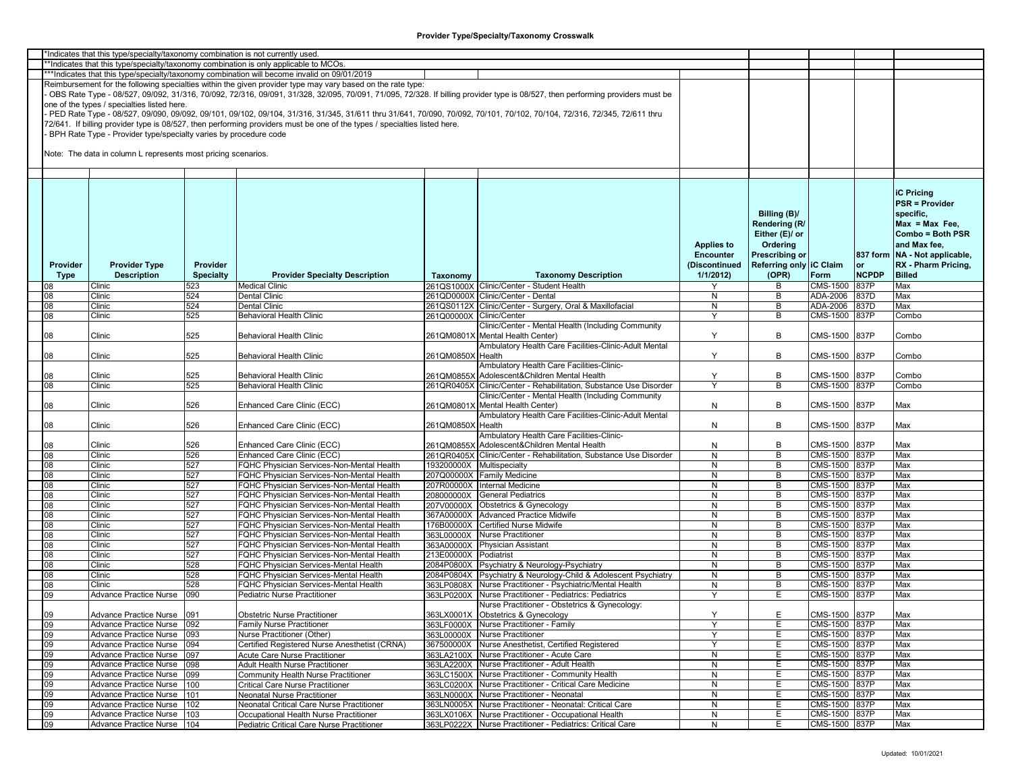|          | *Indicates that this type/specialty/taxonomy combination is not currently used |                  |                                                                                                                           |                           |                                                                                                                                                                               |                   |                         |               |              |                               |
|----------|--------------------------------------------------------------------------------|------------------|---------------------------------------------------------------------------------------------------------------------------|---------------------------|-------------------------------------------------------------------------------------------------------------------------------------------------------------------------------|-------------------|-------------------------|---------------|--------------|-------------------------------|
|          |                                                                                |                  | *Indicates that this type/specialty/taxonomy combination is only applicable to MCOs.                                      |                           |                                                                                                                                                                               |                   |                         |               |              |                               |
|          |                                                                                |                  | ***Indicates that this type/specialty/taxonomy combination will become invalid on 09/01/2019                              |                           |                                                                                                                                                                               |                   |                         |               |              |                               |
|          |                                                                                |                  | Reimbursement for the following specialties within the given provider type may vary based on the rate type:               |                           |                                                                                                                                                                               |                   |                         |               |              |                               |
|          |                                                                                |                  |                                                                                                                           |                           | OBS Rate Type - 08/527, 09/092, 31/316, 70/092, 72/316, 09/091, 31/328, 32/095, 70/091, 71/095, 72/328. If billing provider type is 08/527, then performing providers must be |                   |                         |               |              |                               |
|          | one of the types / specialties listed here.                                    |                  |                                                                                                                           |                           |                                                                                                                                                                               |                   |                         |               |              |                               |
|          |                                                                                |                  |                                                                                                                           |                           | PED Rate Type - 08/527, 09/090, 09/092, 09/101, 09/102, 09/104, 31/316, 31/345, 31/611 thru 31/641, 70/090, 70/092, 70/101, 70/102, 70/104, 72/316, 72/345, 72/611 thru       |                   |                         |               |              |                               |
|          |                                                                                |                  | 72/641. If billing provider type is 08/527, then performing providers must be one of the types / specialties listed here. |                           |                                                                                                                                                                               |                   |                         |               |              |                               |
|          | BPH Rate Type - Provider type/specialty varies by procedure code               |                  |                                                                                                                           |                           |                                                                                                                                                                               |                   |                         |               |              |                               |
|          |                                                                                |                  |                                                                                                                           |                           |                                                                                                                                                                               |                   |                         |               |              |                               |
|          | Note: The data in column L represents most pricing scenarios.                  |                  |                                                                                                                           |                           |                                                                                                                                                                               |                   |                         |               |              |                               |
|          |                                                                                |                  |                                                                                                                           |                           |                                                                                                                                                                               |                   |                         |               |              |                               |
|          |                                                                                |                  |                                                                                                                           |                           |                                                                                                                                                                               |                   |                         |               |              |                               |
|          |                                                                                |                  |                                                                                                                           |                           |                                                                                                                                                                               |                   |                         |               |              |                               |
|          |                                                                                |                  |                                                                                                                           |                           |                                                                                                                                                                               |                   |                         |               |              | <b>iC Pricing</b>             |
|          |                                                                                |                  |                                                                                                                           |                           |                                                                                                                                                                               |                   |                         |               |              | <b>PSR = Provider</b>         |
|          |                                                                                |                  |                                                                                                                           |                           |                                                                                                                                                                               |                   | Billing (B)/            |               |              | specific,                     |
|          |                                                                                |                  |                                                                                                                           |                           |                                                                                                                                                                               |                   |                         |               |              | $Max = Max Free$              |
|          |                                                                                |                  |                                                                                                                           |                           |                                                                                                                                                                               |                   | Rendering (R/           |               |              |                               |
|          |                                                                                |                  |                                                                                                                           |                           |                                                                                                                                                                               |                   | Either (E)/ or          |               |              | Combo = Both PSR              |
|          |                                                                                |                  |                                                                                                                           |                           |                                                                                                                                                                               | <b>Applies to</b> | Ordering                |               |              | and Max fee,                  |
|          |                                                                                |                  |                                                                                                                           |                           |                                                                                                                                                                               | <b>Encounter</b>  | Prescribing or          |               |              | 837 form NA - Not applicable, |
| Provider | <b>Provider Type</b>                                                           | <b>Provider</b>  |                                                                                                                           |                           |                                                                                                                                                                               | (Discontinued     | Referring only IC Claim |               | <b>or</b>    | RX - Pharm Pricing,           |
| Type     | <b>Description</b>                                                             | <b>Specialty</b> | <b>Provider Specialty Description</b>                                                                                     | Taxonomy                  | <b>Taxonomy Description</b>                                                                                                                                                   | 1/1/2012          | (OPR)                   | Form          | <b>NCPDP</b> | <b>Billed</b>                 |
|          | Clinic                                                                         | 523              | <b>Medical Clinic</b>                                                                                                     |                           | 261QS1000X Clinic/Center - Student Health                                                                                                                                     |                   | В                       | CMS-1500      | 837P         | Max                           |
| 08       | Clinic                                                                         | 524              | Dental Clinic                                                                                                             |                           | 261QD0000X Clinic/Center - Dental                                                                                                                                             | N                 | B                       | ADA-2006      | 837D         | Max                           |
| 08       | Clinic                                                                         | 524              | Dental Clinic                                                                                                             |                           | 261QS0112X Clinic/Center - Surgery, Oral & Maxillofacial                                                                                                                      | $\overline{N}$    | B                       | ADA-2006      | 837D         | Max                           |
| 08       | Clinic                                                                         | 525              | Behavioral Health Clinic                                                                                                  | 261Q00000X Clinic/Center  |                                                                                                                                                                               | Y                 | B                       | CMS-1500 837P |              | Combo                         |
|          |                                                                                |                  |                                                                                                                           |                           | Clinic/Center - Mental Health (Including Community                                                                                                                            |                   |                         |               |              |                               |
| 80       | Clinic                                                                         | 525              | Behavioral Health Clinic                                                                                                  |                           | 261QM0801X Mental Health Center)                                                                                                                                              | Υ                 | B                       | CMS-1500 837P |              | Combo                         |
|          |                                                                                |                  |                                                                                                                           |                           | Ambulatory Health Care Facilities-Clinic-Adult Mental                                                                                                                         |                   |                         |               |              |                               |
| 08       | Clinic                                                                         | 525              | Behavioral Health Clinic                                                                                                  | 261QM0850X Health         |                                                                                                                                                                               | Y                 | B                       | CMS-1500 837P |              | Combo                         |
|          |                                                                                |                  |                                                                                                                           |                           | Ambulatory Health Care Facilities-Clinic-                                                                                                                                     |                   |                         |               |              |                               |
| 08       | Clinic                                                                         | 525              | Behavioral Health Clinic                                                                                                  |                           | 261QM0855X Adolescent&Children Mental Health                                                                                                                                  | Υ                 | В                       | CMS-1500 837P |              | Combo                         |
| 08       | Clinic                                                                         | 525              | Behavioral Health Clinic                                                                                                  |                           | 261QR0405X Clinic/Center - Rehabilitation, Substance Use Disorder                                                                                                             |                   | B                       | CMS-1500 837P |              | Combo                         |
|          |                                                                                |                  |                                                                                                                           |                           | Clinic/Center - Mental Health (Including Community                                                                                                                            |                   |                         |               |              |                               |
| 08       | Clinic                                                                         | 526              | Enhanced Care Clinic (ECC)                                                                                                |                           | 261QM0801X Mental Health Center)                                                                                                                                              | N                 | B                       | CMS-1500 837P |              | Max                           |
|          |                                                                                |                  |                                                                                                                           |                           | Ambulatory Health Care Facilities-Clinic-Adult Mental                                                                                                                         |                   |                         |               |              |                               |
| 08       | Clinic                                                                         | 526              | Enhanced Care Clinic (ECC)                                                                                                | 261QM0850X Health         |                                                                                                                                                                               | N                 | B                       | CMS-1500 837P |              | Max                           |
|          |                                                                                |                  |                                                                                                                           |                           | Ambulatory Health Care Facilities-Clinic-                                                                                                                                     |                   |                         |               |              |                               |
| 08       | Clinic                                                                         | 526              | Enhanced Care Clinic (ECC)                                                                                                |                           | 261QM0855X Adolescent&Children Mental Health                                                                                                                                  | N                 | B                       | CMS-1500 837P |              | Max                           |
| 08       | Clinic                                                                         | 526              | Enhanced Care Clinic (ECC)                                                                                                |                           | 261QR0405X Clinic/Center - Rehabilitation, Substance Use Disorder                                                                                                             | N                 | B                       | CMS-1500 837P |              | Max                           |
| 08       | Clinic                                                                         | 527              | <b>QHC Physician Services-Non-Mental Health</b>                                                                           | 193200000X Multispecialty |                                                                                                                                                                               | N                 | B                       | CMS-1500 837P |              | Max                           |
| 08       | Clinic                                                                         | 527              | <b>QHC Physician Services-Non-Mental Health</b>                                                                           |                           | 207Q00000X Family Medicine                                                                                                                                                    | N                 | B                       | CMS-1500 837P |              | Max                           |
| 08       | Clinic                                                                         | 527              | <b>QHC Physician Services-Non-Mental Health</b>                                                                           |                           | 207R00000X Internal Medicine                                                                                                                                                  | N                 | B                       | CMS-1500 837P |              | Max                           |
| 08       | Clinic                                                                         | 527              | <b>-QHC Physician Services-Non-Mental Health</b>                                                                          | 208000000X                | <b>General Pediatrics</b>                                                                                                                                                     | N                 | B                       | CMS-1500 837P |              | Max                           |
| 08       | Clinic                                                                         | 527              | <b>FQHC Physician Services-Non-Mental Health</b>                                                                          | 207V00000X                | Obstetrics & Gynecology                                                                                                                                                       | N                 | В                       | CMS-1500 837P |              | Max                           |
| 08       | Clinic                                                                         | 527              | QHC Physician Services-Non-Mental Health                                                                                  |                           | 367A00000X Advanced Practice Midwife                                                                                                                                          | N                 | B                       | CMS-1500 837P |              | Max                           |
| 08       | Clinic                                                                         | 527              | FQHC Physician Services-Non-Mental Health                                                                                 | 176B00000X                | <b>Certified Nurse Midwife</b>                                                                                                                                                | N                 | B                       | CMS-1500 837P |              | Max                           |
| 08       | Clinic                                                                         | 527              | FQHC Physician Services-Non-Mental Health                                                                                 |                           | 363L00000X Nurse Practitioner                                                                                                                                                 | N                 | B                       | CMS-1500 837P |              | Max                           |
| 08       | Clinic                                                                         | 527              | <b>FQHC Physician Services-Non-Mental Health</b>                                                                          |                           | 363A00000X Physician Assistant                                                                                                                                                | N                 | B                       | CMS-1500 837P |              | Max                           |
| 08       | Clinic                                                                         | 527              | <b>-QHC Physician Services-Non-Mental Health</b>                                                                          | 213E00000X Podiatrist     |                                                                                                                                                                               | N                 | B                       | CMS-1500 837P |              | Max                           |
| 08       | Clinic                                                                         | 528              | <b>QHC Physician Services-Mental Health</b>                                                                               |                           | 2084P0800X Psychiatry & Neurology-Psychiatry                                                                                                                                  | N                 | B                       | CMS-1500 837P |              | Max                           |
| 08       | Clinic                                                                         | 528              | <b>QHC Physician Services-Mental Health</b>                                                                               |                           | 2084P0804X Psychiatry & Neurology-Child & Adolescent Psychiatry                                                                                                               | N                 | B                       | CMS-1500 837P |              | Max                           |
| 08       | Clinic                                                                         | 528              | FQHC Physician Services-Mental Health                                                                                     |                           | 363LP0808X Nurse Practitioner - Psychiatric/Mental Health                                                                                                                     | N                 | B                       | CMS-1500 837P |              | Max                           |
| 09       | Advance Practice Nurse                                                         | 090              | Pediatric Nurse Practitioner                                                                                              |                           | 363LP0200X Nurse Practitioner - Pediatrics: Pediatrics                                                                                                                        | Y                 | Ε                       | CMS-1500 837P |              | Max                           |
|          |                                                                                |                  |                                                                                                                           |                           | Nurse Practitioner - Obstetrics & Gynecology:                                                                                                                                 |                   |                         |               |              |                               |
| 09       | Advance Practice Nurse   091                                                   |                  | <b>Obstetric Nurse Practitioner</b>                                                                                       |                           | 363LX0001X Obstetrics & Gynecology                                                                                                                                            | Υ                 | E                       | CMS-1500 837P |              | Max                           |
| 09       | Advance Practice Nurse                                                         | 092              | Family Nurse Practitioner                                                                                                 |                           | 363LF0000X Nurse Practitioner - Family                                                                                                                                        | Υ                 | E.                      | CMS-1500 837P |              | Max                           |
| 09       | Advance Practice Nurse                                                         | 093              | Nurse Practitioner (Other)                                                                                                |                           | 363L00000X Nurse Practitioner                                                                                                                                                 | Υ                 | Е                       | CMS-1500 837P |              | Max                           |
| 09       | Advance Practice Nurse                                                         | 094              | Certified Registered Nurse Anesthetist (CRNA)                                                                             |                           | 367500000X Nurse Anesthetist, Certified Registered                                                                                                                            | Y                 | Е                       | CMS-1500 837P |              | Max                           |
| 09       | Advance Practice Nurse                                                         | 097              | Acute Care Nurse Practitioner                                                                                             |                           | 363LA2100X Nurse Practitioner - Acute Care                                                                                                                                    | N                 | E                       | CMS-1500 837P |              | Max                           |
| 09       | Advance Practice Nurse                                                         | 098              | Adult Health Nurse Practitioner                                                                                           |                           | 363LA2200X Nurse Practitioner - Adult Health                                                                                                                                  | N                 | Е                       | CMS-1500 837P |              | Max                           |
| 09       | Advance Practice Nurse                                                         | 099              | Community Health Nurse Practitioner                                                                                       |                           | 363LC1500X Nurse Practitioner - Community Health                                                                                                                              | N                 | Е                       | CMS-1500 837P |              | Max                           |
| 09       | Advance Practice Nurse                                                         | 100              | Critical Care Nurse Practitioner                                                                                          |                           | 363LC0200X Nurse Practitioner - Critical Care Medicine                                                                                                                        | N                 | E                       | CMS-1500 837P |              | Max                           |
| 09       | Advance Practice Nurse                                                         | 101              | Neonatal Nurse Practitioner                                                                                               |                           | 363LN0000X Nurse Practitioner - Neonatal                                                                                                                                      | N                 | Ε                       | CMS-1500 837P |              | Max                           |
| 09       | Advance Practice Nurse                                                         | 102              | Neonatal Critical Care Nurse Practitioner                                                                                 |                           | 363LN0005X Nurse Practitioner - Neonatal: Critical Care                                                                                                                       | N                 | Е                       | CMS-1500 837P |              | Max                           |
| 09       | <b>Advance Practice Nurse</b>                                                  | 103              | Occupational Health Nurse Practitioner                                                                                    |                           | 363LX0106X Nurse Practitioner - Occupational Health                                                                                                                           | N                 | E                       | CMS-1500 837P |              | Max                           |
| 09       | Advance Practice Nurse                                                         | 104              | Pediatric Critical Care Nurse Practitioner                                                                                |                           | 363LP0222X Nurse Practitioner - Pediatrics: Critical Care                                                                                                                     | N                 | E.                      | CMS-1500 837P |              | Max                           |
|          |                                                                                |                  |                                                                                                                           |                           |                                                                                                                                                                               |                   |                         |               |              |                               |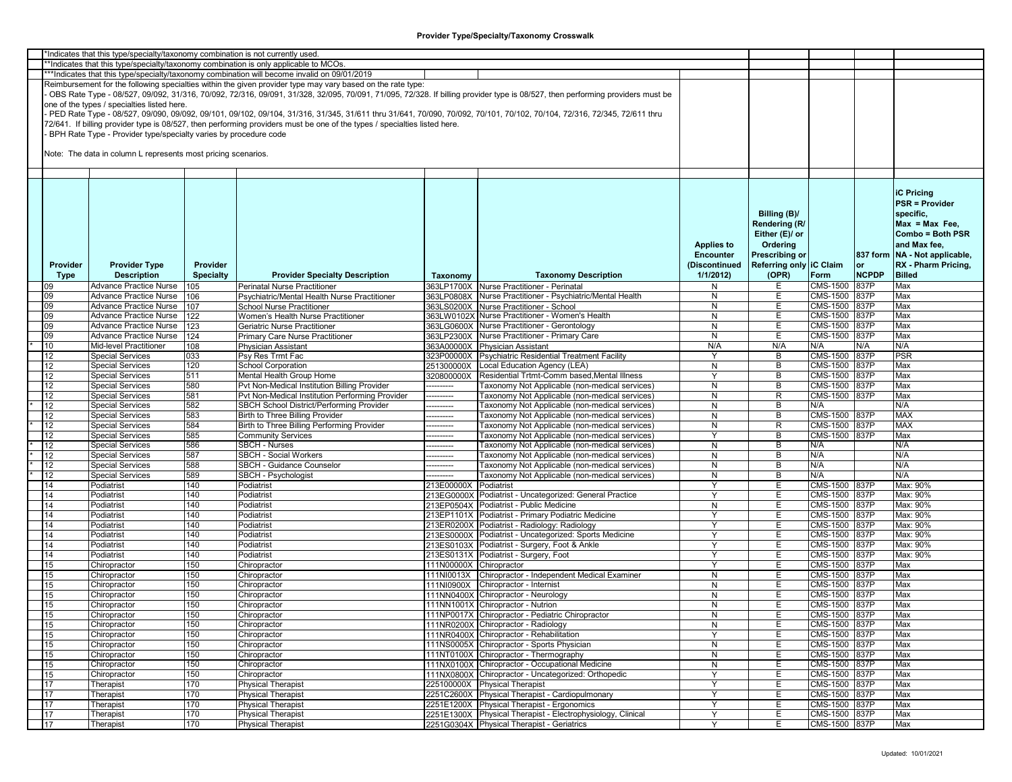|          | *Indicates that this type/specialty/taxonomy combination is not currently used |                  |                                                                                                                           |                         |                                                                                                                                                                               |                   |                         |               |              |                               |
|----------|--------------------------------------------------------------------------------|------------------|---------------------------------------------------------------------------------------------------------------------------|-------------------------|-------------------------------------------------------------------------------------------------------------------------------------------------------------------------------|-------------------|-------------------------|---------------|--------------|-------------------------------|
|          |                                                                                |                  | *Indicates that this type/specialty/taxonomy combination is only applicable to MCOs.                                      |                         |                                                                                                                                                                               |                   |                         |               |              |                               |
|          |                                                                                |                  | ***Indicates that this type/specialty/taxonomy combination will become invalid on 09/01/2019                              |                         |                                                                                                                                                                               |                   |                         |               |              |                               |
|          |                                                                                |                  | Reimbursement for the following specialties within the given provider type may vary based on the rate type:               |                         |                                                                                                                                                                               |                   |                         |               |              |                               |
|          |                                                                                |                  |                                                                                                                           |                         | OBS Rate Type - 08/527, 09/092, 31/316, 70/092, 72/316, 09/091, 31/328, 32/095, 70/091, 71/095, 72/328. If billing provider type is 08/527, then performing providers must be |                   |                         |               |              |                               |
|          | one of the types / specialties listed here.                                    |                  |                                                                                                                           |                         |                                                                                                                                                                               |                   |                         |               |              |                               |
|          |                                                                                |                  |                                                                                                                           |                         | PED Rate Type - 08/527, 09/090, 09/092, 09/101, 09/102, 09/104, 31/316, 31/345, 31/611 thru 31/641, 70/090, 70/092, 70/101, 70/102, 70/104, 72/316, 72/345, 72/611 thru       |                   |                         |               |              |                               |
|          |                                                                                |                  |                                                                                                                           |                         |                                                                                                                                                                               |                   |                         |               |              |                               |
|          |                                                                                |                  | 72/641. If billing provider type is 08/527, then performing providers must be one of the types / specialties listed here. |                         |                                                                                                                                                                               |                   |                         |               |              |                               |
|          | BPH Rate Type - Provider type/specialty varies by procedure code               |                  |                                                                                                                           |                         |                                                                                                                                                                               |                   |                         |               |              |                               |
|          |                                                                                |                  |                                                                                                                           |                         |                                                                                                                                                                               |                   |                         |               |              |                               |
|          | Note: The data in column L represents most pricing scenarios.                  |                  |                                                                                                                           |                         |                                                                                                                                                                               |                   |                         |               |              |                               |
|          |                                                                                |                  |                                                                                                                           |                         |                                                                                                                                                                               |                   |                         |               |              |                               |
|          |                                                                                |                  |                                                                                                                           |                         |                                                                                                                                                                               |                   |                         |               |              |                               |
|          |                                                                                |                  |                                                                                                                           |                         |                                                                                                                                                                               |                   |                         |               |              |                               |
|          |                                                                                |                  |                                                                                                                           |                         |                                                                                                                                                                               |                   |                         |               |              | <b>iC Pricing</b>             |
|          |                                                                                |                  |                                                                                                                           |                         |                                                                                                                                                                               |                   |                         |               |              |                               |
|          |                                                                                |                  |                                                                                                                           |                         |                                                                                                                                                                               |                   |                         |               |              | <b>PSR = Provider</b>         |
|          |                                                                                |                  |                                                                                                                           |                         |                                                                                                                                                                               |                   | Billing (B)/            |               |              | specific,                     |
|          |                                                                                |                  |                                                                                                                           |                         |                                                                                                                                                                               |                   | Rendering (R/           |               |              | $Max = Max Free$              |
|          |                                                                                |                  |                                                                                                                           |                         |                                                                                                                                                                               |                   | Either (E)/ or          |               |              | Combo = Both PSR              |
|          |                                                                                |                  |                                                                                                                           |                         |                                                                                                                                                                               |                   |                         |               |              |                               |
|          |                                                                                |                  |                                                                                                                           |                         |                                                                                                                                                                               | <b>Applies to</b> | Ordering                |               |              | and Max fee,                  |
|          |                                                                                |                  |                                                                                                                           |                         |                                                                                                                                                                               | <b>Encounter</b>  | <b>Prescribing or</b>   |               |              | 837 form NA - Not applicable, |
| Provider | <b>Provider Type</b>                                                           | Provider         |                                                                                                                           |                         |                                                                                                                                                                               | (Discontinued     | Referring only IC Claim |               | or           | RX - Pharm Pricing,           |
| Type     | <b>Description</b>                                                             | <b>Specialty</b> | <b>Provider Specialty Description</b>                                                                                     | Taxonomy                | <b>Taxonomy Description</b>                                                                                                                                                   | 1/1/2012          | (OPR)                   | Form          | <b>NCPDP</b> | <b>Billed</b>                 |
| 09       | Advance Practice Nurse                                                         | 105              | <b>Perinatal Nurse Practitioner</b>                                                                                       |                         | 363LP1700X Nurse Practitioner - Perinatal                                                                                                                                     | N                 | Е                       | CMS-1500      | 837P         | Max                           |
| 09       | Advance Practice Nurse                                                         | 106              | Psychiatric/Mental Health Nurse Practitioner                                                                              |                         | 363LP0808X Nurse Practitioner - Psychiatric/Mental Health                                                                                                                     | N                 | Е                       | CMS-1500 837P |              | Max                           |
|          |                                                                                |                  |                                                                                                                           |                         |                                                                                                                                                                               |                   |                         | CMS-1500 837P |              |                               |
| 09       | Advance Practice Nurse                                                         | 107              | School Nurse Practitioner                                                                                                 |                         | 363LS0200X Nurse Practitioner - School                                                                                                                                        | N                 | Е                       |               |              | Max                           |
| 09       | <b>Advance Practice Nurse</b>                                                  | 122              | Women's Health Nurse Practitioner                                                                                         |                         | 363LW0102X Nurse Practitioner - Women's Health                                                                                                                                | N                 | Ε                       | CMS-1500 837P |              | Max                           |
| 09       | Advance Practice Nurse                                                         | 123              | Geriatric Nurse Practitioner                                                                                              |                         | 363LG0600X Nurse Practitioner - Gerontology                                                                                                                                   | N                 | Ε                       | CMS-1500 837P |              | Max                           |
| 09       | Advance Practice Nurse                                                         | 124              | Primary Care Nurse Practitioner                                                                                           |                         | 363LP2300X Nurse Practitioner - Primary Care                                                                                                                                  | N                 | E                       | CMS-1500 837P |              | Max                           |
| 10       | Mid-level Practitioner                                                         | 108              | <b>Physician Assistant</b>                                                                                                |                         | 363A00000X Physician Assistant                                                                                                                                                | N/A               | N/A                     | N/A           | N/A          | N/A                           |
| 12       | <b>Special Services</b>                                                        | 033              | Psy Res Trmt Fac                                                                                                          |                         | 323P00000X Psychiatric Residential Treatment Facility                                                                                                                         | Y                 | B                       | CMS-1500 837P |              | <b>PSR</b>                    |
| 12       | <b>Special Services</b>                                                        | 120              | <b>School Corporation</b>                                                                                                 |                         | 251300000X Local Education Agency (LEA)                                                                                                                                       | N                 | B                       | CMS-1500 837P |              | Max                           |
|          |                                                                                |                  |                                                                                                                           |                         |                                                                                                                                                                               | Y                 | B                       |               |              | Max                           |
| 12       | Special Services                                                               | 511              | Mental Health Group Home                                                                                                  | 320800000X              | Residential Trtmt-Comm based, Mental Illness                                                                                                                                  |                   |                         | CMS-1500 837P |              |                               |
| 12       | <b>Special Services</b>                                                        | 580              | Pvt Non-Medical Institution Billing Provider                                                                              | ---------               | [axonomy Not Applicable (non-medical services)                                                                                                                                | N                 | В                       | CMS-1500 837P |              | Max                           |
| 12       | <b>Special Services</b>                                                        | 581              | Pvt Non-Medical Institution Performing Provider                                                                           | --------                | <b>Faxonomy Not Applicable (non-medical services)</b>                                                                                                                         | N                 | R                       | CMS-1500 837P |              | Max                           |
| 12       | <b>Special Services</b>                                                        | 582              | SBCH School District/Performing Provider                                                                                  | -------                 | [axonomy Not Applicable (non-medical services)                                                                                                                                | N                 | B                       | N/A           |              | N/A                           |
| 12       | <b>Special Services</b>                                                        | 583              | <b>Birth to Three Billing Provider</b>                                                                                    | ---------               | <b>Faxonomy Not Applicable (non-medical services)</b>                                                                                                                         | N                 | B                       | CMS-1500 837P |              | <b>MAX</b>                    |
| 12       | <b>Special Services</b>                                                        | 584              | Birth to Three Billing Performing Provider                                                                                | -------                 | [axonomy Not Applicable (non-medical services)                                                                                                                                | N                 | R                       | CMS-1500 837P |              | <b>MAX</b>                    |
| 12       | <b>Special Services</b>                                                        | 585              | <b>Community Services</b>                                                                                                 | --------                | <b>Faxonomy Not Applicable (non-medical services)</b>                                                                                                                         | ٧                 | В                       | CMS-1500 837P |              | Max                           |
| 12       | <b>Special Services</b>                                                        | 586              | <b>SBCH - Nurses</b>                                                                                                      | --------                | <b>Faxonomy Not Applicable (non-medical services)</b>                                                                                                                         | $\mathsf{N}$      | B                       | N/A           |              | N/A                           |
| 12       | <b>Special Services</b>                                                        | 587              | <b>SBCH - Social Workers</b>                                                                                              | --------                | <b>Faxonomy Not Applicable (non-medical services)</b>                                                                                                                         | N                 | B                       | N/A           |              | N/A                           |
|          |                                                                                |                  |                                                                                                                           |                         |                                                                                                                                                                               |                   |                         |               |              |                               |
| 12       | <b>Special Services</b>                                                        | 588              | SBCH - Guidance Counselor                                                                                                 | --------                | <b>Faxonomy Not Applicable (non-medical services)</b>                                                                                                                         | N                 | B                       | N/A           |              | N/A                           |
| 12       | <b>Special Services</b>                                                        | 589              | SBCH - Psychologist                                                                                                       | ------                  | Taxonomy Not Applicable (non-medical services)                                                                                                                                | N                 | B                       | N/A           |              | N/A                           |
| 14       | Podiatrist                                                                     | 140              | Podiatrist                                                                                                                | 213E00000X              | Podiatrist                                                                                                                                                                    | Y                 | E                       | CMS-1500 837P |              | Max: 90%                      |
| 14       | Podiatrist                                                                     | 140              | Podiatrist                                                                                                                |                         | 213EG0000X Podiatrist - Uncategorized: General Practice                                                                                                                       | <b>Y</b>          | E                       | CMS-1500 837P |              | Max: 90%                      |
| 14       | Podiatrist                                                                     | 140              | Podiatrist                                                                                                                |                         | 213EP0504X Podiatrist - Public Medicine                                                                                                                                       | N                 | E                       | CMS-1500 837P |              | Max: 90%                      |
| 14       | Podiatrist                                                                     | 140              | Podiatrist                                                                                                                |                         | 213EP1101X Podiatrist - Primary Podiatric Medicine                                                                                                                            | Y                 | Е                       | CMS-1500 837P |              | Max: 90%                      |
| 14       | Podiatrist                                                                     | 140              | Podiatrist                                                                                                                |                         | 213ER0200X Podiatrist - Radiology: Radiology                                                                                                                                  | Υ                 | Е                       | CMS-1500 837P |              | Max: 90%                      |
| 14       | Podiatrist                                                                     | 140              | Podiatrist                                                                                                                |                         | 213ES0000X Podiatrist - Uncategorized: Sports Medicine                                                                                                                        | Y                 | Е                       | CMS-1500 837P |              | Max: 90%                      |
| 14       | Podiatrist                                                                     | 140              | Podiatrist                                                                                                                |                         | 213ES0103X Podiatrist - Surgery, Foot & Ankle                                                                                                                                 | Y                 | Е                       | CMS-1500 837P |              | Max: 90%                      |
| 14       | Podiatrist                                                                     | 140              | Podiatrist                                                                                                                |                         | 213ES0131X Podiatrist - Surgery, Foot                                                                                                                                         | Y                 | E                       | CMS-1500 837P |              | Max: 90%                      |
|          |                                                                                |                  |                                                                                                                           |                         |                                                                                                                                                                               |                   |                         |               |              |                               |
| 15       | Chiropractor                                                                   | 150              | Chiropractor                                                                                                              | 111N00000X Chiropractor |                                                                                                                                                                               |                   | Е                       | CMS-1500 837P |              | Max                           |
| 15       | Chiropractor                                                                   | 150              | Chiropractor                                                                                                              |                         | 111NI0013X Chiropractor - Independent Medical Examiner                                                                                                                        | N                 | Е                       | CMS-1500 837P |              | Max                           |
| 15       | Chiropractor                                                                   | 150              | Chiropractor                                                                                                              |                         | 111NI0900X Chiropractor - Internist                                                                                                                                           | N                 | Е                       | CMS-1500 837P |              | Max                           |
| 15       | Chiropractor                                                                   | 150              | Chiropractor                                                                                                              |                         | 111NN0400X Chiropractor - Neurology                                                                                                                                           | N                 | Ε                       | CMS-1500 837P |              | Max                           |
| 15       | Chiropractor                                                                   | 150              | Chiropractor                                                                                                              |                         | 111NN1001X Chiropractor - Nutrion                                                                                                                                             | N                 | Е                       | CMS-1500 837P |              | Max                           |
| 15       | Chiropractor                                                                   | 150              | Chiropractor                                                                                                              |                         | 111NP0017X Chiropractor - Pediatric Chiropractor                                                                                                                              | N                 | E                       | CMS-1500 837P |              | Max                           |
| 15       | Chiropractor                                                                   | 150              | Chiropractor                                                                                                              |                         | 111NR0200X Chiropractor - Radiology                                                                                                                                           | N                 | E.                      | CMS-1500 837P |              | Max                           |
|          |                                                                                |                  |                                                                                                                           |                         | 111NR0400X Chiropractor - Rehabilitation                                                                                                                                      |                   |                         |               |              |                               |
| 15       | Chiropractor                                                                   | 150              | Chiropractor                                                                                                              |                         |                                                                                                                                                                               | Y                 | Е                       | CMS-1500 837P |              | Max                           |
| 15       | Chiropractor                                                                   | 150              | Chiropractor                                                                                                              |                         | 111NS0005X Chiropractor - Sports Physician                                                                                                                                    | N                 | Е                       | CMS-1500 837P |              | Max                           |
| 15       | Chiropractor                                                                   | 150              | Chiropractor                                                                                                              |                         | 111NT0100X Chiropractor - Thermography                                                                                                                                        | N                 | E.                      | CMS-1500 837P |              | Max                           |
| 15       | Chiropractor                                                                   | 150              | Chiropractor                                                                                                              |                         | 111NX0100X Chiropractor - Occupational Medicine                                                                                                                               | N                 | E                       | CMS-1500 837P |              | Max                           |
| 15       | Chiropractor                                                                   | 150              | Chiropractor                                                                                                              |                         | 111NX0800X Chiropractor - Uncategorized: Orthopedic                                                                                                                           | Y                 | E                       | CMS-1500 837P |              | Max                           |
| 17       | Therapist                                                                      | 170              | <b>Physical Therapist</b>                                                                                                 |                         | 225100000X Physical Therapist                                                                                                                                                 | Υ                 | E                       | CMS-1500 837P |              | Max                           |
| 17       | Therapist                                                                      | 170              | <b>Physical Therapist</b>                                                                                                 |                         | 2251C2600X Physical Therapist - Cardiopulmonary                                                                                                                               | Y                 | Ε                       | CMS-1500 837P |              | Max                           |
| 17       | Therapist                                                                      | 170              | <b>Physical Therapist</b>                                                                                                 |                         | 2251E1200X Physical Therapist - Ergonomics                                                                                                                                    | Y                 | Е                       | CMS-1500 837P |              | Max                           |
|          |                                                                                |                  |                                                                                                                           |                         | 2251E1300X Physical Therapist - Electrophysiology, Clinical                                                                                                                   |                   |                         |               |              |                               |
| 17       | Therapist                                                                      | 170              | <b>Physical Therapist</b>                                                                                                 |                         |                                                                                                                                                                               | Y                 | E                       | CMS-1500 837P |              | Max                           |
| 17       | Therapist                                                                      | 170              | <b>Physical Therapist</b>                                                                                                 |                         | 2251G0304X Physical Therapist - Geriatrics                                                                                                                                    | Y                 | E.                      | CMS-1500 837P |              | Max                           |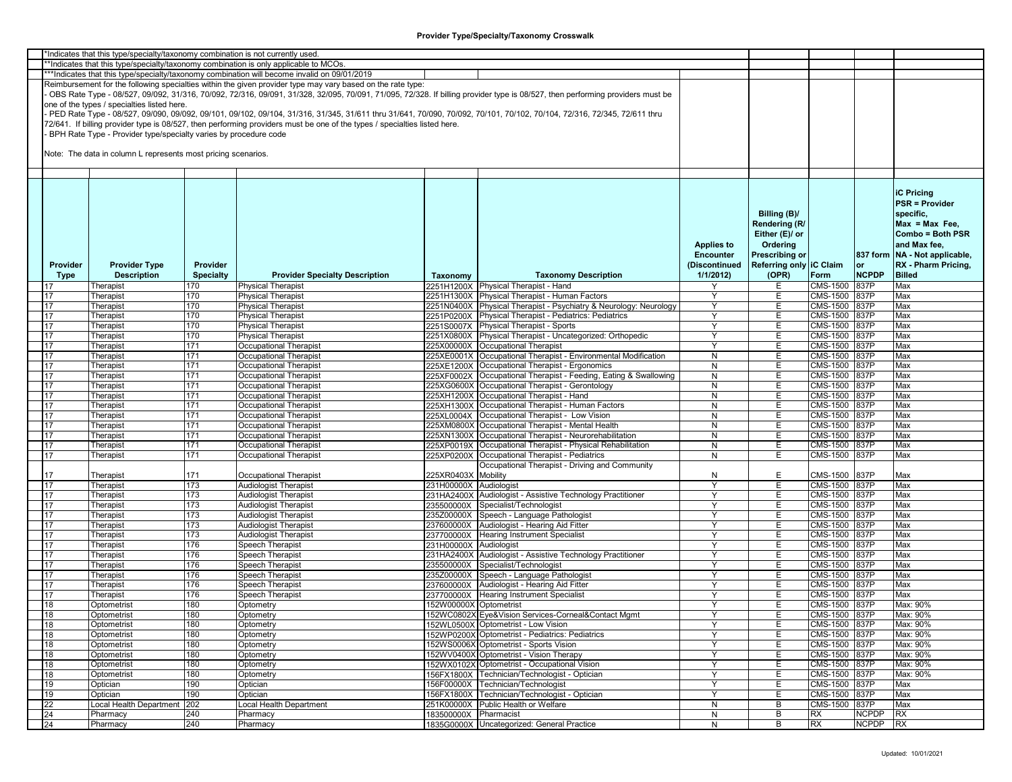|          | *Indicates that this type/specialty/taxonomy combination is not currently used |                  |                                                                                                                           |                        |                                                                                                                                                                               |                   |                         |               |              |                                 |
|----------|--------------------------------------------------------------------------------|------------------|---------------------------------------------------------------------------------------------------------------------------|------------------------|-------------------------------------------------------------------------------------------------------------------------------------------------------------------------------|-------------------|-------------------------|---------------|--------------|---------------------------------|
|          |                                                                                |                  | **Indicates that this type/specialty/taxonomy combination is only applicable to MCOs.                                     |                        |                                                                                                                                                                               |                   |                         |               |              |                                 |
|          |                                                                                |                  | ***Indicates that this type/specialty/taxonomy combination will become invalid on 09/01/2019                              |                        |                                                                                                                                                                               |                   |                         |               |              |                                 |
|          |                                                                                |                  | Reimbursement for the following specialties within the given provider type may vary based on the rate type:               |                        |                                                                                                                                                                               |                   |                         |               |              |                                 |
|          |                                                                                |                  |                                                                                                                           |                        | OBS Rate Type - 08/527, 09/092, 31/316, 70/092, 72/316, 09/091, 31/328, 32/095, 70/091, 71/095, 72/328. If billing provider type is 08/527, then performing providers must be |                   |                         |               |              |                                 |
|          | one of the types / specialties listed here.                                    |                  |                                                                                                                           |                        |                                                                                                                                                                               |                   |                         |               |              |                                 |
|          |                                                                                |                  |                                                                                                                           |                        | PED Rate Type - 08/527, 09/090, 09/092, 09/101, 09/102, 09/104, 31/316, 31/345, 31/611 thru 31/641, 70/090, 70/092, 70/101, 70/102, 70/104, 72/316, 72/345, 72/611 thru       |                   |                         |               |              |                                 |
|          |                                                                                |                  | 72/641. If billing provider type is 08/527, then performing providers must be one of the types / specialties listed here. |                        |                                                                                                                                                                               |                   |                         |               |              |                                 |
|          | BPH Rate Type - Provider type/specialty varies by procedure code               |                  |                                                                                                                           |                        |                                                                                                                                                                               |                   |                         |               |              |                                 |
|          |                                                                                |                  |                                                                                                                           |                        |                                                                                                                                                                               |                   |                         |               |              |                                 |
|          | Note: The data in column L represents most pricing scenarios.                  |                  |                                                                                                                           |                        |                                                                                                                                                                               |                   |                         |               |              |                                 |
|          |                                                                                |                  |                                                                                                                           |                        |                                                                                                                                                                               |                   |                         |               |              |                                 |
|          |                                                                                |                  |                                                                                                                           |                        |                                                                                                                                                                               |                   |                         |               |              |                                 |
|          |                                                                                |                  |                                                                                                                           |                        |                                                                                                                                                                               |                   |                         |               |              |                                 |
|          |                                                                                |                  |                                                                                                                           |                        |                                                                                                                                                                               |                   |                         |               |              | <b>IC Pricina</b>               |
|          |                                                                                |                  |                                                                                                                           |                        |                                                                                                                                                                               |                   |                         |               |              | <b>PSR = Provider</b>           |
|          |                                                                                |                  |                                                                                                                           |                        |                                                                                                                                                                               |                   |                         |               |              |                                 |
|          |                                                                                |                  |                                                                                                                           |                        |                                                                                                                                                                               |                   | Billing (B)/            |               |              | specific,                       |
|          |                                                                                |                  |                                                                                                                           |                        |                                                                                                                                                                               |                   | Rendering (R/           |               |              | $Max = Max Free$                |
|          |                                                                                |                  |                                                                                                                           |                        |                                                                                                                                                                               |                   | Either (E)/ or          |               |              | Combo = Both PSR                |
|          |                                                                                |                  |                                                                                                                           |                        |                                                                                                                                                                               | <b>Applies to</b> | Ordering                |               |              | and Max fee,                    |
|          |                                                                                |                  |                                                                                                                           |                        |                                                                                                                                                                               | <b>Encounter</b>  | Prescribing or          |               |              | 837 form   NA - Not applicable, |
| Provider | <b>Provider Type</b>                                                           | Provider         |                                                                                                                           |                        |                                                                                                                                                                               | (Discontinued     | Referring only IC Claim |               | <b>or</b>    | RX - Pharm Pricing,             |
| Type     | <b>Description</b>                                                             | <b>Specialty</b> | <b>Provider Specialty Description</b>                                                                                     | Taxonomy               | <b>Taxonomy Description</b>                                                                                                                                                   | 1/1/2012          | (OPR)                   | Form          | <b>NCPDP</b> | <b>Billed</b>                   |
|          | Therapist                                                                      | 170              | <b>Physical Therapist</b>                                                                                                 |                        | 2251H1200X Physical Therapist - Hand                                                                                                                                          | Υ                 | E.                      | CMS-1500      | 837P         | Max                             |
| 17       | Therapist                                                                      | 170              | <b>Physical Therapist</b>                                                                                                 | 2251H1300X             | Physical Therapist - Human Factors                                                                                                                                            | Y                 | Е                       | CMS-1500      | 837P         | Max                             |
| 17       | Therapist                                                                      | 170              | <b>Physical Therapist</b>                                                                                                 |                        | 2251N0400X Physical Therapist - Psychiatry & Neurology: Neurology                                                                                                             | Υ                 | Е.                      | CMS-1500      | 837P         | Max                             |
|          |                                                                                |                  |                                                                                                                           |                        | 2251P0200X Physical Therapist - Pediatrics: Pediatrics                                                                                                                        |                   | Е                       | CMS-1500 837P |              | Max                             |
| 17       | Therapist                                                                      | 170              | <b>Physical Therapist</b>                                                                                                 |                        |                                                                                                                                                                               | Υ                 |                         |               |              |                                 |
| 17       | Therapist                                                                      | 170              | <b>Physical Therapist</b>                                                                                                 |                        | 2251S0007X Physical Therapist - Sports                                                                                                                                        | Υ                 | Е                       | CMS-1500      | 837P         | Max                             |
| 17       | Therapist                                                                      | 170              | <b>Physical Therapist</b>                                                                                                 |                        | 2251X0800X Physical Therapist - Uncategorized: Orthopedic                                                                                                                     |                   | Е                       | CMS-1500 837P |              | Max                             |
| 17       | Therapist                                                                      | 171              | <b>Occupational Therapist</b>                                                                                             |                        | 225X00000X Occupational Therapist                                                                                                                                             | Υ                 | E                       | CMS-1500 837P |              | Max                             |
| 17       | Therapist                                                                      | 171              | Occupational Therapist                                                                                                    |                        | 225XE0001X Occupational Therapist - Environmental Modification                                                                                                                | N                 | E.                      | CMS-1500 837P |              | Max                             |
| 17       | Therapist                                                                      | 171              | <b>Occupational Therapist</b>                                                                                             |                        | 225XE1200X Occupational Therapist - Ergonomics                                                                                                                                | N                 | E.                      | CMS-1500 837P |              | Max                             |
| 17       | Therapist                                                                      | 171              | Occupational Therapist                                                                                                    |                        | 225XF0002X Occupational Therapist - Feeding, Eating & Swallowing                                                                                                              | N                 | E.                      | CMS-1500 837P |              | Max                             |
| 17       | Therapist                                                                      | 171              | Occupational Therapist                                                                                                    |                        | 225XG0600X Occupational Therapist - Gerontology                                                                                                                               | N                 | Е                       | CMS-1500 837P |              | Max                             |
| 17       | Therapist                                                                      | 171              | Occupational Therapist                                                                                                    |                        | 225XH1200X Occupational Therapist - Hand                                                                                                                                      | N                 | Е                       | CMS-1500      | 837P         | Max                             |
| 17       | Therapist                                                                      | 171              | Occupational Therapist                                                                                                    |                        | 225XH1300X Occupational Therapist - Human Factors                                                                                                                             | N                 | E.                      | CMS-1500 837P |              | Max                             |
| 17       | Therapist                                                                      | 171              | Occupational Therapist                                                                                                    |                        | 225XL0004X Occupational Therapist - Low Vision                                                                                                                                | N                 | Е                       | CMS-1500 837P |              | Max                             |
| 17       | Therapist                                                                      | 171              | Occupational Therapist                                                                                                    |                        | 225XM0800X Occupational Therapist - Mental Health                                                                                                                             | N                 | Е                       | CMS-1500 837P |              | Max                             |
| 17       | Therapist                                                                      | 171              | Occupational Therapist                                                                                                    |                        | 225XN1300X Occupational Therapist - Neurorehabilitation                                                                                                                       | N                 | Е                       | CMS-1500 837P |              | Max                             |
| 17       | Therapist                                                                      | 171              | Occupational Therapist                                                                                                    |                        | 225XP0019X Occupational Therapist - Physical Rehabilitation                                                                                                                   | N                 | E                       | CMS-1500      | 837P         | Max                             |
| 17       | Therapist                                                                      | 171              | Occupational Therapist                                                                                                    | 225XP0200X             | Occupational Therapist - Pediatrics                                                                                                                                           | N                 | Е                       | CMS-1500 837P |              | Max                             |
|          |                                                                                |                  |                                                                                                                           |                        | Occupational Therapist - Driving and Community                                                                                                                                |                   |                         |               |              |                                 |
| 17       | Therapist                                                                      | 171              | Occupational Therapist                                                                                                    | 225XR0403X Mobility    |                                                                                                                                                                               | N                 | Е                       | CMS-1500 837P |              | Max                             |
| 17       | Therapist                                                                      | 173              | <b>Audiologist Therapist</b>                                                                                              | 231H00000X Audiologist |                                                                                                                                                                               | Υ                 | Е                       | CMS-1500 837P |              | Max                             |
| 17       | Therapist                                                                      | 173              | <b>Audiologist Therapist</b>                                                                                              | 231HA2400X             | Audiologist - Assistive Technology Practitioner                                                                                                                               | Y                 | Е                       | CMS-1500      | 837P         | Max                             |
| 17       | Therapist                                                                      | 173              | <b>Audiologist Therapist</b>                                                                                              |                        | 235500000X Specialist/Technologist                                                                                                                                            | Y                 | E.                      | CMS-1500 837P |              | Max                             |
| 17       | Therapist                                                                      | 173              | <b>Audiologist Therapist</b>                                                                                              |                        | 235Z00000X Speech - Language Pathologist                                                                                                                                      | Υ                 | Е                       | CMS-1500 837P |              | Max                             |
| 17       | Therapist                                                                      | 173              | Audiologist Therapist                                                                                                     | 237600000X             | Audiologist - Hearing Aid Fitter                                                                                                                                              | Υ                 | Е                       | CMS-1500      | 837P         | Max                             |
| 17       | Therapist                                                                      | 173              | <b>Audiologist Therapist</b>                                                                                              |                        | 237700000X Hearing Instrument Specialist                                                                                                                                      | Υ                 | Е                       | CMS-1500 837P |              | Max                             |
| 17       | Therapist                                                                      | 176              | <b>Speech Therapist</b>                                                                                                   | 231H00000X             | Audiologist                                                                                                                                                                   | Y                 | E                       | CMS-1500 837P |              | Max                             |
| 17       | Therapist                                                                      | 176              | Speech Therapist                                                                                                          |                        | 231HA2400X Audiologist - Assistive Technology Practitioner                                                                                                                    | Y                 | Е                       | CMS-1500 837P |              | Max                             |
| 17       | Therapist                                                                      | 176              | Speech Therapist                                                                                                          | 235500000X             | Specialist/Technologist                                                                                                                                                       | Υ                 | Е                       | CMS-1500 837P |              | Max                             |
| 17       | Therapist                                                                      | 176              | Speech Therapist                                                                                                          | 235Z00000X             | Speech - Language Pathologist                                                                                                                                                 | Υ                 | Е                       | CMS-1500 837P |              | Max                             |
| 17       | Therapist                                                                      | 176              | Speech Therapist                                                                                                          |                        | 237600000X Audiologist - Hearing Aid Fitter                                                                                                                                   | Y                 | Е                       | CMS-1500 837P |              | Max                             |
|          |                                                                                |                  |                                                                                                                           |                        |                                                                                                                                                                               | Y                 |                         | CMS-1500 837P |              | Max                             |
| 17       | Therapist                                                                      | 176              | Speech Therapist                                                                                                          |                        | 237700000X Hearing Instrument Specialist                                                                                                                                      |                   | Е                       |               |              |                                 |
| 18       | Optometrist                                                                    | 180              | Optometry                                                                                                                 | 152W00000X Optometrist |                                                                                                                                                                               | Y                 | Е                       | CMS-1500 837P |              | Max: 90%                        |
| 18       | Optometrist                                                                    | 180              | Optometry                                                                                                                 |                        | 152WC0802X Eye&Vision Services-Corneal&Contact Mgmt                                                                                                                           |                   | E                       | CMS-1500 837P |              | Max: 90%                        |
| 18       | Optometrist                                                                    | 180              | Optometry                                                                                                                 |                        | 152WL0500X Optometrist - Low Vision                                                                                                                                           | Υ                 | Е.                      | CMS-1500 837P |              | Max: 90%                        |
| 18       | Optometrist                                                                    | 180              | Optometry                                                                                                                 |                        | 152WP0200X Optometrist - Pediatrics: Pediatrics                                                                                                                               | Υ                 | Е                       | CMS-1500 837P |              | Max: 90%                        |
| 18       | Optometrist                                                                    | 180              | Optometry                                                                                                                 |                        | 152WS0006X Optometrist - Sports Vision                                                                                                                                        | Y                 | E                       | CMS-1500 837P |              | Max: 90%                        |
| 18       | Optometrist                                                                    | 180              | Optometry                                                                                                                 |                        | 152WV0400X Optometrist - Vision Therapy                                                                                                                                       | Y                 | E.                      | CMS-1500 837P |              | Max: 90%                        |
| 18       | Optometrist                                                                    | 180              | Optometry                                                                                                                 |                        | 152WX0102X Optometrist - Occupational Vision                                                                                                                                  | Υ                 | Е                       | CMS-1500 837P |              | Max: 90%                        |
| 18       | Optometrist                                                                    | 180              | Optometry                                                                                                                 |                        | 156FX1800X Technician/Technologist - Optician                                                                                                                                 | Y                 | E.                      | CMS-1500 837P |              | Max: 90%                        |
| 19       | Optician                                                                       | 190              | Optician                                                                                                                  |                        | 156F00000X Technician/Technologist                                                                                                                                            | Y                 | Е                       | CMS-1500 837P |              | Max                             |
| 19       | Optician                                                                       | 190              | Optician                                                                                                                  |                        | 156FX1800X Technician/Technologist - Optician                                                                                                                                 | Υ                 | Е                       | CMS-1500 837P |              | Max                             |
| 22       | Local Health Department                                                        | 202              | Local Health Department                                                                                                   |                        | 251K00000X Public Health or Welfare                                                                                                                                           | N                 | B                       | CMS-1500 837P |              | Max                             |
| 24       | Pharmacy                                                                       | 240              | Pharmacy                                                                                                                  | 183500000X Pharmacist  |                                                                                                                                                                               | N                 | В                       | RX            | <b>NCPDP</b> | <b>RX</b>                       |
| 24       | Pharmacy                                                                       | 240              | Pharmacy                                                                                                                  |                        | 1835G0000X Uncategorized: General Practice                                                                                                                                    | N                 | B                       | RX            | <b>NCPDP</b> | <b>RX</b>                       |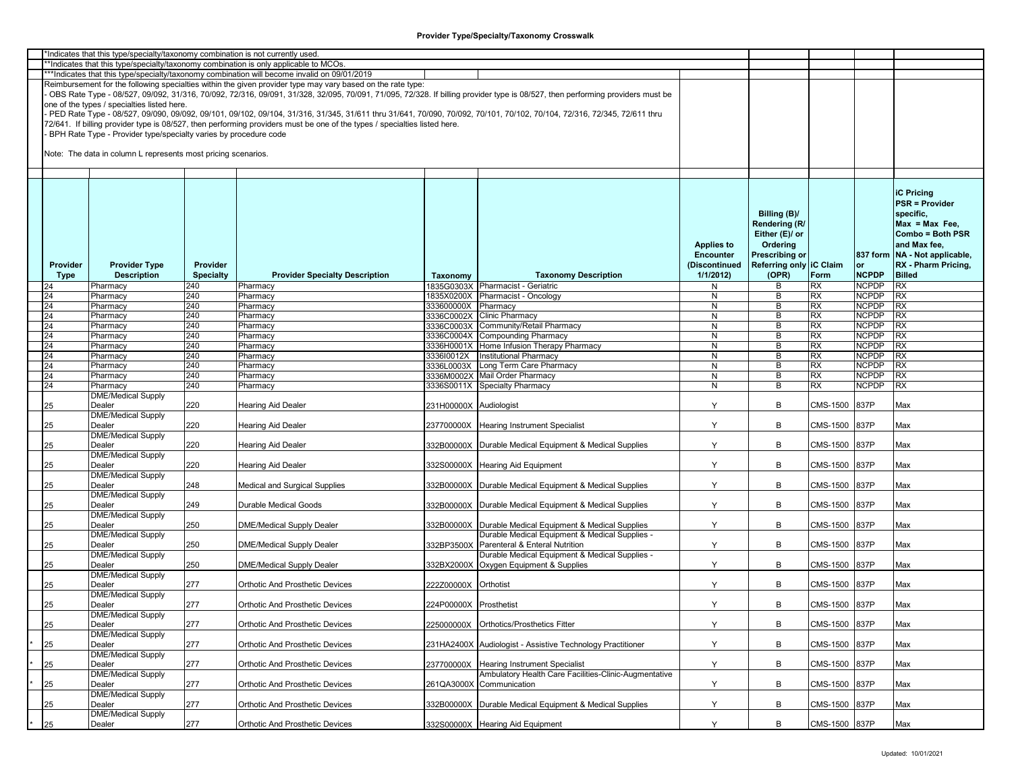|             | *Indicates that this type/specialty/taxonomy combination is not currently used. |                  |                                                                                                                           |                        |                                                                                                                                                                               |                   |                         |               |              |                                 |
|-------------|---------------------------------------------------------------------------------|------------------|---------------------------------------------------------------------------------------------------------------------------|------------------------|-------------------------------------------------------------------------------------------------------------------------------------------------------------------------------|-------------------|-------------------------|---------------|--------------|---------------------------------|
|             |                                                                                 |                  | **Indicates that this type/specialty/taxonomy combination is only applicable to MCOs.                                     |                        |                                                                                                                                                                               |                   |                         |               |              |                                 |
|             |                                                                                 |                  | ***Indicates that this type/specialty/taxonomy combination will become invalid on 09/01/2019                              |                        |                                                                                                                                                                               |                   |                         |               |              |                                 |
|             |                                                                                 |                  | Reimbursement for the following specialties within the given provider type may vary based on the rate type:               |                        |                                                                                                                                                                               |                   |                         |               |              |                                 |
|             |                                                                                 |                  |                                                                                                                           |                        | OBS Rate Type - 08/527, 09/092, 31/316, 70/092, 72/316, 09/091, 31/328, 32/095, 70/091, 71/095, 72/328. If billing provider type is 08/527, then performing providers must be |                   |                         |               |              |                                 |
|             | one of the types / specialties listed here.                                     |                  |                                                                                                                           |                        |                                                                                                                                                                               |                   |                         |               |              |                                 |
|             |                                                                                 |                  |                                                                                                                           |                        |                                                                                                                                                                               |                   |                         |               |              |                                 |
|             |                                                                                 |                  |                                                                                                                           |                        | PED Rate Type - 08/527, 09/090, 09/092, 09/101, 09/102, 09/104, 31/316, 31/345, 31/611 thru 31/641, 70/090, 70/092, 70/101, 70/102, 70/104, 72/316, 72/345, 72/611 thru       |                   |                         |               |              |                                 |
|             |                                                                                 |                  | 72/641. If billing provider type is 08/527, then performing providers must be one of the types / specialties listed here. |                        |                                                                                                                                                                               |                   |                         |               |              |                                 |
|             | BPH Rate Type - Provider type/specialty varies by procedure code                |                  |                                                                                                                           |                        |                                                                                                                                                                               |                   |                         |               |              |                                 |
|             |                                                                                 |                  |                                                                                                                           |                        |                                                                                                                                                                               |                   |                         |               |              |                                 |
|             | Note: The data in column L represents most pricing scenarios.                   |                  |                                                                                                                           |                        |                                                                                                                                                                               |                   |                         |               |              |                                 |
|             |                                                                                 |                  |                                                                                                                           |                        |                                                                                                                                                                               |                   |                         |               |              |                                 |
|             |                                                                                 |                  |                                                                                                                           |                        |                                                                                                                                                                               |                   |                         |               |              |                                 |
|             |                                                                                 |                  |                                                                                                                           |                        |                                                                                                                                                                               |                   |                         |               |              |                                 |
|             |                                                                                 |                  |                                                                                                                           |                        |                                                                                                                                                                               |                   |                         |               |              |                                 |
|             |                                                                                 |                  |                                                                                                                           |                        |                                                                                                                                                                               |                   |                         |               |              | <b>iC Pricing</b>               |
|             |                                                                                 |                  |                                                                                                                           |                        |                                                                                                                                                                               |                   |                         |               |              | <b>PSR = Provider</b>           |
|             |                                                                                 |                  |                                                                                                                           |                        |                                                                                                                                                                               |                   | Billing (B)/            |               |              | specific.                       |
|             |                                                                                 |                  |                                                                                                                           |                        |                                                                                                                                                                               |                   | Rendering (R/           |               |              | $Max = Max Free$                |
|             |                                                                                 |                  |                                                                                                                           |                        |                                                                                                                                                                               |                   |                         |               |              |                                 |
|             |                                                                                 |                  |                                                                                                                           |                        |                                                                                                                                                                               |                   | Either (E)/ or          |               |              | Combo = Both PSR                |
|             |                                                                                 |                  |                                                                                                                           |                        |                                                                                                                                                                               | <b>Applies to</b> | Ordering                |               |              | and Max fee,                    |
|             |                                                                                 |                  |                                                                                                                           |                        |                                                                                                                                                                               | <b>Encounter</b>  | Prescribing or          |               |              | 837 form   NA - Not applicable, |
| Provider    | <b>Provider Type</b>                                                            | Provider         |                                                                                                                           |                        |                                                                                                                                                                               | (Discontinued     | Referring only IC Claim |               | or           | RX - Pharm Pricing,             |
|             | <b>Description</b>                                                              | <b>Specialty</b> |                                                                                                                           |                        | <b>Taxonomy Description</b>                                                                                                                                                   | 1/1/2012          | (OPR)                   | Form          | <b>NCPDP</b> | <b>Billed</b>                   |
| <b>Type</b> |                                                                                 |                  | <b>Provider Specialty Description</b>                                                                                     | Taxonomy               |                                                                                                                                                                               |                   |                         |               |              |                                 |
| 24          | Pharmacy                                                                        | 240              | Pharmacy                                                                                                                  |                        | 1835G0303X Pharmacist - Geriatric                                                                                                                                             | N                 | В                       | <b>RX</b>     | <b>NCPDP</b> | <b>RX</b>                       |
| 24          | Pharmacy                                                                        | 240              | Pharmacy                                                                                                                  | 1835X0200X             | Pharmacist - Oncology                                                                                                                                                         | N                 | В                       | <b>RX</b>     | <b>NCPDP</b> | <b>RX</b>                       |
| 24          | Pharmacy                                                                        | 240              | Pharmacy                                                                                                                  | 333600000X             | Pharmacy                                                                                                                                                                      | $\overline{N}$    | B                       | RX            | <b>NCPDP</b> | RX                              |
| 24          | Pharmacy                                                                        | 240              | Pharmacv                                                                                                                  |                        | 3336C0002X Clinic Pharmacy                                                                                                                                                    | $\overline{N}$    | B                       | RX            | <b>NCPDP</b> | <b>RX</b>                       |
| 24          | Pharmacy                                                                        | 240              | Pharmacy                                                                                                                  |                        | 3336C0003X Community/Retail Pharmacy                                                                                                                                          | N                 | B                       | RX            | <b>NCPDP</b> | <b>RX</b>                       |
|             |                                                                                 |                  |                                                                                                                           |                        |                                                                                                                                                                               |                   |                         |               |              |                                 |
| 24          | Pharmacy                                                                        | 240              | Pharmacy                                                                                                                  |                        | 3336C0004X Compounding Pharmacy                                                                                                                                               | N                 | В                       | <b>RX</b>     | <b>NCPDP</b> | <b>RX</b>                       |
| 24          | Pharmacy                                                                        | 240              | Pharmacy                                                                                                                  |                        | 3336H0001X Home Infusion Therapy Pharmacy                                                                                                                                     | N                 | B                       | RX            | <b>NCPDP</b> | <b>RX</b>                       |
| 24          | Pharmacy                                                                        | 240              | Pharmacy                                                                                                                  | 333610012X             | <b>Institutional Pharmacy</b>                                                                                                                                                 | N                 | B                       | RX            | <b>NCPDP</b> | <b>RX</b>                       |
| 24          | Pharmacy                                                                        | 240              | Pharmacy                                                                                                                  |                        | 3336L0003X Long Term Care Pharmacy                                                                                                                                            | N                 | B                       | RX            | <b>NCPDP</b> | RX                              |
| 24          | Pharmacy                                                                        | 240              | Pharmacy                                                                                                                  |                        | 3336M0002X Mail Order Pharmacy                                                                                                                                                | N                 | B                       | RX            | <b>NCPDP</b> | RX                              |
|             |                                                                                 |                  |                                                                                                                           |                        |                                                                                                                                                                               |                   |                         |               |              |                                 |
| 24          | Pharmacy                                                                        | 240              | Pharmacy                                                                                                                  |                        | 3336S0011X Specialty Pharmacy                                                                                                                                                 | N                 | В                       | <b>RX</b>     | <b>NCPDP</b> | <b>RX</b>                       |
|             | <b>DME/Medical Supply</b>                                                       |                  |                                                                                                                           |                        |                                                                                                                                                                               |                   |                         |               |              |                                 |
| 25          | Dealer                                                                          | 220              | Hearing Aid Dealer                                                                                                        | 231H00000X Audiologist |                                                                                                                                                                               | Y                 | B                       | CMS-1500      | 837P         | Max                             |
|             | <b>DME/Medical Supply</b>                                                       |                  |                                                                                                                           |                        |                                                                                                                                                                               |                   |                         |               |              |                                 |
| 25          | Dealer                                                                          | 220              | Hearing Aid Dealer                                                                                                        | 237700000X             | <b>Hearing Instrument Specialist</b>                                                                                                                                          | Y                 | B                       | CMS-1500      | 837P         | Max                             |
|             | <b>DME/Medical Supply</b>                                                       |                  |                                                                                                                           |                        |                                                                                                                                                                               |                   |                         |               |              |                                 |
|             |                                                                                 |                  |                                                                                                                           |                        |                                                                                                                                                                               |                   |                         |               |              |                                 |
| 25          | Dealer                                                                          | 220              | Hearing Aid Dealer                                                                                                        | 332B00000X             | Durable Medical Equipment & Medical Supplies                                                                                                                                  | Y                 | B                       | CMS-1500      | 837P         | Max                             |
|             | <b>DME/Medical Supply</b>                                                       |                  |                                                                                                                           |                        |                                                                                                                                                                               |                   |                         |               |              |                                 |
| 25          | Dealer                                                                          | 220              | Hearing Aid Dealer                                                                                                        |                        | 332S00000X Hearing Aid Equipment                                                                                                                                              | Y                 | B                       | CMS-1500      | 837P         | Max                             |
|             | <b>DME/Medical Supply</b>                                                       |                  |                                                                                                                           |                        |                                                                                                                                                                               |                   |                         |               |              |                                 |
| 25          | Dealer                                                                          | 248              | Medical and Surgical Supplies                                                                                             |                        | 332B00000X Durable Medical Equipment & Medical Supplies                                                                                                                       | Y                 | В                       | CMS-1500      | 837P         | Max                             |
|             | <b>DME/Medical Supply</b>                                                       |                  |                                                                                                                           |                        |                                                                                                                                                                               |                   |                         |               |              |                                 |
|             |                                                                                 |                  |                                                                                                                           |                        |                                                                                                                                                                               | Y                 | B                       |               |              |                                 |
| 25          | Dealer                                                                          | 249              | Durable Medical Goods                                                                                                     |                        | 332B00000X Durable Medical Equipment & Medical Supplies                                                                                                                       |                   |                         | CMS-1500      | 837P         | Max                             |
|             | <b>DME/Medical Supply</b>                                                       |                  |                                                                                                                           |                        |                                                                                                                                                                               |                   |                         |               |              |                                 |
| 25          | Dealer                                                                          | 250              | <b>DME/Medical Supply Dealer</b>                                                                                          |                        | 332B00000X Durable Medical Equipment & Medical Supplies                                                                                                                       | Y                 | В                       | CMS-1500      | 837P         | Max                             |
|             | <b>DME/Medical Supply</b>                                                       |                  |                                                                                                                           |                        | Durable Medical Equipment & Medical Supplies -                                                                                                                                |                   |                         |               |              |                                 |
| 25          | Dealer                                                                          | 250              | DME/Medical Supply Dealer                                                                                                 | 332BP3500X             | Parenteral & Enteral Nutrition                                                                                                                                                | Y                 | B                       | CMS-1500      | 837P         | Max                             |
|             | <b>DME/Medical Supply</b>                                                       |                  |                                                                                                                           |                        | Durable Medical Equipment & Medical Supplies -                                                                                                                                |                   |                         |               |              |                                 |
| 25          | Dealer                                                                          | 250              | DME/Medical Supply Dealer                                                                                                 |                        | 332BX2000X Oxygen Equipment & Supplies                                                                                                                                        | Y                 | B                       | CMS-1500      | 837P         | Max                             |
|             | <b>DME/Medical Supply</b>                                                       |                  |                                                                                                                           |                        |                                                                                                                                                                               |                   |                         |               |              |                                 |
|             |                                                                                 |                  |                                                                                                                           |                        |                                                                                                                                                                               |                   |                         |               |              |                                 |
| 25          | Dealer                                                                          | 277              | <b>Orthotic And Prosthetic Devices</b>                                                                                    | 222Z00000X Orthotist   |                                                                                                                                                                               | Y                 | В                       | CMS-1500      | 837P         | Max                             |
|             | <b>DME/Medical Supply</b>                                                       |                  |                                                                                                                           |                        |                                                                                                                                                                               |                   |                         |               |              |                                 |
| 25          | Dealer                                                                          | 277              | <b>Orthotic And Prosthetic Devices</b>                                                                                    | 224P00000X Prosthetist |                                                                                                                                                                               | Y                 | B                       | CMS-1500      | 837P         | Max                             |
|             | <b>DME/Medical Supply</b>                                                       |                  |                                                                                                                           |                        |                                                                                                                                                                               |                   |                         |               |              |                                 |
| 25          | Dealer                                                                          | 277              | Orthotic And Prosthetic Devices                                                                                           |                        | 225000000X Orthotics/Prosthetics Fitter                                                                                                                                       | Y                 | B                       | CMS-1500 837P |              | Max                             |
|             |                                                                                 |                  |                                                                                                                           |                        |                                                                                                                                                                               |                   |                         |               |              |                                 |
|             | <b>DME/Medical Supply</b>                                                       |                  |                                                                                                                           |                        |                                                                                                                                                                               |                   |                         |               |              |                                 |
| 25          | Dealer                                                                          | 277              | Orthotic And Prosthetic Devices                                                                                           | 231HA2400X             | Audiologist - Assistive Technology Practitioner                                                                                                                               | Y                 | B                       | CMS-1500      | 837P         | Max                             |
|             | <b>DME/Medical Supply</b>                                                       |                  |                                                                                                                           |                        |                                                                                                                                                                               |                   |                         |               |              |                                 |
| 25          | Dealer                                                                          | 277              | Orthotic And Prosthetic Devices                                                                                           | 237700000X             | <b>Hearing Instrument Specialist</b>                                                                                                                                          | Y                 | В                       | CMS-1500 837P |              | Max                             |
|             | <b>DME/Medical Supply</b>                                                       |                  |                                                                                                                           |                        | Ambulatory Health Care Facilities-Clinic-Augmentative                                                                                                                         |                   |                         |               |              |                                 |
| 25          | Dealer                                                                          | 277              | Orthotic And Prosthetic Devices                                                                                           |                        | 261QA3000X Communication                                                                                                                                                      | Y                 | B                       | CMS-1500      | 837P         | Max                             |
|             |                                                                                 |                  |                                                                                                                           |                        |                                                                                                                                                                               |                   |                         |               |              |                                 |
|             | <b>DME/Medical Supply</b>                                                       |                  |                                                                                                                           |                        |                                                                                                                                                                               |                   |                         |               |              |                                 |
| 25          | Dealer                                                                          | 277              | <b>Orthotic And Prosthetic Devices</b>                                                                                    |                        | 332B00000X Durable Medical Equipment & Medical Supplies                                                                                                                       | Y                 | В                       | CMS-1500      | 837P         | Max                             |
|             | <b>DME/Medical Supply</b>                                                       |                  |                                                                                                                           |                        |                                                                                                                                                                               |                   |                         |               |              |                                 |
| 25          | Dealer                                                                          | 277              | Orthotic And Prosthetic Devices                                                                                           |                        | 332S00000X Hearing Aid Equipment                                                                                                                                              | Y                 | B                       | CMS-1500 837P |              | Max                             |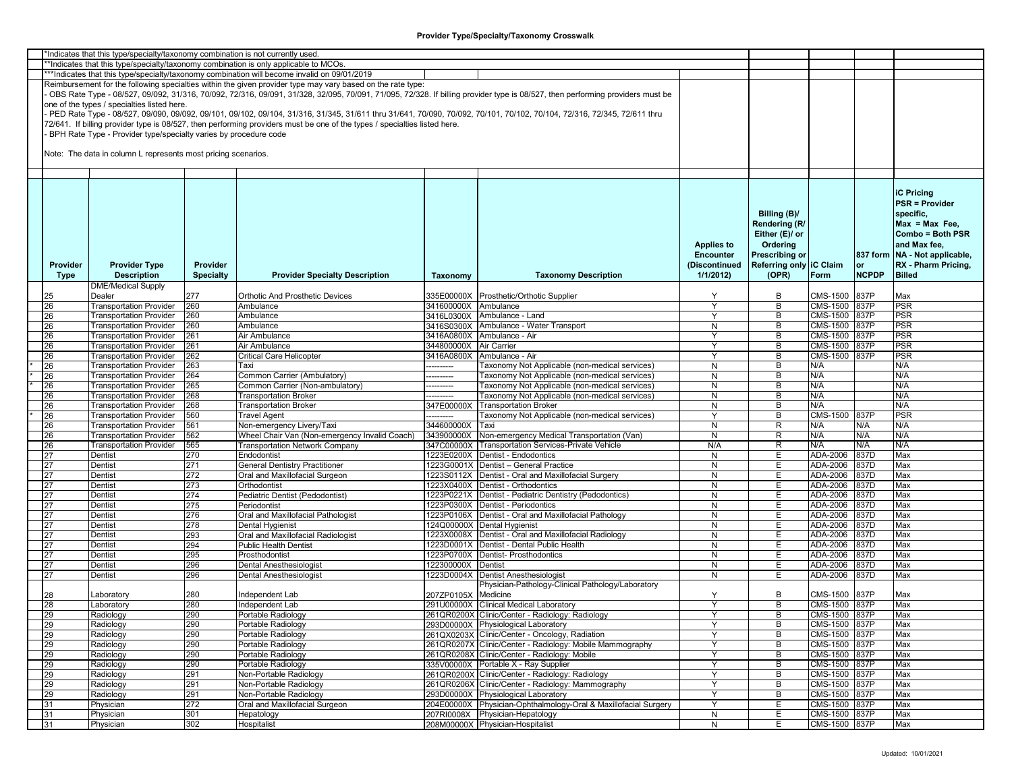|          | *Indicates that this type/specialty/taxonomy combination is not currently used |                  |                                                                                                                                                                         |                      |                                                                                                                                                                               |                   |                         |               |              |                               |
|----------|--------------------------------------------------------------------------------|------------------|-------------------------------------------------------------------------------------------------------------------------------------------------------------------------|----------------------|-------------------------------------------------------------------------------------------------------------------------------------------------------------------------------|-------------------|-------------------------|---------------|--------------|-------------------------------|
|          |                                                                                |                  |                                                                                                                                                                         |                      |                                                                                                                                                                               |                   |                         |               |              |                               |
|          |                                                                                |                  | **Indicates that this type/specialty/taxonomy combination is only applicable to MCOs.                                                                                   |                      |                                                                                                                                                                               |                   |                         |               |              |                               |
|          |                                                                                |                  | ***Indicates that this type/specialty/taxonomy combination will become invalid on 09/01/2019                                                                            |                      |                                                                                                                                                                               |                   |                         |               |              |                               |
|          |                                                                                |                  | Reimbursement for the following specialties within the given provider type may vary based on the rate type:                                                             |                      |                                                                                                                                                                               |                   |                         |               |              |                               |
|          |                                                                                |                  |                                                                                                                                                                         |                      | OBS Rate Type - 08/527, 09/092, 31/316, 70/092, 72/316, 09/091, 31/328, 32/095, 70/091, 71/095, 72/328. If billing provider type is 08/527, then performing providers must be |                   |                         |               |              |                               |
|          | one of the types / specialties listed here.                                    |                  |                                                                                                                                                                         |                      |                                                                                                                                                                               |                   |                         |               |              |                               |
|          |                                                                                |                  | PED Rate Type - 08/527, 09/090, 09/092, 09/101, 09/102, 09/104, 31/316, 31/345, 31/611 thru 31/641, 70/090, 70/092, 70/101, 70/102, 70/104, 72/316, 72/345, 72/611 thru |                      |                                                                                                                                                                               |                   |                         |               |              |                               |
|          |                                                                                |                  | 72/641. If billing provider type is 08/527, then performing providers must be one of the types / specialties listed here.                                               |                      |                                                                                                                                                                               |                   |                         |               |              |                               |
|          | BPH Rate Type - Provider type/specialty varies by procedure code               |                  |                                                                                                                                                                         |                      |                                                                                                                                                                               |                   |                         |               |              |                               |
|          |                                                                                |                  |                                                                                                                                                                         |                      |                                                                                                                                                                               |                   |                         |               |              |                               |
|          | Note: The data in column L represents most pricing scenarios.                  |                  |                                                                                                                                                                         |                      |                                                                                                                                                                               |                   |                         |               |              |                               |
|          |                                                                                |                  |                                                                                                                                                                         |                      |                                                                                                                                                                               |                   |                         |               |              |                               |
|          |                                                                                |                  |                                                                                                                                                                         |                      |                                                                                                                                                                               |                   |                         |               |              |                               |
|          |                                                                                |                  |                                                                                                                                                                         |                      |                                                                                                                                                                               |                   |                         |               |              |                               |
|          |                                                                                |                  |                                                                                                                                                                         |                      |                                                                                                                                                                               |                   |                         |               |              | <b>iC Pricing</b>             |
|          |                                                                                |                  |                                                                                                                                                                         |                      |                                                                                                                                                                               |                   |                         |               |              | <b>PSR = Provider</b>         |
|          |                                                                                |                  |                                                                                                                                                                         |                      |                                                                                                                                                                               |                   | Billing (B)/            |               |              | specific,                     |
|          |                                                                                |                  |                                                                                                                                                                         |                      |                                                                                                                                                                               |                   | Rendering (R/           |               |              | $Max = Max Free$              |
|          |                                                                                |                  |                                                                                                                                                                         |                      |                                                                                                                                                                               |                   |                         |               |              |                               |
|          |                                                                                |                  |                                                                                                                                                                         |                      |                                                                                                                                                                               |                   | Either (E)/ or          |               |              | Combo = Both PSR              |
|          |                                                                                |                  |                                                                                                                                                                         |                      |                                                                                                                                                                               | <b>Applies to</b> | Ordering                |               |              | and Max fee,                  |
|          |                                                                                |                  |                                                                                                                                                                         |                      |                                                                                                                                                                               | <b>Encounter</b>  | <b>Prescribing or</b>   |               |              | 837 form NA - Not applicable, |
| Provider | <b>Provider Type</b>                                                           | Provider         |                                                                                                                                                                         |                      |                                                                                                                                                                               | (Discontinued     | Referring only IC Claim |               | lor          | RX - Pharm Pricing,           |
| Type     | <b>Description</b>                                                             | <b>Specialty</b> | <b>Provider Specialty Description</b>                                                                                                                                   | Taxonomy             | <b>Taxonomy Description</b>                                                                                                                                                   | 1/1/2012          | (OPR)                   | Form          | <b>NCPDP</b> | <b>Billed</b>                 |
|          | <b>DME/Medical Supply</b>                                                      |                  |                                                                                                                                                                         |                      |                                                                                                                                                                               |                   |                         |               |              |                               |
| 25       | Dealer                                                                         | 277              | <b>Orthotic And Prosthetic Devices</b>                                                                                                                                  |                      | 335E00000X Prosthetic/Orthotic Supplier                                                                                                                                       | Y                 | B                       | CMS-1500 837P |              | Max                           |
| 26       | <b>Transportation Provider</b>                                                 | 260              | Ambulance                                                                                                                                                               | 341600000X Ambulance |                                                                                                                                                                               | Y                 | B                       | CMS-1500 837P |              | <b>PSR</b>                    |
| 26       | <b>Transportation Provider</b>                                                 | 260              | Ambulance                                                                                                                                                               |                      | 3416L0300X Ambulance - Land                                                                                                                                                   |                   | B                       | CMS-1500 837P |              | PSR                           |
| 26       | <b>Transportation Provider</b>                                                 | 260              | Ambulance                                                                                                                                                               |                      | 3416S0300X Ambulance - Water Transport                                                                                                                                        | N                 | B                       | CMS-1500 837P |              | PSR                           |
| 26       |                                                                                | 261              | Air Ambulance                                                                                                                                                           |                      | 3416A0800X Ambulance - Air                                                                                                                                                    | Y                 | B                       | CMS-1500 837P |              | <b>PSR</b>                    |
|          | <b>Transportation Provider</b>                                                 |                  |                                                                                                                                                                         |                      |                                                                                                                                                                               | ٧                 |                         |               |              |                               |
| 26       | <b>Transportation Provider</b>                                                 | 261              | Air Ambulance                                                                                                                                                           | 344800000X           | <b>Air Carrier</b>                                                                                                                                                            |                   | B                       | CMS-1500 837P |              | PSR                           |
| 26       | <b>Transportation Provider</b>                                                 | 262              | <b>Critical Care Helicopter</b>                                                                                                                                         | 3416A0800X           | Ambulance - Air                                                                                                                                                               | Y                 | B                       | CMS-1500 837P |              | <b>PSR</b>                    |
| 26       | <b>Transportation Provider</b>                                                 | 263              | Taxi                                                                                                                                                                    | ---------            | <b>Faxonomy Not Applicable (non-medical services)</b>                                                                                                                         | N                 | B                       | N/A           |              | N/A                           |
| 26       | <b>Transportation Provider</b>                                                 | 264              | Common Carrier (Ambulatory)                                                                                                                                             | --------             | [axonomy Not Applicable (non-medical services)                                                                                                                                | N                 | B                       | N/A           |              | N/A                           |
| 26       | <b>Transportation Provider</b>                                                 | 265              | Common Carrier (Non-ambulatory)                                                                                                                                         | --------             | <b>Faxonomy Not Applicable (non-medical services)</b>                                                                                                                         | N                 | В                       | N/A           |              | N/A                           |
| 26       | <b>Transportation Provider</b>                                                 | 268              | <b>Transportation Broker</b>                                                                                                                                            | -------              | <b>Faxonomy Not Applicable (non-medical services)</b>                                                                                                                         | N                 | B                       | N/A           |              | N/A                           |
| 26       | <b>Transportation Provider</b>                                                 | 268              | <b>Transportation Broker</b>                                                                                                                                            | 347E00000X           | <b>Transportation Broker</b>                                                                                                                                                  | N                 | B                       | N/A           |              | N/A                           |
| 26       | <b>Transportation Provider</b>                                                 | 560              | <b>Travel Agent</b>                                                                                                                                                     | ---------            | Taxonomy Not Applicable (non-medical services)                                                                                                                                |                   | B                       | CMS-1500 837P |              | PSR                           |
| 26       | <b>Transportation Provider</b>                                                 | 561              | Non-emergency Livery/Taxi                                                                                                                                               | 344600000X           | Taxi                                                                                                                                                                          | N                 | R                       | N/A           | N/A          | N/A                           |
| 26       | <b>Transportation Provider</b>                                                 | 562              | Wheel Chair Van (Non-emergency Invalid Coach)                                                                                                                           | 343900000X           | Non-emergency Medical Transportation (Van)                                                                                                                                    | N                 | R                       | N/A           | N/A          | N/A                           |
| 26       | <b>Transportation Provider</b>                                                 | 565              | <b>Transportation Network Company</b>                                                                                                                                   |                      | 347C00000X Transportation Services-Private Vehicle                                                                                                                            | N/A               | R                       | N/A           | N/A          | N/A                           |
| 27       | Dentist                                                                        | 270              | Endodontist                                                                                                                                                             |                      | 1223E0200X Dentist - Endodontics                                                                                                                                              | N                 | E                       | ADA-2006      | 837D         | Max                           |
| 27       | Dentist                                                                        | 271              | <b>General Dentistry Practitioner</b>                                                                                                                                   |                      | 1223G0001X Dentist - General Practice                                                                                                                                         | N                 | Е                       | ADA-2006      | 837D         | Max                           |
| 27       | Dentist                                                                        | 272              | Oral and Maxillofacial Surgeon                                                                                                                                          |                      | 1223S0112X Dentist - Oral and Maxillofacial Surgery                                                                                                                           | N                 | E                       | ADA-2006      | 837D         | Max                           |
| 27       | Dentist                                                                        | 273              | Orthodontist                                                                                                                                                            |                      | 1223X0400X Dentist - Orthodontics                                                                                                                                             | N                 | Е                       | ADA-2006      | 837D         | Max                           |
| 27       | Dentist                                                                        | 274              | Pediatric Dentist (Pedodontist)                                                                                                                                         |                      | 1223P0221X Dentist - Pediatric Dentistry (Pedodontics)                                                                                                                        | N                 | E                       | ADA-2006      | 837D         | Max                           |
| 27       | Dentist                                                                        | 275              | Periodontist                                                                                                                                                            |                      | 1223P0300X Dentist - Periodontics                                                                                                                                             | N                 | Е                       | ADA-2006      | 837D         | Max                           |
| 27       | Dentist                                                                        | 276              | Oral and Maxillofacial Pathologist                                                                                                                                      |                      | 1223P0106X Dentist - Oral and Maxillofacial Pathology                                                                                                                         | N                 | E                       | ADA-2006      | 837D         | Max                           |
| 27       | Dentist                                                                        | 278              | <b>Dental Hygienist</b>                                                                                                                                                 |                      | 124Q00000X Dental Hygienist                                                                                                                                                   | N                 | Е                       | ADA-2006      | 837D         | Max                           |
| 27       | Dentist                                                                        | 293              | Oral and Maxillofacial Radiologist                                                                                                                                      |                      | 1223X0008X Dentist - Oral and Maxillofacial Radiology                                                                                                                         | N                 | Е                       | ADA-2006      | 837D         | Max                           |
| 27       | Dentist                                                                        | 294              | <b>Public Health Dentist</b>                                                                                                                                            |                      | 1223D0001X Dentist - Dental Public Health                                                                                                                                     | N                 | Е                       | ADA-2006      | 837D         | Max                           |
|          | Dentist                                                                        | 295              | Prosthodontist                                                                                                                                                          |                      | 1223P0700X Dentist- Prosthodontics                                                                                                                                            | N                 | Е                       | ADA-2006      | 837D         | Max                           |
| 27       |                                                                                |                  |                                                                                                                                                                         |                      |                                                                                                                                                                               |                   |                         |               |              |                               |
| 27       | Dentist                                                                        | 296              | Dental Anesthesiologist                                                                                                                                                 | 122300000X Dentist   |                                                                                                                                                                               | N                 | Е                       | ADA-2006      | 837D         | Max                           |
| 27       | Dentist                                                                        | 296              | Dental Anesthesiologist                                                                                                                                                 |                      | 1223D0004X Dentist Anesthesiologist                                                                                                                                           | N                 | E                       | ADA-2006      | 837D         | Max                           |
|          |                                                                                |                  |                                                                                                                                                                         |                      | Physician-Pathology-Clinical Pathology/Laboratory                                                                                                                             |                   |                         |               |              |                               |
| 28       | _aboratory                                                                     | 280              | Independent Lab                                                                                                                                                         | 207ZP0105X Medicine  |                                                                                                                                                                               | Y                 | B                       | CMS-1500 837P |              | Max                           |
| 28       | Laboratory                                                                     | 280              | Independent Lab                                                                                                                                                         |                      | 291U00000X Clinical Medical Laboratory                                                                                                                                        | Y                 | B                       | CMS-1500 837P |              | Max                           |
| 29       | Radiology                                                                      | 290              | Portable Radiology                                                                                                                                                      |                      | 261QR0200X Clinic/Center - Radiology: Radiology                                                                                                                               |                   | В                       | CMS-1500 837P |              | Max                           |
| 29       | Radiology                                                                      | 290              | Portable Radiology                                                                                                                                                      |                      | 293D00000X Physiological Laboratory                                                                                                                                           | Υ                 | B                       | CMS-1500 837P |              | Max                           |
| 29       | Radiology                                                                      | 290              | Portable Radiology                                                                                                                                                      |                      | 261QX0203X Clinic/Center - Oncology, Radiation                                                                                                                                | Y                 | В                       | CMS-1500 837P |              | Max                           |
| 29       | Radiology                                                                      | 290              | Portable Radiology                                                                                                                                                      |                      | 261QR0207X Clinic/Center - Radiology: Mobile Mammography                                                                                                                      | Y                 | B                       | CMS-1500 837P |              | Max                           |
| 29       | Radiology                                                                      | 290              | Portable Radiology                                                                                                                                                      |                      | 261QR0208X Clinic/Center - Radiology: Mobile                                                                                                                                  | Y                 | B                       | CMS-1500 837P |              | Max                           |
| 29       | Radiology                                                                      | 290              | Portable Radiology                                                                                                                                                      |                      | 335V00000X Portable X - Ray Supplier                                                                                                                                          | N                 | В                       | CMS-1500 837P |              | Max                           |
| 29       | Radiology                                                                      | 291              | Non-Portable Radiology                                                                                                                                                  |                      | 261QR0200X Clinic/Center - Radiology: Radiology                                                                                                                               | Y                 | B                       | CMS-1500 837P |              | Max                           |
| 29       | Radiology                                                                      | 291              | Non-Portable Radiology                                                                                                                                                  |                      | 261QR0206X Clinic/Center - Radiology: Mammography                                                                                                                             | Y                 | В                       | CMS-1500 837P |              | Max                           |
| 29       | Radiology                                                                      | 291              | Non-Portable Radiology                                                                                                                                                  |                      | 293D00000X Physiological Laboratory                                                                                                                                           | Y                 | В                       | CMS-1500 837P |              | Max                           |
|          |                                                                                | 272              |                                                                                                                                                                         |                      | 204E00000X Physician-Ophthalmology-Oral & Maxillofacial Surgery                                                                                                               |                   | Е                       | CMS-1500 837P |              |                               |
| 31       | Physician                                                                      |                  | Oral and Maxillofacial Surgeon                                                                                                                                          |                      |                                                                                                                                                                               | Y                 |                         |               |              | Max                           |
| 31       | Physician                                                                      | 301              | Hepatology                                                                                                                                                              |                      | 207RI0008X Physician-Hepatology                                                                                                                                               | N                 | E                       | CMS-1500 837P |              | Max                           |
| 31       | Physician                                                                      | 302              | Hospitalist                                                                                                                                                             |                      | 208M00000X Physician-Hospitalist                                                                                                                                              | N                 | E.                      | CMS-1500 837P |              | Max                           |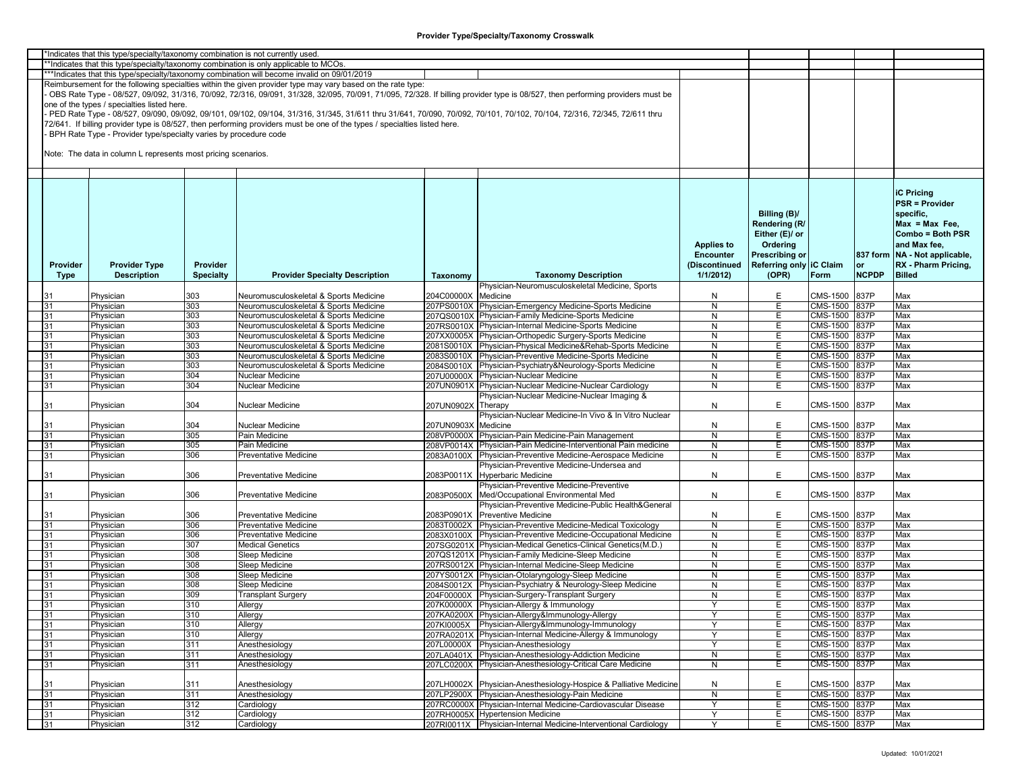| *Indicates that this type/specialty/taxonomy combination is not currently used |          |                                                                  |                  |                                                                                                                                                                         |                     |                                                                                                                                                                               |                   |                         |                 |              |                                 |
|--------------------------------------------------------------------------------|----------|------------------------------------------------------------------|------------------|-------------------------------------------------------------------------------------------------------------------------------------------------------------------------|---------------------|-------------------------------------------------------------------------------------------------------------------------------------------------------------------------------|-------------------|-------------------------|-----------------|--------------|---------------------------------|
|                                                                                |          |                                                                  |                  | **Indicates that this type/specialty/taxonomy combination is only applicable to MCOs.                                                                                   |                     |                                                                                                                                                                               |                   |                         |                 |              |                                 |
|                                                                                |          |                                                                  |                  | ***Indicates that this type/specialty/taxonomy combination will become invalid on 09/01/2019                                                                            |                     |                                                                                                                                                                               |                   |                         |                 |              |                                 |
|                                                                                |          |                                                                  |                  | Reimbursement for the following specialties within the given provider type may vary based on the rate type:                                                             |                     |                                                                                                                                                                               |                   |                         |                 |              |                                 |
|                                                                                |          |                                                                  |                  |                                                                                                                                                                         |                     | OBS Rate Type - 08/527, 09/092, 31/316, 70/092, 72/316, 09/091, 31/328, 32/095, 70/091, 71/095, 72/328. If billing provider type is 08/527, then performing providers must be |                   |                         |                 |              |                                 |
|                                                                                |          |                                                                  |                  |                                                                                                                                                                         |                     |                                                                                                                                                                               |                   |                         |                 |              |                                 |
|                                                                                |          | one of the types / specialties listed here.                      |                  |                                                                                                                                                                         |                     |                                                                                                                                                                               |                   |                         |                 |              |                                 |
|                                                                                |          |                                                                  |                  | PED Rate Type - 08/527, 09/090, 09/092, 09/101, 09/102, 09/104, 31/316, 31/345, 31/611 thru 31/641, 70/090, 70/092, 70/101, 70/102, 70/104, 72/316, 72/345, 72/611 thru |                     |                                                                                                                                                                               |                   |                         |                 |              |                                 |
|                                                                                |          |                                                                  |                  | 72/641. If billing provider type is 08/527, then performing providers must be one of the types / specialties listed here.                                               |                     |                                                                                                                                                                               |                   |                         |                 |              |                                 |
|                                                                                |          | BPH Rate Type - Provider type/specialty varies by procedure code |                  |                                                                                                                                                                         |                     |                                                                                                                                                                               |                   |                         |                 |              |                                 |
|                                                                                |          |                                                                  |                  |                                                                                                                                                                         |                     |                                                                                                                                                                               |                   |                         |                 |              |                                 |
|                                                                                |          |                                                                  |                  |                                                                                                                                                                         |                     |                                                                                                                                                                               |                   |                         |                 |              |                                 |
|                                                                                |          | Note: The data in column L represents most pricing scenarios.    |                  |                                                                                                                                                                         |                     |                                                                                                                                                                               |                   |                         |                 |              |                                 |
|                                                                                |          |                                                                  |                  |                                                                                                                                                                         |                     |                                                                                                                                                                               |                   |                         |                 |              |                                 |
|                                                                                |          |                                                                  |                  |                                                                                                                                                                         |                     |                                                                                                                                                                               |                   |                         |                 |              |                                 |
|                                                                                |          |                                                                  |                  |                                                                                                                                                                         |                     |                                                                                                                                                                               |                   |                         |                 |              |                                 |
|                                                                                |          |                                                                  |                  |                                                                                                                                                                         |                     |                                                                                                                                                                               |                   |                         |                 |              |                                 |
|                                                                                |          |                                                                  |                  |                                                                                                                                                                         |                     |                                                                                                                                                                               |                   |                         |                 |              | <b>iC Pricing</b>               |
|                                                                                |          |                                                                  |                  |                                                                                                                                                                         |                     |                                                                                                                                                                               |                   |                         |                 |              | <b>PSR = Provider</b>           |
|                                                                                |          |                                                                  |                  |                                                                                                                                                                         |                     |                                                                                                                                                                               |                   | Billing (B)/            |                 |              | specific,                       |
|                                                                                |          |                                                                  |                  |                                                                                                                                                                         |                     |                                                                                                                                                                               |                   |                         |                 |              |                                 |
|                                                                                |          |                                                                  |                  |                                                                                                                                                                         |                     |                                                                                                                                                                               |                   | Rendering (R/           |                 |              | $Max = Max Free$                |
|                                                                                |          |                                                                  |                  |                                                                                                                                                                         |                     |                                                                                                                                                                               |                   | Either (E)/ or          |                 |              | Combo = Both PSR                |
|                                                                                |          |                                                                  |                  |                                                                                                                                                                         |                     |                                                                                                                                                                               | <b>Applies to</b> | Ordering                |                 |              | and Max fee,                    |
|                                                                                |          |                                                                  |                  |                                                                                                                                                                         |                     |                                                                                                                                                                               |                   |                         |                 |              |                                 |
|                                                                                |          |                                                                  |                  |                                                                                                                                                                         |                     |                                                                                                                                                                               | <b>Encounter</b>  | <b>Prescribing or</b>   |                 |              | 837 form   NA - Not applicable, |
|                                                                                | Provider | <b>Provider Type</b>                                             | Provider         |                                                                                                                                                                         |                     |                                                                                                                                                                               | (Discontinued     | Referring only IC Claim |                 | or           | RX - Pharm Pricing,             |
|                                                                                | Type     | <b>Description</b>                                               | <b>Specialty</b> | <b>Provider Specialty Description</b>                                                                                                                                   | Taxonomy            | <b>Taxonomy Description</b>                                                                                                                                                   | 1/1/2012          | (OPR)                   | Form            | <b>NCPDP</b> | <b>Billed</b>                   |
|                                                                                |          |                                                                  |                  |                                                                                                                                                                         |                     | Physician-Neuromusculoskeletal Medicine, Sports                                                                                                                               |                   |                         |                 |              |                                 |
|                                                                                |          |                                                                  |                  |                                                                                                                                                                         |                     |                                                                                                                                                                               |                   |                         |                 |              |                                 |
|                                                                                |          | Physician                                                        | 303              | Neuromusculoskeletal & Sports Medicine                                                                                                                                  | 204C00000X          | Medicine                                                                                                                                                                      | N                 | E                       | CMS-1500        | 837P         | Max                             |
|                                                                                | 31       | Physician                                                        | 303              | Neuromusculoskeletal & Sports Medicine                                                                                                                                  |                     | 207PS0010X Physician-Emergency Medicine-Sports Medicine                                                                                                                       | N                 | Е                       | CMS-1500 837P   |              | Max                             |
|                                                                                | 31       | Physician                                                        | 303              | Neuromusculoskeletal & Sports Medicine                                                                                                                                  |                     | 207QS0010X Physician-Family Medicine-Sports Medicine                                                                                                                          | N                 | Е                       | CMS-1500 837P   |              | Max                             |
|                                                                                | 31       | Physician                                                        | 303              | Neuromusculoskeletal & Sports Medicine                                                                                                                                  |                     | 207RS0010X Physician-Internal Medicine-Sports Medicine                                                                                                                        | N                 | Е                       | <b>CMS-1500</b> | 837P         | Max                             |
|                                                                                |          |                                                                  |                  |                                                                                                                                                                         |                     |                                                                                                                                                                               |                   |                         |                 |              |                                 |
|                                                                                | 31       | Physician                                                        | 303              | Neuromusculoskeletal & Sports Medicine                                                                                                                                  |                     | 207XX0005X Physician-Orthopedic Surgery-Sports Medicine                                                                                                                       | N                 | Е                       | CMS-1500        | 837P         | Max                             |
|                                                                                | 31       | Physician                                                        | 303              | Neuromusculoskeletal & Sports Medicine                                                                                                                                  |                     | 2081S0010X Physician-Physical Medicine&Rehab-Sports Medicine                                                                                                                  | N                 | Е                       | CMS-1500        | 837P         | Max                             |
|                                                                                | 31       | Physician                                                        | 303              | Neuromusculoskeletal & Sports Medicine                                                                                                                                  |                     | 2083S0010X Physician-Preventive Medicine-Sports Medicine                                                                                                                      | N                 | E                       | CMS-1500        | 837P         | Max                             |
|                                                                                | 31       | Physician                                                        | 303              | Neuromusculoskeletal & Sports Medicine                                                                                                                                  |                     | 2084S0010X Physician-Psychiatry&Neurology-Sports Medicine                                                                                                                     | N                 | Ε                       | CMS-1500 837P   |              | Max                             |
|                                                                                |          |                                                                  |                  |                                                                                                                                                                         |                     |                                                                                                                                                                               |                   |                         |                 |              |                                 |
|                                                                                | 31       | Physician                                                        | 304              | Nuclear Medicine                                                                                                                                                        |                     | 207U00000X Physician-Nuclear Medicine                                                                                                                                         | N                 | E                       | CMS-1500        | 837P         | Max                             |
|                                                                                | 31       | Physician                                                        | 304              | Nuclear Medicine                                                                                                                                                        |                     | 207UN0901X Physician-Nuclear Medicine-Nuclear Cardiology                                                                                                                      | N                 | Е                       | CMS-1500        | 837P         | Max                             |
|                                                                                |          |                                                                  |                  |                                                                                                                                                                         |                     | Physician-Nuclear Medicine-Nuclear Imaging &                                                                                                                                  |                   |                         |                 |              |                                 |
|                                                                                | 31       | Physician                                                        | 304              | Nuclear Medicine                                                                                                                                                        | 207UN0902X          | Therapy                                                                                                                                                                       | N                 | E                       | CMS-1500        | 837P         | Max                             |
|                                                                                |          |                                                                  |                  |                                                                                                                                                                         |                     | Physician-Nuclear Medicine-In Vivo & In Vitro Nuclear                                                                                                                         |                   |                         |                 |              |                                 |
|                                                                                |          |                                                                  |                  |                                                                                                                                                                         |                     |                                                                                                                                                                               |                   |                         |                 |              |                                 |
|                                                                                | 31       | Physician                                                        | 304              | Nuclear Medicine                                                                                                                                                        | 207UN0903X Medicine |                                                                                                                                                                               | N                 | E                       | CMS-1500        | 837P         | Max                             |
|                                                                                | 31       | Physician                                                        | 305              | Pain Medicine                                                                                                                                                           |                     | 208VP0000X Physician-Pain Medicine-Pain Management                                                                                                                            | N                 | Е                       | CMS-1500        | 837P         | Max                             |
|                                                                                | 31       | Physician                                                        | 305              | Pain Medicine                                                                                                                                                           |                     | 208VP0014X Physician-Pain Medicine-Interventional Pain medicine                                                                                                               | N                 | Е                       | CMS-1500        | 837P         | Max                             |
|                                                                                | 31       | Physician                                                        | 306              | Preventative Medicine                                                                                                                                                   | 2083A0100X          | Physician-Preventive Medicine-Aerospace Medicine                                                                                                                              | N                 | Е                       | CMS-1500        | 837P         | Max                             |
|                                                                                |          |                                                                  |                  |                                                                                                                                                                         |                     |                                                                                                                                                                               |                   |                         |                 |              |                                 |
|                                                                                |          |                                                                  |                  |                                                                                                                                                                         |                     | Physician-Preventive Medicine-Undersea and                                                                                                                                    |                   |                         |                 |              |                                 |
|                                                                                | 31       | Physician                                                        | 306              | Preventative Medicine                                                                                                                                                   | 2083P0011X          | Hyperbaric Medicine                                                                                                                                                           | N                 | E                       | CMS-1500        | 837P         | Max                             |
|                                                                                |          |                                                                  |                  |                                                                                                                                                                         |                     | Physician-Preventive Medicine-Preventive                                                                                                                                      |                   |                         |                 |              |                                 |
|                                                                                | 31       | Physician                                                        | 306              | <b>Preventative Medicine</b>                                                                                                                                            | 2083P0500X          | Med/Occupational Environmental Med                                                                                                                                            | N                 | E                       | CMS-1500        | 837P         | Max                             |
|                                                                                |          |                                                                  |                  |                                                                                                                                                                         |                     |                                                                                                                                                                               |                   |                         |                 |              |                                 |
|                                                                                |          |                                                                  |                  |                                                                                                                                                                         |                     | Physician-Preventive Medicine-Public Health&General                                                                                                                           |                   |                         |                 |              |                                 |
|                                                                                | 31       | Physician                                                        | 306              | Preventative Medicine                                                                                                                                                   | 2083P0901X          | Preventive Medicine                                                                                                                                                           | N                 | Е                       | CMS-1500        | 837P         | Max                             |
|                                                                                | 31       | Physician                                                        | 306              | Preventative Medicine                                                                                                                                                   | 2083T0002X          | Physician-Preventive Medicine-Medical Toxicology                                                                                                                              | N                 | Е                       | CMS-1500 837P   |              | Max                             |
|                                                                                | 31       | Physician                                                        | 306              | Preventative Medicine                                                                                                                                                   |                     | 2083X0100X Physician-Preventive Medicine-Occupational Medicine                                                                                                                | N                 | Е                       | CMS-1500        | 837P         | Max                             |
|                                                                                | 31       | Physician                                                        | 307              | <b>Medical Genetics</b>                                                                                                                                                 |                     | 207SG0201X Physician-Medical Genetics-Clinical Genetics(M.D.)                                                                                                                 | N                 | Е                       | CMS-1500        | 837P         | Max                             |
|                                                                                |          |                                                                  |                  |                                                                                                                                                                         |                     |                                                                                                                                                                               |                   |                         |                 |              |                                 |
|                                                                                | 31       | Physician                                                        | 308              | Sleep Medicine                                                                                                                                                          |                     | 207QS1201X Physician-Family Medicine-Sleep Medicine                                                                                                                           | N                 | E                       | CMS-1500        | 837P         | Max                             |
|                                                                                | 31       | Physician                                                        | 308              | Sleep Medicine                                                                                                                                                          |                     | 207RS0012X Physician-Internal Medicine-Sleep Medicine                                                                                                                         | N                 | Е                       | CMS-1500        | 837P         | Max                             |
|                                                                                | 31       | Physician                                                        | 308              | Sleep Medicine                                                                                                                                                          |                     | 207YS0012X Physician-Otolaryngology-Sleep Medicine                                                                                                                            | N                 | E                       | CMS-1500        | 837P         | Max                             |
|                                                                                | 31       | Physician                                                        | 308              | Sleep Medicine                                                                                                                                                          |                     | 2084S0012X Physician-Psychiatry & Neurology-Sleep Medicine                                                                                                                    | N                 | Ε                       | CMS-1500        | 837P         | Max                             |
|                                                                                |          |                                                                  | 309              |                                                                                                                                                                         |                     |                                                                                                                                                                               |                   | Ε                       | CMS-1500 837P   |              |                                 |
|                                                                                | 31       | Physician                                                        |                  | Transplant Surgery                                                                                                                                                      |                     | 204F00000X Physician-Surgery-Transplant Surgery                                                                                                                               | N                 |                         |                 |              | Max                             |
|                                                                                | 31       | Physician                                                        | 310              | Allergy                                                                                                                                                                 |                     | 207K00000X Physician-Allergy & Immunology                                                                                                                                     | Y                 | E                       | CMS-1500        | 837P         | Max                             |
|                                                                                | 31       | Physician                                                        | 310              | Allergy                                                                                                                                                                 |                     | 207KA0200X Physician-Allergy&Immunology-Allergy                                                                                                                               |                   | E                       | CMS-1500 837P   |              | Max                             |
|                                                                                | 31       | Physician                                                        | 310              | Allergy                                                                                                                                                                 |                     | 207KI0005X Physician-Allergy&Immunology-Immunology                                                                                                                            | Y                 | E.                      | CMS-1500 837P   |              | Max                             |
|                                                                                | 31       | Physician                                                        | 310              | Allergy                                                                                                                                                                 |                     | 207RA0201X Physician-Internal Medicine-Allergy & Immunology                                                                                                                   | Y                 | Е                       | CMS-1500 837P   |              | Max                             |
|                                                                                |          |                                                                  |                  |                                                                                                                                                                         |                     |                                                                                                                                                                               |                   |                         |                 |              |                                 |
|                                                                                | 31       | Physician                                                        | 311              | Anesthesiology                                                                                                                                                          |                     | 207L00000X Physician-Anesthesiology                                                                                                                                           | `Y                | Е                       | CMS-1500 837P   |              | Max                             |
|                                                                                | 31       | Physician                                                        | 311              | Anesthesiology                                                                                                                                                          |                     | 207LA0401X Physician-Anesthesiology-Addiction Medicine                                                                                                                        | $\mathsf{N}$      | E                       | CMS-1500 837P   |              | Max                             |
|                                                                                | 31       | Physician                                                        | 311              | Anesthesiology                                                                                                                                                          |                     | 207LC0200X Physician-Anesthesiology-Critical Care Medicine                                                                                                                    | N                 | Е                       | CMS-1500 837P   |              | Max                             |
|                                                                                |          |                                                                  |                  |                                                                                                                                                                         |                     |                                                                                                                                                                               |                   |                         |                 |              |                                 |
|                                                                                |          |                                                                  |                  |                                                                                                                                                                         |                     |                                                                                                                                                                               |                   |                         |                 |              |                                 |
|                                                                                | 31       | Physician                                                        | 311              | Anesthesiology                                                                                                                                                          |                     | 207LH0002X Physician-Anesthesiology-Hospice & Palliative Medicine                                                                                                             | N                 | E                       | CMS-1500        | 837P         | Max                             |
|                                                                                | 31       | Physician                                                        | 311              | Anesthesiology                                                                                                                                                          |                     | 207LP2900X Physician-Anesthesiology-Pain Medicine                                                                                                                             | N                 | Е                       | CMS-1500 837P   |              | Max                             |
|                                                                                | 31       | Physician                                                        | 312              | Cardiology                                                                                                                                                              |                     | 207RC0000X Physician-Internal Medicine-Cardiovascular Disease                                                                                                                 | Y                 | E                       | CMS-1500 837P   |              | Max                             |
|                                                                                | 31       | Physician                                                        | 312              | Cardiology                                                                                                                                                              |                     | 207RH0005X Hypertension Medicine                                                                                                                                              | Y                 | E                       | CMS-1500 837P   |              | Max                             |
|                                                                                |          |                                                                  |                  |                                                                                                                                                                         |                     |                                                                                                                                                                               |                   |                         |                 |              |                                 |
|                                                                                | 31       | Physician                                                        | 312              | Cardiology                                                                                                                                                              |                     | 207RI0011X Physician-Internal Medicine-Interventional Cardiology                                                                                                              | Y                 | E.                      | CMS-1500 837P   |              | Max                             |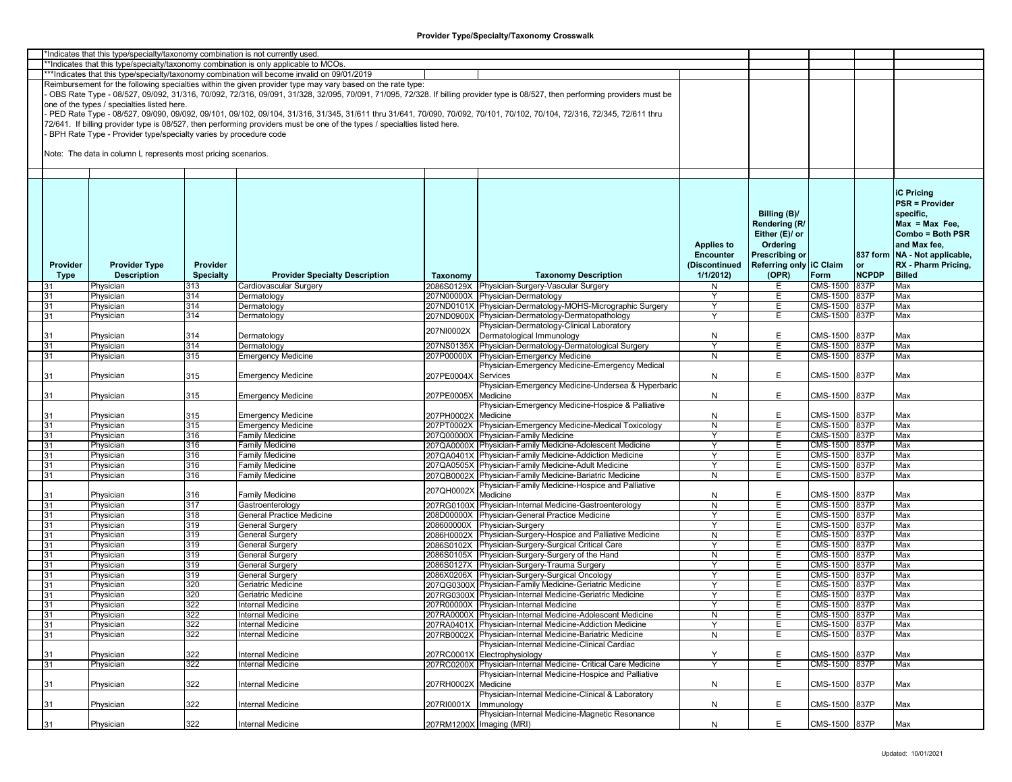|          | *Indicates that this type/specialty/taxonomy combination is not currently used |                  |                                                                                                                           |                     |                                                                                                                                                                               |                   |                         |                 |              |                               |
|----------|--------------------------------------------------------------------------------|------------------|---------------------------------------------------------------------------------------------------------------------------|---------------------|-------------------------------------------------------------------------------------------------------------------------------------------------------------------------------|-------------------|-------------------------|-----------------|--------------|-------------------------------|
|          |                                                                                |                  | *Indicates that this type/specialty/taxonomy combination is only applicable to MCOs.                                      |                     |                                                                                                                                                                               |                   |                         |                 |              |                               |
|          |                                                                                |                  | ***Indicates that this type/specialty/taxonomy combination will become invalid on 09/01/2019                              |                     |                                                                                                                                                                               |                   |                         |                 |              |                               |
|          |                                                                                |                  | Reimbursement for the following specialties within the given provider type may vary based on the rate type:               |                     |                                                                                                                                                                               |                   |                         |                 |              |                               |
|          |                                                                                |                  |                                                                                                                           |                     | OBS Rate Type - 08/527, 09/092, 31/316, 70/092, 72/316, 09/091, 31/328, 32/095, 70/091, 71/095, 72/328. If billing provider type is 08/527, then performing providers must be |                   |                         |                 |              |                               |
|          | one of the types / specialties listed here.                                    |                  |                                                                                                                           |                     |                                                                                                                                                                               |                   |                         |                 |              |                               |
|          |                                                                                |                  |                                                                                                                           |                     | PED Rate Type - 08/527, 09/090, 09/092, 09/101, 09/102, 09/104, 31/316, 31/345, 31/611 thru 31/641, 70/090, 70/092, 70/101, 70/102, 70/104, 72/316, 72/345, 72/611 thru       |                   |                         |                 |              |                               |
|          |                                                                                |                  |                                                                                                                           |                     |                                                                                                                                                                               |                   |                         |                 |              |                               |
|          |                                                                                |                  | 72/641. If billing provider type is 08/527, then performing providers must be one of the types / specialties listed here. |                     |                                                                                                                                                                               |                   |                         |                 |              |                               |
|          | BPH Rate Type - Provider type/specialty varies by procedure code               |                  |                                                                                                                           |                     |                                                                                                                                                                               |                   |                         |                 |              |                               |
|          |                                                                                |                  |                                                                                                                           |                     |                                                                                                                                                                               |                   |                         |                 |              |                               |
|          | Note: The data in column L represents most pricing scenarios.                  |                  |                                                                                                                           |                     |                                                                                                                                                                               |                   |                         |                 |              |                               |
|          |                                                                                |                  |                                                                                                                           |                     |                                                                                                                                                                               |                   |                         |                 |              |                               |
|          |                                                                                |                  |                                                                                                                           |                     |                                                                                                                                                                               |                   |                         |                 |              |                               |
|          |                                                                                |                  |                                                                                                                           |                     |                                                                                                                                                                               |                   |                         |                 |              |                               |
|          |                                                                                |                  |                                                                                                                           |                     |                                                                                                                                                                               |                   |                         |                 |              |                               |
|          |                                                                                |                  |                                                                                                                           |                     |                                                                                                                                                                               |                   |                         |                 |              | <b>iC Pricing</b>             |
|          |                                                                                |                  |                                                                                                                           |                     |                                                                                                                                                                               |                   |                         |                 |              | <b>PSR = Provider</b>         |
|          |                                                                                |                  |                                                                                                                           |                     |                                                                                                                                                                               |                   | Billing (B)/            |                 |              | specific.                     |
|          |                                                                                |                  |                                                                                                                           |                     |                                                                                                                                                                               |                   | Rendering (R/           |                 |              | $Max = Max Free$              |
|          |                                                                                |                  |                                                                                                                           |                     |                                                                                                                                                                               |                   |                         |                 |              | Combo = Both PSR              |
|          |                                                                                |                  |                                                                                                                           |                     |                                                                                                                                                                               |                   | Either (E)/ or          |                 |              |                               |
|          |                                                                                |                  |                                                                                                                           |                     |                                                                                                                                                                               | <b>Applies to</b> | Ordering                |                 |              | and Max fee,                  |
|          |                                                                                |                  |                                                                                                                           |                     |                                                                                                                                                                               | <b>Encounter</b>  | <b>Prescribing or</b>   |                 |              | 837 form NA - Not applicable, |
| Provider | <b>Provider Type</b>                                                           | Provider         |                                                                                                                           |                     |                                                                                                                                                                               | (Discontinued     | Referring only IC Claim |                 | or           | RX - Pharm Pricing,           |
| Type     | <b>Description</b>                                                             | <b>Specialty</b> | <b>Provider Specialty Description</b>                                                                                     | Taxonomy            | <b>Taxonomy Description</b>                                                                                                                                                   | 1/1/2012          | (OPR)                   | Form            | <b>NCPDP</b> | <b>Billed</b>                 |
| 31       | Physician                                                                      | 313              | Cardiovascular Surgery                                                                                                    |                     | 2086S0129X Physician-Surgery-Vascular Surgery                                                                                                                                 | N                 | E.                      | CMS-1500        | 837P         | Max                           |
|          |                                                                                |                  |                                                                                                                           |                     |                                                                                                                                                                               | Y                 |                         |                 |              |                               |
| 31       | Physician                                                                      | 314              | Dermatology                                                                                                               | 207N00000X          | Physician-Dermatology                                                                                                                                                         |                   | E                       | CMS-1500        | 837P         | Max                           |
| 31       | Physician                                                                      | 314              | Dermatology                                                                                                               | 207ND0101X          | Physician-Dermatology-MOHS-Micrographic Surgery                                                                                                                               | Y                 | Е                       | CMS-1500        | 837P         | Max                           |
| 31       | Physician                                                                      | 314              | Dermatology                                                                                                               |                     | 207ND0900X Physician-Dermatology-Dermatopathology                                                                                                                             |                   | Е                       | CMS-1500 837P   |              | Max                           |
|          |                                                                                |                  |                                                                                                                           |                     | Physician-Dermatology-Clinical Laboratory                                                                                                                                     |                   |                         |                 |              |                               |
| 31       | Physician                                                                      | 314              | Dermatology                                                                                                               | 207NI0002X          | Dermatological Immunology                                                                                                                                                     | N                 | E                       | CMS-1500        | 837P         | Max                           |
| 31       | Physician                                                                      | 314              | Dermatology                                                                                                               | 207NS0135X          | Physician-Dermatology-Dermatological Surgery                                                                                                                                  | Y                 | Е                       | CMS-1500        | 837P         | Max                           |
| 31       | Physician                                                                      | 315              | <b>Emergency Medicine</b>                                                                                                 | 207P00000X          | Physician-Emergency Medicine                                                                                                                                                  | N                 | E                       | <b>CMS-1500</b> | 837P         | Max                           |
|          |                                                                                |                  |                                                                                                                           |                     | Physician-Emergency Medicine-Emergency Medical                                                                                                                                |                   |                         |                 |              |                               |
|          |                                                                                |                  |                                                                                                                           |                     |                                                                                                                                                                               |                   |                         |                 |              |                               |
| 31       | Physician                                                                      | 315              | <b>Emergency Medicine</b>                                                                                                 | 207PE0004X          | Services                                                                                                                                                                      | N                 | E.                      | CMS-1500        | 837P         | Max                           |
|          |                                                                                |                  |                                                                                                                           |                     | Physician-Emergency Medicine-Undersea & Hyperbaric                                                                                                                            |                   |                         |                 |              |                               |
| 31       | Physician                                                                      | 315              | <b>Emergency Medicine</b>                                                                                                 | 207PE0005X          | Medicine                                                                                                                                                                      | N                 | E                       | CMS-1500 837P   |              | Max                           |
|          |                                                                                |                  |                                                                                                                           |                     | Physician-Emergency Medicine-Hospice & Palliative                                                                                                                             |                   |                         |                 |              |                               |
| 31       | Physician                                                                      | 315              | <b>Emergency Medicine</b>                                                                                                 | 207PH0002X          | Medicine                                                                                                                                                                      | N                 | Е                       | CMS-1500        | 837P         | Max                           |
| 31       | Physician                                                                      | 315              | <b>Emergency Medicine</b>                                                                                                 |                     | 207PT0002X Physician-Emergency Medicine-Medical Toxicology                                                                                                                    | N                 | E                       | CMS-1500 837P   |              | Max                           |
|          |                                                                                | 316              | <b>Family Medicine</b>                                                                                                    |                     | 207Q00000X Physician-Family Medicine                                                                                                                                          | Υ                 | E                       | CMS-1500 837P   |              | Max                           |
| 31       | Physician                                                                      |                  |                                                                                                                           |                     |                                                                                                                                                                               |                   |                         |                 |              |                               |
| 31       | Physician                                                                      | 316              | Family Medicine                                                                                                           |                     | 207QA0000X Physician-Family Medicine-Adolescent Medicine                                                                                                                      | Y                 | E                       | CMS-1500        | 837P         | Max                           |
| 31       | Physician                                                                      | 316              | Family Medicine                                                                                                           |                     | 207QA0401X Physician-Family Medicine-Addiction Medicine                                                                                                                       | Y                 | Е                       | CMS-1500        | 837P         | Max                           |
| 31       | Physician                                                                      | 316              | Family Medicine                                                                                                           |                     | 207QA0505X Physician-Family Medicine-Adult Medicine                                                                                                                           |                   | Е                       | CMS-1500 837P   |              | Max                           |
| 31       | Physician                                                                      | 316              | Family Medicine                                                                                                           | 207QB0002X          | Physician-Family Medicine-Bariatric Medicine                                                                                                                                  | N                 | E.                      | CMS-1500        | 837P         | Max                           |
|          |                                                                                |                  |                                                                                                                           |                     | Physician-Family Medicine-Hospice and Palliative                                                                                                                              |                   |                         |                 |              |                               |
|          | Physician                                                                      | 316              | <b>Family Medicine</b>                                                                                                    | 207QH0002X          | Medicine                                                                                                                                                                      | N                 | E                       | CMS-1500        | 837P         | Max                           |
| 31       | Physician                                                                      | 317              | Gastroenterology                                                                                                          | 207RG0100X          | Physician-Internal Medicine-Gastroenterology                                                                                                                                  | N                 | E                       | CMS-1500 837P   |              | Max                           |
|          |                                                                                |                  |                                                                                                                           |                     |                                                                                                                                                                               | Y                 |                         |                 |              |                               |
| 31       | Physician                                                                      | 318              | General Practice Medicine                                                                                                 |                     | 208D00000X Physician-General Practice Medicine                                                                                                                                |                   | Е                       | CMS-1500 837P   |              | Max                           |
| 31       | Physician                                                                      | 319              | General Surgery                                                                                                           | 208600000X          | Physician-Surgery                                                                                                                                                             | Y                 | E                       | <b>CMS-1500</b> | 837P         | Max                           |
| 31       | Physician                                                                      | 319              | <b>General Surgery</b>                                                                                                    |                     | 2086H0002X Physician-Surgery-Hospice and Palliative Medicine                                                                                                                  | N                 | Е                       | CMS-1500        | 837P         | Max                           |
| 31       | Physician                                                                      | 319              | <b>General Surgery</b>                                                                                                    |                     | 2086S0102X Physician-Surgery-Surgical Critical Care                                                                                                                           | Y                 | E                       | CMS-1500        | 837P         | Max                           |
| 31       | Physician                                                                      | 319              | General Surgery                                                                                                           |                     | 2086S0105X Physician-Surgery-Surgery of the Hand                                                                                                                              | N                 | Е                       | CMS-1500        | 837P         | Max                           |
| 31       | Physician                                                                      | 319              | General Surgery                                                                                                           |                     | 2086S0127X Physician-Surgery-Trauma Surgery                                                                                                                                   | ٧                 | Е                       | CMS-1500 837P   |              | Max                           |
| 31       | Physician                                                                      | 319              | <b>General Surgery</b>                                                                                                    |                     | 2086X0206X Physician-Surgery-Surgical Oncology                                                                                                                                | Y                 | E                       | CMS-1500        | 837P         | Max                           |
| 31       | Physician                                                                      | 320              | Geriatric Medicine                                                                                                        |                     | 207QG0300X Physician-Family Medicine-Geriatric Medicine                                                                                                                       | Y                 | Е                       | CMS-1500 837P   |              | Max                           |
|          |                                                                                | 320              | Geriatric Medicine                                                                                                        |                     | 207RG0300X Physician-Internal Medicine-Geriatric Medicine                                                                                                                     | Y                 | Ε                       | CMS-1500 837P   |              | Max                           |
| 31       | Physician                                                                      |                  |                                                                                                                           |                     |                                                                                                                                                                               |                   |                         |                 |              |                               |
| 31       | Physician                                                                      | 322              | <b>Internal Medicine</b>                                                                                                  |                     | 207R00000X Physician-Internal Medicine                                                                                                                                        | Y                 | Е                       | CMS-1500 837P   |              | Max                           |
| 31       | Physician                                                                      | 322              | Internal Medicine                                                                                                         |                     | 207RA0000X Physician-Internal Medicine-Adolescent Medicine                                                                                                                    | N                 | E                       | CMS-1500 837P   |              | Max                           |
| 31       | Physician                                                                      | 322              | Internal Medicine                                                                                                         |                     | 207RA0401X Physician-Internal Medicine-Addiction Medicine                                                                                                                     | Υ                 | E                       | CMS-1500 837P   |              | Max                           |
| 31       | Physician                                                                      | 322              | Internal Medicine                                                                                                         |                     | 207RB0002X Physician-Internal Medicine-Bariatric Medicine                                                                                                                     | N                 | Е                       | CMS-1500 837P   |              | Max                           |
|          |                                                                                |                  |                                                                                                                           |                     | Physician-Internal Medicine-Clinical Cardiac                                                                                                                                  |                   |                         |                 |              |                               |
| 31       | Physician                                                                      | 322              | <b>Internal Medicine</b>                                                                                                  |                     | 207RC0001X Electrophysiology                                                                                                                                                  | Y                 | Е                       | CMS-1500 837P   |              | Max                           |
| 31       |                                                                                | $\overline{322}$ | Internal Medicine                                                                                                         |                     | 207RC0200X Physician-Internal Medicine- Critical Care Medicine                                                                                                                |                   | E                       | CMS-1500 837P   |              | Max                           |
|          | Physician                                                                      |                  |                                                                                                                           |                     |                                                                                                                                                                               |                   |                         |                 |              |                               |
|          |                                                                                |                  |                                                                                                                           |                     | Physician-Internal Medicine-Hospice and Palliative                                                                                                                            |                   |                         |                 |              |                               |
| 31       | Physician                                                                      | 322              | Internal Medicine                                                                                                         | 207RH0002X Medicine |                                                                                                                                                                               | $\mathsf{N}$      | Е                       | CMS-1500 837P   |              | Max                           |
|          |                                                                                |                  |                                                                                                                           |                     | Physician-Internal Medicine-Clinical & Laboratory                                                                                                                             |                   |                         |                 |              |                               |
| 31       | Physician                                                                      | 322              | Internal Medicine                                                                                                         | 207RI0001X          | Immunology                                                                                                                                                                    | N                 | Е                       | CMS-1500 837P   |              | Max                           |
|          |                                                                                |                  |                                                                                                                           |                     | Physician-Internal Medicine-Magnetic Resonance                                                                                                                                |                   |                         |                 |              |                               |
| 31       | Physician                                                                      | 322              | Internal Medicine                                                                                                         |                     | 207RM1200X Imaging (MRI)                                                                                                                                                      | N                 | E.                      | CMS-1500 837P   |              | Max                           |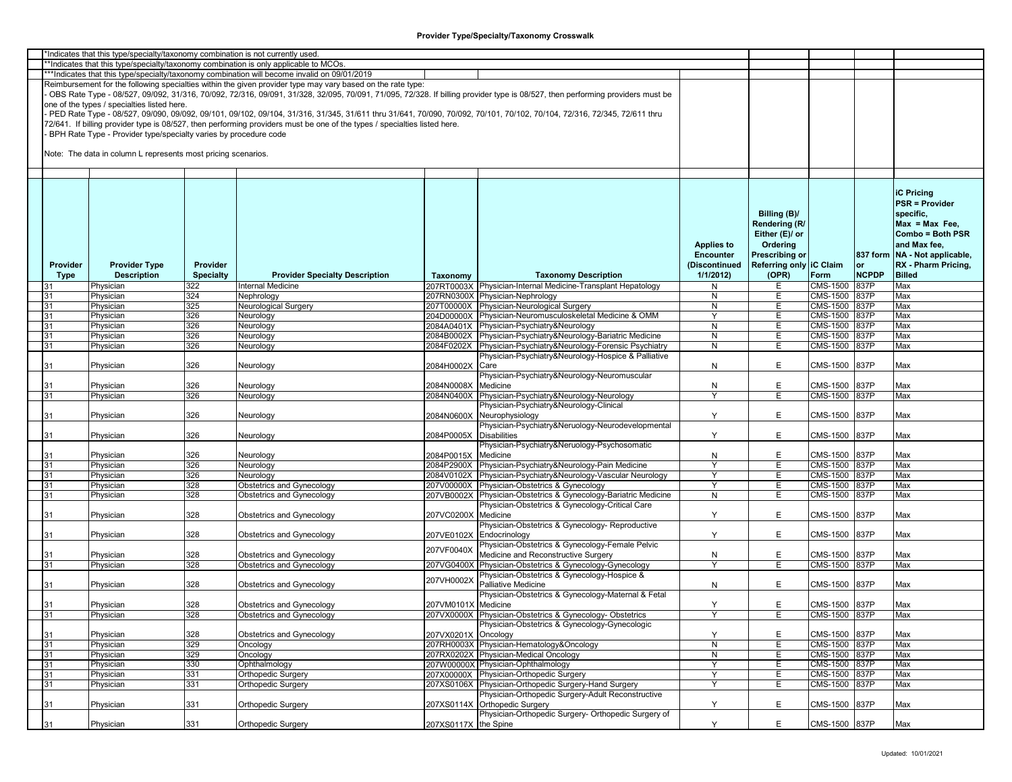|          | *Indicates that this type/specialty/taxonomy combination is not currently used |                  |                                                                                                                                                                         |                         |                                                                                                                                                                               |                   |                         |                 |              |                                 |
|----------|--------------------------------------------------------------------------------|------------------|-------------------------------------------------------------------------------------------------------------------------------------------------------------------------|-------------------------|-------------------------------------------------------------------------------------------------------------------------------------------------------------------------------|-------------------|-------------------------|-----------------|--------------|---------------------------------|
|          |                                                                                |                  | *Indicates that this type/specialty/taxonomy combination is only applicable to MCOs.                                                                                    |                         |                                                                                                                                                                               |                   |                         |                 |              |                                 |
|          |                                                                                |                  | ***Indicates that this type/specialty/taxonomy combination will become invalid on 09/01/2019                                                                            |                         |                                                                                                                                                                               |                   |                         |                 |              |                                 |
|          |                                                                                |                  | Reimbursement for the following specialties within the given provider type may vary based on the rate type:                                                             |                         |                                                                                                                                                                               |                   |                         |                 |              |                                 |
|          |                                                                                |                  |                                                                                                                                                                         |                         | OBS Rate Type - 08/527, 09/092, 31/316, 70/092, 72/316, 09/091, 31/328, 32/095, 70/091, 71/095, 72/328. If billing provider type is 08/527, then performing providers must be |                   |                         |                 |              |                                 |
|          | one of the types / specialties listed here.                                    |                  |                                                                                                                                                                         |                         |                                                                                                                                                                               |                   |                         |                 |              |                                 |
|          |                                                                                |                  |                                                                                                                                                                         |                         |                                                                                                                                                                               |                   |                         |                 |              |                                 |
|          |                                                                                |                  | PED Rate Type - 08/527, 09/090, 09/092, 09/101, 09/102, 09/104, 31/316, 31/345, 31/611 thru 31/641, 70/090, 70/092, 70/101, 70/102, 70/104, 72/316, 72/345, 72/611 thru |                         |                                                                                                                                                                               |                   |                         |                 |              |                                 |
|          |                                                                                |                  | 72/641. If billing provider type is 08/527, then performing providers must be one of the types / specialties listed here.                                               |                         |                                                                                                                                                                               |                   |                         |                 |              |                                 |
|          | BPH Rate Type - Provider type/specialty varies by procedure code               |                  |                                                                                                                                                                         |                         |                                                                                                                                                                               |                   |                         |                 |              |                                 |
|          |                                                                                |                  |                                                                                                                                                                         |                         |                                                                                                                                                                               |                   |                         |                 |              |                                 |
|          | Note: The data in column L represents most pricing scenarios.                  |                  |                                                                                                                                                                         |                         |                                                                                                                                                                               |                   |                         |                 |              |                                 |
|          |                                                                                |                  |                                                                                                                                                                         |                         |                                                                                                                                                                               |                   |                         |                 |              |                                 |
|          |                                                                                |                  |                                                                                                                                                                         |                         |                                                                                                                                                                               |                   |                         |                 |              |                                 |
|          |                                                                                |                  |                                                                                                                                                                         |                         |                                                                                                                                                                               |                   |                         |                 |              |                                 |
|          |                                                                                |                  |                                                                                                                                                                         |                         |                                                                                                                                                                               |                   |                         |                 |              |                                 |
|          |                                                                                |                  |                                                                                                                                                                         |                         |                                                                                                                                                                               |                   |                         |                 |              | <b>iC Pricing</b>               |
|          |                                                                                |                  |                                                                                                                                                                         |                         |                                                                                                                                                                               |                   |                         |                 |              | <b>PSR = Provider</b>           |
|          |                                                                                |                  |                                                                                                                                                                         |                         |                                                                                                                                                                               |                   | Billing (B)/            |                 |              | specific,                       |
|          |                                                                                |                  |                                                                                                                                                                         |                         |                                                                                                                                                                               |                   | Rendering (R/           |                 |              | $Max = Max Free$                |
|          |                                                                                |                  |                                                                                                                                                                         |                         |                                                                                                                                                                               |                   |                         |                 |              | Combo = Both PSR                |
|          |                                                                                |                  |                                                                                                                                                                         |                         |                                                                                                                                                                               |                   | Either (E)/ or          |                 |              |                                 |
|          |                                                                                |                  |                                                                                                                                                                         |                         |                                                                                                                                                                               | <b>Applies to</b> | Ordering                |                 |              | and Max fee,                    |
|          |                                                                                |                  |                                                                                                                                                                         |                         |                                                                                                                                                                               | <b>Encounter</b>  | <b>Prescribing or</b>   |                 |              | 837 form   NA - Not applicable, |
| Provider | <b>Provider Type</b>                                                           | Provider         |                                                                                                                                                                         |                         |                                                                                                                                                                               | (Discontinued     | Referring only IC Claim |                 | or           | RX - Pharm Pricing,             |
| Type     | <b>Description</b>                                                             | <b>Specialty</b> | <b>Provider Specialty Description</b>                                                                                                                                   | Taxonomy                | <b>Taxonomy Description</b>                                                                                                                                                   | 1/1/2012          | (OPR)                   | Form            | <b>NCPDP</b> | <b>Billed</b>                   |
| 31       | Physician                                                                      | 322              | Internal Medicine                                                                                                                                                       |                         | 207RT0003X Physician-Internal Medicine-Transplant Hepatology                                                                                                                  | N                 | E                       | CMS-1500        | 837P         | Max                             |
|          |                                                                                | 324              |                                                                                                                                                                         |                         |                                                                                                                                                                               | N                 | Е                       | CMS-1500        | 837P         | Max                             |
| 31       | Physician                                                                      | 325              | Nephrology                                                                                                                                                              |                         | 207RN0300X Physician-Nephrology                                                                                                                                               |                   |                         |                 | 837P         | Max                             |
| 31       | Physician                                                                      |                  | Neurological Surgery                                                                                                                                                    |                         | 207T00000X Physician-Neurological Surgery                                                                                                                                     | $\overline{N}$    | E.                      | CMS-1500        |              |                                 |
| 31       | Physician                                                                      | 326              | Neurology                                                                                                                                                               |                         | 204D00000X Physician-Neuromusculoskeletal Medicine & OMM                                                                                                                      | Y                 | Ε                       | CMS-1500 837P   |              | Max                             |
| 31       | Physician                                                                      | 326              | Neurology                                                                                                                                                               |                         | 2084A0401X Physician-Psychiatry&Neurology                                                                                                                                     | N                 | E.                      | <b>CMS-1500</b> | 837P         | Max                             |
| 31       | Physician                                                                      | 326              | Neurology                                                                                                                                                               |                         | 2084B0002X Physician-Psychiatry&Neurology-Bariatric Medicine                                                                                                                  | N                 | Е                       | CMS-1500        | 837P         | Max                             |
| 31       | Physician                                                                      | 326              | Neurology                                                                                                                                                               |                         | 2084F0202X Physician-Psychiatry&Neurology-Forensic Psychiatry                                                                                                                 | N                 | E                       | CMS-1500        | 837P         | Max                             |
|          |                                                                                |                  |                                                                                                                                                                         |                         | Physician-Psychiatry&Neurology-Hospice & Palliative                                                                                                                           |                   |                         |                 |              |                                 |
| 31       | Physician                                                                      | 326              | Neurology                                                                                                                                                               | 2084H0002X              | Care                                                                                                                                                                          | N                 | E                       | CMS-1500        | 837P         | Max                             |
|          |                                                                                |                  |                                                                                                                                                                         |                         | Physician-Psychiatry&Neurology-Neuromuscular                                                                                                                                  |                   |                         |                 |              |                                 |
|          |                                                                                |                  |                                                                                                                                                                         |                         |                                                                                                                                                                               |                   |                         |                 |              |                                 |
| 31       | Physician                                                                      | 326              | Neurology                                                                                                                                                               | 2084N0008X              | Medicine                                                                                                                                                                      | N                 | E                       | CMS-1500        | 837P         | Max                             |
| 31       | Physician                                                                      | 326              | Neurology                                                                                                                                                               | 2084N0400X              | Physician-Psychiatry&Neurology-Neurology                                                                                                                                      | ٧                 | E                       | CMS-1500 837P   |              | Max                             |
|          |                                                                                |                  |                                                                                                                                                                         |                         | Physician-Psychiatry&Neurology-Clinical                                                                                                                                       |                   |                         |                 |              |                                 |
| 31       | Physician                                                                      | 326              | Neurology                                                                                                                                                               |                         | 2084N0600X Neurophysiology                                                                                                                                                    |                   | E                       | CMS-1500        | 837P         | Max                             |
|          |                                                                                |                  |                                                                                                                                                                         |                         | Physician-Psychiatry&Neruology-Neurodevelopmental                                                                                                                             |                   |                         |                 |              |                                 |
| 31       | Physician                                                                      | 326              | Neurology                                                                                                                                                               | 2084P0005X Disabilities |                                                                                                                                                                               | Y                 | E.                      | CMS-1500        | 837P         | Max                             |
|          |                                                                                |                  |                                                                                                                                                                         |                         | Physician-Psychiatry&Neruology-Psychosomatic                                                                                                                                  |                   |                         |                 |              |                                 |
| 31       | Physician                                                                      | 326              |                                                                                                                                                                         | 2084P0015X Medicine     |                                                                                                                                                                               | ${\sf N}$         | E                       | CMS-1500        | 837P         | Max                             |
|          |                                                                                |                  | Neurology                                                                                                                                                               |                         |                                                                                                                                                                               |                   |                         |                 |              |                                 |
| 31       | Physician                                                                      | 326              | Neurology                                                                                                                                                               |                         | 2084P2900X Physician-Psychiatry&Neurology-Pain Medicine                                                                                                                       | ٧                 | E                       | CMS-1500 837P   |              | Max                             |
| 31       | Physician                                                                      | 326              | Neurology                                                                                                                                                               |                         | 2084V0102X Physician-Psychiatry&Neurology-Vascular Neurology                                                                                                                  | Y                 | E.                      | CMS-1500        | 837P         | Max                             |
| 31       | Physician                                                                      | 328              | Obstetrics and Gynecology                                                                                                                                               |                         | 207V00000X Physician-Obstetrics & Gynecology                                                                                                                                  | Y                 | E.                      | CMS-1500        | 837P         | Max                             |
| 31       | Physician                                                                      | 328              | <b>Obstetrics and Gynecology</b>                                                                                                                                        |                         | 207VB0002X Physician-Obstetrics & Gynecology-Bariatric Medicine                                                                                                               | N                 | Е                       | CMS-1500        | 837P         | Max                             |
|          |                                                                                |                  |                                                                                                                                                                         |                         | Physician-Obstetrics & Gynecology-Critical Care                                                                                                                               |                   |                         |                 |              |                                 |
| 31       | Physician                                                                      | 328              | Obstetrics and Gynecology                                                                                                                                               | 207VC0200X Medicine     |                                                                                                                                                                               | Υ                 | E.                      | CMS-1500        | 837P         | Max                             |
|          |                                                                                |                  |                                                                                                                                                                         |                         | Physician-Obstetrics & Gynecology- Reproductive                                                                                                                               |                   |                         |                 |              |                                 |
| 31       | Physician                                                                      | 328              | Obstetrics and Gynecology                                                                                                                                               |                         | 207VE0102X Endocrinology                                                                                                                                                      | Y                 | E.                      | CMS-1500        | 837P         | Max                             |
|          |                                                                                |                  |                                                                                                                                                                         |                         | Physician-Obstetrics & Gynecology-Female Pelvic                                                                                                                               |                   |                         |                 |              |                                 |
|          |                                                                                |                  |                                                                                                                                                                         | 207VF0040X              |                                                                                                                                                                               |                   |                         |                 |              |                                 |
| 31       | Physician                                                                      | 328              | <b>Obstetrics and Gynecology</b>                                                                                                                                        |                         | Medicine and Reconstructive Surgery                                                                                                                                           | ${\sf N}$         | E                       | CMS-1500        | 837P         | Max                             |
| 31       | Physician                                                                      | 328              | Obstetrics and Gynecology                                                                                                                                               |                         | 207VG0400X Physician-Obstetrics & Gynecology-Gynecology                                                                                                                       |                   | E                       | CMS-1500 837P   |              | Max                             |
|          |                                                                                |                  |                                                                                                                                                                         | 207VH0002X              | Physician-Obstetrics & Gynecology-Hospice &                                                                                                                                   |                   |                         |                 |              |                                 |
| 31       | Physician                                                                      | 328              | Obstetrics and Gynecology                                                                                                                                               |                         | Palliative Medicine                                                                                                                                                           | N                 | E                       | CMS-1500        | 837P         | Max                             |
|          |                                                                                |                  |                                                                                                                                                                         |                         | Physician-Obstetrics & Gynecology-Maternal & Fetal                                                                                                                            |                   |                         |                 |              |                                 |
| 31       | Physician                                                                      | 328              | Obstetrics and Gynecology                                                                                                                                               | 207VM0101X Medicine     |                                                                                                                                                                               | Y                 | E                       | CMS-1500 837P   |              | Max                             |
| 31       | Physician                                                                      | 328              | Obstetrics and Gynecology                                                                                                                                               |                         | 207VX0000X Physician-Obstetrics & Gynecology-Obstetrics                                                                                                                       | γ                 | E                       | CMS-1500 837P   |              | Max                             |
|          |                                                                                |                  |                                                                                                                                                                         |                         | Physician-Obstetrics & Gynecology-Gynecologic                                                                                                                                 |                   |                         |                 |              |                                 |
|          |                                                                                |                  |                                                                                                                                                                         |                         |                                                                                                                                                                               |                   |                         |                 |              |                                 |
| 31       | Physician                                                                      | 328              | Obstetrics and Gynecology                                                                                                                                               | 207VX0201X Oncology     |                                                                                                                                                                               | Υ                 | E                       | CMS-1500 837P   |              | Max                             |
| 31       | Physician                                                                      | 329              | Oncology                                                                                                                                                                |                         | 207RH0003X Physician-Hematology&Oncology                                                                                                                                      | $\overline{N}$    | E                       | CMS-1500 837P   |              | Max                             |
| 31       | Physician                                                                      | 329              | Oncology                                                                                                                                                                |                         | 207RX0202X Physician-Medical Oncology                                                                                                                                         | ${\sf N}$         | E.                      | CMS-1500 837P   |              | Max                             |
| 31       | Physician                                                                      | 330              | Ophthalmology                                                                                                                                                           |                         | 207W00000X Physician-Ophthalmology                                                                                                                                            | Y                 | E.                      | CMS-1500 837P   |              | Max                             |
| 31       | Physician                                                                      | 331              | Orthopedic Surgery                                                                                                                                                      |                         | 207X00000X Physician-Orthopedic Surgery                                                                                                                                       | Y                 | E                       | CMS-1500 837P   |              | Max                             |
| 31       | Physician                                                                      | 331              | Orthopedic Surgery                                                                                                                                                      |                         | 207XS0106X Physician-Orthopedic Surgery-Hand Surgery                                                                                                                          | Y                 | Е                       | CMS-1500 837P   |              | Max                             |
|          |                                                                                |                  |                                                                                                                                                                         |                         | Physician-Orthopedic Surgery-Adult Reconstructive                                                                                                                             |                   |                         |                 |              |                                 |
|          |                                                                                | 331              | <b>Orthopedic Surgery</b>                                                                                                                                               |                         | 207XS0114X Orthopedic Surgery                                                                                                                                                 | Y                 | E                       | CMS-1500 837P   |              |                                 |
| 31       | Physician                                                                      |                  |                                                                                                                                                                         |                         | Physician-Orthopedic Surgery- Orthopedic Surgery of                                                                                                                           |                   |                         |                 |              | Max                             |
|          |                                                                                |                  |                                                                                                                                                                         |                         |                                                                                                                                                                               |                   |                         |                 |              |                                 |
| 31       | Physician                                                                      | 331              | Orthopedic Surgery                                                                                                                                                      | 207XS0117X the Spine    |                                                                                                                                                                               | Y                 | E                       | CMS-1500 837P   |              | Max                             |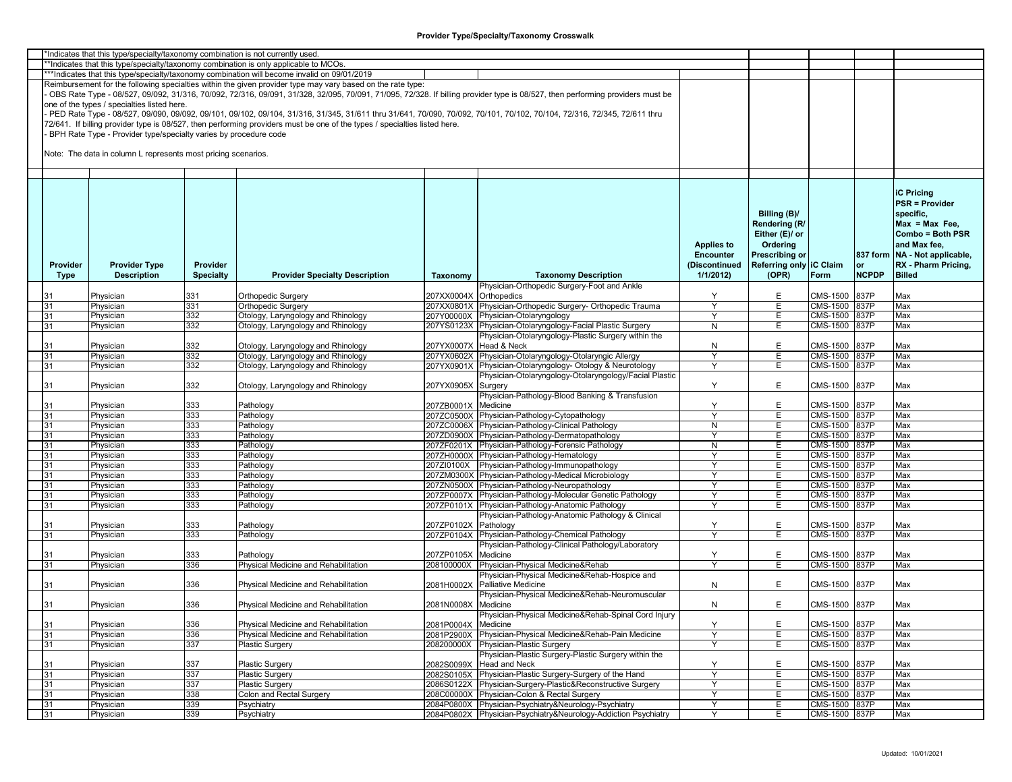| *Indicates that this type/specialty/taxonomy combination is not currently used<br>**Indicates that this type/specialty/taxonomy combination is only applicable to MCOs.<br>***Indicates that this type/specialty/taxonomy combination will become invalid on 09/01/2019 |                                                                  |                  |                                                                                                                           |                        |                                                                                                                                                                               |                   |                         |               |              |                               |  |  |
|-------------------------------------------------------------------------------------------------------------------------------------------------------------------------------------------------------------------------------------------------------------------------|------------------------------------------------------------------|------------------|---------------------------------------------------------------------------------------------------------------------------|------------------------|-------------------------------------------------------------------------------------------------------------------------------------------------------------------------------|-------------------|-------------------------|---------------|--------------|-------------------------------|--|--|
|                                                                                                                                                                                                                                                                         |                                                                  |                  |                                                                                                                           |                        |                                                                                                                                                                               |                   |                         |               |              |                               |  |  |
|                                                                                                                                                                                                                                                                         |                                                                  |                  | Reimbursement for the following specialties within the given provider type may vary based on the rate type:               |                        |                                                                                                                                                                               |                   |                         |               |              |                               |  |  |
|                                                                                                                                                                                                                                                                         |                                                                  |                  |                                                                                                                           |                        | OBS Rate Type - 08/527, 09/092, 31/316, 70/092, 72/316, 09/091, 31/328, 32/095, 70/091, 71/095, 72/328. If billing provider type is 08/527, then performing providers must be |                   |                         |               |              |                               |  |  |
|                                                                                                                                                                                                                                                                         | one of the types / specialties listed here.                      |                  |                                                                                                                           |                        |                                                                                                                                                                               |                   |                         |               |              |                               |  |  |
|                                                                                                                                                                                                                                                                         |                                                                  |                  |                                                                                                                           |                        | PED Rate Type - 08/527, 09/090, 09/092, 09/101, 09/102, 09/104, 31/316, 31/345, 31/611 thru 31/641, 70/090, 70/092, 70/101, 70/102, 70/104, 72/316, 72/345, 72/611 thru       |                   |                         |               |              |                               |  |  |
|                                                                                                                                                                                                                                                                         |                                                                  |                  | 72/641. If billing provider type is 08/527, then performing providers must be one of the types / specialties listed here. |                        |                                                                                                                                                                               |                   |                         |               |              |                               |  |  |
|                                                                                                                                                                                                                                                                         | BPH Rate Type - Provider type/specialty varies by procedure code |                  |                                                                                                                           |                        |                                                                                                                                                                               |                   |                         |               |              |                               |  |  |
|                                                                                                                                                                                                                                                                         |                                                                  |                  |                                                                                                                           |                        |                                                                                                                                                                               |                   |                         |               |              |                               |  |  |
|                                                                                                                                                                                                                                                                         | Note: The data in column L represents most pricing scenarios.    |                  |                                                                                                                           |                        |                                                                                                                                                                               |                   |                         |               |              |                               |  |  |
|                                                                                                                                                                                                                                                                         |                                                                  |                  |                                                                                                                           |                        |                                                                                                                                                                               |                   |                         |               |              |                               |  |  |
|                                                                                                                                                                                                                                                                         |                                                                  |                  |                                                                                                                           |                        |                                                                                                                                                                               |                   |                         |               |              |                               |  |  |
|                                                                                                                                                                                                                                                                         |                                                                  |                  |                                                                                                                           |                        |                                                                                                                                                                               |                   |                         |               |              |                               |  |  |
|                                                                                                                                                                                                                                                                         |                                                                  |                  |                                                                                                                           |                        |                                                                                                                                                                               |                   |                         |               |              | <b>iC Pricing</b>             |  |  |
|                                                                                                                                                                                                                                                                         |                                                                  |                  |                                                                                                                           |                        |                                                                                                                                                                               |                   |                         |               |              | <b>PSR = Provider</b>         |  |  |
|                                                                                                                                                                                                                                                                         |                                                                  |                  |                                                                                                                           |                        |                                                                                                                                                                               |                   | Billing (B)/            |               |              | specific,                     |  |  |
|                                                                                                                                                                                                                                                                         |                                                                  |                  |                                                                                                                           |                        |                                                                                                                                                                               |                   |                         |               |              | $Max = Max Free$              |  |  |
|                                                                                                                                                                                                                                                                         |                                                                  |                  |                                                                                                                           |                        |                                                                                                                                                                               |                   | Rendering (R/           |               |              |                               |  |  |
|                                                                                                                                                                                                                                                                         |                                                                  |                  |                                                                                                                           |                        |                                                                                                                                                                               |                   | Either (E)/ or          |               |              | Combo = Both PSR              |  |  |
|                                                                                                                                                                                                                                                                         |                                                                  |                  |                                                                                                                           |                        |                                                                                                                                                                               | <b>Applies to</b> | Ordering                |               |              | and Max fee.                  |  |  |
|                                                                                                                                                                                                                                                                         |                                                                  |                  |                                                                                                                           |                        |                                                                                                                                                                               | <b>Encounter</b>  | Prescribing or          |               |              | 837 form NA - Not applicable, |  |  |
| Provider                                                                                                                                                                                                                                                                | <b>Provider Type</b>                                             | Provider         |                                                                                                                           |                        |                                                                                                                                                                               | (Discontinued     | Referring only IC Claim |               | <b>or</b>    | RX - Pharm Pricing,           |  |  |
| Type                                                                                                                                                                                                                                                                    | <b>Description</b>                                               | <b>Specialty</b> | <b>Provider Specialty Description</b>                                                                                     | Taxonomy               | <b>Taxonomy Description</b>                                                                                                                                                   | 1/1/2012          | (OPR)                   | Form          | <b>NCPDP</b> | <b>Billed</b>                 |  |  |
|                                                                                                                                                                                                                                                                         |                                                                  |                  |                                                                                                                           |                        | Physician-Orthopedic Surgery-Foot and Ankle                                                                                                                                   |                   |                         |               |              |                               |  |  |
|                                                                                                                                                                                                                                                                         | Physician                                                        | 331              | <b>Orthopedic Surgery</b>                                                                                                 | 207XX0004X Orthopedics |                                                                                                                                                                               | Y                 | E                       | CMS-1500      | 837P         | Max                           |  |  |
| 31                                                                                                                                                                                                                                                                      | Physician                                                        | 331              | <b>Orthopedic Surgery</b>                                                                                                 |                        | 207XX0801X Physician-Orthopedic Surgery- Orthopedic Trauma                                                                                                                    | Y                 | E.                      | CMS-1500 837P |              | Max                           |  |  |
| 31                                                                                                                                                                                                                                                                      | Physician                                                        | 332              | Otology, Laryngology and Rhinology                                                                                        |                        | 207Y00000X Physician-Otolaryngology                                                                                                                                           | Υ                 | Е                       | CMS-1500 837P |              | Max                           |  |  |
| 31                                                                                                                                                                                                                                                                      | Physician                                                        | 332              | Otology, Laryngology and Rhinology                                                                                        |                        | 207YS0123X Physician-Otolaryngology-Facial Plastic Surgery                                                                                                                    | N                 | E                       | CMS-1500 837P |              | Max                           |  |  |
|                                                                                                                                                                                                                                                                         |                                                                  |                  |                                                                                                                           |                        | Physician-Otolaryngology-Plastic Surgery within the                                                                                                                           |                   |                         |               |              |                               |  |  |
| 31                                                                                                                                                                                                                                                                      | Physician                                                        | 332              | Otology, Laryngology and Rhinology                                                                                        | 207YX0007X Head & Neck |                                                                                                                                                                               | N                 | Е                       | CMS-1500      | 837P         | Max                           |  |  |
| 31                                                                                                                                                                                                                                                                      | Physician                                                        | 332              | Otology, Laryngology and Rhinology                                                                                        |                        | 207YX0602X Physician-Otolaryngology-Otolaryngic Allergy                                                                                                                       | Y                 | E                       | CMS-1500 837P |              | Max                           |  |  |
| 31                                                                                                                                                                                                                                                                      | Physician                                                        | 332              | Otology, Laryngology and Rhinology                                                                                        |                        | 207YX0901X Physician-Otolaryngology- Otology & Neurotology                                                                                                                    |                   | E                       | CMS-1500 837P |              | Max                           |  |  |
|                                                                                                                                                                                                                                                                         |                                                                  |                  |                                                                                                                           |                        | Physician-Otolaryngology-Otolaryngology/Facial Plastic                                                                                                                        |                   |                         |               |              |                               |  |  |
| 31                                                                                                                                                                                                                                                                      | Physician                                                        | 332              | Otology, Laryngology and Rhinology                                                                                        | 207YX0905X Surgery     |                                                                                                                                                                               | Y                 | E                       | CMS-1500 837P |              | Max                           |  |  |
|                                                                                                                                                                                                                                                                         |                                                                  |                  |                                                                                                                           |                        | Physician-Pathology-Blood Banking & Transfusion                                                                                                                               |                   |                         |               |              |                               |  |  |
| 31                                                                                                                                                                                                                                                                      | Physician                                                        | 333              | Pathology                                                                                                                 | 207ZB0001X Medicine    |                                                                                                                                                                               | Υ                 | E                       | CMS-1500 837P |              | Max                           |  |  |
| 31                                                                                                                                                                                                                                                                      | Physician                                                        | 333              | Pathology                                                                                                                 |                        | 207ZC0500X Physician-Pathology-Cytopathology                                                                                                                                  | ٧                 | Ε                       | CMS-1500 837P |              | Max                           |  |  |
| 31                                                                                                                                                                                                                                                                      | Physician                                                        | 333              | Pathology                                                                                                                 |                        | 207ZC0006X Physician-Pathology-Clinical Pathology                                                                                                                             | N                 | Е                       | CMS-1500 837P |              | Max                           |  |  |
| 31                                                                                                                                                                                                                                                                      | Physician                                                        | 333              | Pathology                                                                                                                 |                        | 207ZD0900X Physician-Pathology-Dermatopathology                                                                                                                               | Y                 | Е                       | CMS-1500 837P |              | Max                           |  |  |
| 31                                                                                                                                                                                                                                                                      | Physician                                                        | 333              | Pathology                                                                                                                 |                        | 207ZF0201X Physician-Pathology-Forensic Pathology                                                                                                                             | N                 | Е                       | CMS-1500 837P |              | Max                           |  |  |
| 31                                                                                                                                                                                                                                                                      | Physician                                                        | 333              | Pathology                                                                                                                 |                        | 207ZH0000X Physician-Pathology-Hematology                                                                                                                                     | Y                 | Е                       | CMS-1500 837P |              | Max                           |  |  |
| 31                                                                                                                                                                                                                                                                      | Physician                                                        | 333              | Pathology                                                                                                                 |                        | 207ZI0100X Physician-Pathology-Immunopathology                                                                                                                                |                   | Ε                       | CMS-1500 837P |              | Max                           |  |  |
| 31                                                                                                                                                                                                                                                                      | Physician                                                        | 333              | Pathology                                                                                                                 |                        | 207ZM0300X Physician-Pathology-Medical Microbiology                                                                                                                           | Y                 | Е                       | CMS-1500 837P |              | Max                           |  |  |
| 31                                                                                                                                                                                                                                                                      | Physician                                                        | 333              | Pathology                                                                                                                 |                        | 207ZN0500X Physician-Pathology-Neuropathology                                                                                                                                 | Y                 | Е                       | CMS-1500 837P |              | Max                           |  |  |
| 31                                                                                                                                                                                                                                                                      | Physician                                                        | 333              | Pathology                                                                                                                 |                        | 207ZP0007X Physician-Pathology-Molecular Genetic Pathology                                                                                                                    | Y                 | E                       | CMS-1500      | 837P         | Max                           |  |  |
| 31                                                                                                                                                                                                                                                                      | Physician                                                        | 333              | Pathology                                                                                                                 |                        | 207ZP0101X Physician-Pathology-Anatomic Pathology                                                                                                                             | Y                 | Е                       | CMS-1500      | 837P         | Max                           |  |  |
|                                                                                                                                                                                                                                                                         |                                                                  |                  |                                                                                                                           |                        | Physician-Pathology-Anatomic Pathology & Clinical                                                                                                                             |                   |                         |               |              |                               |  |  |
| 31                                                                                                                                                                                                                                                                      | Physician                                                        | 333              | Pathology                                                                                                                 | 207ZP0102X             | Pathology                                                                                                                                                                     | Υ                 | E                       | CMS-1500 837P |              | Max                           |  |  |
| 31                                                                                                                                                                                                                                                                      | Physician                                                        | 333              | Pathology                                                                                                                 |                        | 207ZP0104X Physician-Pathology-Chemical Pathology                                                                                                                             |                   | E.                      | CMS-1500 837P |              | Max                           |  |  |
|                                                                                                                                                                                                                                                                         |                                                                  |                  |                                                                                                                           |                        | Physician-Pathology-Clinical Pathology/Laboratory                                                                                                                             |                   |                         |               |              |                               |  |  |
| 31                                                                                                                                                                                                                                                                      | Physician                                                        | 333              | Pathology                                                                                                                 | 207ZP0105X             | Medicine                                                                                                                                                                      | Υ                 | E                       | CMS-1500 837P |              | Max                           |  |  |
| 31                                                                                                                                                                                                                                                                      | Physician                                                        | 336              | Physical Medicine and Rehabilitation                                                                                      |                        | 208100000X Physician-Physical Medicine&Rehab                                                                                                                                  |                   | E                       | CMS-1500 837P |              | Max                           |  |  |
|                                                                                                                                                                                                                                                                         |                                                                  |                  |                                                                                                                           |                        | Physician-Physical Medicine&Rehab-Hospice and                                                                                                                                 |                   |                         |               |              |                               |  |  |
|                                                                                                                                                                                                                                                                         |                                                                  |                  |                                                                                                                           |                        |                                                                                                                                                                               |                   |                         | CMS-1500 837P |              |                               |  |  |
| 31                                                                                                                                                                                                                                                                      | Physician                                                        | 336              | Physical Medicine and Rehabilitation                                                                                      |                        | 2081H0002X Palliative Medicine<br>Physician-Physical Medicine&Rehab-Neuromuscular                                                                                             | N                 | E                       |               |              | Max                           |  |  |
|                                                                                                                                                                                                                                                                         |                                                                  |                  |                                                                                                                           |                        |                                                                                                                                                                               |                   |                         |               |              |                               |  |  |
| 31                                                                                                                                                                                                                                                                      | Physician                                                        | 336              | Physical Medicine and Rehabilitation                                                                                      | 2081N0008X Medicine    |                                                                                                                                                                               | N                 | E                       | CMS-1500 837P |              | Max                           |  |  |
|                                                                                                                                                                                                                                                                         |                                                                  |                  |                                                                                                                           |                        | Physician-Physical Medicine&Rehab-Spinal Cord Injury                                                                                                                          |                   |                         |               |              |                               |  |  |
| 31                                                                                                                                                                                                                                                                      | Physician                                                        | 336              | Physical Medicine and Rehabilitation                                                                                      | 2081P0004X Medicine    |                                                                                                                                                                               | Y                 | E                       | CMS-1500 837P |              | Max                           |  |  |
| 31                                                                                                                                                                                                                                                                      | Physician                                                        | 336              | Physical Medicine and Rehabilitation                                                                                      |                        | 2081P2900X Physician-Physical Medicine&Rehab-Pain Medicine                                                                                                                    | Y                 | Е                       | CMS-1500 837P |              | Max                           |  |  |
| 31                                                                                                                                                                                                                                                                      | Physician                                                        | 337              | Plastic Surgery                                                                                                           |                        | 208200000X Physician-Plastic Surgery                                                                                                                                          | Y                 | E                       | CMS-1500 837P |              | Max                           |  |  |
|                                                                                                                                                                                                                                                                         |                                                                  |                  |                                                                                                                           |                        | Physician-Plastic Surgery-Plastic Surgery within the                                                                                                                          |                   |                         |               |              |                               |  |  |
| 31                                                                                                                                                                                                                                                                      | Physician                                                        | 337              | <b>Plastic Surgery</b>                                                                                                    |                        | 2082S0099X Head and Neck                                                                                                                                                      | Y                 | E                       | CMS-1500 837P |              | Max                           |  |  |
| 31                                                                                                                                                                                                                                                                      | Physician                                                        | 337              | <b>Plastic Surgery</b>                                                                                                    |                        | 2082S0105X Physician-Plastic Surgery-Surgery of the Hand                                                                                                                      | Y                 | E                       | CMS-1500 837P |              | Max                           |  |  |
| 31                                                                                                                                                                                                                                                                      | Physician                                                        | 337              | <b>Plastic Surgery</b>                                                                                                    |                        | 2086S0122X Physician-Surgery-Plastic&Reconstructive Surgery                                                                                                                   | Y                 | Е                       | CMS-1500 837P |              | Max                           |  |  |
| 31                                                                                                                                                                                                                                                                      | Physician                                                        | 338              | Colon and Rectal Surgery                                                                                                  |                        | 208C00000X Physician-Colon & Rectal Surgery                                                                                                                                   | Y                 | Ε                       | CMS-1500 837P |              | Max                           |  |  |
| 31                                                                                                                                                                                                                                                                      | Physician                                                        | 339              | Psychiatry                                                                                                                |                        | 2084P0800X Physician-Psychiatry&Neurology-Psychiatry                                                                                                                          | Y                 | E.                      | CMS-1500 837P |              | Max                           |  |  |
| 31                                                                                                                                                                                                                                                                      | Physician                                                        | 339              | Psychiatry                                                                                                                |                        | 2084P0802X Physician-Psychiatry&Neurology-Addiction Psychiatry                                                                                                                | Y                 | E.                      | CMS-1500 837P |              | Max                           |  |  |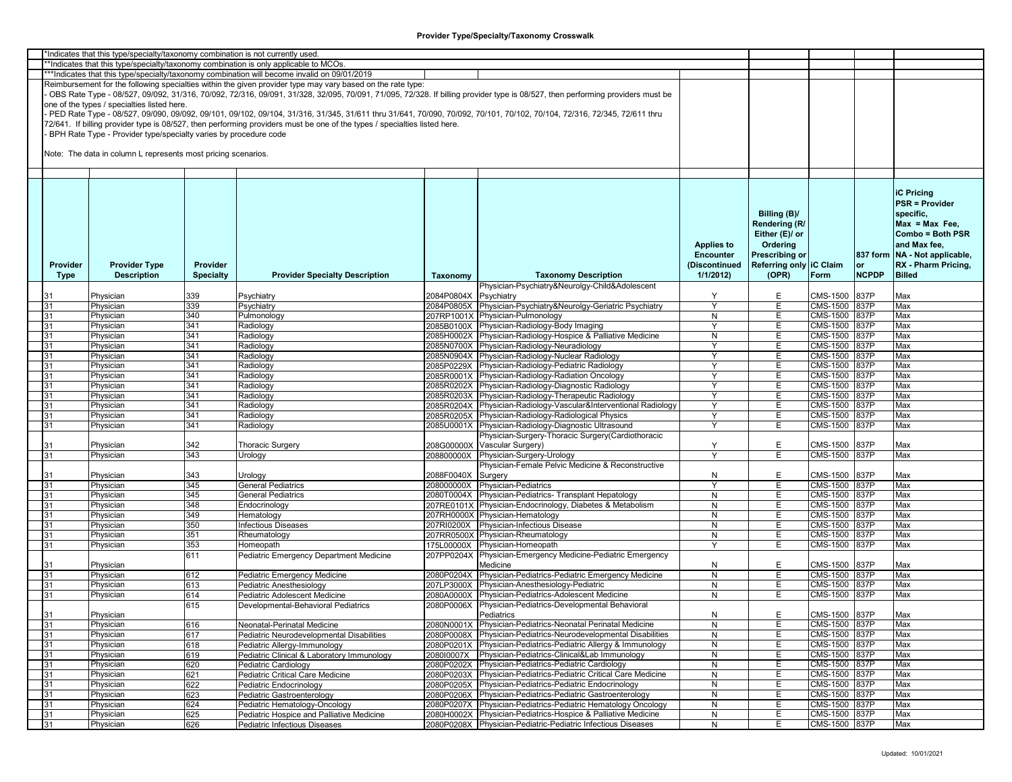| *Indicates that this type/specialty/taxonomy combination is not currently used |          |                                                                  |                  |                                                                                                                                                                         |            |                                                                                                                                                                               |                    |                         |                               |              |                               |
|--------------------------------------------------------------------------------|----------|------------------------------------------------------------------|------------------|-------------------------------------------------------------------------------------------------------------------------------------------------------------------------|------------|-------------------------------------------------------------------------------------------------------------------------------------------------------------------------------|--------------------|-------------------------|-------------------------------|--------------|-------------------------------|
|                                                                                |          |                                                                  |                  | **Indicates that this type/specialty/taxonomy combination is only applicable to MCOs.                                                                                   |            |                                                                                                                                                                               |                    |                         |                               |              |                               |
|                                                                                |          |                                                                  |                  | ***Indicates that this type/specialty/taxonomy combination will become invalid on 09/01/2019                                                                            |            |                                                                                                                                                                               |                    |                         |                               |              |                               |
|                                                                                |          |                                                                  |                  | Reimbursement for the following specialties within the given provider type may vary based on the rate type:                                                             |            |                                                                                                                                                                               |                    |                         |                               |              |                               |
|                                                                                |          |                                                                  |                  |                                                                                                                                                                         |            | OBS Rate Type - 08/527, 09/092, 31/316, 70/092, 72/316, 09/091, 31/328, 32/095, 70/091, 71/095, 72/328. If billing provider type is 08/527, then performing providers must be |                    |                         |                               |              |                               |
|                                                                                |          | one of the types / specialties listed here.                      |                  |                                                                                                                                                                         |            |                                                                                                                                                                               |                    |                         |                               |              |                               |
|                                                                                |          |                                                                  |                  | PED Rate Type - 08/527, 09/090, 09/092, 09/101, 09/102, 09/104, 31/316, 31/345, 31/611 thru 31/641, 70/090, 70/092, 70/101, 70/102, 70/104, 72/316, 72/345, 72/611 thru |            |                                                                                                                                                                               |                    |                         |                               |              |                               |
|                                                                                |          |                                                                  |                  |                                                                                                                                                                         |            |                                                                                                                                                                               |                    |                         |                               |              |                               |
|                                                                                |          |                                                                  |                  | 72/641. If billing provider type is 08/527, then performing providers must be one of the types / specialties listed here.                                               |            |                                                                                                                                                                               |                    |                         |                               |              |                               |
|                                                                                |          | BPH Rate Type - Provider type/specialty varies by procedure code |                  |                                                                                                                                                                         |            |                                                                                                                                                                               |                    |                         |                               |              |                               |
|                                                                                |          |                                                                  |                  |                                                                                                                                                                         |            |                                                                                                                                                                               |                    |                         |                               |              |                               |
|                                                                                |          | Note: The data in column L represents most pricing scenarios.    |                  |                                                                                                                                                                         |            |                                                                                                                                                                               |                    |                         |                               |              |                               |
|                                                                                |          |                                                                  |                  |                                                                                                                                                                         |            |                                                                                                                                                                               |                    |                         |                               |              |                               |
|                                                                                |          |                                                                  |                  |                                                                                                                                                                         |            |                                                                                                                                                                               |                    |                         |                               |              |                               |
|                                                                                |          |                                                                  |                  |                                                                                                                                                                         |            |                                                                                                                                                                               |                    |                         |                               |              |                               |
|                                                                                |          |                                                                  |                  |                                                                                                                                                                         |            |                                                                                                                                                                               |                    |                         |                               |              |                               |
|                                                                                |          |                                                                  |                  |                                                                                                                                                                         |            |                                                                                                                                                                               |                    |                         |                               |              | <b>iC Pricing</b>             |
|                                                                                |          |                                                                  |                  |                                                                                                                                                                         |            |                                                                                                                                                                               |                    |                         |                               |              | <b>PSR = Provider</b>         |
|                                                                                |          |                                                                  |                  |                                                                                                                                                                         |            |                                                                                                                                                                               |                    | Billing (B)/            |                               |              | specific,                     |
|                                                                                |          |                                                                  |                  |                                                                                                                                                                         |            |                                                                                                                                                                               |                    | Rendering (R/           |                               |              | $Max = Max Free$              |
|                                                                                |          |                                                                  |                  |                                                                                                                                                                         |            |                                                                                                                                                                               |                    |                         |                               |              |                               |
|                                                                                |          |                                                                  |                  |                                                                                                                                                                         |            |                                                                                                                                                                               |                    | Either (E)/ or          |                               |              | Combo = Both PSR              |
|                                                                                |          |                                                                  |                  |                                                                                                                                                                         |            |                                                                                                                                                                               | <b>Applies to</b>  | Ordering                |                               |              | and Max fee,                  |
|                                                                                |          |                                                                  |                  |                                                                                                                                                                         |            |                                                                                                                                                                               | <b>Encounter</b>   | <b>Prescribing or</b>   |                               |              | 837 form NA - Not applicable, |
|                                                                                | Provider | <b>Provider Type</b>                                             | Provider         |                                                                                                                                                                         |            |                                                                                                                                                                               | (Discontinued      | Referring only IC Claim |                               | or           | RX - Pharm Pricing,           |
|                                                                                | Type     | <b>Description</b>                                               | <b>Specialty</b> | <b>Provider Specialty Description</b>                                                                                                                                   | Taxonomy   | <b>Taxonomy Description</b>                                                                                                                                                   | 1/1/2012           | (OPR)                   | Form                          | <b>NCPDP</b> | <b>Billed</b>                 |
|                                                                                |          |                                                                  |                  |                                                                                                                                                                         |            | Physician-Psychiatry&Neurolgy-Child&Adolescent                                                                                                                                |                    |                         |                               |              |                               |
|                                                                                |          |                                                                  |                  |                                                                                                                                                                         | 2084P0804X |                                                                                                                                                                               | Y                  |                         |                               |              |                               |
|                                                                                |          | Physician                                                        | 339              | Psychiatry                                                                                                                                                              |            | Psychiatry                                                                                                                                                                    |                    | Е                       | CMS-1500                      | 837P         | Max                           |
|                                                                                | 31       | Physician                                                        | 339              | Psychiatry                                                                                                                                                              |            | 2084P0805X Physician-Psychiatry&Neurolgy-Geriatric Psychiatry                                                                                                                 | <sup>Y</sup>       | Е                       | CMS-1500 837P                 |              | Max                           |
|                                                                                | 31       | Physician                                                        | 340              | Pulmonology                                                                                                                                                             |            | 207RP1001X Physician-Pulmonology                                                                                                                                              | N                  | Е                       | CMS-1500 837P                 |              | Max                           |
|                                                                                | 31       | Physician                                                        | 341              | Radiology                                                                                                                                                               |            | 2085B0100X Physician-Radiology-Body Imaging                                                                                                                                   | Y                  | Е                       | <b>CMS-1500</b>               | 837P         | Max                           |
|                                                                                | 31       | Physician                                                        | 341              | Radiology                                                                                                                                                               |            | 2085H0002X Physician-Radiology-Hospice & Palliative Medicine                                                                                                                  | N                  | Е                       | CMS-1500                      | 837P         | Max                           |
|                                                                                | 31       | Physician                                                        | 341              | Radiology                                                                                                                                                               |            | 2085N0700X Physician-Radiology-Neuradiology                                                                                                                                   | Y                  | Е                       | CMS-1500                      | 837P         | Max                           |
|                                                                                | 31       | Physician                                                        | 341              | Radiology                                                                                                                                                               |            | 2085N0904X Physician-Radiology-Nuclear Radiology                                                                                                                              | Y                  | E                       | CMS-1500                      | 837P         | Max                           |
|                                                                                | 31       | Physician                                                        | 341              | Radiology                                                                                                                                                               |            | 2085P0229X Physician-Radiology-Pediatric Radiology                                                                                                                            | ٧                  | Е                       | <b>CMS-1500</b>               | 837P         | Max                           |
|                                                                                | 31       | Physician                                                        | 341              | Radiology                                                                                                                                                               |            | 2085R0001X Physician-Radiology-Radiation Oncology                                                                                                                             | $\mathsf{Y}$       | Е                       | CMS-1500                      | 837P         | Max                           |
|                                                                                |          |                                                                  | 341              |                                                                                                                                                                         |            | 2085R0202X Physician-Radiology-Diagnostic Radiology                                                                                                                           | Y                  | Е                       | $\overline{\text{CMS}}$ -1500 | 837P         | Max                           |
|                                                                                | 31       | Physician                                                        |                  | Radiology                                                                                                                                                               |            |                                                                                                                                                                               |                    |                         |                               |              |                               |
|                                                                                | 31       | Physician                                                        | 341              | Radiology                                                                                                                                                               |            | 2085R0203X Physician-Radiology-Therapeutic Radiology                                                                                                                          | Y                  | Е                       | <b>CMS-1500</b>               | 837P         | Max                           |
|                                                                                | 31       | Physician                                                        | 341              | Radiology                                                                                                                                                               |            | 2085R0204X Physician-Radiology-Vascular&Interventional Radiology                                                                                                              | Y                  | E.                      | CMS-1500                      | 837P         | Max                           |
|                                                                                | 31       | Physician                                                        | 341              | Radiology                                                                                                                                                               |            | 2085R0205X Physician-Radiology-Radiological Physics                                                                                                                           | Y                  | Е                       | CMS-1500 837P                 |              | Max                           |
|                                                                                | 31       | Physician                                                        | 341              | Radiology                                                                                                                                                               |            | 2085U0001X Physician-Radiology-Diagnostic Ultrasound                                                                                                                          | $\mathbf{\hat{y}}$ | E                       | CMS-1500                      | 837P         | Max                           |
|                                                                                |          |                                                                  |                  |                                                                                                                                                                         |            | Physician-Surgery-Thoracic Surgery(Cardiothoracic                                                                                                                             |                    |                         |                               |              |                               |
|                                                                                | 31       | Physician                                                        | 342              | <b>Thoracic Surgery</b>                                                                                                                                                 | 208G00000X | Vascular Surgery)                                                                                                                                                             | Y                  | E                       | CMS-1500                      | 837P         | Max                           |
|                                                                                | 31       | Physician                                                        | 343              | Urology                                                                                                                                                                 | 208800000X | Physician-Surgery-Urology                                                                                                                                                     | <sup>V</sup>       | Е                       | <b>CMS-1500</b>               | 837P         | Max                           |
|                                                                                |          |                                                                  |                  |                                                                                                                                                                         |            | Physician-Female Pelvic Medicine & Reconstructive                                                                                                                             |                    |                         |                               |              |                               |
|                                                                                | 31       | Physician                                                        | 343              | Urology                                                                                                                                                                 | 2088F0040X | Surgery                                                                                                                                                                       | N                  | Е                       | CMS-1500                      | 837P         | Max                           |
|                                                                                | 31       | Physician                                                        | 345              | General Pediatrics                                                                                                                                                      | 208000000X | <b>Physician-Pediatrics</b>                                                                                                                                                   | Y                  | E                       | CMS-1500                      | 837P         | Max                           |
|                                                                                |          |                                                                  | 345              |                                                                                                                                                                         |            |                                                                                                                                                                               |                    | Е                       | CMS-1500                      | 837P         |                               |
|                                                                                | 31       | Physician                                                        |                  | <b>General Pediatrics</b>                                                                                                                                               | 2080T0004X | Physician-Pediatrics- Transplant Hepatology                                                                                                                                   | N                  |                         |                               |              | Max                           |
|                                                                                | 31       | Physician                                                        | 348              | Endocrinology                                                                                                                                                           |            | 207RE0101X Physician-Endocrinology, Diabetes & Metabolism                                                                                                                     | N                  | E                       | CMS-1500                      | 837P         | Max                           |
|                                                                                | 31       | Physician                                                        | 349              | Hematology                                                                                                                                                              |            | 207RH0000X Physician-Hematology                                                                                                                                               | N                  | Е                       | CMS-1500 837P                 |              | Max                           |
|                                                                                | 31       | Physician                                                        | 350              | nfectious Diseases                                                                                                                                                      | 207RI0200X | Physician-Infectious Disease                                                                                                                                                  | N                  | Е                       | CMS-1500                      | 837P         | Max                           |
|                                                                                | 31       | Physician                                                        | 351              | Rheumatology                                                                                                                                                            |            | 207RR0500X Physician-Rheumatology                                                                                                                                             | N                  | Е                       | CMS-1500                      | 837P         | Max                           |
|                                                                                | 31       | Physician                                                        | 353              | Homeopath                                                                                                                                                               | 175L00000X | Physician-Homeopath                                                                                                                                                           | Y                  | Е                       | CMS-1500                      | 837P         | Max                           |
|                                                                                |          |                                                                  | 611              | Pediatric Emergency Department Medicine                                                                                                                                 | 207PP0204X | Physician-Emergency Medicine-Pediatric Emergency                                                                                                                              |                    |                         |                               |              |                               |
|                                                                                | 31       | Physician                                                        |                  |                                                                                                                                                                         |            | Medicine                                                                                                                                                                      | N                  | E                       | CMS-1500                      | 837P         | Max                           |
|                                                                                | 31       | Physician                                                        | 612              | Pediatric Emergency Medicine                                                                                                                                            | 2080P0204X | Physician-Pediatrics-Pediatric Emergency Medicine                                                                                                                             | N                  | Е                       | CMS-1500                      | 837P         | Max                           |
|                                                                                | 31       | Physician                                                        | 613              | Pediatric Anesthesiology                                                                                                                                                |            | 207LP3000X Physician-Anesthesiology-Pediatric                                                                                                                                 | N                  | Е                       | CMS-1500                      | 837P         | Max                           |
|                                                                                |          |                                                                  |                  |                                                                                                                                                                         |            |                                                                                                                                                                               |                    |                         |                               |              |                               |
|                                                                                | 31       | Physician                                                        | 614              | Pediatric Adolescent Medicine                                                                                                                                           | 2080A0000X | Physician-Pediatrics-Adolescent Medicine                                                                                                                                      | N                  | Е                       | CMS-1500 837P                 |              | Max                           |
|                                                                                |          |                                                                  | 615              | Developmental-Behavioral Pediatrics                                                                                                                                     | 2080P0006X | Physician-Pediatrics-Developmental Behavioral                                                                                                                                 |                    |                         |                               |              |                               |
|                                                                                | 31       | Physician                                                        |                  |                                                                                                                                                                         |            | Pediatrics                                                                                                                                                                    | N                  | Е                       | CMS-1500 837P                 |              | Max                           |
|                                                                                | 31       | Physician                                                        | 616              | Neonatal-Perinatal Medicine                                                                                                                                             |            | 2080N0001X Physician-Pediatrics-Neonatal Perinatal Medicine                                                                                                                   | N                  | E.                      | CMS-1500 837P                 |              | Max                           |
|                                                                                | 31       | Physician                                                        | 617              | Pediatric Neurodevelopmental Disabilities                                                                                                                               |            | 2080P0008X Physician-Pediatrics-Neurodevelopmental Disabilities                                                                                                               | ${\sf N}$          | Е                       | CMS-1500 837P                 |              | Max                           |
|                                                                                | 31       | Physician                                                        | 618              | Pediatric Allergy-Immunology                                                                                                                                            |            | 2080P0201X Physician-Pediatrics-Pediatric Allergy & Immunology                                                                                                                | N                  | Е                       | CMS-1500 837P                 |              | Max                           |
|                                                                                | 31       | Physician                                                        | 619              | Pediatric Clinical & Laboratory Immunology                                                                                                                              | 2080I0007X | Physician-Pediatrics-Clinical&Lab Immunology                                                                                                                                  | ${\sf N}$          | E                       | CMS-1500 837P                 |              | Max                           |
|                                                                                | 31       | Physician                                                        | 620              | Pediatric Cardiology                                                                                                                                                    | 2080P0202X | Physician-Pediatrics-Pediatric Cardiology                                                                                                                                     | N                  | E.                      | CMS-1500 837P                 |              | Max                           |
|                                                                                | 31       |                                                                  |                  | Pediatric Critical Care Medicine                                                                                                                                        |            | Physician-Pediatrics-Pediatric Critical Care Medicine                                                                                                                         | N                  | Е                       | CMS-1500                      |              | Max                           |
|                                                                                |          | Physician                                                        | 621              |                                                                                                                                                                         | 2080P0203X |                                                                                                                                                                               |                    |                         |                               | 837P         |                               |
|                                                                                | 31       | Physician                                                        | 622              | Pediatric Endocrinology                                                                                                                                                 | 2080P0205X | Physician-Pediatrics-Pediatric Endocrinology                                                                                                                                  | N                  | Е                       | CMS-1500 837P                 |              | Max                           |
|                                                                                | 31       | Physician                                                        | 623              | Pediatric Gastroenterology                                                                                                                                              |            | 2080P0206X Physician-Pediatrics-Pediatric Gastroenterology                                                                                                                    | N                  | Ε                       | CMS-1500 837P                 |              | Max                           |
|                                                                                | 31       | Physician                                                        | 624              | Pediatric Hematology-Oncology                                                                                                                                           | 2080P0207X | Physician-Pediatrics-Pediatric Hematology Oncology                                                                                                                            | N                  | E                       | CMS-1500 837P                 |              | Max                           |
|                                                                                | 31       | Physician                                                        | 625              | Pediatric Hospice and Palliative Medicine                                                                                                                               |            | 2080H0002X Physician-Pediatrics-Hospice & Palliative Medicine                                                                                                                 | N                  | E.                      | CMS-1500 837P                 |              | Max                           |
|                                                                                | 31       | Physician                                                        | 626              | Pediatric Infectious Diseases                                                                                                                                           |            | 2080P0208X Physician-Pediatric-Pediatric Infectious Diseases                                                                                                                  | N                  | E.                      | CMS-1500                      | 837P         | Max                           |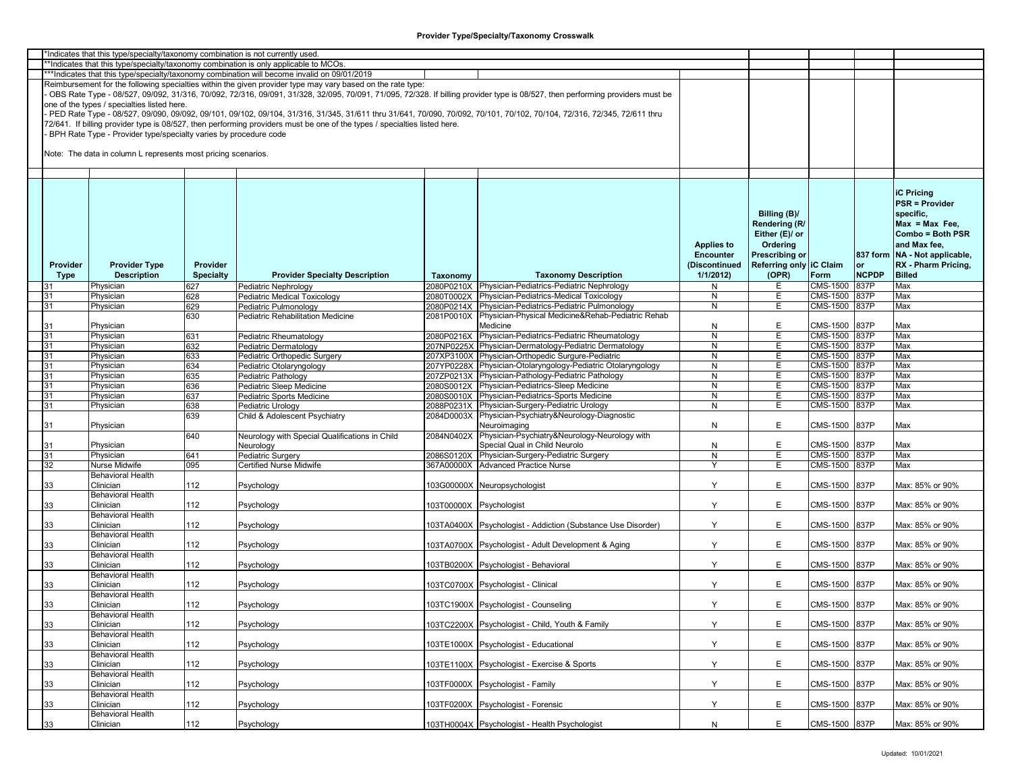| *Indicates that this type/specialty/taxonomy combination is not currently used.      |                                                                  |                  |                                                                                                                           |                         |                                                                                                                                                                               |                      |                         |                 |              |                                 |  |  |
|--------------------------------------------------------------------------------------|------------------------------------------------------------------|------------------|---------------------------------------------------------------------------------------------------------------------------|-------------------------|-------------------------------------------------------------------------------------------------------------------------------------------------------------------------------|----------------------|-------------------------|-----------------|--------------|---------------------------------|--|--|
| *Indicates that this type/specialty/taxonomy combination is only applicable to MCOs. |                                                                  |                  |                                                                                                                           |                         |                                                                                                                                                                               |                      |                         |                 |              |                                 |  |  |
|                                                                                      |                                                                  |                  | ***Indicates that this type/specialty/taxonomy combination will become invalid on 09/01/2019                              |                         |                                                                                                                                                                               |                      |                         |                 |              |                                 |  |  |
|                                                                                      |                                                                  |                  | Reimbursement for the following specialties within the given provider type may vary based on the rate type:               |                         |                                                                                                                                                                               |                      |                         |                 |              |                                 |  |  |
|                                                                                      |                                                                  |                  |                                                                                                                           |                         |                                                                                                                                                                               |                      |                         |                 |              |                                 |  |  |
|                                                                                      |                                                                  |                  |                                                                                                                           |                         | OBS Rate Type - 08/527, 09/092, 31/316, 70/092, 72/316, 09/091, 31/328, 32/095, 70/091, 71/095, 72/328. If billing provider type is 08/527, then performing providers must be |                      |                         |                 |              |                                 |  |  |
|                                                                                      | one of the types / specialties listed here.                      |                  |                                                                                                                           |                         |                                                                                                                                                                               |                      |                         |                 |              |                                 |  |  |
|                                                                                      |                                                                  |                  |                                                                                                                           |                         | PED Rate Type - 08/527, 09/090, 09/092, 09/101, 09/102, 09/104, 31/316, 31/345, 31/611 thru 31/641, 70/090, 70/092, 70/101, 70/102, 70/104, 72/316, 72/345, 72/611 thru       |                      |                         |                 |              |                                 |  |  |
|                                                                                      |                                                                  |                  | 72/641. If billing provider type is 08/527, then performing providers must be one of the types / specialties listed here. |                         |                                                                                                                                                                               |                      |                         |                 |              |                                 |  |  |
|                                                                                      | BPH Rate Type - Provider type/specialty varies by procedure code |                  |                                                                                                                           |                         |                                                                                                                                                                               |                      |                         |                 |              |                                 |  |  |
|                                                                                      |                                                                  |                  |                                                                                                                           |                         |                                                                                                                                                                               |                      |                         |                 |              |                                 |  |  |
|                                                                                      | Note: The data in column L represents most pricing scenarios.    |                  |                                                                                                                           |                         |                                                                                                                                                                               |                      |                         |                 |              |                                 |  |  |
|                                                                                      |                                                                  |                  |                                                                                                                           |                         |                                                                                                                                                                               |                      |                         |                 |              |                                 |  |  |
|                                                                                      |                                                                  |                  |                                                                                                                           |                         |                                                                                                                                                                               |                      |                         |                 |              |                                 |  |  |
|                                                                                      |                                                                  |                  |                                                                                                                           |                         |                                                                                                                                                                               |                      |                         |                 |              |                                 |  |  |
|                                                                                      |                                                                  |                  |                                                                                                                           |                         |                                                                                                                                                                               |                      |                         |                 |              |                                 |  |  |
|                                                                                      |                                                                  |                  |                                                                                                                           |                         |                                                                                                                                                                               |                      |                         |                 |              | <b>iC Pricing</b>               |  |  |
|                                                                                      |                                                                  |                  |                                                                                                                           |                         |                                                                                                                                                                               |                      |                         |                 |              | <b>PSR = Provider</b>           |  |  |
|                                                                                      |                                                                  |                  |                                                                                                                           |                         |                                                                                                                                                                               |                      |                         |                 |              | specific.                       |  |  |
|                                                                                      |                                                                  |                  |                                                                                                                           |                         |                                                                                                                                                                               |                      | Billing (B)/            |                 |              |                                 |  |  |
|                                                                                      |                                                                  |                  |                                                                                                                           |                         |                                                                                                                                                                               |                      | Rendering (R/           |                 |              | $Max = Max Free$                |  |  |
|                                                                                      |                                                                  |                  |                                                                                                                           |                         |                                                                                                                                                                               |                      | Either (E)/ or          |                 |              | Combo = Both PSR                |  |  |
|                                                                                      |                                                                  |                  |                                                                                                                           |                         |                                                                                                                                                                               | <b>Applies to</b>    | Ordering                |                 |              | and Max fee,                    |  |  |
|                                                                                      |                                                                  |                  |                                                                                                                           |                         |                                                                                                                                                                               |                      |                         |                 |              |                                 |  |  |
|                                                                                      |                                                                  |                  |                                                                                                                           |                         |                                                                                                                                                                               | <b>Encounter</b>     | <b>Prescribing or</b>   |                 |              | 837 form   NA - Not applicable, |  |  |
| Provider                                                                             | <b>Provider Type</b>                                             | Provider         |                                                                                                                           |                         |                                                                                                                                                                               | (Discontinued        | Referring only IC Claim |                 | or           | RX - Pharm Pricing,             |  |  |
| Type                                                                                 | <b>Description</b>                                               | <b>Specialty</b> | <b>Provider Specialty Description</b>                                                                                     | Taxonomy                | <b>Taxonomy Description</b>                                                                                                                                                   | 1/1/2012             | (OPR)                   | Form            | <b>NCPDP</b> | <b>Billed</b>                   |  |  |
| 31                                                                                   | Physician                                                        | 627              | Pediatric Nephrology                                                                                                      |                         | 2080P0210X Physician-Pediatrics-Pediatric Nephrology                                                                                                                          | N                    | E                       | CMS-1500        | 837P         | Max                             |  |  |
| 31                                                                                   | Physician                                                        | 628              | Pediatric Medical Toxicology                                                                                              | 2080T0002X              | Physician-Pediatrics-Medical Toxicology                                                                                                                                       | N                    | Е                       | CMS-1500        | 837P         | Max                             |  |  |
| 31                                                                                   | Physician                                                        | 629              | Pediatric Pulmonology                                                                                                     |                         | 2080P0214X Physician-Pediatrics-Pediatric Pulmonology                                                                                                                         | $\overline{N}$       | E.                      | <b>CMS-1500</b> | 837P         | Max                             |  |  |
|                                                                                      |                                                                  |                  |                                                                                                                           |                         | 2081P0010X Physician-Physical Medicine&Rehab-Pediatric Rehab                                                                                                                  |                      |                         |                 |              |                                 |  |  |
|                                                                                      |                                                                  | 630              | Pediatric Rehabilitation Medicine                                                                                         |                         |                                                                                                                                                                               |                      |                         |                 |              |                                 |  |  |
| 31                                                                                   | Physician                                                        |                  |                                                                                                                           |                         | Medicine                                                                                                                                                                      | N                    | E                       | CMS-1500        | 837P         | Max                             |  |  |
| 31                                                                                   | Physician                                                        | 631              | Pediatric Rheumatology                                                                                                    |                         | 2080P0216X Physician-Pediatrics-Pediatric Rheumatology                                                                                                                        | N                    | E                       | CMS-1500        | 837P         | Max                             |  |  |
| 31                                                                                   | Physician                                                        | 632              | Pediatric Dermatology                                                                                                     |                         | 207NP0225X Physician-Dermatology-Pediatric Dermatology                                                                                                                        | N                    | E                       | CMS-1500        | 837P         | Max                             |  |  |
| 31                                                                                   | Physician                                                        | 633              | Pediatric Orthopedic Surgery                                                                                              |                         | 207XP3100X Physician-Orthopedic Surgure-Pediatric                                                                                                                             | N                    | E                       | CMS-1500        | 837P         | Max                             |  |  |
|                                                                                      |                                                                  |                  |                                                                                                                           |                         |                                                                                                                                                                               |                      |                         |                 |              |                                 |  |  |
| 31                                                                                   | Physician                                                        | 634              | Pediatric Otolaryngology                                                                                                  |                         | 207YP0228X Physician-Otolaryngology-Pediatric Otolaryngology                                                                                                                  | N                    | E                       | CMS-1500 837P   |              | Max                             |  |  |
| 31                                                                                   | Physician                                                        | 635              | Pediatric Pathology                                                                                                       |                         | 207ZP0213X Physician-Pathology-Pediatric Pathology                                                                                                                            | N                    | E.                      | CMS-1500        | 837P         | Max                             |  |  |
| 31                                                                                   | Physician                                                        | 636              | Pediatric Sleep Medicine                                                                                                  |                         | 2080S0012X Physician-Pediatrics-Sleep Medicine                                                                                                                                | N                    | E.                      | CMS-1500        | 837P         | Max                             |  |  |
| 31                                                                                   | Physician                                                        | 637              | Pediatric Sports Medicine                                                                                                 |                         | 2080S0010X Physician-Pediatrics-Sports Medicine                                                                                                                               | N                    | Е                       | CMS-1500        | 837P         | Max                             |  |  |
| 31                                                                                   | Physician                                                        | 638              | Pediatric Urology                                                                                                         |                         | 2088P0231X Physician-Surgery-Pediatric Urology                                                                                                                                | N                    | E.                      | CMS-1500        | 837P         | Max                             |  |  |
|                                                                                      |                                                                  |                  |                                                                                                                           |                         |                                                                                                                                                                               |                      |                         |                 |              |                                 |  |  |
|                                                                                      |                                                                  | 639              | Child & Adolescent Psychiatry                                                                                             |                         | 2084D0003X Physician-Psychiatry&Neurology-Diagnostic                                                                                                                          |                      |                         |                 |              |                                 |  |  |
| 31                                                                                   | Physician                                                        |                  |                                                                                                                           |                         | Neuroimaging                                                                                                                                                                  | N                    | E                       | CMS-1500        | 837P         | Max                             |  |  |
|                                                                                      |                                                                  | 640              | Neurology with Special Qualifications in Child                                                                            |                         | 2084N0402X Physician-Psychiatry&Neurology-Neurology with                                                                                                                      |                      |                         |                 |              |                                 |  |  |
| 31                                                                                   | Physician                                                        |                  | Neurology                                                                                                                 |                         | Special Qual in Child Neurolo                                                                                                                                                 | N                    | E                       | CMS-1500        | 837P         | Max                             |  |  |
| 31                                                                                   | Physician                                                        | 641              | Pediatric Surgery                                                                                                         |                         | 2086S0120X Physician-Surgery-Pediatric Surgery                                                                                                                                | N                    | Е                       | CMS-1500 837P   |              | Max                             |  |  |
|                                                                                      | Nurse Midwife                                                    | 095              | <b>Certified Nurse Midwife</b>                                                                                            |                         | 367A00000X Advanced Practice Nurse                                                                                                                                            | $\mathbf{\check{v}}$ | E                       | CMS-1500 837P   |              | Max                             |  |  |
| 32                                                                                   |                                                                  |                  |                                                                                                                           |                         |                                                                                                                                                                               |                      |                         |                 |              |                                 |  |  |
|                                                                                      | <b>Behavioral Health</b>                                         |                  |                                                                                                                           |                         |                                                                                                                                                                               |                      |                         |                 |              |                                 |  |  |
| 33                                                                                   | Clinician                                                        | 112              | Psychology                                                                                                                |                         | 103G00000X Neuropsychologist                                                                                                                                                  | Y                    | E.                      | CMS-1500        | 837P         | Max: 85% or 90%                 |  |  |
|                                                                                      | <b>Behavioral Health</b>                                         |                  |                                                                                                                           |                         |                                                                                                                                                                               |                      |                         |                 |              |                                 |  |  |
| 33                                                                                   | Clinician                                                        | 112              | Psychology                                                                                                                | 103T00000X Psychologist |                                                                                                                                                                               | Y                    | E                       | CMS-1500        | 837P         | Max: 85% or 90%                 |  |  |
|                                                                                      | <b>Behavioral Health</b>                                         |                  |                                                                                                                           |                         |                                                                                                                                                                               |                      |                         |                 |              |                                 |  |  |
| 33                                                                                   | Clinician                                                        | 112              | Psychology                                                                                                                |                         | 103TA0400X Psychologist - Addiction (Substance Use Disorder)                                                                                                                  | Y                    | E                       | CMS-1500        | 837P         | Max: 85% or 90%                 |  |  |
|                                                                                      |                                                                  |                  |                                                                                                                           |                         |                                                                                                                                                                               |                      |                         |                 |              |                                 |  |  |
|                                                                                      | <b>Behavioral Health</b>                                         |                  |                                                                                                                           |                         |                                                                                                                                                                               |                      |                         |                 |              |                                 |  |  |
| 33                                                                                   | Clinician                                                        | 112              | Psychology                                                                                                                |                         | 103TA0700X Psychologist - Adult Development & Aging                                                                                                                           | Y                    | E                       | CMS-1500        | 837P         | Max: 85% or 90%                 |  |  |
|                                                                                      | <b>Behavioral Health</b>                                         |                  |                                                                                                                           |                         |                                                                                                                                                                               |                      |                         |                 |              |                                 |  |  |
| 33                                                                                   | Clinician                                                        | 112              | Psychology                                                                                                                |                         | 03TB0200X Psychologist - Behavioral                                                                                                                                           | Y                    | E                       | CMS-1500        | 837P         | Max: 85% or 90%                 |  |  |
|                                                                                      | <b>Behavioral Health</b>                                         |                  |                                                                                                                           |                         |                                                                                                                                                                               |                      |                         |                 |              |                                 |  |  |
| 33                                                                                   | Clinician                                                        | 112              | Psychology                                                                                                                |                         | 103TC0700X Psychologist - Clinical                                                                                                                                            | Y                    | E                       | CMS-1500        | 837P         | Max: 85% or 90%                 |  |  |
|                                                                                      |                                                                  |                  |                                                                                                                           |                         |                                                                                                                                                                               |                      |                         |                 |              |                                 |  |  |
|                                                                                      | <b>Behavioral Health</b>                                         |                  |                                                                                                                           |                         |                                                                                                                                                                               |                      |                         |                 |              |                                 |  |  |
| 33                                                                                   | Clinician                                                        | 112              | Psychology                                                                                                                |                         | 103TC1900X Psychologist - Counseling                                                                                                                                          | Y                    | E                       | CMS-1500        | 837P         | Max: 85% or 90%                 |  |  |
|                                                                                      | <b>Behavioral Health</b>                                         |                  |                                                                                                                           |                         |                                                                                                                                                                               |                      |                         |                 |              |                                 |  |  |
| 33                                                                                   | Clinician                                                        | 112              | Psychology                                                                                                                |                         | 103TC2200X Psychologist - Child, Youth & Family                                                                                                                               | Y                    | E                       | CMS-1500 837P   |              | Max: 85% or 90%                 |  |  |
|                                                                                      | <b>Behavioral Health</b>                                         |                  |                                                                                                                           |                         |                                                                                                                                                                               |                      |                         |                 |              |                                 |  |  |
|                                                                                      |                                                                  |                  |                                                                                                                           |                         |                                                                                                                                                                               |                      |                         |                 |              |                                 |  |  |
| 33                                                                                   | Clinician                                                        | 112              | Psychology                                                                                                                |                         | 103TE1000X Psychologist - Educational                                                                                                                                         | Y                    | E                       | CMS-1500        | 837P         | Max: 85% or 90%                 |  |  |
|                                                                                      | <b>Behavioral Health</b>                                         |                  |                                                                                                                           |                         |                                                                                                                                                                               |                      |                         |                 |              |                                 |  |  |
| 33                                                                                   | Clinician                                                        | 112              | Psychology                                                                                                                |                         | 103TE1100X Psychologist - Exercise & Sports                                                                                                                                   | Y                    | E.                      | CMS-1500 837P   |              | Max: 85% or 90%                 |  |  |
|                                                                                      | <b>Behavioral Health</b>                                         |                  |                                                                                                                           |                         |                                                                                                                                                                               |                      |                         |                 |              |                                 |  |  |
| 33                                                                                   | Clinician                                                        | 112              | Psychology                                                                                                                |                         | 103TF0000X Psychologist - Family                                                                                                                                              | Y                    | E                       | CMS-1500 837P   |              | Max: 85% or 90%                 |  |  |
|                                                                                      |                                                                  |                  |                                                                                                                           |                         |                                                                                                                                                                               |                      |                         |                 |              |                                 |  |  |
|                                                                                      | Behavioral Health                                                |                  |                                                                                                                           |                         |                                                                                                                                                                               |                      |                         |                 |              |                                 |  |  |
| 33                                                                                   | Clinician                                                        | 112              | Psychology                                                                                                                |                         | 03TF0200X Psychologist - Forensic                                                                                                                                             | Y                    | E                       | CMS-1500        | 837P         | Max: 85% or 90%                 |  |  |
|                                                                                      | <b>Behavioral Health</b>                                         |                  |                                                                                                                           |                         |                                                                                                                                                                               |                      |                         |                 |              |                                 |  |  |
| 33                                                                                   | Clinician                                                        | 112              | Psychology                                                                                                                |                         | 103TH0004X Psychologist - Health Psychologist                                                                                                                                 | N                    | E                       | CMS-1500 837P   |              | Max: 85% or 90%                 |  |  |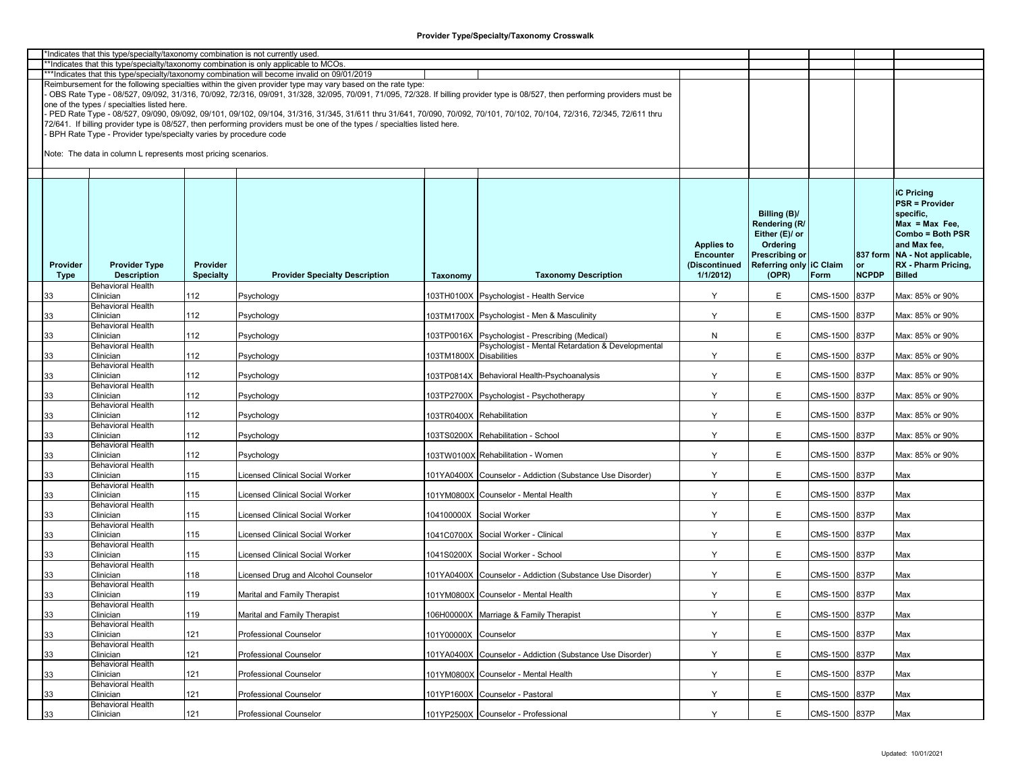| *Indicates that this type/specialty/taxonomy combination is not currently used.<br>**Indicates that this type/specialty/taxonomy combination is only applicable to MCOs. |             |                                                                  |                  |                                                                                                                           |                         |                                                                                                                                                                               |                   |                         |               |              |                                 |  |
|--------------------------------------------------------------------------------------------------------------------------------------------------------------------------|-------------|------------------------------------------------------------------|------------------|---------------------------------------------------------------------------------------------------------------------------|-------------------------|-------------------------------------------------------------------------------------------------------------------------------------------------------------------------------|-------------------|-------------------------|---------------|--------------|---------------------------------|--|
|                                                                                                                                                                          |             |                                                                  |                  |                                                                                                                           |                         |                                                                                                                                                                               |                   |                         |               |              |                                 |  |
|                                                                                                                                                                          |             |                                                                  |                  | ***Indicates that this type/specialty/taxonomy combination will become invalid on 09/01/2019                              |                         |                                                                                                                                                                               |                   |                         |               |              |                                 |  |
|                                                                                                                                                                          |             |                                                                  |                  | Reimbursement for the following specialties within the given provider type may vary based on the rate type:               |                         |                                                                                                                                                                               |                   |                         |               |              |                                 |  |
|                                                                                                                                                                          |             |                                                                  |                  |                                                                                                                           |                         | OBS Rate Type - 08/527, 09/092, 31/316, 70/092, 72/316, 09/091, 31/328, 32/095, 70/091, 71/095, 72/328. If billing provider type is 08/527, then performing providers must be |                   |                         |               |              |                                 |  |
|                                                                                                                                                                          |             | one of the types / specialties listed here.                      |                  |                                                                                                                           |                         |                                                                                                                                                                               |                   |                         |               |              |                                 |  |
|                                                                                                                                                                          |             |                                                                  |                  |                                                                                                                           |                         | PED Rate Type - 08/527, 09/090, 09/092, 09/101, 09/102, 09/104, 31/316, 31/345, 31/611 thru 31/641, 70/090, 70/092, 70/101, 70/102, 70/104, 72/316, 72/345, 72/611 thru       |                   |                         |               |              |                                 |  |
|                                                                                                                                                                          |             |                                                                  |                  | 72/641. If billing provider type is 08/527, then performing providers must be one of the types / specialties listed here. |                         |                                                                                                                                                                               |                   |                         |               |              |                                 |  |
|                                                                                                                                                                          |             |                                                                  |                  |                                                                                                                           |                         |                                                                                                                                                                               |                   |                         |               |              |                                 |  |
|                                                                                                                                                                          |             | BPH Rate Type - Provider type/specialty varies by procedure code |                  |                                                                                                                           |                         |                                                                                                                                                                               |                   |                         |               |              |                                 |  |
|                                                                                                                                                                          |             |                                                                  |                  |                                                                                                                           |                         |                                                                                                                                                                               |                   |                         |               |              |                                 |  |
|                                                                                                                                                                          |             | Note: The data in column L represents most pricing scenarios.    |                  |                                                                                                                           |                         |                                                                                                                                                                               |                   |                         |               |              |                                 |  |
|                                                                                                                                                                          |             |                                                                  |                  |                                                                                                                           |                         |                                                                                                                                                                               |                   |                         |               |              |                                 |  |
|                                                                                                                                                                          |             |                                                                  |                  |                                                                                                                           |                         |                                                                                                                                                                               |                   |                         |               |              |                                 |  |
|                                                                                                                                                                          |             |                                                                  |                  |                                                                                                                           |                         |                                                                                                                                                                               |                   |                         |               |              |                                 |  |
|                                                                                                                                                                          |             |                                                                  |                  |                                                                                                                           |                         |                                                                                                                                                                               |                   |                         |               |              | <b>iC Pricing</b>               |  |
|                                                                                                                                                                          |             |                                                                  |                  |                                                                                                                           |                         |                                                                                                                                                                               |                   |                         |               |              | <b>PSR = Provider</b>           |  |
|                                                                                                                                                                          |             |                                                                  |                  |                                                                                                                           |                         |                                                                                                                                                                               |                   |                         |               |              |                                 |  |
|                                                                                                                                                                          |             |                                                                  |                  |                                                                                                                           |                         |                                                                                                                                                                               |                   | Billing (B)/            |               |              | specific,                       |  |
|                                                                                                                                                                          |             |                                                                  |                  |                                                                                                                           |                         |                                                                                                                                                                               |                   | Rendering (R/           |               |              | $Max = Max Free$                |  |
|                                                                                                                                                                          |             |                                                                  |                  |                                                                                                                           |                         |                                                                                                                                                                               |                   | Either (E)/ or          |               |              | Combo = Both PSR                |  |
|                                                                                                                                                                          |             |                                                                  |                  |                                                                                                                           |                         |                                                                                                                                                                               | <b>Applies to</b> | Ordering                |               |              | and Max fee,                    |  |
|                                                                                                                                                                          |             |                                                                  |                  |                                                                                                                           |                         |                                                                                                                                                                               | <b>Encounter</b>  | <b>Prescribing or</b>   |               |              | 837 form   NA - Not applicable, |  |
|                                                                                                                                                                          |             |                                                                  |                  |                                                                                                                           |                         |                                                                                                                                                                               |                   |                         |               |              |                                 |  |
|                                                                                                                                                                          | Provider    | <b>Provider Type</b>                                             | Provider         |                                                                                                                           |                         |                                                                                                                                                                               | (Discontinued     | Referring only IC Claim |               | or           | RX - Pharm Pricing,             |  |
|                                                                                                                                                                          | <b>Type</b> | <b>Description</b>                                               | <b>Specialty</b> | <b>Provider Specialty Description</b>                                                                                     | Taxonomy                | <b>Taxonomy Description</b>                                                                                                                                                   | 1/1/2012          | (OPR)                   | Form          | <b>NCPDP</b> | <b>Billed</b>                   |  |
|                                                                                                                                                                          |             | <b>Behavioral Health</b>                                         |                  |                                                                                                                           |                         |                                                                                                                                                                               |                   |                         |               |              |                                 |  |
|                                                                                                                                                                          | 33          | Clinician                                                        | 112              | Psychology                                                                                                                |                         | 103TH0100X Psychologist - Health Service                                                                                                                                      | Y                 | E                       | CMS-1500      | 837P         | Max: 85% or 90%                 |  |
|                                                                                                                                                                          |             | <b>Behavioral Health</b>                                         |                  |                                                                                                                           |                         |                                                                                                                                                                               |                   |                         |               |              |                                 |  |
|                                                                                                                                                                          | 33          | Clinician                                                        | 112              | Psychology                                                                                                                |                         | 103TM1700X Psychologist - Men & Masculinity                                                                                                                                   | Y                 | E                       | CMS-1500      | 837P         | Max: 85% or 90%                 |  |
|                                                                                                                                                                          |             | <b>Behavioral Health</b>                                         |                  |                                                                                                                           |                         |                                                                                                                                                                               |                   |                         |               |              |                                 |  |
|                                                                                                                                                                          |             |                                                                  |                  |                                                                                                                           |                         |                                                                                                                                                                               |                   |                         |               |              |                                 |  |
|                                                                                                                                                                          | 33          | Clinician                                                        | 112              | Psychology                                                                                                                |                         | 103TP0016X Psychologist - Prescribing (Medical)                                                                                                                               | N                 | E                       | CMS-1500      | 837P         | Max: 85% or 90%                 |  |
|                                                                                                                                                                          |             | <b>Behavioral Health</b>                                         |                  |                                                                                                                           |                         | Psychologist - Mental Retardation & Developmental                                                                                                                             |                   |                         |               |              |                                 |  |
|                                                                                                                                                                          | 33          | Clinician                                                        | 112              | Psychology                                                                                                                | 103TM1800X Disabilities |                                                                                                                                                                               | Y                 | E                       | CMS-1500      | 837P         | Max: 85% or 90%                 |  |
|                                                                                                                                                                          |             | <b>Behavioral Health</b>                                         |                  |                                                                                                                           |                         |                                                                                                                                                                               |                   |                         |               |              |                                 |  |
|                                                                                                                                                                          | 33          | Clinician                                                        | 112              | Psychology                                                                                                                |                         | 103TP0814X Behavioral Health-Psychoanalysis                                                                                                                                   | Y                 | E                       | CMS-1500      | 837P         | Max: 85% or 90%                 |  |
|                                                                                                                                                                          |             | <b>Behavioral Health</b>                                         |                  |                                                                                                                           |                         |                                                                                                                                                                               |                   |                         |               |              |                                 |  |
|                                                                                                                                                                          | 33          | Clinician                                                        | 112              | Psychology                                                                                                                |                         | 103TP2700X Psychologist - Psychotherapy                                                                                                                                       | Y                 | E                       | CMS-1500      | 837P         | Max: 85% or 90%                 |  |
|                                                                                                                                                                          |             | <b>Behavioral Health</b>                                         |                  |                                                                                                                           |                         |                                                                                                                                                                               |                   |                         |               |              |                                 |  |
|                                                                                                                                                                          |             | Clinician                                                        | 112              |                                                                                                                           |                         |                                                                                                                                                                               | Y                 | E                       | CMS-1500      |              |                                 |  |
|                                                                                                                                                                          | 33          |                                                                  |                  | Psychology                                                                                                                |                         | 103TR0400X Rehabilitation                                                                                                                                                     |                   |                         |               | 837P         | Max: 85% or 90%                 |  |
|                                                                                                                                                                          |             | <b>Behavioral Health</b>                                         |                  |                                                                                                                           |                         |                                                                                                                                                                               |                   |                         |               |              |                                 |  |
|                                                                                                                                                                          | 33          | Clinician                                                        | 112              | Psychology                                                                                                                |                         | 103TS0200X Rehabilitation - School                                                                                                                                            | Y                 | E                       | CMS-1500      | 837P         | Max: 85% or 90%                 |  |
|                                                                                                                                                                          |             | <b>Behavioral Health</b>                                         |                  |                                                                                                                           |                         |                                                                                                                                                                               |                   |                         |               |              |                                 |  |
|                                                                                                                                                                          | 33          | Clinician                                                        | 112              | Psychology                                                                                                                |                         | 103TW0100X Rehabilitation - Women                                                                                                                                             | Y                 | E                       | CMS-1500      | 837P         | Max: 85% or 90%                 |  |
|                                                                                                                                                                          |             | <b>Behavioral Health</b>                                         |                  |                                                                                                                           |                         |                                                                                                                                                                               |                   |                         |               |              |                                 |  |
|                                                                                                                                                                          | 33          | Clinician                                                        | 115              | icensed Clinical Social Worker.                                                                                           | 101YA0400X              | Counselor - Addiction (Substance Use Disorder)                                                                                                                                | Y                 | E                       | CMS-1500      | 837P         | Max                             |  |
|                                                                                                                                                                          |             | <b>Behavioral Health</b>                                         |                  |                                                                                                                           |                         |                                                                                                                                                                               |                   |                         |               |              |                                 |  |
|                                                                                                                                                                          |             | Clinician                                                        | 115              | icensed Clinical Social Worker                                                                                            |                         |                                                                                                                                                                               | Y                 | E                       |               | 837P         |                                 |  |
|                                                                                                                                                                          | 33          |                                                                  |                  |                                                                                                                           |                         | 101YM0800X Counselor - Mental Health                                                                                                                                          |                   |                         | CMS-1500      |              | Max                             |  |
|                                                                                                                                                                          |             | <b>Behavioral Health</b>                                         |                  |                                                                                                                           |                         |                                                                                                                                                                               |                   |                         |               |              |                                 |  |
|                                                                                                                                                                          | 33          | Clinician                                                        | 115              | icensed Clinical Social Worker.                                                                                           |                         | 104100000X Social Worker                                                                                                                                                      | Y                 | E                       | CMS-1500      | 837P         | Max                             |  |
|                                                                                                                                                                          |             | <b>Behavioral Health</b>                                         |                  |                                                                                                                           |                         |                                                                                                                                                                               |                   |                         |               |              |                                 |  |
|                                                                                                                                                                          | 33          | Clinician                                                        | 115              | icensed Clinical Social Worker                                                                                            |                         | 1041C0700X Social Worker - Clinical                                                                                                                                           | Y                 | E                       | CMS-1500      | 837P         | Max                             |  |
|                                                                                                                                                                          |             | <b>Behavioral Health</b>                                         |                  |                                                                                                                           |                         |                                                                                                                                                                               |                   |                         |               |              |                                 |  |
|                                                                                                                                                                          | 33          | Clinician                                                        | 115              | icensed Clinical Social Worker                                                                                            |                         | 1041S0200X Social Worker - School                                                                                                                                             | Y                 | E                       | CMS-1500      | 837P         | Max                             |  |
|                                                                                                                                                                          |             | <b>Behavioral Health</b>                                         |                  |                                                                                                                           |                         |                                                                                                                                                                               |                   |                         |               |              |                                 |  |
|                                                                                                                                                                          | 33          | Clinician                                                        | 118              | icensed Drug and Alcohol Counselor                                                                                        | 101YA0400X              | Counselor - Addiction (Substance Use Disorder)                                                                                                                                | Y                 | E                       | CMS-1500      | 837P         | Max                             |  |
|                                                                                                                                                                          |             | <b>Behavioral Health</b>                                         |                  |                                                                                                                           |                         |                                                                                                                                                                               |                   |                         |               |              |                                 |  |
|                                                                                                                                                                          |             |                                                                  |                  |                                                                                                                           |                         |                                                                                                                                                                               |                   |                         |               |              |                                 |  |
|                                                                                                                                                                          | 33          | Clinician                                                        | 119              | Marital and Family Therapist                                                                                              |                         | 101YM0800X Counselor - Mental Health                                                                                                                                          | Y                 | E                       | CMS-1500      | 837P         | Max                             |  |
|                                                                                                                                                                          |             | <b>Behavioral Health</b>                                         |                  |                                                                                                                           |                         |                                                                                                                                                                               |                   |                         |               |              |                                 |  |
|                                                                                                                                                                          | 33          | Clinician                                                        | 119              | Marital and Family Therapist                                                                                              |                         | 106H00000X Marriage & Family Therapist                                                                                                                                        | Υ                 | Е                       | CMS-1500 837P |              | Max                             |  |
|                                                                                                                                                                          |             | <b>Behavioral Health</b>                                         |                  |                                                                                                                           |                         |                                                                                                                                                                               |                   |                         |               |              |                                 |  |
|                                                                                                                                                                          | 33          | Clinician                                                        | 121              | <b>Professional Counselor</b>                                                                                             | 101Y00000X Counselor    |                                                                                                                                                                               | Y                 | E                       | CMS-1500      | 837P         | Max                             |  |
|                                                                                                                                                                          |             | <b>Behavioral Health</b>                                         |                  |                                                                                                                           |                         |                                                                                                                                                                               |                   |                         |               |              |                                 |  |
|                                                                                                                                                                          | 33          | Clinician                                                        | 121              | <b>Professional Counselor</b>                                                                                             |                         | 101YA0400X Counselor - Addiction (Substance Use Disorder)                                                                                                                     | Y                 | E                       | CMS-1500      | 837P         | Max                             |  |
|                                                                                                                                                                          |             |                                                                  |                  |                                                                                                                           |                         |                                                                                                                                                                               |                   |                         |               |              |                                 |  |
|                                                                                                                                                                          |             | <b>Behavioral Health</b>                                         |                  |                                                                                                                           |                         |                                                                                                                                                                               |                   |                         |               |              |                                 |  |
|                                                                                                                                                                          | 33          | Clinician                                                        | 121              | <b>Professional Counselor</b>                                                                                             |                         | 101YM0800X Counselor - Mental Health                                                                                                                                          | Y                 | E                       | CMS-1500      | 837P         | Max                             |  |
|                                                                                                                                                                          |             | <b>Behavioral Health</b>                                         |                  |                                                                                                                           |                         |                                                                                                                                                                               |                   |                         |               |              |                                 |  |
|                                                                                                                                                                          | 33          | Clinician                                                        | 121              | <b>Professional Counselor</b>                                                                                             |                         | 101YP1600X Counselor - Pastoral                                                                                                                                               | Y                 | E                       | CMS-1500      | 837P         | Max                             |  |
|                                                                                                                                                                          |             | <b>Behavioral Health</b>                                         |                  |                                                                                                                           |                         |                                                                                                                                                                               |                   |                         |               |              |                                 |  |
|                                                                                                                                                                          | 33          | Clinician                                                        | 121              | Professional Counselor                                                                                                    |                         | 101YP2500X Counselor - Professional                                                                                                                                           | Y                 | E.                      | CMS-1500 837P |              | Max                             |  |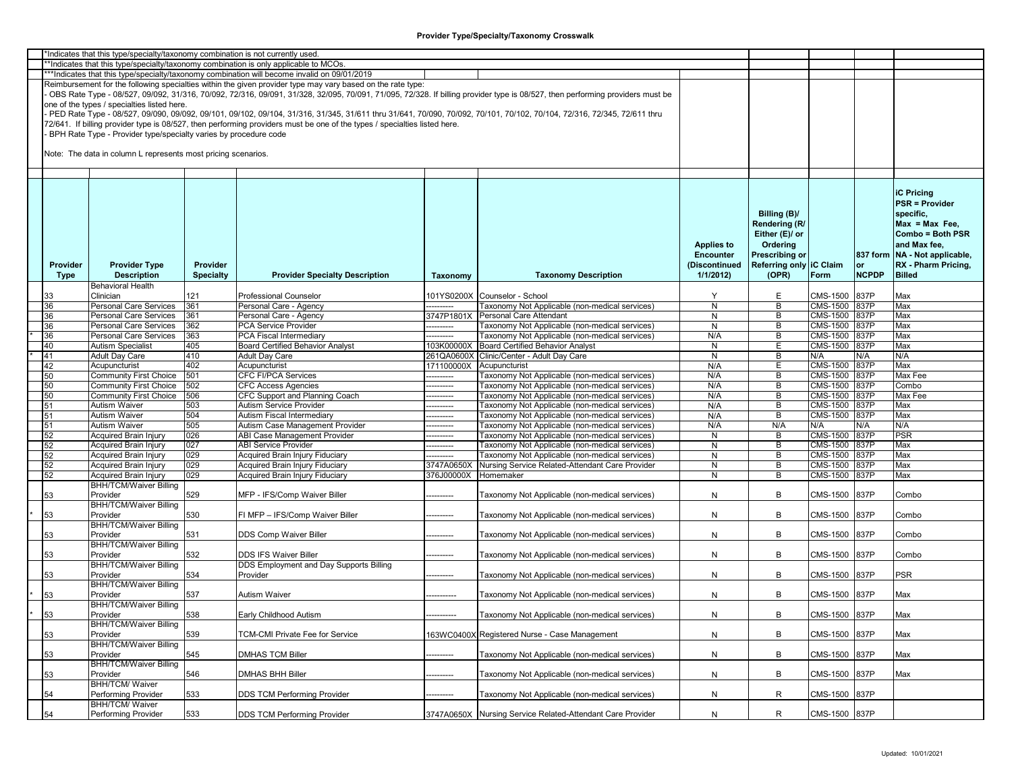| *Indicates that this type/specialty/taxonomy combination is not currently used |          |                                                                  |                  |                                                                                                                                                                         |            |                                                                                                                                                                               |                   |                         |                 |              |                                 |
|--------------------------------------------------------------------------------|----------|------------------------------------------------------------------|------------------|-------------------------------------------------------------------------------------------------------------------------------------------------------------------------|------------|-------------------------------------------------------------------------------------------------------------------------------------------------------------------------------|-------------------|-------------------------|-----------------|--------------|---------------------------------|
|                                                                                |          |                                                                  |                  | *Indicates that this type/specialty/taxonomy combination is only applicable to MCOs.                                                                                    |            |                                                                                                                                                                               |                   |                         |                 |              |                                 |
|                                                                                |          |                                                                  |                  | ***Indicates that this type/specialty/taxonomy combination will become invalid on 09/01/2019                                                                            |            |                                                                                                                                                                               |                   |                         |                 |              |                                 |
|                                                                                |          |                                                                  |                  | Reimbursement for the following specialties within the given provider type may vary based on the rate type:                                                             |            |                                                                                                                                                                               |                   |                         |                 |              |                                 |
|                                                                                |          |                                                                  |                  |                                                                                                                                                                         |            | OBS Rate Type - 08/527, 09/092, 31/316, 70/092, 72/316, 09/091, 31/328, 32/095, 70/091, 71/095, 72/328. If billing provider type is 08/527, then performing providers must be |                   |                         |                 |              |                                 |
|                                                                                |          | one of the types / specialties listed here.                      |                  |                                                                                                                                                                         |            |                                                                                                                                                                               |                   |                         |                 |              |                                 |
|                                                                                |          |                                                                  |                  |                                                                                                                                                                         |            |                                                                                                                                                                               |                   |                         |                 |              |                                 |
|                                                                                |          |                                                                  |                  | PED Rate Type - 08/527, 09/090, 09/092, 09/101, 09/102, 09/104, 31/316, 31/345, 31/611 thru 31/641, 70/090, 70/092, 70/101, 70/102, 70/104, 72/316, 72/345, 72/611 thru |            |                                                                                                                                                                               |                   |                         |                 |              |                                 |
|                                                                                |          |                                                                  |                  | 72/641. If billing provider type is 08/527, then performing providers must be one of the types / specialties listed here.                                               |            |                                                                                                                                                                               |                   |                         |                 |              |                                 |
|                                                                                |          | BPH Rate Type - Provider type/specialty varies by procedure code |                  |                                                                                                                                                                         |            |                                                                                                                                                                               |                   |                         |                 |              |                                 |
|                                                                                |          |                                                                  |                  |                                                                                                                                                                         |            |                                                                                                                                                                               |                   |                         |                 |              |                                 |
|                                                                                |          | Note: The data in column L represents most pricing scenarios.    |                  |                                                                                                                                                                         |            |                                                                                                                                                                               |                   |                         |                 |              |                                 |
|                                                                                |          |                                                                  |                  |                                                                                                                                                                         |            |                                                                                                                                                                               |                   |                         |                 |              |                                 |
|                                                                                |          |                                                                  |                  |                                                                                                                                                                         |            |                                                                                                                                                                               |                   |                         |                 |              |                                 |
|                                                                                |          |                                                                  |                  |                                                                                                                                                                         |            |                                                                                                                                                                               |                   |                         |                 |              |                                 |
|                                                                                |          |                                                                  |                  |                                                                                                                                                                         |            |                                                                                                                                                                               |                   |                         |                 |              |                                 |
|                                                                                |          |                                                                  |                  |                                                                                                                                                                         |            |                                                                                                                                                                               |                   |                         |                 |              | <b>iC Pricing</b>               |
|                                                                                |          |                                                                  |                  |                                                                                                                                                                         |            |                                                                                                                                                                               |                   |                         |                 |              | <b>PSR = Provider</b>           |
|                                                                                |          |                                                                  |                  |                                                                                                                                                                         |            |                                                                                                                                                                               |                   | Billing (B)/            |                 |              | specific.                       |
|                                                                                |          |                                                                  |                  |                                                                                                                                                                         |            |                                                                                                                                                                               |                   | Rendering (R/           |                 |              | $Max = Max Free$                |
|                                                                                |          |                                                                  |                  |                                                                                                                                                                         |            |                                                                                                                                                                               |                   |                         |                 |              |                                 |
|                                                                                |          |                                                                  |                  |                                                                                                                                                                         |            |                                                                                                                                                                               |                   | Either (E)/ or          |                 |              | Combo = Both PSR                |
|                                                                                |          |                                                                  |                  |                                                                                                                                                                         |            |                                                                                                                                                                               | <b>Applies to</b> | Ordering                |                 |              | and Max fee,                    |
|                                                                                |          |                                                                  |                  |                                                                                                                                                                         |            |                                                                                                                                                                               | <b>Encounter</b>  | Prescribing or          |                 |              | 837 form   NA - Not applicable, |
|                                                                                | Provider | <b>Provider Type</b>                                             | Provider         |                                                                                                                                                                         |            |                                                                                                                                                                               | (Discontinued     | Referring only IC Claim |                 | or           | RX - Pharm Pricing,             |
|                                                                                | Type     | <b>Description</b>                                               | <b>Specialty</b> | <b>Provider Specialty Description</b>                                                                                                                                   |            | <b>Taxonomy Description</b>                                                                                                                                                   | 1/1/2012          | (OPR)                   | Form            | <b>NCPDP</b> | <b>Billed</b>                   |
|                                                                                |          |                                                                  |                  |                                                                                                                                                                         | Taxonomy   |                                                                                                                                                                               |                   |                         |                 |              |                                 |
|                                                                                |          | <b>Behavioral Health</b>                                         |                  |                                                                                                                                                                         |            |                                                                                                                                                                               |                   |                         |                 |              |                                 |
|                                                                                | 33       | Clinician                                                        | 121              | <b>Professional Counselor</b>                                                                                                                                           |            | 101YS0200X Counselor - School                                                                                                                                                 | Y                 | E                       | CMS-1500        | 837P         | Max                             |
|                                                                                | 36       | <b>Personal Care Services</b>                                    | 361              | Personal Care - Agency                                                                                                                                                  | ---------  | Taxonomy Not Applicable (non-medical services)                                                                                                                                | ${\sf N}$         | B                       | CMS-1500 837P   |              | Max                             |
|                                                                                | 36       | Personal Care Services                                           | 361              | Personal Care - Agency                                                                                                                                                  | 3747P1801X | <b>Personal Care Attendant</b>                                                                                                                                                | N                 | В                       | CMS-1500 837P   |              | Max                             |
|                                                                                | 36       | Personal Care Services                                           | 362              | <b>PCA Service Provider</b>                                                                                                                                             | ---------  | Taxonomy Not Applicable (non-medical services)                                                                                                                                | N                 | В                       | CMS-1500        | 837P         | Max                             |
|                                                                                | 36       | Personal Care Services                                           | 363              | PCA Fiscal Intermediary                                                                                                                                                 |            | Taxonomy Not Applicable (non-medical services)                                                                                                                                | N/A               | B                       | CMS-1500        | 837P         | Max                             |
|                                                                                | 40       | <b>Autism Specialist</b>                                         |                  | <b>Board Certified Behavior Analyst</b>                                                                                                                                 | 103K00000X | Board Certified Behavior Analyst                                                                                                                                              | N                 | E                       | CMS-1500 837P   |              | Max                             |
|                                                                                |          |                                                                  | 405              |                                                                                                                                                                         |            |                                                                                                                                                                               |                   |                         |                 |              |                                 |
|                                                                                | 41       | <b>Adult Day Care</b>                                            | 410              | <b>Adult Day Care</b>                                                                                                                                                   | 261QA0600X | Clinic/Center - Adult Day Care                                                                                                                                                | N                 | B                       | N/A             | N/A          | N/A                             |
|                                                                                | 42       | Acupuncturist                                                    | 402              | Acupuncturist                                                                                                                                                           | 171100000X | Acupuncturist                                                                                                                                                                 | N/A               | E                       | CMS-1500        | 837P         | Max                             |
|                                                                                | 50       | <b>Community First Choice</b>                                    | 501              | <b>CFC FI/PCA Services</b>                                                                                                                                              | ---------  | Taxonomy Not Applicable (non-medical services)                                                                                                                                | N/A               | B                       | <b>CMS-1500</b> | 837P         | Max Fee                         |
|                                                                                | 50       | <b>Community First Choice</b>                                    | 502              | <b>CFC Access Agencies</b>                                                                                                                                              | -------    | <b>Faxonomy Not Applicable (non-medical services)</b>                                                                                                                         | N/A               | B                       | CMS-1500        | 837P         | Combo                           |
|                                                                                | 50       | <b>Community First Choice</b>                                    | 506              | CFC Support and Planning Coach                                                                                                                                          | ------     | Taxonomy Not Applicable (non-medical services)                                                                                                                                | N/A               | В                       | <b>CMS-1500</b> | 837P         | Max Fee                         |
|                                                                                | 51       | Autism Waiver                                                    | 503              | Autism Service Provider                                                                                                                                                 | --------   | <b>Faxonomy Not Applicable (non-medical services)</b>                                                                                                                         | N/A               | B                       | CMS-1500        | 837P         | Max                             |
|                                                                                | 51       | <b>Autism Waiver</b>                                             | 504              | Autism Fiscal Intermediary                                                                                                                                              | -------    | 「axonomy Not Applicable (non-medical services)                                                                                                                                | N/A               | В                       | <b>CMS-1500</b> | 837P         | Max                             |
|                                                                                |          | <b>Autism Waiver</b>                                             | 505              |                                                                                                                                                                         |            |                                                                                                                                                                               |                   | N/A                     | N/A             | N/A          | N/A                             |
|                                                                                | 51       |                                                                  |                  | Autism Case Management Provider                                                                                                                                         | --------   | Taxonomy Not Applicable (non-medical services)                                                                                                                                | N/A               |                         |                 |              |                                 |
|                                                                                | 52       | Acquired Brain Injury                                            | 026              | <b>ABI Case Management Provider</b>                                                                                                                                     | -------    | [axonomy Not Applicable (non-medical services)                                                                                                                                | N                 | B                       | <b>CMS-1500</b> | 837P         | <b>PSR</b>                      |
|                                                                                | 52       | Acquired Brain Injury                                            | 027              | <b>ABI Service Provider</b>                                                                                                                                             | --------   | Taxonomy Not Applicable (non-medical services)                                                                                                                                | N                 | В                       | CMS-1500 837P   |              | Max                             |
|                                                                                | 52       | Acquired Brain Injury                                            | 029              | Acquired Brain Injury Fiduciary                                                                                                                                         |            | Taxonomy Not Applicable (non-medical services)                                                                                                                                | N                 | B                       | CMS-1500        | 837P         | Max                             |
|                                                                                | 52       | Acquired Brain Injury                                            | 029              | Acquired Brain Injury Fiduciary                                                                                                                                         | 3747A0650X | Nursing Service Related-Attendant Care Provider                                                                                                                               | N                 | B                       | CMS-1500        | 837P         | Max                             |
|                                                                                | 52       | Acquired Brain Injury                                            | 029              | Acquired Brain Injury Fiduciary                                                                                                                                         | 376J00000X | Homemaker                                                                                                                                                                     | N                 | B                       | <b>CMS-1500</b> | 837P         | Max                             |
|                                                                                |          | <b>BHH/TCM/Waiver Billing</b>                                    |                  |                                                                                                                                                                         |            |                                                                                                                                                                               |                   |                         |                 |              |                                 |
|                                                                                | 53       | Provider                                                         | 529              | MFP - IFS/Comp Waiver Biller                                                                                                                                            | ---------  | [axonomy Not Applicable (non-medical services)                                                                                                                                | N                 | B                       | CMS-1500        | 837P         | Combo                           |
|                                                                                |          | <b>BHH/TCM/Waiver Billing</b>                                    |                  |                                                                                                                                                                         |            |                                                                                                                                                                               |                   |                         |                 |              |                                 |
|                                                                                |          |                                                                  |                  |                                                                                                                                                                         |            |                                                                                                                                                                               |                   |                         |                 |              |                                 |
|                                                                                | 53       | Provider                                                         | 530              | FI MFP - IFS/Comp Waiver Biller                                                                                                                                         | --------   | Taxonomy Not Applicable (non-medical services)                                                                                                                                | N                 | В                       | CMS-1500        | 837P         | Combo                           |
|                                                                                |          | <b>BHH/TCM/Waiver Billing</b>                                    |                  |                                                                                                                                                                         |            |                                                                                                                                                                               |                   |                         |                 |              |                                 |
|                                                                                | 53       | Provider                                                         | 531              | DDS Comp Waiver Biller                                                                                                                                                  |            | Taxonomy Not Applicable (non-medical services)                                                                                                                                | N                 | B                       | CMS-1500        | 837P         | Combo                           |
|                                                                                |          | <b>BHH/TCM/Waiver Billing</b>                                    |                  |                                                                                                                                                                         |            |                                                                                                                                                                               |                   |                         |                 |              |                                 |
|                                                                                | 53       | Provider                                                         | 532              | <b>DDS IFS Waiver Biller</b>                                                                                                                                            |            | <b>Faxonomy Not Applicable (non-medical services)</b>                                                                                                                         | N                 | B                       | CMS-1500        | 837P         | Combo                           |
|                                                                                |          | <b>BHH/TCM/Waiver Billing</b>                                    |                  | DDS Employment and Day Supports Billing                                                                                                                                 |            |                                                                                                                                                                               |                   |                         |                 |              |                                 |
|                                                                                | 53       | Provider                                                         | 534              | Provider                                                                                                                                                                |            | Taxonomy Not Applicable (non-medical services)                                                                                                                                | N                 | B                       | CMS-1500        | 837P         | PSR                             |
|                                                                                |          | <b>BHH/TCM/Waiver Billing</b>                                    |                  |                                                                                                                                                                         |            |                                                                                                                                                                               |                   |                         |                 |              |                                 |
|                                                                                |          | Provider                                                         | 537              | <b>Autism Waiver</b>                                                                                                                                                    |            |                                                                                                                                                                               |                   | B                       | CMS-1500 837P   |              |                                 |
|                                                                                | 53       |                                                                  |                  |                                                                                                                                                                         |            | Taxonomy Not Applicable (non-medical services)                                                                                                                                | N                 |                         |                 |              | Max                             |
|                                                                                |          | <b>BHH/TCM/Waiver Billing</b>                                    |                  |                                                                                                                                                                         |            |                                                                                                                                                                               |                   |                         |                 |              |                                 |
|                                                                                | 53       | Provider                                                         | 538              | Early Childhood Autism                                                                                                                                                  |            | Taxonomy Not Applicable (non-medical services)                                                                                                                                | N                 | В                       | CMS-1500 837P   |              | Max                             |
|                                                                                |          | <b>BHH/TCM/Waiver Billing</b>                                    |                  |                                                                                                                                                                         |            |                                                                                                                                                                               |                   |                         |                 |              |                                 |
|                                                                                | 53       | Provider                                                         | 539              | TCM-CMI Private Fee for Service                                                                                                                                         |            | 163WC0400X Registered Nurse - Case Management                                                                                                                                 | N                 | B                       | CMS-1500        | 837P         | Max                             |
|                                                                                |          | <b>BHH/TCM/Waiver Billing</b>                                    |                  |                                                                                                                                                                         |            |                                                                                                                                                                               |                   |                         |                 |              |                                 |
|                                                                                | 53       | Provider                                                         | 545              | <b>DMHAS TCM Biller</b>                                                                                                                                                 |            | <b>Faxonomy Not Applicable (non-medical services)</b>                                                                                                                         | N                 | B                       | CMS-1500        | 837P         | Max                             |
|                                                                                |          | <b>BHH/TCM/Waiver Billing</b>                                    |                  |                                                                                                                                                                         |            |                                                                                                                                                                               |                   |                         |                 |              |                                 |
|                                                                                |          |                                                                  |                  |                                                                                                                                                                         |            |                                                                                                                                                                               |                   |                         |                 |              |                                 |
|                                                                                | 53       | Provider                                                         | 546              | <b>DMHAS BHH Biller</b>                                                                                                                                                 |            | Taxonomy Not Applicable (non-medical services)                                                                                                                                | N                 | В                       | CMS-1500        | 837P         | Max                             |
|                                                                                |          | <b>BHH/TCM/ Waiver</b>                                           |                  |                                                                                                                                                                         |            |                                                                                                                                                                               |                   |                         |                 |              |                                 |
|                                                                                | 54       | Performing Provider                                              | 533              | <b>DDS TCM Performing Provider</b>                                                                                                                                      |            | Taxonomy Not Applicable (non-medical services)                                                                                                                                | N                 | R                       | CMS-1500 837P   |              |                                 |
|                                                                                |          | BHH/TCM/ Waiver                                                  |                  |                                                                                                                                                                         |            |                                                                                                                                                                               |                   |                         |                 |              |                                 |
|                                                                                | 54       | Performing Provider                                              | 533              | <b>DDS TCM Performing Provider</b>                                                                                                                                      | 3747A0650X | Nursing Service Related-Attendant Care Provider                                                                                                                               | N                 | R                       | CMS-1500 837P   |              |                                 |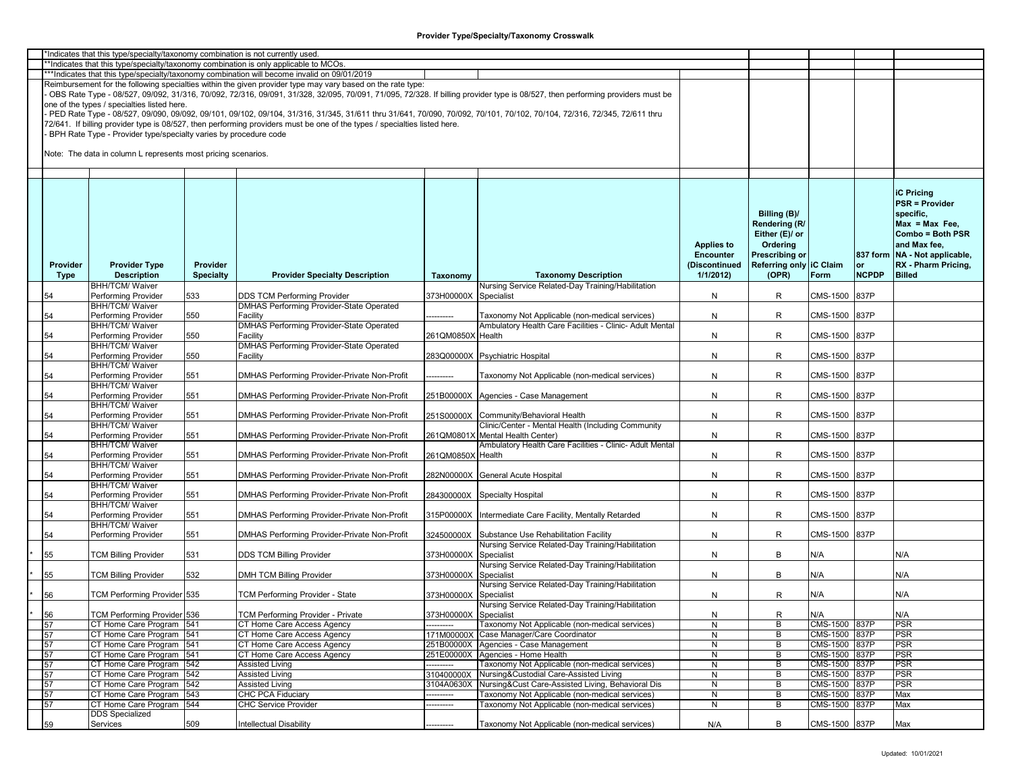|             | 'Indicates that this type/specialty/taxonomy combination is not currently used. |                  |                                                                                                                           |                       |                                                                                                                                                                               |                   |                         |               |              |                               |
|-------------|---------------------------------------------------------------------------------|------------------|---------------------------------------------------------------------------------------------------------------------------|-----------------------|-------------------------------------------------------------------------------------------------------------------------------------------------------------------------------|-------------------|-------------------------|---------------|--------------|-------------------------------|
|             |                                                                                 |                  | *Indicates that this type/specialty/taxonomy combination is only applicable to MCOs.                                      |                       |                                                                                                                                                                               |                   |                         |               |              |                               |
|             |                                                                                 |                  | **Indicates that this type/specialty/taxonomy combination will become invalid on 09/01/2019                               |                       |                                                                                                                                                                               |                   |                         |               |              |                               |
|             |                                                                                 |                  | Reimbursement for the following specialties within the given provider type may vary based on the rate type:               |                       |                                                                                                                                                                               |                   |                         |               |              |                               |
|             |                                                                                 |                  |                                                                                                                           |                       | OBS Rate Type - 08/527, 09/092, 31/316, 70/092, 72/316, 09/091, 31/328, 32/095, 70/091, 71/095, 72/328. If billing provider type is 08/527, then performing providers must be |                   |                         |               |              |                               |
|             | one of the types / specialties listed here.                                     |                  |                                                                                                                           |                       |                                                                                                                                                                               |                   |                         |               |              |                               |
|             |                                                                                 |                  |                                                                                                                           |                       | PED Rate Type - 08/527, 09/090, 09/092, 09/101, 09/102, 09/104, 31/316, 31/345, 31/611 thru 31/641, 70/090, 70/092, 70/101, 70/102, 70/104, 72/316, 72/345, 72/611 thru       |                   |                         |               |              |                               |
|             |                                                                                 |                  | 72/641. If billing provider type is 08/527, then performing providers must be one of the types / specialties listed here. |                       |                                                                                                                                                                               |                   |                         |               |              |                               |
|             | BPH Rate Type - Provider type/specialty varies by procedure code                |                  |                                                                                                                           |                       |                                                                                                                                                                               |                   |                         |               |              |                               |
|             |                                                                                 |                  |                                                                                                                           |                       |                                                                                                                                                                               |                   |                         |               |              |                               |
|             | Note: The data in column L represents most pricing scenarios.                   |                  |                                                                                                                           |                       |                                                                                                                                                                               |                   |                         |               |              |                               |
|             |                                                                                 |                  |                                                                                                                           |                       |                                                                                                                                                                               |                   |                         |               |              |                               |
|             |                                                                                 |                  |                                                                                                                           |                       |                                                                                                                                                                               |                   |                         |               |              |                               |
|             |                                                                                 |                  |                                                                                                                           |                       |                                                                                                                                                                               |                   |                         |               |              |                               |
|             |                                                                                 |                  |                                                                                                                           |                       |                                                                                                                                                                               |                   |                         |               |              | <b>iC Pricing</b>             |
|             |                                                                                 |                  |                                                                                                                           |                       |                                                                                                                                                                               |                   |                         |               |              | <b>PSR = Provider</b>         |
|             |                                                                                 |                  |                                                                                                                           |                       |                                                                                                                                                                               |                   |                         |               |              |                               |
|             |                                                                                 |                  |                                                                                                                           |                       |                                                                                                                                                                               |                   | Billing (B)/            |               |              | specific,                     |
|             |                                                                                 |                  |                                                                                                                           |                       |                                                                                                                                                                               |                   | Rendering (R/           |               |              | $Max = Max Free$              |
|             |                                                                                 |                  |                                                                                                                           |                       |                                                                                                                                                                               |                   | Either (E)/ or          |               |              | Combo = Both PSR              |
|             |                                                                                 |                  |                                                                                                                           |                       |                                                                                                                                                                               | <b>Applies to</b> | Ordering                |               |              | and Max fee,                  |
|             |                                                                                 |                  |                                                                                                                           |                       |                                                                                                                                                                               | <b>Encounter</b>  | Prescribing or          |               |              | 837 form NA - Not applicable, |
| Provider    | <b>Provider Type</b>                                                            | Provider         |                                                                                                                           |                       |                                                                                                                                                                               | (Discontinued     | Referring only IC Claim |               | <b>or</b>    | RX - Pharm Pricing,           |
| <b>Type</b> | <b>Description</b>                                                              | <b>Specialty</b> | <b>Provider Specialty Description</b>                                                                                     | Taxonomy              | <b>Taxonomy Description</b>                                                                                                                                                   | 1/1/2012          | (OPR)                   | Form          | <b>NCPDP</b> | <b>Billed</b>                 |
|             | <b>BHH/TCM/ Waiver</b>                                                          |                  |                                                                                                                           |                       | Nursing Service Related-Day Training/Habilitation                                                                                                                             |                   |                         |               |              |                               |
| 54          | Performing Provider                                                             | 533              | <b>DDS TCM Performing Provider</b>                                                                                        | 373H00000X            | Specialist                                                                                                                                                                    | N                 | R                       | CMS-1500 837P |              |                               |
|             | <b>BHH/TCM/ Waiver</b>                                                          |                  | <b>DMHAS Performing Provider-State Operated</b>                                                                           |                       |                                                                                                                                                                               |                   |                         |               |              |                               |
|             |                                                                                 |                  |                                                                                                                           |                       |                                                                                                                                                                               |                   |                         |               |              |                               |
| 54          | Performing Provider                                                             | 550              | Facility                                                                                                                  | ---------             | Taxonomy Not Applicable (non-medical services)                                                                                                                                | N                 | R                       | CMS-1500 837P |              |                               |
|             | <b>BHH/TCM/ Waiver</b>                                                          |                  | <b>DMHAS Performing Provider-State Operated</b>                                                                           |                       | Ambulatory Health Care Facilities - Clinic- Adult Mental                                                                                                                      |                   |                         |               |              |                               |
| 54          | Performing Provider                                                             | 550              | Facility                                                                                                                  | 261QM0850X            | Health                                                                                                                                                                        | N                 | R                       | CMS-1500 837P |              |                               |
|             | <b>BHH/TCM/ Waiver</b>                                                          |                  | DMHAS Performing Provider-State Operated                                                                                  |                       |                                                                                                                                                                               |                   |                         |               |              |                               |
| 54          | Performing Provider                                                             | 550              | Facility                                                                                                                  |                       | 283Q00000X Psychiatric Hospital                                                                                                                                               | N                 | R                       | CMS-1500 837P |              |                               |
|             | <b>BHH/TCM/ Waiver</b>                                                          |                  |                                                                                                                           |                       |                                                                                                                                                                               |                   |                         |               |              |                               |
| 54          | Performing Provider                                                             | 551              | DMHAS Performing Provider-Private Non-Profit                                                                              |                       | Taxonomy Not Applicable (non-medical services)                                                                                                                                | N                 | R                       | CMS-1500 837P |              |                               |
|             | <b>BHH/TCM/ Waiver</b>                                                          |                  |                                                                                                                           |                       |                                                                                                                                                                               |                   |                         |               |              |                               |
| 54          | Performing Provider                                                             | 551              | DMHAS Performing Provider-Private Non-Profit                                                                              |                       | 251B00000X Agencies - Case Management                                                                                                                                         | N                 | R                       | CMS-1500 837P |              |                               |
|             | <b>BHH/TCM/ Waiver</b>                                                          |                  |                                                                                                                           |                       |                                                                                                                                                                               |                   |                         |               |              |                               |
| 54          | Performing Provider                                                             | 551              | DMHAS Performing Provider-Private Non-Profit                                                                              |                       | 251S00000X Community/Behavioral Health                                                                                                                                        | N                 | R                       | CMS-1500 837P |              |                               |
|             | <b>BHH/TCM/ Waiver</b>                                                          |                  |                                                                                                                           |                       | Clinic/Center - Mental Health (Including Community                                                                                                                            |                   |                         |               |              |                               |
| 54          | Performing Provider                                                             | 551              | DMHAS Performing Provider-Private Non-Profit                                                                              |                       | 261QM0801X Mental Health Center)                                                                                                                                              | N                 | R                       | CMS-1500 837P |              |                               |
|             | <b>BHH/TCM/ Waiver</b>                                                          |                  |                                                                                                                           |                       | Ambulatory Health Care Facilities - Clinic- Adult Mental                                                                                                                      |                   |                         |               |              |                               |
| 54          | Performing Provider                                                             | 551              | DMHAS Performing Provider-Private Non-Profit                                                                              | 261QM0850X            | Health                                                                                                                                                                        | N                 | R                       | CMS-1500 837P |              |                               |
|             | <b>BHH/TCM/ Waiver</b>                                                          |                  |                                                                                                                           |                       |                                                                                                                                                                               |                   |                         |               |              |                               |
| 54          | Performing Provider                                                             | 551              | DMHAS Performing Provider-Private Non-Profit                                                                              | 282N00000X            | General Acute Hospital                                                                                                                                                        | N                 | R                       | CMS-1500 837P |              |                               |
|             | <b>BHH/TCM/ Waiver</b>                                                          |                  |                                                                                                                           |                       |                                                                                                                                                                               |                   |                         |               |              |                               |
|             |                                                                                 |                  |                                                                                                                           |                       |                                                                                                                                                                               |                   |                         |               |              |                               |
| 54          | Performing Provider                                                             | 551              | DMHAS Performing Provider-Private Non-Profit                                                                              |                       | 284300000X Specialty Hospital                                                                                                                                                 | N                 | R                       | CMS-1500 837P |              |                               |
|             | <b>BHH/TCM/ Waiver</b>                                                          |                  |                                                                                                                           |                       |                                                                                                                                                                               |                   |                         |               |              |                               |
| 54          | Performing Provider                                                             | 551              | DMHAS Performing Provider-Private Non-Profit                                                                              | 315P00000X            | Intermediate Care Facility, Mentally Retarded                                                                                                                                 | N                 | R                       | CMS-1500 837P |              |                               |
|             | <b>BHH/TCM/ Waiver</b>                                                          |                  |                                                                                                                           |                       |                                                                                                                                                                               |                   |                         |               |              |                               |
| 54          | Performing Provider                                                             | 551              | DMHAS Performing Provider-Private Non-Profit                                                                              |                       | 324500000X Substance Use Rehabilitation Facility                                                                                                                              | N                 | R                       | CMS-1500 837P |              |                               |
|             |                                                                                 |                  |                                                                                                                           |                       | Nursing Service Related-Day Training/Habilitation                                                                                                                             |                   |                         |               |              |                               |
| 55          | <b>TCM Billing Provider</b>                                                     | 531              | <b>DDS TCM Billing Provider</b>                                                                                           | 373H00000X            | Specialist                                                                                                                                                                    | N                 | B                       | N/A           |              | N/A                           |
|             |                                                                                 |                  |                                                                                                                           |                       | Nursing Service Related-Day Training/Habilitation                                                                                                                             |                   |                         |               |              |                               |
| 55          | <b>TCM Billing Provider</b>                                                     | 532              | DMH TCM Billing Provider                                                                                                  | 373H00000X            | Specialist                                                                                                                                                                    | N                 | B                       | N/A           |              | N/A                           |
|             |                                                                                 |                  |                                                                                                                           |                       | Nursing Service Related-Day Training/Habilitation                                                                                                                             |                   |                         |               |              |                               |
| 56          | TCM Performing Provider 535                                                     |                  | TCM Performing Provider - State                                                                                           | 373H00000X Specialist |                                                                                                                                                                               | N                 | R.                      | N/A           |              | N/A                           |
|             |                                                                                 |                  |                                                                                                                           |                       | Nursing Service Related-Day Training/Habilitation                                                                                                                             |                   |                         |               |              |                               |
| 56          | TCM Performing Provider 536                                                     |                  | <b>TCM Performing Provider - Private</b>                                                                                  | 373H00000X Specialist |                                                                                                                                                                               | N                 | R                       | N/A           |              | N/A                           |
| 57          | CT Home Care Program                                                            | 541              | CT Home Care Access Agency                                                                                                |                       | Taxonomy Not Applicable (non-medical services)                                                                                                                                | N                 | В                       | CMS-1500 837P |              | <b>PSR</b>                    |
| 57          | CT Home Care Program                                                            | 541              | CT Home Care Access Agency                                                                                                |                       | 171M00000X Case Manager/Care Coordinator                                                                                                                                      | N                 | B                       | CMS-1500 837P |              | <b>PSR</b>                    |
|             |                                                                                 | 541              |                                                                                                                           | 251B00000X            |                                                                                                                                                                               |                   | B                       | CMS-1500 837P |              | <b>PSR</b>                    |
| 57          | CT Home Care Program                                                            |                  | CT Home Care Access Agency                                                                                                |                       | Agencies - Case Management                                                                                                                                                    | N                 |                         |               |              |                               |
| 57          | CT Home Care Program                                                            | 541              | CT Home Care Access Agency                                                                                                | 251E00000X            | Agencies - Home Health                                                                                                                                                        | N                 | B                       | CMS-1500 837P |              | <b>PSR</b>                    |
| 57          | CT Home Care Program                                                            | 542              | <b>Assisted Living</b>                                                                                                    | ----------            | Taxonomy Not Applicable (non-medical services)                                                                                                                                | N                 | В                       | CMS-1500 837P |              | <b>PSR</b>                    |
| 57          | CT Home Care Program                                                            | 542              | <b>Assisted Living</b>                                                                                                    | 310400000X            | Nursing&Custodial Care-Assisted Living                                                                                                                                        | N                 | B                       | CMS-1500 837P |              | <b>PSR</b>                    |
| 57          | CT Home Care Program                                                            | 542              | <b>Assisted Living</b>                                                                                                    | 3104A0630X            | Nursing&Cust Care-Assisted Living, Behavioral Dis                                                                                                                             | N                 | $\overline{B}$          | CMS-1500 837P |              | <b>PSR</b>                    |
| 57          | CT Home Care Program                                                            | 543              | <b>CHC PCA Fiduciary</b>                                                                                                  | --------              | Faxonomy Not Applicable (non-medical services)                                                                                                                                | N                 | B                       | CMS-1500 837P |              | Max                           |
| 57          | CT Home Care Program                                                            | 544              | <b>CHC Service Provider</b>                                                                                               | -------               | <b>Faxonomy Not Applicable (non-medical services)</b>                                                                                                                         | N                 | B                       | CMS-1500 837P |              | Max                           |
|             | <b>DDS Specialized</b>                                                          |                  |                                                                                                                           |                       |                                                                                                                                                                               |                   |                         |               |              |                               |
| 59          | Services                                                                        | 509              | <b>Intellectual Disability</b>                                                                                            |                       | Taxonomy Not Applicable (non-medical services)                                                                                                                                | N/A               | B                       | CMS-1500 837P |              | Max                           |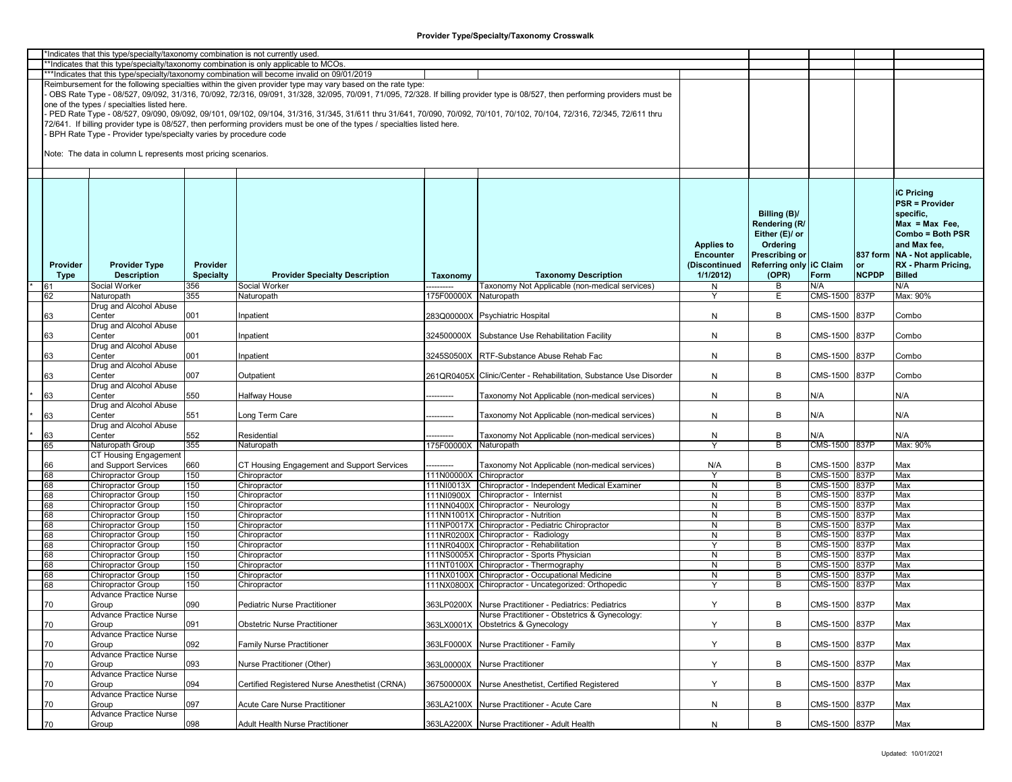|                                                                                      | *Indicates that this type/specialty/taxonomy combination is not currently used |                  |                                                                                                                           |                         |                                                                                                                                                                               |                   |                         |                 |              |                                 |  |
|--------------------------------------------------------------------------------------|--------------------------------------------------------------------------------|------------------|---------------------------------------------------------------------------------------------------------------------------|-------------------------|-------------------------------------------------------------------------------------------------------------------------------------------------------------------------------|-------------------|-------------------------|-----------------|--------------|---------------------------------|--|
| *Indicates that this type/specialty/taxonomy combination is only applicable to MCOs. |                                                                                |                  |                                                                                                                           |                         |                                                                                                                                                                               |                   |                         |                 |              |                                 |  |
|                                                                                      |                                                                                |                  |                                                                                                                           |                         |                                                                                                                                                                               |                   |                         |                 |              |                                 |  |
|                                                                                      |                                                                                |                  | ***Indicates that this type/specialty/taxonomy combination will become invalid on 09/01/2019                              |                         |                                                                                                                                                                               |                   |                         |                 |              |                                 |  |
|                                                                                      |                                                                                |                  | Reimbursement for the following specialties within the given provider type may vary based on the rate type:               |                         |                                                                                                                                                                               |                   |                         |                 |              |                                 |  |
|                                                                                      |                                                                                |                  |                                                                                                                           |                         | OBS Rate Type - 08/527, 09/092, 31/316, 70/092, 72/316, 09/091, 31/328, 32/095, 70/091, 71/095, 72/328. If billing provider type is 08/527, then performing providers must be |                   |                         |                 |              |                                 |  |
|                                                                                      |                                                                                |                  |                                                                                                                           |                         |                                                                                                                                                                               |                   |                         |                 |              |                                 |  |
|                                                                                      | one of the types / specialties listed here.                                    |                  |                                                                                                                           |                         |                                                                                                                                                                               |                   |                         |                 |              |                                 |  |
|                                                                                      |                                                                                |                  |                                                                                                                           |                         | PED Rate Type - 08/527, 09/090, 09/092, 09/101, 09/102, 09/104, 31/316, 31/345, 31/611 thru 31/641, 70/090, 70/092, 70/101, 70/102, 70/104, 72/316, 72/345, 72/611 thru       |                   |                         |                 |              |                                 |  |
|                                                                                      |                                                                                |                  | 72/641. If billing provider type is 08/527, then performing providers must be one of the types / specialties listed here. |                         |                                                                                                                                                                               |                   |                         |                 |              |                                 |  |
|                                                                                      |                                                                                |                  |                                                                                                                           |                         |                                                                                                                                                                               |                   |                         |                 |              |                                 |  |
|                                                                                      | BPH Rate Type - Provider type/specialty varies by procedure code               |                  |                                                                                                                           |                         |                                                                                                                                                                               |                   |                         |                 |              |                                 |  |
|                                                                                      |                                                                                |                  |                                                                                                                           |                         |                                                                                                                                                                               |                   |                         |                 |              |                                 |  |
|                                                                                      | Note: The data in column L represents most pricing scenarios.                  |                  |                                                                                                                           |                         |                                                                                                                                                                               |                   |                         |                 |              |                                 |  |
|                                                                                      |                                                                                |                  |                                                                                                                           |                         |                                                                                                                                                                               |                   |                         |                 |              |                                 |  |
|                                                                                      |                                                                                |                  |                                                                                                                           |                         |                                                                                                                                                                               |                   |                         |                 |              |                                 |  |
|                                                                                      |                                                                                |                  |                                                                                                                           |                         |                                                                                                                                                                               |                   |                         |                 |              |                                 |  |
|                                                                                      |                                                                                |                  |                                                                                                                           |                         |                                                                                                                                                                               |                   |                         |                 |              |                                 |  |
|                                                                                      |                                                                                |                  |                                                                                                                           |                         |                                                                                                                                                                               |                   |                         |                 |              |                                 |  |
|                                                                                      |                                                                                |                  |                                                                                                                           |                         |                                                                                                                                                                               |                   |                         |                 |              | <b>iC Pricing</b>               |  |
|                                                                                      |                                                                                |                  |                                                                                                                           |                         |                                                                                                                                                                               |                   |                         |                 |              | <b>PSR = Provider</b>           |  |
|                                                                                      |                                                                                |                  |                                                                                                                           |                         |                                                                                                                                                                               |                   |                         |                 |              |                                 |  |
|                                                                                      |                                                                                |                  |                                                                                                                           |                         |                                                                                                                                                                               |                   | Billing (B)/            |                 |              | specific,                       |  |
|                                                                                      |                                                                                |                  |                                                                                                                           |                         |                                                                                                                                                                               |                   | Rendering (R/           |                 |              | $Max = Max Free$ .              |  |
|                                                                                      |                                                                                |                  |                                                                                                                           |                         |                                                                                                                                                                               |                   | Either (E)/ or          |                 |              | Combo = Both PSR                |  |
|                                                                                      |                                                                                |                  |                                                                                                                           |                         |                                                                                                                                                                               |                   |                         |                 |              |                                 |  |
|                                                                                      |                                                                                |                  |                                                                                                                           |                         |                                                                                                                                                                               | <b>Applies to</b> | Ordering                |                 |              | and Max fee,                    |  |
|                                                                                      |                                                                                |                  |                                                                                                                           |                         |                                                                                                                                                                               | <b>Encounter</b>  | <b>Prescribing or</b>   |                 |              | 837 form   NA - Not applicable, |  |
|                                                                                      |                                                                                |                  |                                                                                                                           |                         |                                                                                                                                                                               |                   |                         |                 |              |                                 |  |
| Provider                                                                             | <b>Provider Type</b>                                                           | Provider         |                                                                                                                           |                         |                                                                                                                                                                               | (Discontinued     | Referring only IC Claim |                 | or           | RX - Pharm Pricing,             |  |
| Type                                                                                 | <b>Description</b>                                                             | <b>Specialty</b> | <b>Provider Specialty Description</b>                                                                                     | Taxonomy                | <b>Taxonomy Description</b>                                                                                                                                                   | 1/1/2012          | (OPR)                   | Form            | <b>NCPDP</b> | <b>Billed</b>                   |  |
| 61                                                                                   | Social Worker                                                                  | 356              | Social Worker                                                                                                             |                         | <b>Faxonomy Not Applicable (non-medical services)</b>                                                                                                                         |                   | В                       | N/A             |              | N/A                             |  |
|                                                                                      |                                                                                |                  |                                                                                                                           |                         |                                                                                                                                                                               | N                 |                         |                 |              |                                 |  |
| 62                                                                                   | Naturopath                                                                     | 355              | Naturopath                                                                                                                | 175F00000X              | Naturopath                                                                                                                                                                    | Y                 | Е                       | CMS-1500 837P   |              | Max: 90%                        |  |
|                                                                                      | Drug and Alcohol Abuse                                                         |                  |                                                                                                                           |                         |                                                                                                                                                                               |                   |                         |                 |              |                                 |  |
| 63                                                                                   | Center                                                                         | 001              | npatient                                                                                                                  |                         | 283Q00000X Psychiatric Hospital                                                                                                                                               | N                 | В                       | CMS-1500        | 837P         | Combo                           |  |
|                                                                                      |                                                                                |                  |                                                                                                                           |                         |                                                                                                                                                                               |                   |                         |                 |              |                                 |  |
|                                                                                      | Drug and Alcohol Abuse                                                         |                  |                                                                                                                           |                         |                                                                                                                                                                               |                   |                         |                 |              |                                 |  |
| 63                                                                                   | Center                                                                         | 001              | npatient                                                                                                                  |                         | 324500000X Substance Use Rehabilitation Facility                                                                                                                              | N                 | В                       | CMS-1500        | 837P         | Combo                           |  |
|                                                                                      | Drug and Alcohol Abuse                                                         |                  |                                                                                                                           |                         |                                                                                                                                                                               |                   |                         |                 |              |                                 |  |
|                                                                                      |                                                                                |                  |                                                                                                                           |                         |                                                                                                                                                                               |                   |                         |                 |              |                                 |  |
| 63                                                                                   | Center                                                                         | 001              | Inpatient                                                                                                                 |                         | 3245S0500X RTF-Substance Abuse Rehab Fac                                                                                                                                      | N                 | В                       | CMS-1500        | 837P         | Combo                           |  |
|                                                                                      | Drug and Alcohol Abuse                                                         |                  |                                                                                                                           |                         |                                                                                                                                                                               |                   |                         |                 |              |                                 |  |
| 63                                                                                   | Center                                                                         | 007              | Outpatient                                                                                                                |                         | 261QR0405X Clinic/Center - Rehabilitation, Substance Use Disorder                                                                                                             | N                 | B                       | CMS-1500        | 837P         | Combo                           |  |
|                                                                                      |                                                                                |                  |                                                                                                                           |                         |                                                                                                                                                                               |                   |                         |                 |              |                                 |  |
|                                                                                      | Drug and Alcohol Abuse                                                         |                  |                                                                                                                           |                         |                                                                                                                                                                               |                   |                         |                 |              |                                 |  |
| 63                                                                                   | Center                                                                         | 550              | <b>Halfway House</b>                                                                                                      | ---------               | Taxonomy Not Applicable (non-medical services)                                                                                                                                | N                 | В                       | N/A             |              | N/A                             |  |
|                                                                                      | Drug and Alcohol Abuse                                                         |                  |                                                                                                                           |                         |                                                                                                                                                                               |                   |                         |                 |              |                                 |  |
|                                                                                      | Center                                                                         | 551              | Long Term Care                                                                                                            |                         |                                                                                                                                                                               |                   | B                       | N/A             |              | N/A                             |  |
| 63                                                                                   |                                                                                |                  |                                                                                                                           | --------                | Taxonomy Not Applicable (non-medical services)                                                                                                                                | N                 |                         |                 |              |                                 |  |
|                                                                                      | Drug and Alcohol Abuse                                                         |                  |                                                                                                                           |                         |                                                                                                                                                                               |                   |                         |                 |              |                                 |  |
| 63                                                                                   | Center                                                                         | 552              | Residential                                                                                                               |                         | Taxonomy Not Applicable (non-medical services)                                                                                                                                | N                 | В                       | N/A             |              | N/A                             |  |
| 65                                                                                   | Naturopath Group                                                               | 355              | Naturopath                                                                                                                |                         | Naturopath                                                                                                                                                                    | $\mathsf{v}$      | B                       | <b>CMS-1500</b> | 837P         | Max: 90%                        |  |
|                                                                                      |                                                                                |                  |                                                                                                                           | 175F00000X              |                                                                                                                                                                               |                   |                         |                 |              |                                 |  |
|                                                                                      | CT Housing Engagement                                                          |                  |                                                                                                                           |                         |                                                                                                                                                                               |                   |                         |                 |              |                                 |  |
| 66                                                                                   | and Support Services                                                           | 660              | CT Housing Engagement and Support Services                                                                                |                         | Taxonomy Not Applicable (non-medical services)                                                                                                                                | N/A               | В                       | CMS-1500        | 837P         | Max                             |  |
| 68                                                                                   |                                                                                | 150              | Chiropractor                                                                                                              | 111N00000X Chiropractor |                                                                                                                                                                               | Y                 | B                       | CMS-1500 837P   |              | Max                             |  |
|                                                                                      | Chiropractor Group                                                             |                  |                                                                                                                           |                         |                                                                                                                                                                               |                   |                         |                 |              |                                 |  |
| 68                                                                                   | Chiropractor Group                                                             | 150              | Chiropractor                                                                                                              |                         | 111NI0013X Chiropractor - Independent Medical Examiner                                                                                                                        | N                 | В                       | CMS-1500        | 837P         | Max                             |  |
| 68                                                                                   | Chiropractor Group                                                             | 150              | Chiropractor                                                                                                              | 111NI0900X              | Chiropractor - Internist                                                                                                                                                      | N                 | В                       | CMS-1500        | 837P         | Max                             |  |
| 68                                                                                   | Chiropractor Group                                                             | 150              | Chiropractor                                                                                                              |                         | 111NN0400X Chiropractor - Neurology                                                                                                                                           | N                 | В                       | CMS-1500        | 837P         | Max                             |  |
|                                                                                      |                                                                                |                  |                                                                                                                           |                         |                                                                                                                                                                               |                   |                         |                 |              |                                 |  |
| 68                                                                                   | Chiropractor Group                                                             | 150              | Chiropractor                                                                                                              |                         | 111NN1001X Chiropractor - Nutrition                                                                                                                                           | N                 | В                       | CMS-1500 837P   |              | Max                             |  |
| 68                                                                                   | Chiropractor Group                                                             | 150              | Chiropractor                                                                                                              |                         | 111NP0017X Chiropractor - Pediatric Chiropractor                                                                                                                              | N                 | В                       | CMS-1500        | 837P         | Max                             |  |
| 68                                                                                   | Chiropractor Group                                                             | 150              | Chiropractor                                                                                                              |                         | 111NR0200X Chiropractor - Radiology                                                                                                                                           | N                 | В                       | CMS-1500        | 837P         | Max                             |  |
| 68                                                                                   | <b>Chiropractor Group</b>                                                      | 150              | Chiropractor                                                                                                              |                         | 111NR0400X Chiropractor - Rehabilitation                                                                                                                                      | Y                 | В                       | CMS-1500        | 837P         | Max                             |  |
|                                                                                      |                                                                                |                  |                                                                                                                           |                         |                                                                                                                                                                               |                   |                         |                 |              |                                 |  |
| 68                                                                                   | Chiropractor Group                                                             | 150              | Chiropractor                                                                                                              |                         | 111NS0005X Chiropractor - Sports Physician                                                                                                                                    | N                 | В                       | CMS-1500        | 837P         | Max                             |  |
| 68                                                                                   | Chiropractor Group                                                             | 150              | Chiropractor                                                                                                              |                         | 111NT0100X Chiropractor - Thermography                                                                                                                                        | N                 | В                       | CMS-1500        | 837P         | Max                             |  |
| 68                                                                                   | <b>Chiropractor Group</b>                                                      | 150              | Chiropractor                                                                                                              |                         | 111NX0100X Chiropractor - Occupational Medicine                                                                                                                               | N                 | B                       | CMS-1500        | 837P         | Max                             |  |
| 68                                                                                   | Chiropractor Group                                                             | 150              | Chiropractor                                                                                                              |                         | 111NX0800X Chiropractor - Uncategorized: Orthopedic                                                                                                                           | Y                 | B                       | CMS-1500        | 837P         | Max                             |  |
|                                                                                      |                                                                                |                  |                                                                                                                           |                         |                                                                                                                                                                               |                   |                         |                 |              |                                 |  |
|                                                                                      | <b>Advance Practice Nurse</b>                                                  |                  |                                                                                                                           |                         |                                                                                                                                                                               |                   |                         |                 |              |                                 |  |
| 70                                                                                   | Group                                                                          | 090              | Pediatric Nurse Practitioner                                                                                              |                         | 363LP0200X Nurse Practitioner - Pediatrics: Pediatrics                                                                                                                        | Y                 | В                       | CMS-1500        | 837P         | Max                             |  |
|                                                                                      | Advance Practice Nurse                                                         |                  |                                                                                                                           |                         | Nurse Practitioner - Obstetrics & Gynecology:                                                                                                                                 |                   |                         |                 |              |                                 |  |
|                                                                                      |                                                                                |                  |                                                                                                                           |                         |                                                                                                                                                                               |                   |                         |                 |              |                                 |  |
| 70                                                                                   | Group                                                                          | 091              | <b>Obstetric Nurse Practitioner</b>                                                                                       |                         | 363LX0001X Obstetrics & Gynecology                                                                                                                                            | Y                 | B                       | CMS-1500 837P   |              | Max                             |  |
|                                                                                      | Advance Practice Nurse                                                         |                  |                                                                                                                           |                         |                                                                                                                                                                               |                   |                         |                 |              |                                 |  |
| 70                                                                                   | Group                                                                          | 092              | <b>Family Nurse Practitioner</b>                                                                                          |                         | 363LF0000X Nurse Practitioner - Family                                                                                                                                        | Y                 | В                       | CMS-1500        | 837P         | Max                             |  |
|                                                                                      |                                                                                |                  |                                                                                                                           |                         |                                                                                                                                                                               |                   |                         |                 |              |                                 |  |
|                                                                                      | Advance Practice Nurse                                                         |                  |                                                                                                                           |                         |                                                                                                                                                                               |                   |                         |                 |              |                                 |  |
| 70                                                                                   | Group                                                                          | 093              | Nurse Practitioner (Other)                                                                                                |                         | 363L00000X Nurse Practitioner                                                                                                                                                 | Υ                 | В                       | CMS-1500 837P   |              | Max                             |  |
|                                                                                      | Advance Practice Nurse                                                         |                  |                                                                                                                           |                         |                                                                                                                                                                               |                   |                         |                 |              |                                 |  |
|                                                                                      |                                                                                |                  |                                                                                                                           |                         |                                                                                                                                                                               |                   |                         |                 |              |                                 |  |
| 70                                                                                   | Group                                                                          | 094              | Certified Registered Nurse Anesthetist (CRNA)                                                                             |                         | 367500000X Nurse Anesthetist, Certified Registered                                                                                                                            | Y                 | В                       | CMS-1500 837P   |              | Max                             |  |
|                                                                                      | Advance Practice Nurse                                                         |                  |                                                                                                                           |                         |                                                                                                                                                                               |                   |                         |                 |              |                                 |  |
| 70                                                                                   | Group                                                                          | 097              | Acute Care Nurse Practitioner                                                                                             |                         | 363LA2100X Nurse Practitioner - Acute Care                                                                                                                                    | ${\sf N}$         | В                       | CMS-1500 837P   |              | Max                             |  |
|                                                                                      |                                                                                |                  |                                                                                                                           |                         |                                                                                                                                                                               |                   |                         |                 |              |                                 |  |
|                                                                                      | Advance Practice Nurse                                                         |                  |                                                                                                                           |                         |                                                                                                                                                                               |                   |                         |                 |              |                                 |  |
| 70                                                                                   | Group                                                                          | 098              | Adult Health Nurse Practitioner                                                                                           |                         | 363LA2200X Nurse Practitioner - Adult Health                                                                                                                                  | N                 | B                       | CMS-1500 837P   |              | Max                             |  |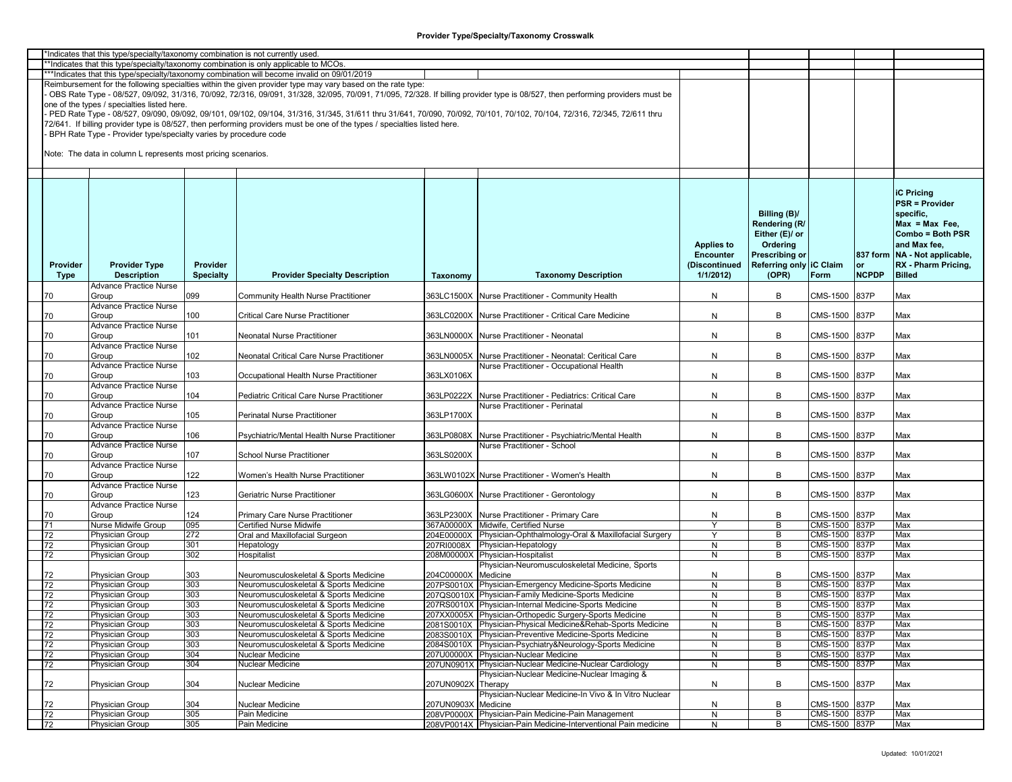| *Indicates that this type/specialty/taxonomy combination is not currently used. |          |                                                                  |                  |                                                                                                                                                                         |                     |                                                                                                                                                                               |                   |                         |                 |              |                                 |
|---------------------------------------------------------------------------------|----------|------------------------------------------------------------------|------------------|-------------------------------------------------------------------------------------------------------------------------------------------------------------------------|---------------------|-------------------------------------------------------------------------------------------------------------------------------------------------------------------------------|-------------------|-------------------------|-----------------|--------------|---------------------------------|
|                                                                                 |          |                                                                  |                  | *Indicates that this type/specialty/taxonomy combination is only applicable to MCOs.                                                                                    |                     |                                                                                                                                                                               |                   |                         |                 |              |                                 |
|                                                                                 |          |                                                                  |                  | ***Indicates that this type/specialty/taxonomy combination will become invalid on 09/01/2019                                                                            |                     |                                                                                                                                                                               |                   |                         |                 |              |                                 |
|                                                                                 |          |                                                                  |                  | Reimbursement for the following specialties within the given provider type may vary based on the rate type:                                                             |                     |                                                                                                                                                                               |                   |                         |                 |              |                                 |
|                                                                                 |          |                                                                  |                  |                                                                                                                                                                         |                     |                                                                                                                                                                               |                   |                         |                 |              |                                 |
|                                                                                 |          |                                                                  |                  |                                                                                                                                                                         |                     | OBS Rate Type - 08/527, 09/092, 31/316, 70/092, 72/316, 09/091, 31/328, 32/095, 70/091, 71/095, 72/328. If billing provider type is 08/527, then performing providers must be |                   |                         |                 |              |                                 |
|                                                                                 |          | one of the types / specialties listed here.                      |                  |                                                                                                                                                                         |                     |                                                                                                                                                                               |                   |                         |                 |              |                                 |
|                                                                                 |          |                                                                  |                  | PED Rate Type - 08/527, 09/090, 09/092, 09/101, 09/102, 09/104, 31/316, 31/345, 31/611 thru 31/641, 70/090, 70/092, 70/101, 70/102, 70/104, 72/316, 72/345, 72/611 thru |                     |                                                                                                                                                                               |                   |                         |                 |              |                                 |
|                                                                                 |          |                                                                  |                  | 72/641. If billing provider type is 08/527, then performing providers must be one of the types / specialties listed here.                                               |                     |                                                                                                                                                                               |                   |                         |                 |              |                                 |
|                                                                                 |          |                                                                  |                  |                                                                                                                                                                         |                     |                                                                                                                                                                               |                   |                         |                 |              |                                 |
|                                                                                 |          | BPH Rate Type - Provider type/specialty varies by procedure code |                  |                                                                                                                                                                         |                     |                                                                                                                                                                               |                   |                         |                 |              |                                 |
|                                                                                 |          |                                                                  |                  |                                                                                                                                                                         |                     |                                                                                                                                                                               |                   |                         |                 |              |                                 |
|                                                                                 |          | Note: The data in column L represents most pricing scenarios.    |                  |                                                                                                                                                                         |                     |                                                                                                                                                                               |                   |                         |                 |              |                                 |
|                                                                                 |          |                                                                  |                  |                                                                                                                                                                         |                     |                                                                                                                                                                               |                   |                         |                 |              |                                 |
|                                                                                 |          |                                                                  |                  |                                                                                                                                                                         |                     |                                                                                                                                                                               |                   |                         |                 |              |                                 |
|                                                                                 |          |                                                                  |                  |                                                                                                                                                                         |                     |                                                                                                                                                                               |                   |                         |                 |              |                                 |
|                                                                                 |          |                                                                  |                  |                                                                                                                                                                         |                     |                                                                                                                                                                               |                   |                         |                 |              |                                 |
|                                                                                 |          |                                                                  |                  |                                                                                                                                                                         |                     |                                                                                                                                                                               |                   |                         |                 |              | <b>iC Pricing</b>               |
|                                                                                 |          |                                                                  |                  |                                                                                                                                                                         |                     |                                                                                                                                                                               |                   |                         |                 |              | <b>PSR = Provider</b>           |
|                                                                                 |          |                                                                  |                  |                                                                                                                                                                         |                     |                                                                                                                                                                               |                   |                         |                 |              |                                 |
|                                                                                 |          |                                                                  |                  |                                                                                                                                                                         |                     |                                                                                                                                                                               |                   | Billing (B)/            |                 |              | specific,                       |
|                                                                                 |          |                                                                  |                  |                                                                                                                                                                         |                     |                                                                                                                                                                               |                   | Rendering (R/           |                 |              | $Max = Max Free$                |
|                                                                                 |          |                                                                  |                  |                                                                                                                                                                         |                     |                                                                                                                                                                               |                   | Either (E)/ or          |                 |              | Combo = Both PSR                |
|                                                                                 |          |                                                                  |                  |                                                                                                                                                                         |                     |                                                                                                                                                                               | <b>Applies to</b> | Ordering                |                 |              | and Max fee,                    |
|                                                                                 |          |                                                                  |                  |                                                                                                                                                                         |                     |                                                                                                                                                                               |                   |                         |                 |              |                                 |
|                                                                                 |          |                                                                  |                  |                                                                                                                                                                         |                     |                                                                                                                                                                               | <b>Encounter</b>  | <b>Prescribing or</b>   |                 |              | 837 form   NA - Not applicable, |
|                                                                                 | Provider | <b>Provider Type</b>                                             | Provider         |                                                                                                                                                                         |                     |                                                                                                                                                                               | (Discontinued     | Referring only IC Claim |                 | or           | RX - Pharm Pricing,             |
|                                                                                 | Type     | <b>Description</b>                                               | <b>Specialty</b> | <b>Provider Specialty Description</b>                                                                                                                                   | Taxonomy            | <b>Taxonomy Description</b>                                                                                                                                                   | 1/1/2012          | (OPR)                   | Form            | <b>NCPDP</b> | <b>Billed</b>                   |
|                                                                                 |          | <b>Advance Practice Nurse</b>                                    |                  |                                                                                                                                                                         |                     |                                                                                                                                                                               |                   |                         |                 |              |                                 |
|                                                                                 |          | Group                                                            | 099              |                                                                                                                                                                         |                     |                                                                                                                                                                               | N                 | В                       |                 |              |                                 |
|                                                                                 | 70       |                                                                  |                  | Community Health Nurse Practitioner                                                                                                                                     |                     | 363LC1500X Nurse Practitioner - Community Health                                                                                                                              |                   |                         | CMS-1500        | 837P         | Max                             |
|                                                                                 |          | <b>Advance Practice Nurse</b>                                    |                  |                                                                                                                                                                         |                     |                                                                                                                                                                               |                   |                         |                 |              |                                 |
|                                                                                 | 70       | Group                                                            | 100              | <b>Critical Care Nurse Practitioner</b>                                                                                                                                 |                     | 363LC0200X Nurse Practitioner - Critical Care Medicine                                                                                                                        | N                 | B                       | CMS-1500        | 837P         | Max                             |
|                                                                                 |          | Advance Practice Nurse                                           |                  |                                                                                                                                                                         |                     |                                                                                                                                                                               |                   |                         |                 |              |                                 |
|                                                                                 |          | Group                                                            | 101              | Neonatal Nurse Practitioner                                                                                                                                             |                     | 363LN0000X Nurse Practitioner - Neonatal                                                                                                                                      | N                 | В                       | CMS-1500        | 837P         | Max                             |
|                                                                                 | 70       |                                                                  |                  |                                                                                                                                                                         |                     |                                                                                                                                                                               |                   |                         |                 |              |                                 |
|                                                                                 |          | <b>Advance Practice Nurse</b>                                    |                  |                                                                                                                                                                         |                     |                                                                                                                                                                               |                   |                         |                 |              |                                 |
|                                                                                 | 70       | Group                                                            | 102              | Neonatal Critical Care Nurse Practitioner                                                                                                                               |                     | 363LN0005X Nurse Practitioner - Neonatal: Ceritical Care                                                                                                                      | N                 | B                       | CMS-1500        | 837P         | Max                             |
|                                                                                 |          | <b>Advance Practice Nurse</b>                                    |                  |                                                                                                                                                                         |                     | Nurse Practitioner - Occupational Health                                                                                                                                      |                   |                         |                 |              |                                 |
|                                                                                 | 70       | Group                                                            | 103              | Occupational Health Nurse Practitioner                                                                                                                                  | 363LX0106X          |                                                                                                                                                                               | N                 | B                       | CMS-1500        | 837P         | Max                             |
|                                                                                 |          |                                                                  |                  |                                                                                                                                                                         |                     |                                                                                                                                                                               |                   |                         |                 |              |                                 |
|                                                                                 |          | Advance Practice Nurse                                           |                  |                                                                                                                                                                         |                     |                                                                                                                                                                               |                   |                         |                 |              |                                 |
|                                                                                 | 70       | Group                                                            | 104              | Pediatric Critical Care Nurse Practitioner                                                                                                                              | 363LP0222X          | Nurse Practitioner - Pediatrics: Critical Care                                                                                                                                | N                 | В                       | CMS-1500        | 837P         | Max                             |
|                                                                                 |          | Advance Practice Nurse                                           |                  |                                                                                                                                                                         |                     | Nurse Practitioner - Perinatal                                                                                                                                                |                   |                         |                 |              |                                 |
|                                                                                 | 70       | Group                                                            | 105              | Perinatal Nurse Practitioner                                                                                                                                            | 363LP1700X          |                                                                                                                                                                               | N                 | B                       | CMS-1500        | 837P         | Max                             |
|                                                                                 |          | Advance Practice Nurse                                           |                  |                                                                                                                                                                         |                     |                                                                                                                                                                               |                   |                         |                 |              |                                 |
|                                                                                 |          |                                                                  |                  |                                                                                                                                                                         |                     |                                                                                                                                                                               |                   |                         |                 |              |                                 |
|                                                                                 | 70       | Group                                                            | 106              | Psychiatric/Mental Health Nurse Practitioner                                                                                                                            |                     | 363LP0808X Nurse Practitioner - Psychiatric/Mental Health                                                                                                                     | N                 | В                       | CMS-1500        | 837P         | Max                             |
|                                                                                 |          | Advance Practice Nurse                                           |                  |                                                                                                                                                                         |                     | Nurse Practitioner - School                                                                                                                                                   |                   |                         |                 |              |                                 |
|                                                                                 | 70       | Group                                                            | 107              | School Nurse Practitioner                                                                                                                                               | 363LS0200X          |                                                                                                                                                                               | $\mathsf{N}$      | B                       | CMS-1500        | 837P         | Max                             |
|                                                                                 |          | <b>Advance Practice Nurse</b>                                    |                  |                                                                                                                                                                         |                     |                                                                                                                                                                               |                   |                         |                 |              |                                 |
|                                                                                 |          |                                                                  |                  |                                                                                                                                                                         |                     |                                                                                                                                                                               |                   |                         |                 |              |                                 |
|                                                                                 | 70       | Group                                                            | 122              | Women's Health Nurse Practitioner                                                                                                                                       |                     | 363LW0102X Nurse Practitioner - Women's Health                                                                                                                                | N                 | B                       | CMS-1500        | 837P         | Max                             |
|                                                                                 |          | Advance Practice Nurse                                           |                  |                                                                                                                                                                         |                     |                                                                                                                                                                               |                   |                         |                 |              |                                 |
|                                                                                 | 70       | Group                                                            | 123              | Geriatric Nurse Practitioner                                                                                                                                            |                     | 363LG0600X Nurse Practitioner - Gerontology                                                                                                                                   | N                 | В                       | CMS-1500        | 837P         | Max                             |
|                                                                                 |          | Advance Practice Nurse                                           |                  |                                                                                                                                                                         |                     |                                                                                                                                                                               |                   |                         |                 |              |                                 |
|                                                                                 | 70       | Group                                                            | 124              | Primary Care Nurse Practitioner                                                                                                                                         |                     | 363LP2300X Nurse Practitioner - Primary Care                                                                                                                                  | N                 | В                       | CMS-1500        | 837P         | Max                             |
|                                                                                 |          | Nurse Midwife Group                                              | 095              | <b>Certified Nurse Midwife</b>                                                                                                                                          |                     | 367A00000X Midwife, Certified Nurse                                                                                                                                           | Y                 | В                       | CMS-1500 837P   |              | Max                             |
|                                                                                 | 71       |                                                                  |                  |                                                                                                                                                                         |                     |                                                                                                                                                                               |                   |                         |                 |              |                                 |
|                                                                                 | 72       | Physician Group                                                  | 272              | Oral and Maxillofacial Surgeon                                                                                                                                          |                     | 204E00000X Physician-Ophthalmology-Oral & Maxillofacial Surgery                                                                                                               | Y                 | В                       | CMS-1500        | 837P         | Max                             |
|                                                                                 | 72       | Physician Group                                                  | 301              | Hepatology                                                                                                                                                              | 207RI0008X          | Physician-Hepatology                                                                                                                                                          | ${\sf N}$         | В                       | CMS-1500        | 837P         | Max                             |
|                                                                                 | 72       | Physician Group                                                  | 302              | Hospitalist                                                                                                                                                             |                     | 208M00000X Physician-Hospitalist                                                                                                                                              | N                 | B                       | <b>CMS-1500</b> | 837P         | Max                             |
|                                                                                 |          |                                                                  |                  |                                                                                                                                                                         |                     | Physician-Neuromusculoskeletal Medicine, Sports                                                                                                                               |                   |                         |                 |              |                                 |
|                                                                                 |          |                                                                  |                  |                                                                                                                                                                         |                     |                                                                                                                                                                               |                   |                         |                 |              |                                 |
|                                                                                 | 72       | Physician Group                                                  | 303              | Neuromusculoskeletal & Sports Medicine                                                                                                                                  | 204C00000X Medicine |                                                                                                                                                                               | N                 | В                       | CMS-1500        | 837P         | Max                             |
|                                                                                 | 72       | <b>Physician Group</b>                                           | 303              | Neuromusculoskeletal & Sports Medicine                                                                                                                                  |                     | 207PS0010X Physician-Emergency Medicine-Sports Medicine                                                                                                                       | N                 | В                       | CMS-1500 837P   |              | Max                             |
|                                                                                 | 72       | Physician Group                                                  | 303              | Neuromusculoskeletal & Sports Medicine                                                                                                                                  |                     | 207QS0010X Physician-Family Medicine-Sports Medicine                                                                                                                          | N                 | B                       | CMS-1500 837P   |              | Max                             |
|                                                                                 | 72       | Physician Group                                                  | 303              | Neuromusculoskeletal & Sports Medicine                                                                                                                                  |                     | 207RS0010X Physician-Internal Medicine-Sports Medicine                                                                                                                        | N                 | В                       | CMS-1500 837P   |              | Max                             |
|                                                                                 | 72       | <b>Physician Group</b>                                           | 303              | Neuromusculoskeletal & Sports Medicine                                                                                                                                  |                     | 207XX0005X Physician-Orthopedic Surgery-Sports Medicine                                                                                                                       | N                 | В                       | CMS-1500 837P   |              | Max                             |
|                                                                                 |          |                                                                  |                  |                                                                                                                                                                         |                     |                                                                                                                                                                               |                   |                         |                 |              |                                 |
|                                                                                 | 72       | Physician Group                                                  | 303              | Neuromusculoskeletal & Sports Medicine                                                                                                                                  |                     | 2081S0010X Physician-Physical Medicine&Rehab-Sports Medicine                                                                                                                  | N                 | В                       | CMS-1500 837P   |              | Max                             |
|                                                                                 | 72       | <b>Physician Group</b>                                           | 303              | Neuromusculoskeletal & Sports Medicine                                                                                                                                  |                     | 2083S0010X Physician-Preventive Medicine-Sports Medicine                                                                                                                      | $\mathsf{N}$      | В                       | CMS-1500 837P   |              | Max                             |
|                                                                                 | 72       | Physician Group                                                  | 303              | Neuromusculoskeletal & Sports Medicine                                                                                                                                  |                     | 2084S0010X Physician-Psychiatry&Neurology-Sports Medicine                                                                                                                     | $\overline{N}$    | B                       | CMS-1500 837P   |              | Max                             |
|                                                                                 | 72       | <b>Physician Group</b>                                           | 304              | Nuclear Medicine                                                                                                                                                        |                     | 207U00000X Physician-Nuclear Medicine                                                                                                                                         | $\mathsf{N}$      | B                       | CMS-1500 837P   |              | Max                             |
|                                                                                 |          |                                                                  |                  |                                                                                                                                                                         |                     |                                                                                                                                                                               |                   |                         |                 |              |                                 |
|                                                                                 | 72       | Physician Group                                                  | 304              | Nuclear Medicine                                                                                                                                                        |                     | 207UN0901X Physician-Nuclear Medicine-Nuclear Cardiology                                                                                                                      | N                 | В                       | CMS-1500 837P   |              | Max                             |
|                                                                                 |          |                                                                  |                  |                                                                                                                                                                         |                     | Physician-Nuclear Medicine-Nuclear Imaging &                                                                                                                                  |                   |                         |                 |              |                                 |
|                                                                                 | 72       | <b>Physician Group</b>                                           | 304              | Nuclear Medicine                                                                                                                                                        | 207UN0902X Therapy  |                                                                                                                                                                               | N                 | B                       | CMS-1500 837P   |              | Max                             |
|                                                                                 |          |                                                                  |                  |                                                                                                                                                                         |                     | Physician-Nuclear Medicine-In Vivo & In Vitro Nuclear                                                                                                                         |                   |                         |                 |              |                                 |
|                                                                                 |          | Physician Group                                                  | 304              | Nuclear Medicine                                                                                                                                                        | 207UN0903X Medicine |                                                                                                                                                                               |                   | В                       | CMS-1500 837P   |              | Max                             |
|                                                                                 | 72       |                                                                  |                  |                                                                                                                                                                         |                     |                                                                                                                                                                               | N                 |                         |                 |              |                                 |
|                                                                                 | 72       | Physician Group                                                  | 305              | Pain Medicine                                                                                                                                                           |                     | 208VP0000X Physician-Pain Medicine-Pain Management                                                                                                                            | ${\sf N}$         | В                       | CMS-1500 837P   |              | Max                             |
|                                                                                 | 72       | Physician Group                                                  | 305              | Pain Medicine                                                                                                                                                           |                     | 208VP0014X Physician-Pain Medicine-Interventional Pain medicine                                                                                                               | N                 | B                       | CMS-1500 837P   |              | Max                             |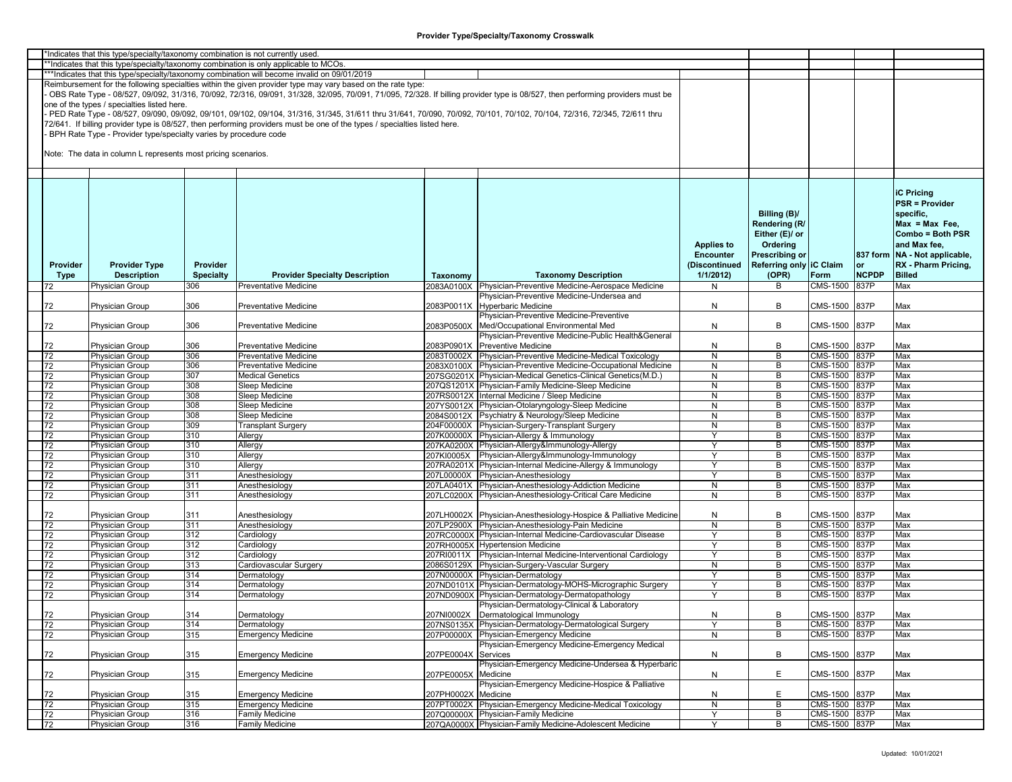|                 | *Indicates that this type/specialty/taxonomy combination is not currently used |                  |                                                                                                                                                                         |                     |                                                                                                                                                                               |                   |                         |               |              |                                 |
|-----------------|--------------------------------------------------------------------------------|------------------|-------------------------------------------------------------------------------------------------------------------------------------------------------------------------|---------------------|-------------------------------------------------------------------------------------------------------------------------------------------------------------------------------|-------------------|-------------------------|---------------|--------------|---------------------------------|
|                 |                                                                                |                  | **Indicates that this type/specialty/taxonomy combination is only applicable to MCOs.                                                                                   |                     |                                                                                                                                                                               |                   |                         |               |              |                                 |
|                 |                                                                                |                  | ***Indicates that this type/specialty/taxonomy combination will become invalid on 09/01/2019                                                                            |                     |                                                                                                                                                                               |                   |                         |               |              |                                 |
|                 |                                                                                |                  |                                                                                                                                                                         |                     |                                                                                                                                                                               |                   |                         |               |              |                                 |
|                 |                                                                                |                  | Reimbursement for the following specialties within the given provider type may vary based on the rate type:                                                             |                     |                                                                                                                                                                               |                   |                         |               |              |                                 |
|                 |                                                                                |                  |                                                                                                                                                                         |                     | OBS Rate Type - 08/527, 09/092, 31/316, 70/092, 72/316, 09/091, 31/328, 32/095, 70/091, 71/095, 72/328. If billing provider type is 08/527, then performing providers must be |                   |                         |               |              |                                 |
|                 | one of the types / specialties listed here.                                    |                  |                                                                                                                                                                         |                     |                                                                                                                                                                               |                   |                         |               |              |                                 |
|                 |                                                                                |                  | PED Rate Type - 08/527, 09/090, 09/092, 09/101, 09/102, 09/104, 31/316, 31/345, 31/611 thru 31/641, 70/090, 70/092, 70/101, 70/102, 70/104, 72/316, 72/345, 72/611 thru |                     |                                                                                                                                                                               |                   |                         |               |              |                                 |
|                 |                                                                                |                  | 72/641. If billing provider type is 08/527, then performing providers must be one of the types / specialties listed here.                                               |                     |                                                                                                                                                                               |                   |                         |               |              |                                 |
|                 |                                                                                |                  |                                                                                                                                                                         |                     |                                                                                                                                                                               |                   |                         |               |              |                                 |
|                 | BPH Rate Type - Provider type/specialty varies by procedure code               |                  |                                                                                                                                                                         |                     |                                                                                                                                                                               |                   |                         |               |              |                                 |
|                 |                                                                                |                  |                                                                                                                                                                         |                     |                                                                                                                                                                               |                   |                         |               |              |                                 |
|                 | Note: The data in column L represents most pricing scenarios.                  |                  |                                                                                                                                                                         |                     |                                                                                                                                                                               |                   |                         |               |              |                                 |
|                 |                                                                                |                  |                                                                                                                                                                         |                     |                                                                                                                                                                               |                   |                         |               |              |                                 |
|                 |                                                                                |                  |                                                                                                                                                                         |                     |                                                                                                                                                                               |                   |                         |               |              |                                 |
|                 |                                                                                |                  |                                                                                                                                                                         |                     |                                                                                                                                                                               |                   |                         |               |              |                                 |
|                 |                                                                                |                  |                                                                                                                                                                         |                     |                                                                                                                                                                               |                   |                         |               |              |                                 |
|                 |                                                                                |                  |                                                                                                                                                                         |                     |                                                                                                                                                                               |                   |                         |               |              | <b>iC Pricing</b>               |
|                 |                                                                                |                  |                                                                                                                                                                         |                     |                                                                                                                                                                               |                   |                         |               |              | <b>PSR = Provider</b>           |
|                 |                                                                                |                  |                                                                                                                                                                         |                     |                                                                                                                                                                               |                   | Billing (B)/            |               |              | specific.                       |
|                 |                                                                                |                  |                                                                                                                                                                         |                     |                                                                                                                                                                               |                   |                         |               |              |                                 |
|                 |                                                                                |                  |                                                                                                                                                                         |                     |                                                                                                                                                                               |                   | Rendering (R/           |               |              | $Max = Max Free$                |
|                 |                                                                                |                  |                                                                                                                                                                         |                     |                                                                                                                                                                               |                   | Either (E)/ or          |               |              | Combo = Both PSR                |
|                 |                                                                                |                  |                                                                                                                                                                         |                     |                                                                                                                                                                               | <b>Applies to</b> | Ordering                |               |              | and Max fee,                    |
|                 |                                                                                |                  |                                                                                                                                                                         |                     |                                                                                                                                                                               | <b>Encounter</b>  | <b>Prescribing or</b>   |               |              | 837 form   NA - Not applicable, |
|                 |                                                                                |                  |                                                                                                                                                                         |                     |                                                                                                                                                                               |                   |                         |               |              |                                 |
| Provider        | <b>Provider Type</b>                                                           | Provider         |                                                                                                                                                                         |                     |                                                                                                                                                                               | (Discontinued     | Referring only IC Claim |               | or           | RX - Pharm Pricing,             |
| Type            | <b>Description</b>                                                             | <b>Specialty</b> | <b>Provider Specialty Description</b>                                                                                                                                   | Taxonomy            | <b>Taxonomy Description</b>                                                                                                                                                   | 1/1/2012          | (OPR)                   | Form          | <b>NCPDP</b> | <b>Billed</b>                   |
| 72              | Physician Group                                                                | 306              | Preventative Medicine                                                                                                                                                   |                     | 2083A0100X Physician-Preventive Medicine-Aerospace Medicine                                                                                                                   | N                 | В                       | CMS-1500      | 837P         | Max                             |
|                 |                                                                                |                  |                                                                                                                                                                         |                     | Physician-Preventive Medicine-Undersea and                                                                                                                                    |                   |                         |               |              |                                 |
| 72              | Physician Group                                                                | 306              | <b>Preventative Medicine</b>                                                                                                                                            |                     | 2083P0011X Hyperbaric Medicine                                                                                                                                                | N                 | B                       | CMS-1500      | 837P         | Max                             |
|                 |                                                                                |                  |                                                                                                                                                                         |                     |                                                                                                                                                                               |                   |                         |               |              |                                 |
|                 |                                                                                |                  |                                                                                                                                                                         |                     | Physician-Preventive Medicine-Preventive                                                                                                                                      |                   |                         |               |              |                                 |
| 72              | Physician Group                                                                | 306              | <b>Preventative Medicine</b>                                                                                                                                            |                     | 2083P0500X Med/Occupational Environmental Med                                                                                                                                 | N                 | В                       | CMS-1500      | 837P         | Max                             |
|                 |                                                                                |                  |                                                                                                                                                                         |                     | Physician-Preventive Medicine-Public Health&General                                                                                                                           |                   |                         |               |              |                                 |
| 72              | Physician Group                                                                | 306              | <b>Preventative Medicine</b>                                                                                                                                            |                     | 2083P0901X Preventive Medicine                                                                                                                                                | N                 | В                       | CMS-1500      | 837P         | Max                             |
|                 |                                                                                | 306              | <b>Preventative Medicine</b>                                                                                                                                            |                     |                                                                                                                                                                               | N                 | В                       |               |              | Max                             |
| 72              | Physician Group                                                                |                  |                                                                                                                                                                         |                     | 2083T0002X Physician-Preventive Medicine-Medical Toxicology                                                                                                                   |                   |                         | CMS-1500 837P |              |                                 |
| 72              | <b>Physician Group</b>                                                         | 306              | <b>Preventative Medicine</b>                                                                                                                                            |                     | 2083X0100X Physician-Preventive Medicine-Occupational Medicine                                                                                                                | N                 | B                       | CMS-1500 837P |              | Max                             |
| 72              | <b>Physician Group</b>                                                         | 307              | <b>Medical Genetics</b>                                                                                                                                                 |                     | 207SG0201X Physician-Medical Genetics-Clinical Genetics(M.D.)                                                                                                                 | N                 | B                       | CMS-1500      | 837P         | Max                             |
| 72              | Physician Group                                                                | 308              | Sleep Medicine                                                                                                                                                          |                     | 207QS1201X Physician-Family Medicine-Sleep Medicine                                                                                                                           | N                 | В                       | CMS-1500      | 837P         | Max                             |
| 72              | Physician Group                                                                | 308              | Sleep Medicine                                                                                                                                                          |                     | 207RS0012X Internal Medicine / Sleep Medicine                                                                                                                                 | N                 | В                       | CMS-1500      | 837P         | Max                             |
|                 |                                                                                |                  |                                                                                                                                                                         |                     |                                                                                                                                                                               |                   |                         |               |              |                                 |
| 72              | Physician Group                                                                | 308              | Sleep Medicine                                                                                                                                                          |                     | 207YS0012X Physician-Otolaryngology-Sleep Medicine                                                                                                                            | N                 | В                       | CMS-1500      | 837P         | Max                             |
| 72              | Physician Group                                                                | 308              | <b>Sleep Medicine</b>                                                                                                                                                   |                     | 2084S0012X Psychiatry & Neurology/Sleep Medicine                                                                                                                              | N                 | B                       | CMS-1500 837P |              | Max                             |
| 72              | Physician Group                                                                | 309              | Transplant Surgery                                                                                                                                                      |                     | 204F00000X Physician-Surgery-Transplant Surgery                                                                                                                               | N                 | B                       | CMS-1500      | 837P         | Max                             |
| 72              | Physician Group                                                                | 310              | Allergy                                                                                                                                                                 |                     | 207K00000X Physician-Allergy & Immunology                                                                                                                                     | Y                 | В                       | CMS-1500      | 837P         | Max                             |
| 72              | Physician Group                                                                | 310              | Allergy                                                                                                                                                                 |                     | 207KA0200X Physician-Allergy&Immunology-Allergy                                                                                                                               | Y                 | В                       | CMS-1500      | 837P         | Max                             |
|                 |                                                                                | 310              |                                                                                                                                                                         |                     |                                                                                                                                                                               | Y                 | B                       |               | 837P         | Max                             |
| 72              | Physician Group                                                                |                  | Allergy                                                                                                                                                                 |                     | 207KI0005X Physician-Allergy&Immunology-Immunology                                                                                                                            |                   |                         | CMS-1500      |              |                                 |
| 72              | Physician Group                                                                | 310              | Allergy                                                                                                                                                                 |                     | 207RA0201X Physician-Internal Medicine-Allergy & Immunology                                                                                                                   | Y                 | B                       | CMS-1500 837P |              | Max                             |
| 72              | Physician Group                                                                | 311              | Anesthesiology                                                                                                                                                          |                     | 207L00000X Physician-Anesthesiology                                                                                                                                           | $\mathsf{Y}$      | B                       | CMS-1500      | 837P         | Max                             |
| 72              | Physician Group                                                                | 311              | Anesthesiology                                                                                                                                                          |                     | 207LA0401X Physician-Anesthesiology-Addiction Medicine                                                                                                                        | N                 | В                       | CMS-1500      | 837P         | Max                             |
| 72              | Physician Group                                                                | 311              | Anesthesiology                                                                                                                                                          |                     | 207LC0200X Physician-Anesthesiology-Critical Care Medicine                                                                                                                    | N                 | В                       | CMS-1500      | 837P         | Max                             |
|                 |                                                                                |                  |                                                                                                                                                                         |                     |                                                                                                                                                                               |                   |                         |               |              |                                 |
|                 |                                                                                |                  |                                                                                                                                                                         |                     |                                                                                                                                                                               |                   |                         |               |              |                                 |
| 72              | Physician Group                                                                | 311              | Anesthesiology                                                                                                                                                          |                     | 207LH0002X Physician-Anesthesiology-Hospice & Palliative Medicine                                                                                                             | N                 | В                       | CMS-1500      | 837P         | Max                             |
| 72              | Physician Group                                                                | 311              | Anesthesiology                                                                                                                                                          |                     | 207LP2900X Physician-Anesthesiology-Pain Medicine                                                                                                                             | N                 | В                       | CMS-1500 837P |              | Max                             |
| 72              | Physician Group                                                                | 312              | Cardiology                                                                                                                                                              |                     | 207RC0000X Physician-Internal Medicine-Cardiovascular Disease                                                                                                                 | Y                 | В                       | CMS-1500      | 837P         | Max                             |
| 72              | Physician Group                                                                | 312              | Cardiology                                                                                                                                                              |                     | 207RH0005X Hypertension Medicine                                                                                                                                              | $\mathsf{Y}$      | В                       | CMS-1500      | 837P         | Max                             |
| 72              | Physician Group                                                                | 312              | Cardiology                                                                                                                                                              |                     | 207RI0011X Physician-Internal Medicine-Interventional Cardiology                                                                                                              | Y                 | В                       | CMS-1500      | 837P         | Max                             |
|                 |                                                                                |                  |                                                                                                                                                                         |                     |                                                                                                                                                                               |                   |                         |               |              |                                 |
| 72              | Physician Group                                                                | 313              | Cardiovascular Surgery                                                                                                                                                  |                     | 2086S0129X Physician-Surgery-Vascular Surgery                                                                                                                                 | N                 | В                       | CMS-1500 837P |              | Max                             |
| 72              | Physician Group                                                                | 314              | Dermatology                                                                                                                                                             |                     | 207N00000X Physician-Dermatology                                                                                                                                              | Y                 | B                       | CMS-1500      | 837P         | Max                             |
| 72              | Physician Group                                                                | 314              | Dermatology                                                                                                                                                             |                     | 207ND0101X Physician-Dermatology-MOHS-Micrographic Surgery                                                                                                                    | Y                 | B                       | CMS-1500      | 837P         | Max                             |
| 72              | Physician Group                                                                | 314              | Dermatology                                                                                                                                                             |                     | 207ND0900X Physician-Dermatology-Dermatopathology                                                                                                                             | $\mathsf{Y}$      | В                       | CMS-1500 837P |              | Max                             |
|                 |                                                                                |                  |                                                                                                                                                                         |                     | Physician-Dermatology-Clinical & Laboratory                                                                                                                                   |                   |                         |               |              |                                 |
|                 |                                                                                |                  |                                                                                                                                                                         |                     |                                                                                                                                                                               |                   |                         |               |              |                                 |
| 72              | <b>Physician Group</b>                                                         | 314              | Dermatology                                                                                                                                                             |                     | 207NI0002X Dermatological Immunology                                                                                                                                          | N                 | В                       | CMS-1500 837P |              | Max                             |
| 72              | Physician Group                                                                | 314              | Dermatology                                                                                                                                                             |                     | 207NS0135X Physician-Dermatology-Dermatological Surgery                                                                                                                       | Y                 | В                       | CMS-1500 837P |              | Max                             |
| 72              | Physician Group                                                                | 315              | <b>Emergency Medicine</b>                                                                                                                                               |                     | 207P00000X Physician-Emergency Medicine                                                                                                                                       | ${\sf N}$         | В                       | CMS-1500 837P |              | Max                             |
|                 |                                                                                |                  |                                                                                                                                                                         |                     | Physician-Emergency Medicine-Emergency Medical                                                                                                                                |                   |                         |               |              |                                 |
| 72              | Physician Group                                                                | 315              | <b>Emergency Medicine</b>                                                                                                                                               | 207PE0004X Services |                                                                                                                                                                               |                   | B                       | CMS-1500 837P |              | Max                             |
|                 |                                                                                |                  |                                                                                                                                                                         |                     |                                                                                                                                                                               | N                 |                         |               |              |                                 |
|                 |                                                                                |                  |                                                                                                                                                                         |                     | Physician-Emergency Medicine-Undersea & Hyperbaric                                                                                                                            |                   |                         |               |              |                                 |
| 72              | Physician Group                                                                | 315              | <b>Emergency Medicine</b>                                                                                                                                               | 207PE0005X Medicine |                                                                                                                                                                               | N                 | E                       | CMS-1500      | 837P         | Max                             |
|                 |                                                                                |                  |                                                                                                                                                                         |                     | Physician-Emergency Medicine-Hospice & Palliative                                                                                                                             |                   |                         |               |              |                                 |
| 72              | Physician Group                                                                | 315              | <b>Emergency Medicine</b>                                                                                                                                               | 207PH0002X Medicine |                                                                                                                                                                               | N                 | E                       | CMS-1500      | 837P         | Max                             |
| $\overline{72}$ | Physician Group                                                                | 315              | <b>Emergency Medicine</b>                                                                                                                                               |                     | 207PT0002X Physician-Emergency Medicine-Medical Toxicology                                                                                                                    | ${\sf N}$         | B                       | CMS-1500 837P |              | Max                             |
|                 |                                                                                |                  |                                                                                                                                                                         |                     |                                                                                                                                                                               |                   |                         |               |              |                                 |
| 72              | Physician Group                                                                | 316              | <b>Family Medicine</b>                                                                                                                                                  |                     | 207Q00000X Physician-Family Medicine                                                                                                                                          | Y                 | В                       | CMS-1500 837P |              | Max                             |
| 72              | Physician Group                                                                | 316              | <b>Family Medicine</b>                                                                                                                                                  |                     | 207QA0000X Physician-Family Medicine-Adolescent Medicine                                                                                                                      | Y                 | B                       | CMS-1500 837P |              | Max                             |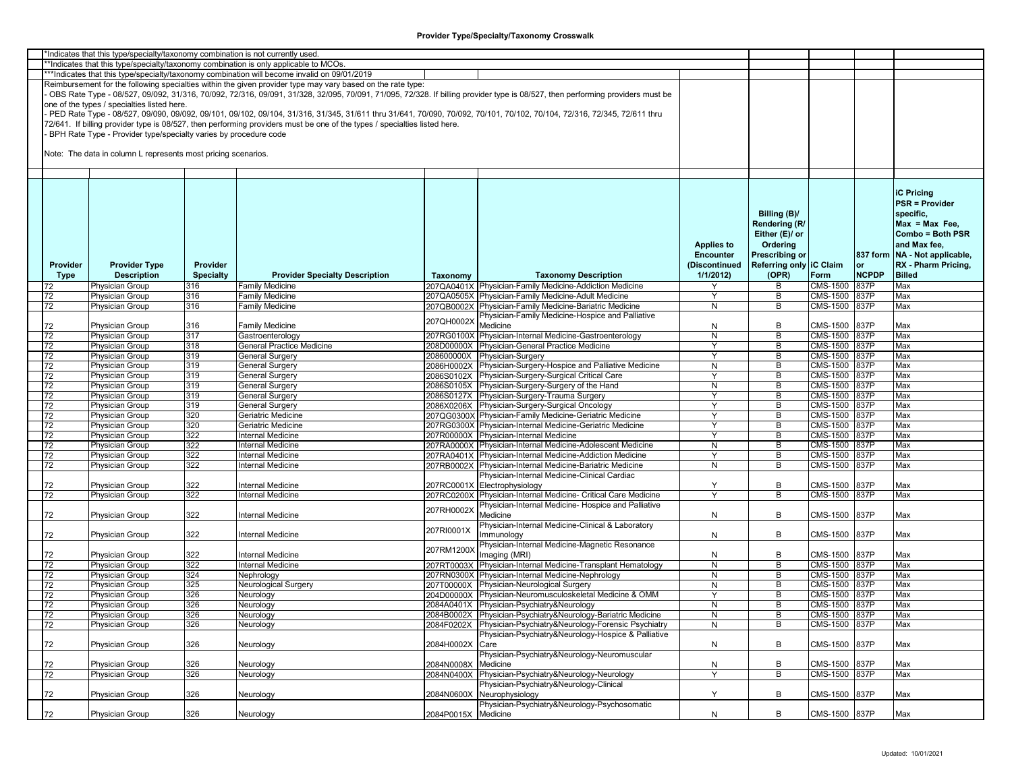|                 | *Indicates that this type/specialty/taxonomy combination is not currently used |                  |                                                                                                                           |                     |                                                                                                                                                                               |                   |                         |                 |              |                               |
|-----------------|--------------------------------------------------------------------------------|------------------|---------------------------------------------------------------------------------------------------------------------------|---------------------|-------------------------------------------------------------------------------------------------------------------------------------------------------------------------------|-------------------|-------------------------|-----------------|--------------|-------------------------------|
|                 |                                                                                |                  | *Indicates that this type/specialty/taxonomy combination is only applicable to MCOs.                                      |                     |                                                                                                                                                                               |                   |                         |                 |              |                               |
|                 |                                                                                |                  | ***Indicates that this type/specialty/taxonomy combination will become invalid on 09/01/2019                              |                     |                                                                                                                                                                               |                   |                         |                 |              |                               |
|                 |                                                                                |                  | Reimbursement for the following specialties within the given provider type may vary based on the rate type:               |                     |                                                                                                                                                                               |                   |                         |                 |              |                               |
|                 |                                                                                |                  |                                                                                                                           |                     | OBS Rate Type - 08/527, 09/092, 31/316, 70/092, 72/316, 09/091, 31/328, 32/095, 70/091, 71/095, 72/328. If billing provider type is 08/527, then performing providers must be |                   |                         |                 |              |                               |
|                 | one of the types / specialties listed here.                                    |                  |                                                                                                                           |                     |                                                                                                                                                                               |                   |                         |                 |              |                               |
|                 |                                                                                |                  |                                                                                                                           |                     | PED Rate Type - 08/527, 09/090, 09/092, 09/101, 09/102, 09/104, 31/316, 31/345, 31/611 thru 31/641, 70/090, 70/092, 70/101, 70/102, 70/104, 72/316, 72/345, 72/611 thru       |                   |                         |                 |              |                               |
|                 |                                                                                |                  | 72/641. If billing provider type is 08/527, then performing providers must be one of the types / specialties listed here. |                     |                                                                                                                                                                               |                   |                         |                 |              |                               |
|                 | BPH Rate Type - Provider type/specialty varies by procedure code               |                  |                                                                                                                           |                     |                                                                                                                                                                               |                   |                         |                 |              |                               |
|                 |                                                                                |                  |                                                                                                                           |                     |                                                                                                                                                                               |                   |                         |                 |              |                               |
|                 | Note: The data in column L represents most pricing scenarios.                  |                  |                                                                                                                           |                     |                                                                                                                                                                               |                   |                         |                 |              |                               |
|                 |                                                                                |                  |                                                                                                                           |                     |                                                                                                                                                                               |                   |                         |                 |              |                               |
|                 |                                                                                |                  |                                                                                                                           |                     |                                                                                                                                                                               |                   |                         |                 |              |                               |
|                 |                                                                                |                  |                                                                                                                           |                     |                                                                                                                                                                               |                   |                         |                 |              |                               |
|                 |                                                                                |                  |                                                                                                                           |                     |                                                                                                                                                                               |                   |                         |                 |              | <b>IC Pricina</b>             |
|                 |                                                                                |                  |                                                                                                                           |                     |                                                                                                                                                                               |                   |                         |                 |              |                               |
|                 |                                                                                |                  |                                                                                                                           |                     |                                                                                                                                                                               |                   |                         |                 |              | <b>PSR = Provider</b>         |
|                 |                                                                                |                  |                                                                                                                           |                     |                                                                                                                                                                               |                   | Billing (B)/            |                 |              | specific,                     |
|                 |                                                                                |                  |                                                                                                                           |                     |                                                                                                                                                                               |                   | Rendering (R/           |                 |              | $Max = Max Free$              |
|                 |                                                                                |                  |                                                                                                                           |                     |                                                                                                                                                                               |                   | Either (E)/ or          |                 |              | Combo = Both PSR              |
|                 |                                                                                |                  |                                                                                                                           |                     |                                                                                                                                                                               | <b>Applies to</b> | Ordering                |                 |              | and Max fee,                  |
|                 |                                                                                |                  |                                                                                                                           |                     |                                                                                                                                                                               | Encounter         | <b>Prescribing or</b>   |                 |              | 837 form NA - Not applicable, |
| Provider        | <b>Provider Type</b>                                                           | Provider         |                                                                                                                           |                     |                                                                                                                                                                               | (Discontinued     | Referring only IC Claim |                 | or           | RX - Pharm Pricing,           |
|                 | <b>Description</b>                                                             | <b>Specialty</b> | <b>Provider Specialty Description</b>                                                                                     |                     | <b>Taxonomy Description</b>                                                                                                                                                   | 1/1/2012          | (OPR)                   | Form            | <b>NCPDP</b> | <b>Billed</b>                 |
| Type            |                                                                                |                  |                                                                                                                           | Taxonomy            |                                                                                                                                                                               |                   |                         |                 |              |                               |
| 72              | Physician Group                                                                | 316              | Family Medicine                                                                                                           |                     | 207QA0401X Physician-Family Medicine-Addiction Medicine                                                                                                                       |                   | В                       | CMS-1500        | 837P         | Max                           |
| 72              | Physician Group                                                                | 316              | Family Medicine                                                                                                           |                     | 207QA0505X Physician-Family Medicine-Adult Medicine                                                                                                                           |                   | B                       | CMS-1500        | 837P         | Max                           |
| 72              | Physician Group                                                                | 316              | Family Medicine                                                                                                           |                     | 207QB0002X Physician-Family Medicine-Bariatric Medicine                                                                                                                       | N                 | B                       | <b>CMS-1500</b> | 837P         | Max                           |
|                 |                                                                                |                  |                                                                                                                           | 207QH0002X          | Physician-Family Medicine-Hospice and Palliative                                                                                                                              |                   |                         |                 |              |                               |
| 72              | <b>Physician Group</b>                                                         | 316              | Family Medicine                                                                                                           |                     | Medicine                                                                                                                                                                      | N                 | В                       | CMS-1500        | 837P         | Max                           |
| 72              | <b>Physician Group</b>                                                         | 317              | Gastroenterology                                                                                                          |                     | 207RG0100X Physician-Internal Medicine-Gastroenterology                                                                                                                       | N                 | В                       | CMS-1500 837P   |              | Max                           |
| 72              | Physician Group                                                                | 318              | <b>General Practice Medicine</b>                                                                                          |                     | 208D00000X Physician-General Practice Medicine                                                                                                                                | Υ                 | B                       | CMS-1500 837P   |              | Max                           |
| 72              | <b>Physician Group</b>                                                         | 319              | General Surgery                                                                                                           |                     | 208600000X Physician-Surgery                                                                                                                                                  | Y                 | B                       | CMS-1500 837P   |              | Max                           |
| 72              | <b>Physician Group</b>                                                         | 319              | <b>General Surgery</b>                                                                                                    |                     | 2086H0002X Physician-Surgery-Hospice and Palliative Medicine                                                                                                                  | N                 | B                       | CMS-1500 837P   |              | Max                           |
| 72              | Physician Group                                                                | 319              | General Surgery                                                                                                           |                     | 2086S0102X Physician-Surgery-Surgical Critical Care                                                                                                                           | Y                 | В                       | CMS-1500 837P   |              | Max                           |
| 72              | Physician Group                                                                | 319              | General Surgery                                                                                                           |                     | 2086S0105X Physician-Surgery-Surgery of the Hand                                                                                                                              | N                 | В                       | CMS-1500 837P   |              | Max                           |
| 72              | <b>Physician Group</b>                                                         | 319              | General Surgery                                                                                                           |                     | 2086S0127X Physician-Surgery-Trauma Surgery                                                                                                                                   | Y                 | B                       | CMS-1500        | 837P         | Max                           |
| 72              | Physician Group                                                                | 319              | General Surgery                                                                                                           |                     | 2086X0206X Physician-Surgery-Surgical Oncology                                                                                                                                | Υ                 | B                       | CMS-1500        | 837P         | Max                           |
|                 | <b>Physician Group</b>                                                         | 320              | Geriatric Medicine                                                                                                        |                     | 207QG0300X Physician-Family Medicine-Geriatric Medicine                                                                                                                       | Y                 | B                       | CMS-1500 837P   |              | Max                           |
| 72              |                                                                                |                  |                                                                                                                           |                     |                                                                                                                                                                               |                   |                         |                 |              |                               |
| 72              | Physician Group                                                                | 320              | Geriatric Medicine                                                                                                        |                     | 207RG0300X Physician-Internal Medicine-Geriatric Medicine                                                                                                                     | Υ                 | B                       | CMS-1500 837P   |              | Max                           |
| 72              | Physician Group                                                                | 322              | Internal Medicine                                                                                                         |                     | 207R00000X Physician-Internal Medicine                                                                                                                                        |                   | В                       | CMS-1500 837P   |              | Max                           |
| 72              | <b>Physician Group</b>                                                         | 322              | Internal Medicine                                                                                                         |                     | 207RA0000X Physician-Internal Medicine-Adolescent Medicine                                                                                                                    | N                 | B                       | CMS-1500        | 837P         | Max                           |
| 72              | <b>Physician Group</b>                                                         | 322              | Internal Medicine                                                                                                         |                     | 207RA0401X Physician-Internal Medicine-Addiction Medicine                                                                                                                     | Υ                 | B                       | CMS-1500        | 837P         | Max                           |
| 72              | Physician Group                                                                | 322              | Internal Medicine                                                                                                         |                     | 207RB0002X Physician-Internal Medicine-Bariatric Medicine                                                                                                                     | N                 | B                       | CMS-1500 837P   |              | Max                           |
|                 |                                                                                |                  |                                                                                                                           |                     | Physician-Internal Medicine-Clinical Cardiac                                                                                                                                  |                   |                         |                 |              |                               |
| 72              | <b>Physician Group</b>                                                         | 322              | Internal Medicine                                                                                                         |                     | 207RC0001X Electrophysiology                                                                                                                                                  | Υ                 | В                       | CMS-1500 837P   |              | Max                           |
| 72              | Physician Group                                                                | 322              | Internal Medicine                                                                                                         |                     | 207RC0200X Physician-Internal Medicine- Critical Care Medicine                                                                                                                | $\checkmark$      | B                       | CMS-1500 837P   |              | Max                           |
|                 |                                                                                |                  |                                                                                                                           |                     | Physician-Internal Medicine- Hospice and Palliative                                                                                                                           |                   |                         |                 |              |                               |
| 72              | Physician Group                                                                | 322              | Internal Medicine                                                                                                         | 207RH0002X          | Medicine                                                                                                                                                                      | N                 | В                       | CMS-1500 837P   |              | Max                           |
|                 |                                                                                |                  |                                                                                                                           |                     | Physician-Internal Medicine-Clinical & Laboratory                                                                                                                             |                   |                         |                 |              |                               |
| 72              | Physician Group                                                                | 322              | Internal Medicine                                                                                                         | 207RI0001X          | Immunology                                                                                                                                                                    | N                 | В                       | CMS-1500 837P   |              | Max                           |
|                 |                                                                                |                  |                                                                                                                           |                     | Physician-Internal Medicine-Magnetic Resonance                                                                                                                                |                   |                         |                 |              |                               |
| 72              | <b>Physician Group</b>                                                         | 322              | Internal Medicine                                                                                                         | 207RM1200X          | Imaging (MRI)                                                                                                                                                                 | N                 | B                       | CMS-1500 837P   |              | Max                           |
| 72              | Physician Group                                                                | 322              | Internal Medicine                                                                                                         | 207RT0003X          | Physician-Internal Medicine-Transplant Hematology                                                                                                                             | N                 | B                       | CMS-1500 837P   |              | Max                           |
| 72              | <b>Physician Group</b>                                                         | 324              | Nephrology                                                                                                                |                     | 207RN0300X Physician-Internal Medicine-Nephrology                                                                                                                             | N                 | B                       | CMS-1500 837P   |              | Max                           |
| 72              | <b>Physician Group</b>                                                         | 325              | Neurological Surgery                                                                                                      |                     | 207T00000X Physician-Neurological Surgery                                                                                                                                     | N                 | В                       | CMS-1500 837P   |              | Max                           |
| 72              | <b>Physician Group</b>                                                         | 326              | Neurology                                                                                                                 |                     | 204D00000X Physician-Neuromusculoskeletal Medicine & OMM                                                                                                                      | Y                 | B                       | CMS-1500 837P   |              | Max                           |
| 72              | <b>Physician Group</b>                                                         | 326              |                                                                                                                           |                     | 2084A0401X Physician-Psychiatry&Neurology                                                                                                                                     | N                 | B                       | CMS-1500 837P   |              | Max                           |
| $\overline{72}$ |                                                                                | 326              | Neurology                                                                                                                 |                     | 2084B0002X Physician-Psychiatry&Neurology-Bariatric Medicine                                                                                                                  |                   |                         |                 |              |                               |
|                 | <b>Physician Group</b>                                                         |                  | Neurology                                                                                                                 |                     |                                                                                                                                                                               | N                 | В                       | CMS-1500 837P   |              | Max                           |
| 72              | Physician Group                                                                | 326              | Neurology                                                                                                                 | 2084F0202X          | Physician-Psychiatry&Neurology-Forensic Psychiatry                                                                                                                            | N                 | В                       | CMS-1500 837P   |              | Max                           |
|                 |                                                                                |                  |                                                                                                                           |                     | Physician-Psychiatry&Neurology-Hospice & Palliative                                                                                                                           |                   |                         |                 |              |                               |
| 72              | Physician Group                                                                | 326              | Neurology                                                                                                                 | 2084H0002X          | Care                                                                                                                                                                          | N                 | В                       | CMS-1500 837P   |              | Max                           |
|                 |                                                                                |                  |                                                                                                                           |                     | Physician-Psychiatry&Neurology-Neuromuscular                                                                                                                                  |                   |                         |                 |              |                               |
| 72              | Physician Group                                                                | 326              | Neurology                                                                                                                 | 2084N0008X          | Medicine                                                                                                                                                                      | N                 | В                       | CMS-1500 837P   |              | Max                           |
| 72              | Physician Group                                                                | 326              | Neurology                                                                                                                 | 2084N0400X          | Physician-Psychiatry&Neurology-Neurology                                                                                                                                      | Υ                 | B                       | CMS-1500 837P   |              | Max                           |
|                 |                                                                                |                  |                                                                                                                           |                     | <sup>2</sup> hysician-Psychiatry&Neurology-Clinical                                                                                                                           |                   |                         |                 |              |                               |
| 72              | Physician Group                                                                | 326              | Neurology                                                                                                                 | 2084N0600X          | Neurophysiology                                                                                                                                                               | Y                 | В                       | CMS-1500 837P   |              | Max                           |
|                 |                                                                                |                  |                                                                                                                           |                     | Physician-Psychiatry&Neurology-Psychosomatic                                                                                                                                  |                   |                         |                 |              |                               |
| 72              | Physician Group                                                                | 326              | Neurology                                                                                                                 | 2084P0015X Medicine |                                                                                                                                                                               | N                 | В                       | CMS-1500 837P   |              | Max                           |
|                 |                                                                                |                  |                                                                                                                           |                     |                                                                                                                                                                               |                   |                         |                 |              |                               |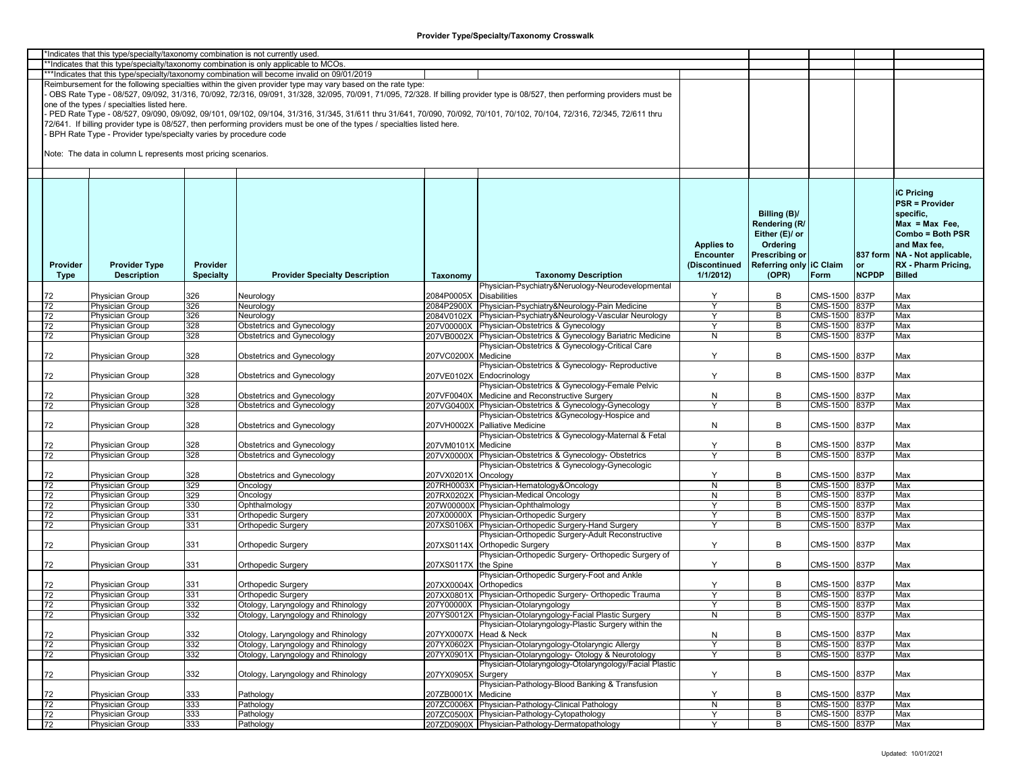| 'Indicates that this type/specialty/taxonomy combination is not currently used |                                                                  |                  |                                                                                                                           |                        |                                                                                                                                                                               |                   |                         |               |              |                                 |  |
|--------------------------------------------------------------------------------|------------------------------------------------------------------|------------------|---------------------------------------------------------------------------------------------------------------------------|------------------------|-------------------------------------------------------------------------------------------------------------------------------------------------------------------------------|-------------------|-------------------------|---------------|--------------|---------------------------------|--|
|                                                                                |                                                                  |                  | *Indicates that this type/specialty/taxonomy combination is only applicable to MCOs.                                      |                        |                                                                                                                                                                               |                   |                         |               |              |                                 |  |
|                                                                                |                                                                  |                  | ***Indicates that this type/specialty/taxonomy combination will become invalid on 09/01/2019                              |                        |                                                                                                                                                                               |                   |                         |               |              |                                 |  |
|                                                                                |                                                                  |                  | Reimbursement for the following specialties within the given provider type may vary based on the rate type:               |                        |                                                                                                                                                                               |                   |                         |               |              |                                 |  |
|                                                                                |                                                                  |                  |                                                                                                                           |                        |                                                                                                                                                                               |                   |                         |               |              |                                 |  |
|                                                                                |                                                                  |                  |                                                                                                                           |                        | OBS Rate Type - 08/527, 09/092, 31/316, 70/092, 72/316, 09/091, 31/328, 32/095, 70/091, 71/095, 72/328. If billing provider type is 08/527, then performing providers must be |                   |                         |               |              |                                 |  |
|                                                                                | one of the types / specialties listed here.                      |                  |                                                                                                                           |                        |                                                                                                                                                                               |                   |                         |               |              |                                 |  |
|                                                                                |                                                                  |                  |                                                                                                                           |                        | PED Rate Type - 08/527, 09/090, 09/092, 09/101, 09/102, 09/104, 31/316, 31/345, 31/611 thru 31/641, 70/090, 70/092, 70/101, 70/102, 70/104, 72/316, 72/345, 72/611 thru       |                   |                         |               |              |                                 |  |
|                                                                                |                                                                  |                  | 72/641. If billing provider type is 08/527, then performing providers must be one of the types / specialties listed here. |                        |                                                                                                                                                                               |                   |                         |               |              |                                 |  |
|                                                                                |                                                                  |                  |                                                                                                                           |                        |                                                                                                                                                                               |                   |                         |               |              |                                 |  |
|                                                                                | BPH Rate Type - Provider type/specialty varies by procedure code |                  |                                                                                                                           |                        |                                                                                                                                                                               |                   |                         |               |              |                                 |  |
|                                                                                |                                                                  |                  |                                                                                                                           |                        |                                                                                                                                                                               |                   |                         |               |              |                                 |  |
|                                                                                | Note: The data in column L represents most pricing scenarios.    |                  |                                                                                                                           |                        |                                                                                                                                                                               |                   |                         |               |              |                                 |  |
|                                                                                |                                                                  |                  |                                                                                                                           |                        |                                                                                                                                                                               |                   |                         |               |              |                                 |  |
|                                                                                |                                                                  |                  |                                                                                                                           |                        |                                                                                                                                                                               |                   |                         |               |              |                                 |  |
|                                                                                |                                                                  |                  |                                                                                                                           |                        |                                                                                                                                                                               |                   |                         |               |              |                                 |  |
|                                                                                |                                                                  |                  |                                                                                                                           |                        |                                                                                                                                                                               |                   |                         |               |              | <b>iC Pricing</b>               |  |
|                                                                                |                                                                  |                  |                                                                                                                           |                        |                                                                                                                                                                               |                   |                         |               |              |                                 |  |
|                                                                                |                                                                  |                  |                                                                                                                           |                        |                                                                                                                                                                               |                   |                         |               |              | <b>PSR = Provider</b>           |  |
|                                                                                |                                                                  |                  |                                                                                                                           |                        |                                                                                                                                                                               |                   | Billing (B)/            |               |              | specific.                       |  |
|                                                                                |                                                                  |                  |                                                                                                                           |                        |                                                                                                                                                                               |                   | Rendering (R/           |               |              | $Max = Max Free$                |  |
|                                                                                |                                                                  |                  |                                                                                                                           |                        |                                                                                                                                                                               |                   | Either (E)/ or          |               |              | Combo = Both PSR                |  |
|                                                                                |                                                                  |                  |                                                                                                                           |                        |                                                                                                                                                                               |                   |                         |               |              |                                 |  |
|                                                                                |                                                                  |                  |                                                                                                                           |                        |                                                                                                                                                                               | <b>Applies to</b> | Ordering                |               |              | and Max fee,                    |  |
|                                                                                |                                                                  |                  |                                                                                                                           |                        |                                                                                                                                                                               | <b>Encounter</b>  | Prescribing or          |               |              | 837 form   NA - Not applicable, |  |
| Provider                                                                       | <b>Provider Type</b>                                             | Provider         |                                                                                                                           |                        |                                                                                                                                                                               | (Discontinued     | Referring only IC Claim |               |              | RX - Pharm Pricing,             |  |
| Type                                                                           | <b>Description</b>                                               | <b>Specialty</b> | <b>Provider Specialty Description</b>                                                                                     | Taxonomy               | <b>Taxonomy Description</b>                                                                                                                                                   | 1/1/2012          | (OPR)                   | Form          | <b>NCPDP</b> | <b>Billed</b>                   |  |
|                                                                                |                                                                  |                  |                                                                                                                           |                        | Physician-Psychiatry&Neruology-Neurodevelopmental                                                                                                                             |                   |                         |               |              |                                 |  |
| 72                                                                             | Physician Group                                                  | 326              |                                                                                                                           | 2084P0005X             | <b>Disabilities</b>                                                                                                                                                           | Y                 | В                       | CMS-1500      | 837P         | Max                             |  |
|                                                                                |                                                                  |                  | Neurology                                                                                                                 |                        |                                                                                                                                                                               |                   |                         |               |              |                                 |  |
| 72                                                                             | Physician Group                                                  | 326              | Neurology                                                                                                                 |                        | 2084P2900X Physician-Psychiatry&Neurology-Pain Medicine                                                                                                                       | Y                 | B                       | CMS-1500 837P |              | Max                             |  |
| 72                                                                             | <b>Physician Group</b>                                           | 326              | Neurology                                                                                                                 |                        | 2084V0102X Physician-Psychiatry&Neurology-Vascular Neurology                                                                                                                  | Υ                 | В                       | CMS-1500 837P |              | Max                             |  |
| 72                                                                             | Physician Group                                                  | 328              | Obstetrics and Gynecology                                                                                                 |                        | 207V00000X Physician-Obstetrics & Gynecology                                                                                                                                  | Y                 | B                       | CMS-1500      | 837P         | Max                             |  |
| 72                                                                             | Physician Group                                                  | 328              | Obstetrics and Gynecology                                                                                                 |                        | 207VB0002X Physician-Obstetrics & Gynecology Bariatric Medicine                                                                                                               | ${\sf N}$         | B                       | CMS-1500      | 837P         | Max                             |  |
|                                                                                |                                                                  |                  |                                                                                                                           |                        | Physician-Obstetrics & Gynecology-Critical Care                                                                                                                               |                   |                         |               |              |                                 |  |
|                                                                                |                                                                  |                  |                                                                                                                           |                        |                                                                                                                                                                               |                   |                         |               |              |                                 |  |
| 72                                                                             | Physician Group                                                  | 328              | Obstetrics and Gynecology                                                                                                 | 207VC0200X Medicine    |                                                                                                                                                                               | Y                 | В                       | CMS-1500      | 837P         | Max                             |  |
|                                                                                |                                                                  |                  |                                                                                                                           |                        | Physician-Obstetrics & Gynecology- Reproductive                                                                                                                               |                   |                         |               |              |                                 |  |
| 72                                                                             | Physician Group                                                  | 328              | Obstetrics and Gynecology                                                                                                 |                        | 207VE0102X Endocrinology                                                                                                                                                      | Y                 | B                       | CMS-1500      | 837P         | Max                             |  |
|                                                                                |                                                                  |                  |                                                                                                                           |                        | Physician-Obstetrics & Gynecology-Female Pelvic                                                                                                                               |                   |                         |               |              |                                 |  |
| 72                                                                             | Physician Group                                                  | 328              | Obstetrics and Gynecology                                                                                                 | 207VF0040X             | Medicine and Reconstructive Surgery                                                                                                                                           | N                 | В                       | CMS-1500      | 837P         | Max                             |  |
|                                                                                |                                                                  |                  |                                                                                                                           |                        |                                                                                                                                                                               | $\mathsf{v}$      |                         |               |              |                                 |  |
| 72                                                                             | Physician Group                                                  | 328              | Obstetrics and Gynecology                                                                                                 |                        | 207VG0400X Physician-Obstetrics & Gynecology-Gynecology                                                                                                                       |                   | B                       | CMS-1500 837P |              | Max                             |  |
|                                                                                |                                                                  |                  |                                                                                                                           |                        | Physician-Obstetrics & Gynecology-Hospice and                                                                                                                                 |                   |                         |               |              |                                 |  |
| 72                                                                             | Physician Group                                                  | 328              | Obstetrics and Gynecology                                                                                                 |                        | 207VH0002X Palliative Medicine                                                                                                                                                | N                 | В                       | CMS-1500      | 837P         | Max                             |  |
|                                                                                |                                                                  |                  |                                                                                                                           |                        | Physician-Obstetrics & Gynecology-Maternal & Fetal                                                                                                                            |                   |                         |               |              |                                 |  |
| 72                                                                             | Physician Group                                                  | 328              | Obstetrics and Gynecology                                                                                                 | 207VM0101X             | Medicine                                                                                                                                                                      | Y                 | В                       | CMS-1500      | 837P         | Max                             |  |
| 72                                                                             | Physician Group                                                  | 328              | Obstetrics and Gynecology                                                                                                 |                        | 207VX0000X Physician-Obstetrics & Gynecology-Obstetrics                                                                                                                       | $\mathsf{Y}$      | В                       | CMS-1500 837P |              | Max                             |  |
|                                                                                |                                                                  |                  |                                                                                                                           |                        |                                                                                                                                                                               |                   |                         |               |              |                                 |  |
|                                                                                |                                                                  |                  |                                                                                                                           |                        | Physician-Obstetrics & Gynecology-Gynecologic                                                                                                                                 |                   |                         |               |              |                                 |  |
| 72                                                                             | Physician Group                                                  | 328              | Obstetrics and Gynecology                                                                                                 | 207VX0201X Oncology    |                                                                                                                                                                               | Y                 | В                       | CMS-1500      | 837P         | Max                             |  |
| 72                                                                             | <b>Physician Group</b>                                           | 329              | Oncology                                                                                                                  |                        | 207RH0003X Physician-Hematology&Oncology                                                                                                                                      | N                 | В                       | CMS-1500      | <b>837P</b>  | Max                             |  |
| 72                                                                             | Physician Group                                                  | 329              | Oncology                                                                                                                  |                        | 207RX0202X Physician-Medical Oncology                                                                                                                                         | N                 | В                       | CMS-1500      | 837P         | Max                             |  |
| 72                                                                             | Physician Group                                                  | 330              | Ophthalmology                                                                                                             |                        | 207W00000X Physician-Ophthalmology                                                                                                                                            | Y                 | В                       | CMS-1500      | 837P         | Max                             |  |
| 72                                                                             | Physician Group                                                  | 331              | Orthopedic Surgery                                                                                                        |                        | 207X00000X Physician-Orthopedic Surgery                                                                                                                                       | Υ                 | В                       | CMS-1500      | 837P         | Max                             |  |
| 72                                                                             | Physician Group                                                  | 331              | <b>Orthopedic Surgery</b>                                                                                                 |                        | 207XS0106X Physician-Orthopedic Surgery-Hand Surgery                                                                                                                          | Y                 | В                       | CMS-1500      | 837P         | Max                             |  |
|                                                                                |                                                                  |                  |                                                                                                                           |                        |                                                                                                                                                                               |                   |                         |               |              |                                 |  |
|                                                                                |                                                                  |                  |                                                                                                                           |                        | Physician-Orthopedic Surgery-Adult Reconstructive                                                                                                                             |                   |                         |               |              |                                 |  |
| 72                                                                             | Physician Group                                                  | 331              | <b>Orthopedic Surgery</b>                                                                                                 |                        | 207XS0114X Orthopedic Surgery                                                                                                                                                 | Y                 | В                       | CMS-1500      | 837P         | Max                             |  |
|                                                                                |                                                                  |                  |                                                                                                                           |                        | Physician-Orthopedic Surgery- Orthopedic Surgery of                                                                                                                           |                   |                         |               |              |                                 |  |
| 72                                                                             | <b>Physician Group</b>                                           | 331              | <b>Orthopedic Surgery</b>                                                                                                 | 207XS0117X the Spine   |                                                                                                                                                                               | Y                 | В                       | CMS-1500      | 837P         | Max                             |  |
|                                                                                |                                                                  |                  |                                                                                                                           |                        | Physician-Orthopedic Surgery-Foot and Ankle                                                                                                                                   |                   |                         |               |              |                                 |  |
|                                                                                |                                                                  | 331              |                                                                                                                           |                        |                                                                                                                                                                               |                   | В                       | CMS-1500      | 837P         | Max                             |  |
| 72                                                                             | Physician Group                                                  |                  | <b>Orthopedic Surgery</b>                                                                                                 | 207XX0004X Orthopedics |                                                                                                                                                                               | Y                 |                         |               |              |                                 |  |
| 72                                                                             | Physician Group                                                  | 331              | <b>Orthopedic Surgery</b>                                                                                                 |                        | 207XX0801X Physician-Orthopedic Surgery- Orthopedic Trauma                                                                                                                    | Y                 | B                       | CMS-1500 837P |              | Max                             |  |
| 72                                                                             | Physician Group                                                  | 332              | Otology, Laryngology and Rhinology                                                                                        |                        | 207Y00000X Physician-Otolaryngology                                                                                                                                           | Y                 | В                       | CMS-1500 837P |              | Max                             |  |
| 72                                                                             | Physician Group                                                  | 332              | Otology, Laryngology and Rhinology                                                                                        |                        | 207YS0012X Physician-Otolaryngology-Facial Plastic Surgery                                                                                                                    | N                 | В                       | CMS-1500 837P |              | Max                             |  |
|                                                                                |                                                                  |                  |                                                                                                                           |                        | Physician-Otolaryngology-Plastic Surgery within the                                                                                                                           |                   |                         |               |              |                                 |  |
| 72                                                                             | Physician Group                                                  | 332              | Otology, Laryngology and Rhinology                                                                                        |                        | 207YX0007X Head & Neck                                                                                                                                                        |                   | В                       | CMS-1500 837P |              | Max                             |  |
|                                                                                |                                                                  |                  |                                                                                                                           |                        |                                                                                                                                                                               | $\mathsf{N}$      |                         |               |              |                                 |  |
| 72                                                                             | <b>Physician Group</b>                                           | 332              | Otology, Laryngology and Rhinology                                                                                        |                        | 207YX0602X Physician-Otolaryngology-Otolaryngic Allergy                                                                                                                       | $\mathsf{v}$      | В                       | CMS-1500 837P |              | Max                             |  |
| 72                                                                             | Physician Group                                                  | 332              | Otology, Laryngology and Rhinology                                                                                        |                        | 207YX0901X Physician-Otolaryngology- Otology & Neurotology                                                                                                                    | Y                 | В                       | CMS-1500 837P |              | Max                             |  |
|                                                                                |                                                                  |                  |                                                                                                                           |                        | Physician-Otolaryngology-Otolaryngology/Facial Plastic                                                                                                                        |                   |                         |               |              |                                 |  |
| 72                                                                             | Physician Group                                                  | 332              | Otology, Laryngology and Rhinology                                                                                        | 207YX0905X Surgery     |                                                                                                                                                                               | Y                 | В                       | CMS-1500 837P |              | Max                             |  |
|                                                                                |                                                                  |                  |                                                                                                                           |                        | Physician-Pathology-Blood Banking & Transfusion                                                                                                                               |                   |                         |               |              |                                 |  |
|                                                                                |                                                                  |                  |                                                                                                                           |                        |                                                                                                                                                                               |                   |                         |               |              |                                 |  |
| 72                                                                             | Physician Group                                                  | 333              | Pathology                                                                                                                 | 207ZB0001X Medicine    |                                                                                                                                                                               | Y                 | В                       | CMS-1500      | 837P         | Max                             |  |
| $\overline{72}$                                                                | Physician Group                                                  | 333              | Pathology                                                                                                                 |                        | 207ZC0006X Physician-Pathology-Clinical Pathology                                                                                                                             | ${\sf N}$         | В                       | CMS-1500 837P |              | Max                             |  |
| 72                                                                             | Physician Group                                                  | 333              | Pathology                                                                                                                 |                        | 207ZC0500X Physician-Pathology-Cytopathology                                                                                                                                  | Y                 | В                       | CMS-1500 837P |              | Max                             |  |
| 72                                                                             | Physician Group                                                  | 333              | Pathology                                                                                                                 |                        | 207ZD0900X Physician-Pathology-Dermatopathology                                                                                                                               | Y                 | B                       | CMS-1500 837P |              | Max                             |  |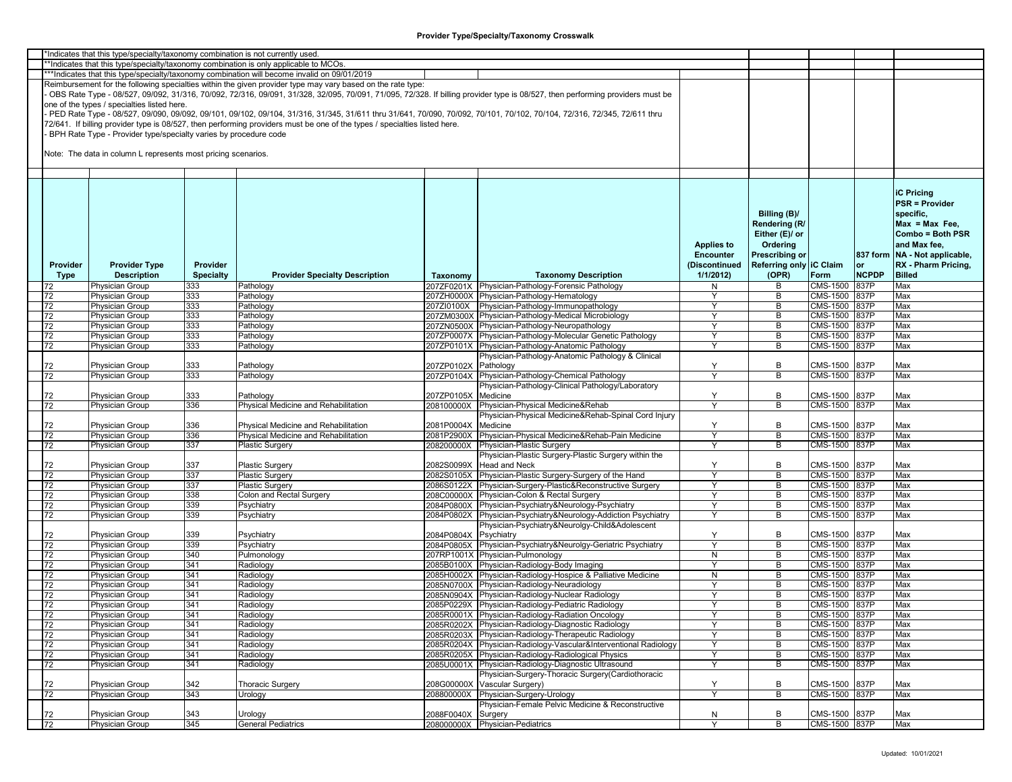|                                                                                       | *Indicates that this type/specialty/taxonomy combination is not currently used |                  |                                                                                                                                                                         |                       |                                                                                                                                                                               |                      |                         |               |              |                               |  |
|---------------------------------------------------------------------------------------|--------------------------------------------------------------------------------|------------------|-------------------------------------------------------------------------------------------------------------------------------------------------------------------------|-----------------------|-------------------------------------------------------------------------------------------------------------------------------------------------------------------------------|----------------------|-------------------------|---------------|--------------|-------------------------------|--|
| **Indicates that this type/specialty/taxonomy combination is only applicable to MCOs. |                                                                                |                  |                                                                                                                                                                         |                       |                                                                                                                                                                               |                      |                         |               |              |                               |  |
|                                                                                       |                                                                                |                  | ***Indicates that this type/specialty/taxonomy combination will become invalid on 09/01/2019                                                                            |                       |                                                                                                                                                                               |                      |                         |               |              |                               |  |
|                                                                                       |                                                                                |                  | Reimbursement for the following specialties within the given provider type may vary based on the rate type:                                                             |                       |                                                                                                                                                                               |                      |                         |               |              |                               |  |
|                                                                                       |                                                                                |                  |                                                                                                                                                                         |                       |                                                                                                                                                                               |                      |                         |               |              |                               |  |
|                                                                                       |                                                                                |                  |                                                                                                                                                                         |                       | OBS Rate Type - 08/527, 09/092, 31/316, 70/092, 72/316, 09/091, 31/328, 32/095, 70/091, 71/095, 72/328. If billing provider type is 08/527, then performing providers must be |                      |                         |               |              |                               |  |
|                                                                                       | one of the types / specialties listed here.                                    |                  |                                                                                                                                                                         |                       |                                                                                                                                                                               |                      |                         |               |              |                               |  |
|                                                                                       |                                                                                |                  | PED Rate Type - 08/527, 09/090, 09/092, 09/101, 09/102, 09/104, 31/316, 31/345, 31/611 thru 31/641, 70/090, 70/092, 70/101, 70/102, 70/104, 72/316, 72/345, 72/611 thru |                       |                                                                                                                                                                               |                      |                         |               |              |                               |  |
|                                                                                       |                                                                                |                  | 72/641. If billing provider type is 08/527, then performing providers must be one of the types / specialties listed here.                                               |                       |                                                                                                                                                                               |                      |                         |               |              |                               |  |
|                                                                                       | BPH Rate Type - Provider type/specialty varies by procedure code               |                  |                                                                                                                                                                         |                       |                                                                                                                                                                               |                      |                         |               |              |                               |  |
|                                                                                       |                                                                                |                  |                                                                                                                                                                         |                       |                                                                                                                                                                               |                      |                         |               |              |                               |  |
|                                                                                       | Note: The data in column L represents most pricing scenarios.                  |                  |                                                                                                                                                                         |                       |                                                                                                                                                                               |                      |                         |               |              |                               |  |
|                                                                                       |                                                                                |                  |                                                                                                                                                                         |                       |                                                                                                                                                                               |                      |                         |               |              |                               |  |
|                                                                                       |                                                                                |                  |                                                                                                                                                                         |                       |                                                                                                                                                                               |                      |                         |               |              |                               |  |
|                                                                                       |                                                                                |                  |                                                                                                                                                                         |                       |                                                                                                                                                                               |                      |                         |               |              |                               |  |
|                                                                                       |                                                                                |                  |                                                                                                                                                                         |                       |                                                                                                                                                                               |                      |                         |               |              |                               |  |
|                                                                                       |                                                                                |                  |                                                                                                                                                                         |                       |                                                                                                                                                                               |                      |                         |               |              | <b>iC Pricing</b>             |  |
|                                                                                       |                                                                                |                  |                                                                                                                                                                         |                       |                                                                                                                                                                               |                      |                         |               |              | <b>PSR = Provider</b>         |  |
|                                                                                       |                                                                                |                  |                                                                                                                                                                         |                       |                                                                                                                                                                               |                      | Billing (B)/            |               |              | specific,                     |  |
|                                                                                       |                                                                                |                  |                                                                                                                                                                         |                       |                                                                                                                                                                               |                      |                         |               |              |                               |  |
|                                                                                       |                                                                                |                  |                                                                                                                                                                         |                       |                                                                                                                                                                               |                      | Rendering (R/           |               |              | $Max = Max Free$              |  |
|                                                                                       |                                                                                |                  |                                                                                                                                                                         |                       |                                                                                                                                                                               |                      | Either (E)/ or          |               |              | Combo = Both PSR              |  |
|                                                                                       |                                                                                |                  |                                                                                                                                                                         |                       |                                                                                                                                                                               | <b>Applies to</b>    | Ordering                |               |              | and Max fee,                  |  |
|                                                                                       |                                                                                |                  |                                                                                                                                                                         |                       |                                                                                                                                                                               | <b>Encounter</b>     | <b>Prescribing or</b>   |               |              | 837 form NA - Not applicable, |  |
|                                                                                       |                                                                                |                  |                                                                                                                                                                         |                       |                                                                                                                                                                               |                      |                         |               |              |                               |  |
| Provider                                                                              | <b>Provider Type</b>                                                           | Provider         |                                                                                                                                                                         |                       |                                                                                                                                                                               | (Discontinued        | Referring only IC Claim |               | or           | RX - Pharm Pricing,           |  |
| Type                                                                                  | <b>Description</b>                                                             | <b>Specialty</b> | <b>Provider Specialty Description</b>                                                                                                                                   | Taxonomy              | <b>Taxonomy Description</b>                                                                                                                                                   | 1/1/2012             | (OPR)                   | Form          | <b>NCPDP</b> | <b>Billed</b>                 |  |
| 72                                                                                    | Physician Group                                                                | 333              | Pathology                                                                                                                                                               |                       | 207ZF0201X Physician-Pathology-Forensic Pathology                                                                                                                             | N                    | В                       | CMS-1500      | 837P         | Max                           |  |
| 72                                                                                    | Physician Group                                                                | 333              | Pathology                                                                                                                                                               |                       | 207ZH0000X Physician-Pathology-Hematology                                                                                                                                     | Y                    | В                       | CMS-1500      | 837P         | Max                           |  |
| 72                                                                                    | Physician Group                                                                | 333              | Pathology                                                                                                                                                               |                       | 207ZI0100X Physician-Pathology-Immunopathology                                                                                                                                | Y                    | В                       | CMS-1500      | 837P         | Max                           |  |
| 72                                                                                    | Physician Group                                                                | 333              | Pathology                                                                                                                                                               |                       | 207ZM0300X Physician-Pathology-Medical Microbiology                                                                                                                           | Y                    | B                       | CMS-1500 837P |              | Max                           |  |
| 72                                                                                    | Physician Group                                                                | 333              | Pathology                                                                                                                                                               |                       | 207ZN0500X Physician-Pathology-Neuropathology                                                                                                                                 | Y                    | B                       | CMS-1500      | 837P         | Max                           |  |
|                                                                                       |                                                                                | 333              |                                                                                                                                                                         |                       | 207ZP0007X Physician-Pathology-Molecular Genetic Pathology                                                                                                                    | Y                    | В                       | CMS-1500      | 837P         | Max                           |  |
| 72                                                                                    | Physician Group                                                                |                  | Pathology                                                                                                                                                               |                       |                                                                                                                                                                               | ٧                    |                         |               |              |                               |  |
| 72                                                                                    | Physician Group                                                                | 333              | Pathology                                                                                                                                                               |                       | 207ZP0101X Physician-Pathology-Anatomic Pathology                                                                                                                             |                      | B                       | CMS-1500      | 837P         | Max                           |  |
|                                                                                       |                                                                                |                  |                                                                                                                                                                         |                       | Physician-Pathology-Anatomic Pathology & Clinical                                                                                                                             |                      |                         |               |              |                               |  |
| 72                                                                                    | Physician Group                                                                | 333              | Pathology                                                                                                                                                               | 207ZP0102X Pathology  |                                                                                                                                                                               | Y                    | В                       | CMS-1500      | 837P         | Max                           |  |
| 72                                                                                    | Physician Group                                                                | 333              | Pathology                                                                                                                                                               |                       | 207ZP0104X Physician-Pathology-Chemical Pathology                                                                                                                             | $\checkmark$         | B                       | CMS-1500      | 837P         | Max                           |  |
|                                                                                       |                                                                                |                  |                                                                                                                                                                         |                       | Physician-Pathology-Clinical Pathology/Laboratory                                                                                                                             |                      |                         |               |              |                               |  |
| 72                                                                                    | Physician Group                                                                | 333              | Pathology                                                                                                                                                               | 207ZP0105X            | Medicine                                                                                                                                                                      | Y                    | В                       | CMS-1500      | 837P         | Max                           |  |
| 72                                                                                    | Physician Group                                                                | 336              | Physical Medicine and Rehabilitation                                                                                                                                    | 208100000X            | Physician-Physical Medicine&Rehab                                                                                                                                             | $\mathbf{v}$         | B                       | CMS-1500      | 837P         | Max                           |  |
|                                                                                       |                                                                                |                  |                                                                                                                                                                         |                       | Physician-Physical Medicine&Rehab-Spinal Cord Injury                                                                                                                          |                      |                         |               |              |                               |  |
|                                                                                       |                                                                                |                  |                                                                                                                                                                         |                       |                                                                                                                                                                               |                      |                         |               |              |                               |  |
| 72                                                                                    | Physician Group                                                                | 336              | Physical Medicine and Rehabilitation                                                                                                                                    | 2081P0004X            | Medicine                                                                                                                                                                      | Y                    | В                       | CMS-1500      | 837P         | Max                           |  |
| 72                                                                                    | Physician Group                                                                | 336              | Physical Medicine and Rehabilitation                                                                                                                                    |                       | 2081P2900X Physician-Physical Medicine&Rehab-Pain Medicine                                                                                                                    | Y                    | В                       | CMS-1500      | 837P         | Max                           |  |
| 72                                                                                    | Physician Group                                                                | 337              | <b>Plastic Surgery</b>                                                                                                                                                  |                       | 208200000X Physician-Plastic Surgery                                                                                                                                          | Y                    | B                       | CMS-1500      | 837P         | Max                           |  |
|                                                                                       |                                                                                |                  |                                                                                                                                                                         |                       | Physician-Plastic Surgery-Plastic Surgery within the                                                                                                                          |                      |                         |               |              |                               |  |
| 72                                                                                    | Physician Group                                                                | 337              | <b>Plastic Surgery</b>                                                                                                                                                  |                       | 2082S0099X Head and Neck                                                                                                                                                      | Y                    | В                       | CMS-1500      | 837P         | Max                           |  |
| 72                                                                                    | Physician Group                                                                | 337              | <b>Plastic Surgery</b>                                                                                                                                                  |                       | 2082S0105X Physician-Plastic Surgery-Surgery of the Hand                                                                                                                      | Y                    | B                       | CMS-1500 837P |              | Max                           |  |
| 72                                                                                    | Physician Group                                                                | 337              | <b>Plastic Surgery</b>                                                                                                                                                  |                       | 2086S0122X Physician-Surgery-Plastic&Reconstructive Surgery                                                                                                                   | Y                    | В                       | CMS-1500      | 837P         | Max                           |  |
| 72                                                                                    | Physician Group                                                                | 338              | Colon and Rectal Surgery                                                                                                                                                |                       | 208C00000X Physician-Colon & Rectal Surgery                                                                                                                                   | Y                    | В                       | CMS-1500      | 837P         | Max                           |  |
| 72                                                                                    | Physician Group                                                                | 339              | Psychiatry                                                                                                                                                              |                       | 2084P0800X Physician-Psychiatry&Neurology-Psychiatry                                                                                                                          | Y                    | В                       | CMS-1500      | 837P         | Max                           |  |
|                                                                                       |                                                                                |                  |                                                                                                                                                                         |                       |                                                                                                                                                                               | ٧                    |                         |               |              |                               |  |
| 72                                                                                    | Physician Group                                                                | 339              | Psychiatry                                                                                                                                                              |                       | 2084P0802X Physician-Psychiatry&Neurology-Addiction Psychiatry                                                                                                                |                      | В                       | CMS-1500 837P |              | Max                           |  |
|                                                                                       |                                                                                |                  |                                                                                                                                                                         |                       | Physician-Psychiatry&Neurolgy-Child&Adolescent                                                                                                                                |                      |                         |               |              |                               |  |
| 72                                                                                    | Physician Group                                                                | 339              | Psychiatry                                                                                                                                                              | 2084P0804X Psychiatry |                                                                                                                                                                               | Y                    | В                       | CMS-1500      | 837P         | Max                           |  |
| 72                                                                                    | Physician Group                                                                | 339              | Psychiatry                                                                                                                                                              |                       | 2084P0805X Physician-Psychiatry&Neurolgy-Geriatric Psychiatry                                                                                                                 | $\mathsf{Y}$         | В                       | CMS-1500      | 837P         | Max                           |  |
| 72                                                                                    | Physician Group                                                                | 340              | Pulmonology                                                                                                                                                             |                       | 207RP1001X Physician-Pulmonology                                                                                                                                              | $\mathsf{N}$         | В                       | CMS-1500      | 837P         | Max                           |  |
| 72                                                                                    | Physician Group                                                                | 341              | Radiology                                                                                                                                                               |                       | 2085B0100X Physician-Radiology-Body Imaging                                                                                                                                   | Y                    | В                       | CMS-1500 837P |              | Max                           |  |
| 72                                                                                    | Physician Group                                                                | 341              | Radiology                                                                                                                                                               |                       | 2085H0002X Physician-Radiology-Hospice & Palliative Medicine                                                                                                                  | N                    | B                       | CMS-1500      | 837P         | Max                           |  |
| 72                                                                                    | Physician Group                                                                | 341              | Radiology                                                                                                                                                               |                       | 2085N0700X Physician-Radiology-Neuradiology                                                                                                                                   | Y                    | В                       | CMS-1500      | 837P         | Max                           |  |
| 72                                                                                    | Physician Group                                                                | 341              | Radiology                                                                                                                                                               |                       | 2085N0904X Physician-Radiology-Nuclear Radiology                                                                                                                              | Y                    | B                       | CMS-1500 837P |              | Max                           |  |
|                                                                                       |                                                                                |                  |                                                                                                                                                                         |                       |                                                                                                                                                                               |                      |                         |               |              |                               |  |
| 72                                                                                    | Physician Group                                                                | 341              | Radiology                                                                                                                                                               |                       | 2085P0229X Physician-Radiology-Pediatric Radiology                                                                                                                            | Y                    | В                       | CMS-1500 837P |              | Max                           |  |
| 72                                                                                    | <b>Physician Group</b>                                                         | 341              | Radiology                                                                                                                                                               |                       | 2085R0001X Physician-Radiology-Radiation Oncology                                                                                                                             |                      | В                       | CMS-1500 837P |              | Max                           |  |
| 72                                                                                    | Physician Group                                                                | 341              | Radiology                                                                                                                                                               |                       | 2085R0202X Physician-Radiology-Diagnostic Radiology                                                                                                                           | Y                    | В                       | CMS-1500 837P |              | Max                           |  |
| 72                                                                                    | <b>Physician Group</b>                                                         | 341              | Radiology                                                                                                                                                               |                       | 2085R0203X Physician-Radiology-Therapeutic Radiology                                                                                                                          | Y                    | В                       | CMS-1500 837P |              | Max                           |  |
| 72                                                                                    | <b>Physician Group</b>                                                         | 341              | Radiology                                                                                                                                                               |                       | 2085R0204X Physician-Radiology-Vascular&Interventional Radiology                                                                                                              | Y                    | B                       | CMS-1500 837P |              | Max                           |  |
| 72                                                                                    | Physician Group                                                                | 341              | Radiology                                                                                                                                                               |                       | 2085R0205X Physician-Radiology-Radiological Physics                                                                                                                           | Y                    | B                       | CMS-1500 837P |              | Max                           |  |
| 72                                                                                    |                                                                                | 341              |                                                                                                                                                                         |                       | 2085U0001X Physician-Radiology-Diagnostic Ultrasound                                                                                                                          | $\mathbf{\check{v}}$ | В                       | CMS-1500 837P |              | Max                           |  |
|                                                                                       | Physician Group                                                                |                  | Radiology                                                                                                                                                               |                       |                                                                                                                                                                               |                      |                         |               |              |                               |  |
|                                                                                       |                                                                                |                  |                                                                                                                                                                         |                       | Physician-Surgery-Thoracic Surgery(Cardiothoracic                                                                                                                             |                      |                         |               |              |                               |  |
| 72                                                                                    | <b>Physician Group</b>                                                         | 342              | <b>Thoracic Surgery</b>                                                                                                                                                 |                       | 208G00000X Vascular Surgery)                                                                                                                                                  | Y                    | В                       | CMS-1500      | 837P         | Max                           |  |
| 72                                                                                    | <b>Physician Group</b>                                                         | 343              | Urology                                                                                                                                                                 |                       | 208800000X Physician-Surgery-Urology                                                                                                                                          | Ÿ                    | B                       | CMS-1500 837P |              | Max                           |  |
|                                                                                       |                                                                                |                  |                                                                                                                                                                         |                       | Physician-Female Pelvic Medicine & Reconstructive                                                                                                                             |                      |                         |               |              |                               |  |
| 72                                                                                    | Physician Group                                                                | 343              | Urology                                                                                                                                                                 | 2088F0040X Surgery    |                                                                                                                                                                               | N                    | В                       | CMS-1500 837P |              | Max                           |  |
| 72                                                                                    | Physician Group                                                                | 345              | <b>General Pediatrics</b>                                                                                                                                               |                       | 208000000X Physician-Pediatrics                                                                                                                                               | Y                    | B                       | CMS-1500 837P |              | Max                           |  |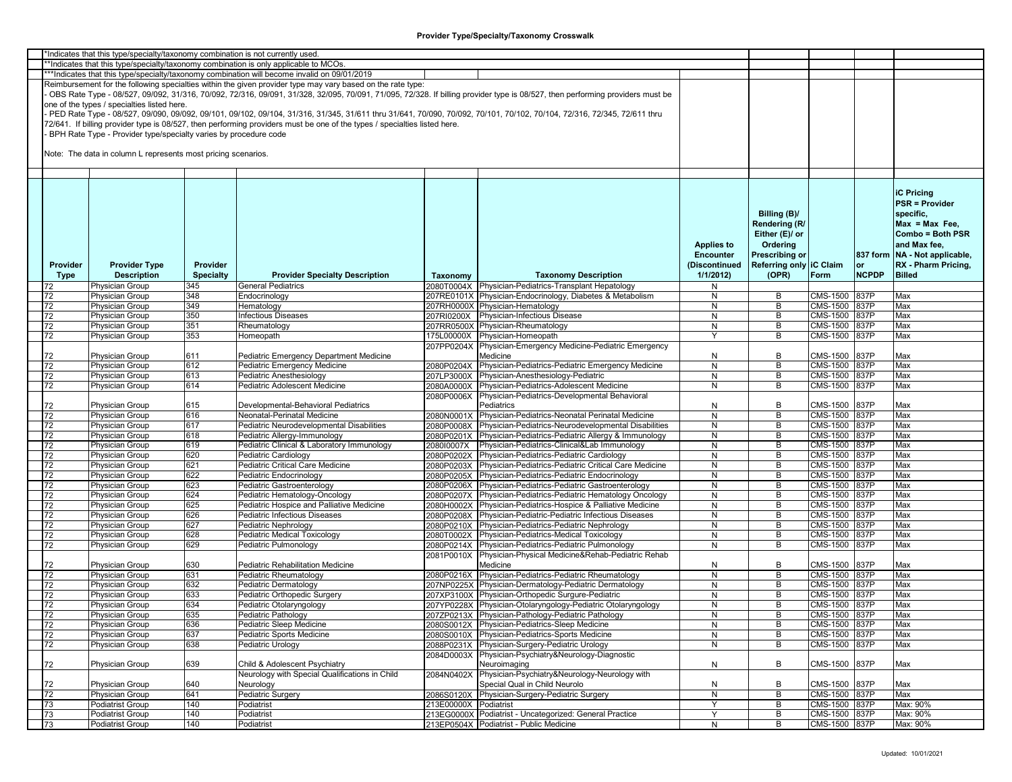|                 | *Indicates that this type/specialty/taxonomy combination is not currently used |                  |                                                                                                                           |                       |                                                                                                                                                                               |                   |                         |               |              |                                 |
|-----------------|--------------------------------------------------------------------------------|------------------|---------------------------------------------------------------------------------------------------------------------------|-----------------------|-------------------------------------------------------------------------------------------------------------------------------------------------------------------------------|-------------------|-------------------------|---------------|--------------|---------------------------------|
|                 |                                                                                |                  | *Indicates that this type/specialty/taxonomy combination is only applicable to MCOs.                                      |                       |                                                                                                                                                                               |                   |                         |               |              |                                 |
|                 |                                                                                |                  | ***Indicates that this type/specialty/taxonomy combination will become invalid on 09/01/2019                              |                       |                                                                                                                                                                               |                   |                         |               |              |                                 |
|                 |                                                                                |                  | Reimbursement for the following specialties within the given provider type may vary based on the rate type:               |                       |                                                                                                                                                                               |                   |                         |               |              |                                 |
|                 |                                                                                |                  |                                                                                                                           |                       | OBS Rate Type - 08/527, 09/092, 31/316, 70/092, 72/316, 09/091, 31/328, 32/095, 70/091, 71/095, 72/328. If billing provider type is 08/527, then performing providers must be |                   |                         |               |              |                                 |
|                 | one of the types / specialties listed here.                                    |                  |                                                                                                                           |                       |                                                                                                                                                                               |                   |                         |               |              |                                 |
|                 |                                                                                |                  |                                                                                                                           |                       | PED Rate Type - 08/527, 09/090, 09/092, 09/101, 09/102, 09/104, 31/316, 31/345, 31/611 thru 31/641, 70/090, 70/092, 70/101, 70/102, 70/104, 72/316, 72/345, 72/611 thru       |                   |                         |               |              |                                 |
|                 |                                                                                |                  |                                                                                                                           |                       |                                                                                                                                                                               |                   |                         |               |              |                                 |
|                 |                                                                                |                  | 72/641. If billing provider type is 08/527, then performing providers must be one of the types / specialties listed here. |                       |                                                                                                                                                                               |                   |                         |               |              |                                 |
|                 | BPH Rate Type - Provider type/specialty varies by procedure code               |                  |                                                                                                                           |                       |                                                                                                                                                                               |                   |                         |               |              |                                 |
|                 |                                                                                |                  |                                                                                                                           |                       |                                                                                                                                                                               |                   |                         |               |              |                                 |
|                 | Note: The data in column L represents most pricing scenarios.                  |                  |                                                                                                                           |                       |                                                                                                                                                                               |                   |                         |               |              |                                 |
|                 |                                                                                |                  |                                                                                                                           |                       |                                                                                                                                                                               |                   |                         |               |              |                                 |
|                 |                                                                                |                  |                                                                                                                           |                       |                                                                                                                                                                               |                   |                         |               |              |                                 |
|                 |                                                                                |                  |                                                                                                                           |                       |                                                                                                                                                                               |                   |                         |               |              |                                 |
|                 |                                                                                |                  |                                                                                                                           |                       |                                                                                                                                                                               |                   |                         |               |              |                                 |
|                 |                                                                                |                  |                                                                                                                           |                       |                                                                                                                                                                               |                   |                         |               |              | <b>iC Pricing</b>               |
|                 |                                                                                |                  |                                                                                                                           |                       |                                                                                                                                                                               |                   |                         |               |              | <b>PSR = Provider</b>           |
|                 |                                                                                |                  |                                                                                                                           |                       |                                                                                                                                                                               |                   | Billing (B)/            |               |              | specific,                       |
|                 |                                                                                |                  |                                                                                                                           |                       |                                                                                                                                                                               |                   | Rendering (R            |               |              | $Max = Max Free$                |
|                 |                                                                                |                  |                                                                                                                           |                       |                                                                                                                                                                               |                   | Either (E)/ or          |               |              | Combo = Both PSR                |
|                 |                                                                                |                  |                                                                                                                           |                       |                                                                                                                                                                               |                   |                         |               |              |                                 |
|                 |                                                                                |                  |                                                                                                                           |                       |                                                                                                                                                                               | <b>Applies to</b> | Ordering                |               |              | and Max fee,                    |
|                 |                                                                                |                  |                                                                                                                           |                       |                                                                                                                                                                               | Encounter         | <b>Prescribing or</b>   |               |              | 837 form   NA - Not applicable, |
| Provider        | <b>Provider Type</b>                                                           | Provider         |                                                                                                                           |                       |                                                                                                                                                                               | (Discontinued     | Referring only IC Claim |               | or           | RX - Pharm Pricing,             |
| Type            | <b>Description</b>                                                             | <b>Specialty</b> | <b>Provider Specialty Description</b>                                                                                     | Taxonomy              | <b>Taxonomy Description</b>                                                                                                                                                   | 1/1/2012          | (OPR)                   | Form          | <b>NCPDP</b> | <b>Billed</b>                   |
|                 | Physician Group                                                                | 345              | General Pediatrics                                                                                                        |                       | 2080T0004X Physician-Pediatrics-Transplant Hepatology                                                                                                                         | N                 |                         |               |              |                                 |
| 72              | <b>Physician Group</b>                                                         | 348              | Endocrinology                                                                                                             |                       | 207RE0101X Physician-Endocrinology, Diabetes & Metabolism                                                                                                                     | N                 | В                       | CMS-1500 837P |              | Max                             |
|                 |                                                                                |                  |                                                                                                                           |                       |                                                                                                                                                                               |                   |                         | CMS-1500 837P |              |                                 |
| 72              | <b>Physician Group</b>                                                         | 349              | Hematology                                                                                                                |                       | 207RH0000X Physician-Hematology                                                                                                                                               | N                 | В                       |               |              | Max                             |
| 72              | <b>Physician Group</b>                                                         | 350              | Infectious Diseases                                                                                                       |                       | 207RI0200X Physician-Infectious Disease                                                                                                                                       | N                 | B                       | CMS-1500 837P |              | Max                             |
| 72              | Physician Group                                                                | 351              | Rheumatology                                                                                                              |                       | 207RR0500X Physician-Rheumatology                                                                                                                                             | N                 | В                       | CMS-1500      | 837P         | Max                             |
| 72              | Physician Group                                                                | 353              | Homeopath                                                                                                                 |                       | 175L00000X Physician-Homeopath                                                                                                                                                | ٧                 | В                       | CMS-1500      | 837P         | Max                             |
|                 |                                                                                |                  |                                                                                                                           |                       | 207PP0204X Physician-Emergency Medicine-Pediatric Emergency                                                                                                                   |                   |                         |               |              |                                 |
| 72              | Physician Group                                                                | 611              | Pediatric Emergency Department Medicine                                                                                   |                       | Medicine                                                                                                                                                                      | N                 | В                       | CMS-1500 837P |              | Max                             |
| 72              | <b>Physician Group</b>                                                         | 612              | Pediatric Emergency Medicine                                                                                              |                       | 2080P0204X Physician-Pediatrics-Pediatric Emergency Medicine                                                                                                                  | N                 | B                       | CMS-1500 837P |              | Max                             |
|                 |                                                                                |                  |                                                                                                                           |                       |                                                                                                                                                                               |                   |                         |               |              |                                 |
| 72              | <b>Physician Group</b>                                                         | 613              | Pediatric Anesthesiology                                                                                                  |                       | 207LP3000X Physician-Anesthesiology-Pediatric                                                                                                                                 | N                 | В                       | CMS-1500 837P |              | Max                             |
| 72              | Physician Group                                                                | 614              | Pediatric Adolescent Medicine                                                                                             |                       | 2080A0000X Physician-Pediatrics-Adolescent Medicine                                                                                                                           | N                 | В                       | CMS-1500      | 837P         | Max                             |
|                 |                                                                                |                  |                                                                                                                           |                       | 2080P0006X Physician-Pediatrics-Developmental Behavioral                                                                                                                      |                   |                         |               |              |                                 |
| 72              | <b>Physician Group</b>                                                         | 615              | Developmental-Behavioral Pediatrics                                                                                       |                       | Pediatrics                                                                                                                                                                    | N                 | B                       | CMS-1500 837P |              | Max                             |
| 72              | <b>Physician Group</b>                                                         | 616              | Neonatal-Perinatal Medicine                                                                                               |                       | 2080N0001X Physician-Pediatrics-Neonatal Perinatal Medicine                                                                                                                   | N                 | B                       | CMS-1500 837P |              | Max                             |
| 72              | Physician Group                                                                | 617              | Pediatric Neurodevelopmental Disabilities                                                                                 |                       | 2080P0008X Physician-Pediatrics-Neurodevelopmental Disabilities                                                                                                               | N                 | В                       | CMS-1500 837P |              | Max                             |
| 72              | <b>Physician Group</b>                                                         | 618              | Pediatric Allergy-Immunology                                                                                              |                       | 2080P0201X Physician-Pediatrics-Pediatric Allergy & Immunology                                                                                                                | N                 | В                       | CMS-1500      | 837P         | Max                             |
| 72              | <b>Physician Group</b>                                                         | 619              | Pediatric Clinical & Laboratory Immunology                                                                                |                       | 208010007X Physician-Pediatrics-Clinical&Lab Immunology                                                                                                                       | $\mathsf{N}$      | B                       | CMS-1500      | 837P         | Max                             |
|                 |                                                                                | 620              |                                                                                                                           |                       |                                                                                                                                                                               | N                 |                         |               | 837P         |                                 |
| 72              | <b>Physician Group</b>                                                         |                  | Pediatric Cardiology                                                                                                      |                       | 2080P0202X Physician-Pediatrics-Pediatric Cardiology                                                                                                                          |                   | В                       | CMS-1500      |              | Max                             |
| 72              | Physician Group                                                                | 621              | Pediatric Critical Care Medicine                                                                                          |                       | 2080P0203X Physician-Pediatrics-Pediatric Critical Care Medicine                                                                                                              | N                 | B                       | CMS-1500 837P |              | Max                             |
| 72              | Physician Group                                                                | 622              | Pediatric Endocrinology                                                                                                   |                       | 2080P0205X Physician-Pediatrics-Pediatric Endocrinology                                                                                                                       | N                 | B                       | CMS-1500      | 837P         | Max                             |
| 72              | Physician Group                                                                | 623              | Pediatric Gastroenterology                                                                                                |                       | 2080P0206X Physician-Pediatrics-Pediatric Gastroenterology                                                                                                                    | N                 | В                       | CMS-1500      | 837P         | Max                             |
| 72              | Physician Group                                                                | 624              | Pediatric Hematology-Oncology                                                                                             |                       | 2080P0207X Physician-Pediatrics-Pediatric Hematology Oncology                                                                                                                 | N                 | В                       | CMS-1500      | 837P         | Max                             |
| 72              | <b>Physician Group</b>                                                         | 625              | Pediatric Hospice and Palliative Medicine                                                                                 |                       | 2080H0002X Physician-Pediatrics-Hospice & Palliative Medicine                                                                                                                 | N                 | В                       | CMS-1500      | 837P         | Max                             |
| 72              | <b>Physician Group</b>                                                         | 626              | Pediatric Infectious Diseases                                                                                             |                       | 2080P0208X Physician-Pediatric-Pediatric Infectious Diseases                                                                                                                  | N                 | В                       | CMS-1500 837P |              | Max                             |
| 72              | Physician Group                                                                | 627              | Pediatric Nephrology                                                                                                      |                       | 2080P0210X Physician-Pediatrics-Pediatric Nephrology                                                                                                                          | N                 | В                       | CMS-1500      | 837P         | Max                             |
| 72              | Physician Group                                                                | 628              | Pediatric Medical Toxicology                                                                                              |                       | 2080T0002X Physician-Pediatrics-Medical Toxicology                                                                                                                            | N                 | В                       | CMS-1500      | 837P         | Max                             |
| 72              |                                                                                | 629              |                                                                                                                           |                       |                                                                                                                                                                               | $\mathsf{N}$      | B                       |               | 837P         | Max                             |
|                 | Physician Group                                                                |                  | Pediatric Pulmonology                                                                                                     |                       | 2080P0214X Physician-Pediatrics-Pediatric Pulmonology                                                                                                                         |                   |                         | CMS-1500      |              |                                 |
|                 |                                                                                |                  |                                                                                                                           |                       | 2081P0010X Physician-Physical Medicine&Rehab-Pediatric Rehab                                                                                                                  |                   |                         |               |              |                                 |
| 72              | <b>Physician Group</b>                                                         | 630              | Pediatric Rehabilitation Medicine                                                                                         |                       | Medicine                                                                                                                                                                      | N                 | В                       | CMS-1500      | 837P         | Max                             |
| 72              | <b>Physician Group</b>                                                         | 631              | Pediatric Rheumatology                                                                                                    |                       | 2080P0216X Physician-Pediatrics-Pediatric Rheumatology                                                                                                                        | N                 | B                       | CMS-1500 837P |              | Max                             |
| 72              | <b>Physician Group</b>                                                         | 632              | Pediatric Dermatology                                                                                                     |                       | 207NP0225X Physician-Dermatology-Pediatric Dermatology                                                                                                                        | N                 | В                       | CMS-1500 837P |              | Max                             |
| 72              | Physician Group                                                                | 633              | Pediatric Orthopedic Surgery                                                                                              |                       | 207XP3100X Physician-Orthopedic Surgure-Pediatric                                                                                                                             | N                 | В                       | CMS-1500 837P |              | Max                             |
| 72              | <b>Physician Group</b>                                                         | 634              | Pediatric Otolaryngology                                                                                                  |                       | 207YP0228X Physician-Otolaryngology-Pediatric Otolaryngology                                                                                                                  | N                 | В                       | CMS-1500 837P |              | Max                             |
| $\overline{72}$ | <b>Physician Group</b>                                                         | 635              | Pediatric Pathology                                                                                                       |                       | 207ZP0213X Physician-Pathology-Pediatric Pathology                                                                                                                            | N                 | В                       | CMS-1500 837P |              | Max                             |
|                 |                                                                                |                  |                                                                                                                           |                       |                                                                                                                                                                               |                   |                         |               |              |                                 |
| 72              | <b>Physician Group</b>                                                         | 636              | Pediatric Sleep Medicine                                                                                                  |                       | 2080S0012X Physician-Pediatrics-Sleep Medicine                                                                                                                                | N                 | В                       | CMS-1500 837P |              | Max                             |
| 72              | <b>Physician Group</b>                                                         | 637              | Pediatric Sports Medicine                                                                                                 |                       | 2080S0010X Physician-Pediatrics-Sports Medicine                                                                                                                               | N                 | В                       | CMS-1500 837P |              | Max                             |
| 72              | <b>Physician Group</b>                                                         | 638              | Pediatric Urology                                                                                                         |                       | 2088P0231X Physician-Surgery-Pediatric Urology                                                                                                                                | $\overline{N}$    | В                       | CMS-1500 837P |              | Max                             |
|                 |                                                                                |                  |                                                                                                                           |                       | 2084D0003X Physician-Psychiatry&Neurology-Diagnostic                                                                                                                          |                   |                         |               |              |                                 |
| 72              | Physician Group                                                                | 639              | Child & Adolescent Psychiatry                                                                                             |                       | Neuroimaging                                                                                                                                                                  | N                 | В                       | CMS-1500 837P |              | Max                             |
|                 |                                                                                |                  | Neurology with Special Qualifications in Child                                                                            |                       | 2084N0402X Physician-Psychiatry&Neurology-Neurology with                                                                                                                      |                   |                         |               |              |                                 |
| 72              | <b>Physician Group</b>                                                         | 640              | Neurology                                                                                                                 |                       | Special Qual in Child Neurolo                                                                                                                                                 | $\mathsf{N}$      | В                       | CMS-1500 837P |              | Max                             |
|                 | <b>Physician Group</b>                                                         | 641              |                                                                                                                           |                       | 2086S0120X Physician-Surgery-Pediatric Surgery                                                                                                                                |                   | B                       | CMS-1500 837P |              | Max                             |
| 72              |                                                                                |                  | Pediatric Surgery                                                                                                         |                       |                                                                                                                                                                               | N                 |                         |               |              |                                 |
| 73              | Podiatrist Group                                                               | 140              | Podiatrist                                                                                                                | 213E00000X Podiatrist |                                                                                                                                                                               | Y                 | В                       | CMS-1500 837P |              | Max: 90%                        |
| 73              | Podiatrist Group                                                               | 140              | Podiatrist                                                                                                                |                       | 213EG0000X Podiatrist - Uncategorized: General Practice                                                                                                                       | Y                 | В                       | CMS-1500 837P |              | Max: 90%                        |
| 73              | Podiatrist Group                                                               | 140              | Podiatrist                                                                                                                |                       | 213EP0504X Podiatrist - Public Medicine                                                                                                                                       | N                 | B                       | CMS-1500 837P |              | Max: 90%                        |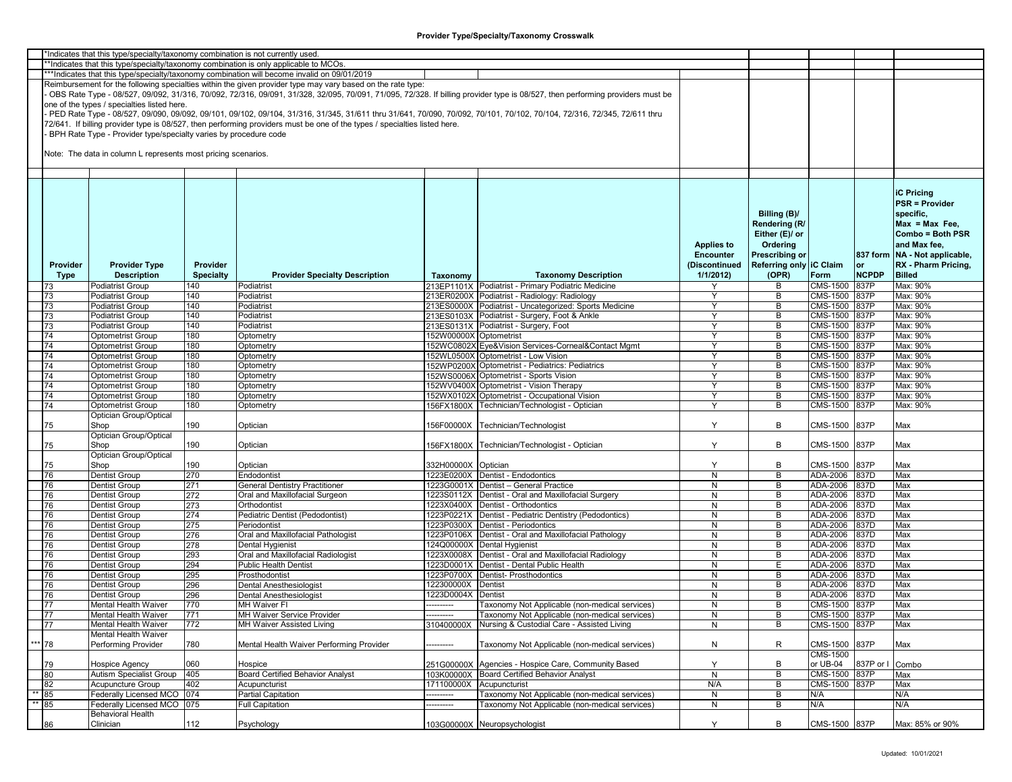|      |          | *Indicates that this type/specialty/taxonomy combination is not currently used |                  |                                                                                                                                                                         |                          |                                                                                                                                                                               |                   |                         |                 |              |                                 |
|------|----------|--------------------------------------------------------------------------------|------------------|-------------------------------------------------------------------------------------------------------------------------------------------------------------------------|--------------------------|-------------------------------------------------------------------------------------------------------------------------------------------------------------------------------|-------------------|-------------------------|-----------------|--------------|---------------------------------|
|      |          |                                                                                |                  | *Indicates that this type/specialty/taxonomy combination is only applicable to MCOs.                                                                                    |                          |                                                                                                                                                                               |                   |                         |                 |              |                                 |
|      |          |                                                                                |                  |                                                                                                                                                                         |                          |                                                                                                                                                                               |                   |                         |                 |              |                                 |
|      |          |                                                                                |                  | ***Indicates that this type/specialty/taxonomy combination will become invalid on 09/01/2019                                                                            |                          |                                                                                                                                                                               |                   |                         |                 |              |                                 |
|      |          |                                                                                |                  | Reimbursement for the following specialties within the given provider type may vary based on the rate type:                                                             |                          |                                                                                                                                                                               |                   |                         |                 |              |                                 |
|      |          |                                                                                |                  |                                                                                                                                                                         |                          | OBS Rate Type - 08/527, 09/092, 31/316, 70/092, 72/316, 09/091, 31/328, 32/095, 70/091, 71/095, 72/328. If billing provider type is 08/527, then performing providers must be |                   |                         |                 |              |                                 |
|      |          |                                                                                |                  |                                                                                                                                                                         |                          |                                                                                                                                                                               |                   |                         |                 |              |                                 |
|      |          | one of the types / specialties listed here.                                    |                  |                                                                                                                                                                         |                          |                                                                                                                                                                               |                   |                         |                 |              |                                 |
|      |          |                                                                                |                  | PED Rate Type - 08/527, 09/090, 09/092, 09/101, 09/102, 09/104, 31/316, 31/345, 31/611 thru 31/641, 70/090, 70/092, 70/101, 70/102, 70/104, 72/316, 72/345, 72/611 thru |                          |                                                                                                                                                                               |                   |                         |                 |              |                                 |
|      |          |                                                                                |                  | 72/641. If billing provider type is 08/527, then performing providers must be one of the types / specialties listed here.                                               |                          |                                                                                                                                                                               |                   |                         |                 |              |                                 |
|      |          |                                                                                |                  |                                                                                                                                                                         |                          |                                                                                                                                                                               |                   |                         |                 |              |                                 |
|      |          | BPH Rate Type - Provider type/specialty varies by procedure code               |                  |                                                                                                                                                                         |                          |                                                                                                                                                                               |                   |                         |                 |              |                                 |
|      |          |                                                                                |                  |                                                                                                                                                                         |                          |                                                                                                                                                                               |                   |                         |                 |              |                                 |
|      |          | Note: The data in column L represents most pricing scenarios.                  |                  |                                                                                                                                                                         |                          |                                                                                                                                                                               |                   |                         |                 |              |                                 |
|      |          |                                                                                |                  |                                                                                                                                                                         |                          |                                                                                                                                                                               |                   |                         |                 |              |                                 |
|      |          |                                                                                |                  |                                                                                                                                                                         |                          |                                                                                                                                                                               |                   |                         |                 |              |                                 |
|      |          |                                                                                |                  |                                                                                                                                                                         |                          |                                                                                                                                                                               |                   |                         |                 |              |                                 |
|      |          |                                                                                |                  |                                                                                                                                                                         |                          |                                                                                                                                                                               |                   |                         |                 |              |                                 |
|      |          |                                                                                |                  |                                                                                                                                                                         |                          |                                                                                                                                                                               |                   |                         |                 |              |                                 |
|      |          |                                                                                |                  |                                                                                                                                                                         |                          |                                                                                                                                                                               |                   |                         |                 |              | <b>iC Pricing</b>               |
|      |          |                                                                                |                  |                                                                                                                                                                         |                          |                                                                                                                                                                               |                   |                         |                 |              | <b>PSR = Provider</b>           |
|      |          |                                                                                |                  |                                                                                                                                                                         |                          |                                                                                                                                                                               |                   |                         |                 |              |                                 |
|      |          |                                                                                |                  |                                                                                                                                                                         |                          |                                                                                                                                                                               |                   | Billing (B)/            |                 |              | specific,                       |
|      |          |                                                                                |                  |                                                                                                                                                                         |                          |                                                                                                                                                                               |                   | Rendering (R)           |                 |              | $Max = Max Free$                |
|      |          |                                                                                |                  |                                                                                                                                                                         |                          |                                                                                                                                                                               |                   |                         |                 |              |                                 |
|      |          |                                                                                |                  |                                                                                                                                                                         |                          |                                                                                                                                                                               |                   | Either (E)/ or          |                 |              | Combo = Both PSR                |
|      |          |                                                                                |                  |                                                                                                                                                                         |                          |                                                                                                                                                                               | <b>Applies to</b> | Ordering                |                 |              | and Max fee,                    |
|      |          |                                                                                |                  |                                                                                                                                                                         |                          |                                                                                                                                                                               | <b>Encounter</b>  | Prescribing or          |                 |              | 837 form   NA - Not applicable, |
|      |          |                                                                                |                  |                                                                                                                                                                         |                          |                                                                                                                                                                               |                   |                         |                 |              |                                 |
|      | Provider | <b>Provider Type</b>                                                           | Provider         |                                                                                                                                                                         |                          |                                                                                                                                                                               | (Discontinued     | Referring only IC Claim |                 | or           | RX - Pharm Pricing,             |
|      | Type     | <b>Description</b>                                                             | <b>Specialty</b> | <b>Provider Specialty Description</b>                                                                                                                                   | Taxonomy                 | <b>Taxonomy Description</b>                                                                                                                                                   | 1/1/2012          | (OPR)                   | Form            | <b>NCPDP</b> | <b>Billed</b>                   |
|      |          |                                                                                |                  |                                                                                                                                                                         |                          |                                                                                                                                                                               |                   |                         |                 |              |                                 |
|      | 73       | Podiatrist Group                                                               | 140              | Podiatrist                                                                                                                                                              |                          | 213EP1101X Podiatrist - Primary Podiatric Medicine                                                                                                                            |                   | В                       | CMS-1500        | 837P         | Max: 90%                        |
|      | 73       | <b>Podiatrist Group</b>                                                        | 140              | Podiatrist                                                                                                                                                              |                          | 213ER0200X Podiatrist - Radiology: Radiology                                                                                                                                  | Y                 | В                       | CMS-1500        | 837P         | Max: 90%                        |
|      | 73       | <b>Podiatrist Group</b>                                                        | 140              | Podiatrist                                                                                                                                                              |                          | 213ES0000X Podiatrist - Uncategorized: Sports Medicine                                                                                                                        | Y                 | В                       | CMS-1500        | <b>837P</b>  | Max: 90%                        |
|      | 73       | Podiatrist Group                                                               | 140              | Podiatrist                                                                                                                                                              |                          | 213ES0103X Podiatrist - Surgery, Foot & Ankle                                                                                                                                 | Y                 | B                       | CMS-1500 837P   |              | Max: 90%                        |
|      |          |                                                                                |                  |                                                                                                                                                                         |                          |                                                                                                                                                                               |                   |                         |                 |              |                                 |
|      | 73       | Podiatrist Group                                                               | 140              | Podiatrist                                                                                                                                                              |                          | 213ES0131X Podiatrist - Surgery, Foot                                                                                                                                         | Y                 | B                       | CMS-1500        | 837P         | Max: 90%                        |
|      | 74       | <b>Optometrist Group</b>                                                       | 180              | Optometry                                                                                                                                                               | 152W00000X Optometrist   |                                                                                                                                                                               | Y                 | В                       | <b>CMS-1500</b> | 837P         | Max: 90%                        |
|      | 74       | <b>Optometrist Group</b>                                                       | 180              | Optometry                                                                                                                                                               |                          | 152WC0802X Eye&Vision Services-Corneal&Contact Mgmt                                                                                                                           | Y                 | В                       | CMS-1500        | 837P         | Max: 90%                        |
|      |          |                                                                                |                  |                                                                                                                                                                         |                          |                                                                                                                                                                               |                   |                         |                 |              |                                 |
|      | 74       | <b>Optometrist Group</b>                                                       | 180              | Optometry                                                                                                                                                               |                          | 152WL0500X Optometrist - Low Vision                                                                                                                                           | Y                 | В                       | CMS-1500        | 837P         | Max: 90%                        |
|      | 74       | <b>Optometrist Group</b>                                                       | 180              | Optometry                                                                                                                                                               |                          | 152WP0200X Optometrist - Pediatrics: Pediatrics                                                                                                                               |                   | B                       | CMS-1500 837P   |              | Max: 90%                        |
|      | 74       | <b>Optometrist Group</b>                                                       | 180              | Optometry                                                                                                                                                               |                          | 152WS0006X Optometrist - Sports Vision                                                                                                                                        | Y                 | B                       | CMS-1500        | 837P         | Max: 90%                        |
|      | 74       | <b>Optometrist Group</b>                                                       | 180              | Optometry                                                                                                                                                               |                          | 152WV0400X Optometrist - Vision Therapy                                                                                                                                       | Y                 | В                       | CMS-1500        | 837P         | Max: 90%                        |
|      |          |                                                                                |                  |                                                                                                                                                                         |                          |                                                                                                                                                                               |                   |                         |                 |              |                                 |
|      | 74       | <b>Optometrist Group</b>                                                       | 180              | Optometry                                                                                                                                                               |                          | 152WX0102X Optometrist - Occupational Vision                                                                                                                                  | Y                 | В                       | CMS-1500        | 837P         | Max: 90%                        |
|      | 74       | <b>Optometrist Group</b>                                                       | 180              | Optometry                                                                                                                                                               |                          | 156FX1800X Technician/Technologist - Optician                                                                                                                                 | Y                 | B                       | CMS-1500        | 837P         | Max: 90%                        |
|      |          | Optician Group/Optical                                                         |                  |                                                                                                                                                                         |                          |                                                                                                                                                                               |                   |                         |                 |              |                                 |
|      |          |                                                                                |                  |                                                                                                                                                                         |                          |                                                                                                                                                                               |                   |                         |                 |              |                                 |
|      | 75       | Shop                                                                           | 190              | Optician                                                                                                                                                                |                          | 156F00000X Technician/Technologist                                                                                                                                            | Y                 | В                       | CMS-1500        | 837P         | Max                             |
|      |          | Optician Group/Optical                                                         |                  |                                                                                                                                                                         |                          |                                                                                                                                                                               |                   |                         |                 |              |                                 |
|      | 75       | Shop                                                                           | 190              | Optician                                                                                                                                                                |                          | 156FX1800X Technician/Technologist - Optician                                                                                                                                 | Y                 | B                       | CMS-1500        | 837P         | Max                             |
|      |          | Optician Group/Optical                                                         |                  |                                                                                                                                                                         |                          |                                                                                                                                                                               |                   |                         |                 |              |                                 |
|      |          |                                                                                |                  |                                                                                                                                                                         |                          |                                                                                                                                                                               |                   |                         |                 |              |                                 |
|      | 75       | Shop                                                                           | 190              | Optician                                                                                                                                                                | 332H00000X Optician      |                                                                                                                                                                               | Y                 | В                       | CMS-1500        | 837P         | Max                             |
|      | 76       | Dentist Group                                                                  | 270              | Endodontist                                                                                                                                                             |                          | 1223E0200X Dentist - Endodontics                                                                                                                                              | N                 | B                       | ADA-2006        | 837D         | Max                             |
|      | 76       | Dentist Group                                                                  | 271              | <b>General Dentistry Practitioner</b>                                                                                                                                   |                          | 1223G0001X Dentist - General Practice                                                                                                                                         | N                 | В                       | ADA-2006        | 837D         | Max                             |
|      | 76       | Dentist Group                                                                  | 272              | Oral and Maxillofacial Surgeon                                                                                                                                          |                          | 1223S0112X Dentist - Oral and Maxillofacial Surgery                                                                                                                           | N                 | В                       | ADA-2006        | 837D         | Max                             |
|      |          |                                                                                |                  |                                                                                                                                                                         |                          |                                                                                                                                                                               |                   |                         |                 |              |                                 |
|      | 76       | Dentist Group                                                                  | 273              | Orthodontist                                                                                                                                                            |                          | 1223X0400X Dentist - Orthodontics                                                                                                                                             | N                 | В                       | ADA-2006        | 837D         | Max                             |
|      | 76       | Dentist Group                                                                  | 274              | Pediatric Dentist (Pedodontist)                                                                                                                                         |                          | 1223P0221X Dentist - Pediatric Dentistry (Pedodontics)                                                                                                                        | N                 | В                       | ADA-2006        | 837D         | Max                             |
|      | 76       | Dentist Group                                                                  | 275              | Periodontist                                                                                                                                                            |                          | 1223P0300X Dentist - Periodontics                                                                                                                                             | N                 | В                       | ADA-2006        | 837D         | Max                             |
|      | 76       | Dentist Group                                                                  | 276              | Oral and Maxillofacial Pathologist                                                                                                                                      |                          | 1223P0106X Dentist - Oral and Maxillofacial Pathology                                                                                                                         | N                 | В                       | ADA-2006        | 837D         | Max                             |
|      |          |                                                                                |                  |                                                                                                                                                                         |                          |                                                                                                                                                                               |                   |                         |                 |              |                                 |
|      | 76       | Dentist Group                                                                  | 278              | Dental Hygienist                                                                                                                                                        |                          | 124Q00000X Dental Hygienist                                                                                                                                                   | N                 | В                       | ADA-2006        | 837D         | Max                             |
|      | 76       | Dentist Group                                                                  | 293              | Oral and Maxillofacial Radiologist                                                                                                                                      |                          | 1223X0008X Dentist - Oral and Maxillofacial Radiology                                                                                                                         | N                 | В                       | ADA-2006        | 837D         | Max                             |
|      | 76       | Dentist Group                                                                  | 294              | <b>Public Health Dentist</b>                                                                                                                                            |                          | 1223D0001X Dentist - Dental Public Health                                                                                                                                     | N                 | E                       | ADA-2006        | 837D         | Max                             |
|      |          |                                                                                |                  |                                                                                                                                                                         |                          |                                                                                                                                                                               |                   | В                       |                 |              |                                 |
|      | 76       | Dentist Group                                                                  | 295              | Prosthodontist                                                                                                                                                          |                          | 1223P0700X Dentist- Prosthodontics                                                                                                                                            | N                 |                         | ADA-2006        | 837D         | Max                             |
|      | 76       | Dentist Group                                                                  | 296              | Dental Anesthesiologist                                                                                                                                                 | 122300000X Dentist       |                                                                                                                                                                               | N                 | В                       | ADA-2006        | 837D         | Max                             |
|      | 76       | Dentist Group                                                                  | 296              | Dental Anesthesiologist                                                                                                                                                 | 1223D0004X Dentist       |                                                                                                                                                                               | N                 | B                       | ADA-2006        | 837D         | Max                             |
|      | 77       | <b>Mental Health Waiver</b>                                                    | 770              | <b>MH Waiver FI</b>                                                                                                                                                     | ---------                | Taxonomy Not Applicable (non-medical services)                                                                                                                                | N                 | В                       | CMS-1500        | 837P         | Max                             |
|      |          |                                                                                |                  |                                                                                                                                                                         |                          |                                                                                                                                                                               |                   |                         |                 |              |                                 |
|      | 77       | Mental Health Waiver                                                           | 771              | MH Waiver Service Provider                                                                                                                                              | ----------               | Taxonomy Not Applicable (non-medical services)                                                                                                                                | N                 | В                       | CMS-1500 837P   |              | Max                             |
|      | 77       | Mental Health Waiver                                                           | 772              | MH Waiver Assisted Living                                                                                                                                               | 310400000X               | Nursing & Custodial Care - Assisted Living                                                                                                                                    | N                 | В                       | CMS-1500        | 837P         | Max                             |
|      |          | Mental Health Waiver                                                           |                  |                                                                                                                                                                         |                          |                                                                                                                                                                               |                   |                         |                 |              |                                 |
|      | *** 78   | Performing Provider                                                            | 780              | Mental Health Waiver Performing Provider                                                                                                                                |                          | Taxonomy Not Applicable (non-medical services)                                                                                                                                |                   | R                       | CMS-1500        | 837P         | Max                             |
|      |          |                                                                                |                  |                                                                                                                                                                         |                          |                                                                                                                                                                               | N                 |                         |                 |              |                                 |
|      |          |                                                                                |                  |                                                                                                                                                                         |                          |                                                                                                                                                                               |                   |                         | CMS-1500        |              |                                 |
|      | 79       | Hospice Agency                                                                 | 060              | Hospice                                                                                                                                                                 |                          | 251G00000X Agencies - Hospice Care, Community Based                                                                                                                           | Y                 | В                       | or UB-04        | 837P or I    | Combo                           |
|      | 80       | Autism Specialist Group                                                        | 405              | <b>Board Certified Behavior Analyst</b>                                                                                                                                 |                          | 103K00000X Board Certified Behavior Analyst                                                                                                                                   | N                 | В                       | CMS-1500        | 837P         | Max                             |
|      |          |                                                                                |                  |                                                                                                                                                                         |                          |                                                                                                                                                                               |                   |                         |                 |              |                                 |
|      | 82       | <b>Acupuncture Group</b>                                                       | 402              | Acupuncturist                                                                                                                                                           | 171100000X Acupuncturist |                                                                                                                                                                               | N/A               | B                       | CMS-1500 837P   |              | Max                             |
|      | 85       | Federally Licensed MCO 074                                                     |                  | <b>Partial Capitation</b>                                                                                                                                               | ---------                | <b>Faxonomy Not Applicable (non-medical services)</b>                                                                                                                         | N                 | B                       | N/A             |              | N/A                             |
| $**$ | 85       | Federally Licensed MCO 075                                                     |                  | <b>Full Capitation</b>                                                                                                                                                  | ------                   | [axonomy Not Applicable (non-medical services)                                                                                                                                | $\mathsf{N}$      | В                       | N/A             |              | N/A                             |
|      |          | <b>Behavioral Health</b>                                                       |                  |                                                                                                                                                                         |                          |                                                                                                                                                                               |                   |                         |                 |              |                                 |
|      |          |                                                                                |                  |                                                                                                                                                                         |                          |                                                                                                                                                                               |                   |                         |                 |              |                                 |
|      | 86       | Clinician                                                                      | 112              | Psychology                                                                                                                                                              |                          | 103G00000X Neuropsychologist                                                                                                                                                  | Y                 | B                       | CMS-1500 837P   |              | Max: 85% or 90%                 |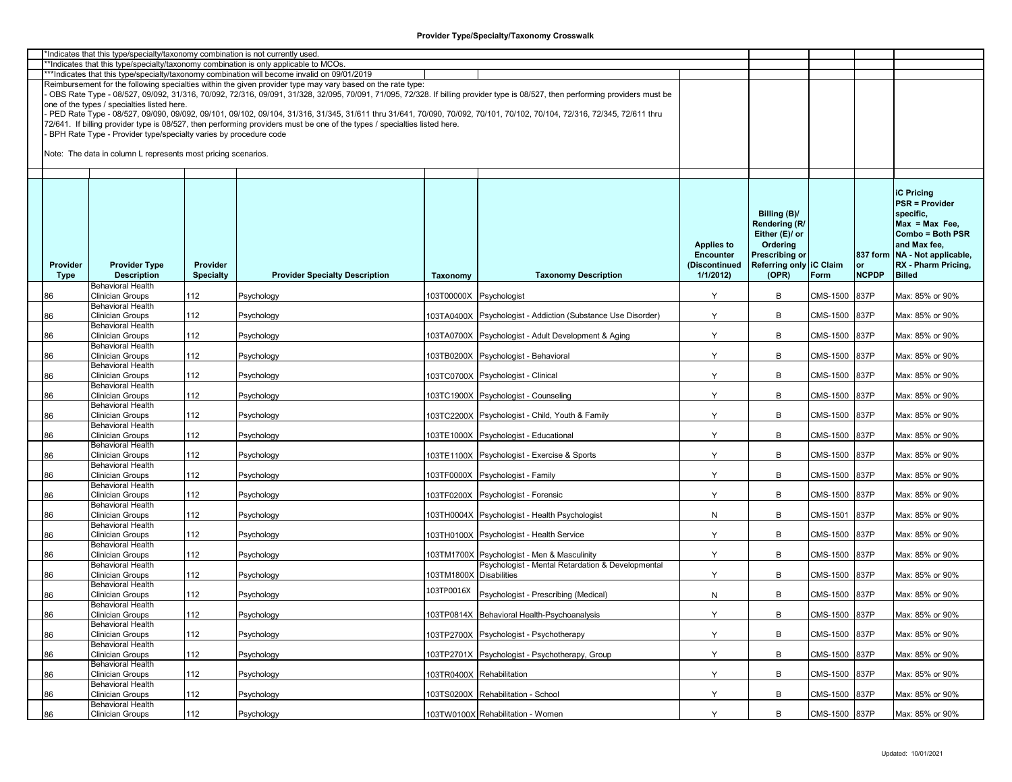|             | *Indicates that this type/specialty/taxonomy combination is not currently used. |                  |                                                                                                                                                                         |                         |                                                                                                                                                                               |                   |                         |               |              |                                 |
|-------------|---------------------------------------------------------------------------------|------------------|-------------------------------------------------------------------------------------------------------------------------------------------------------------------------|-------------------------|-------------------------------------------------------------------------------------------------------------------------------------------------------------------------------|-------------------|-------------------------|---------------|--------------|---------------------------------|
|             |                                                                                 |                  | *Indicates that this type/specialty/taxonomy combination is only applicable to MCOs.                                                                                    |                         |                                                                                                                                                                               |                   |                         |               |              |                                 |
|             |                                                                                 |                  | ***Indicates that this type/specialty/taxonomy combination will become invalid on 09/01/2019                                                                            |                         |                                                                                                                                                                               |                   |                         |               |              |                                 |
|             |                                                                                 |                  | Reimbursement for the following specialties within the given provider type may vary based on the rate type:                                                             |                         |                                                                                                                                                                               |                   |                         |               |              |                                 |
|             |                                                                                 |                  |                                                                                                                                                                         |                         | OBS Rate Type - 08/527, 09/092, 31/316, 70/092, 72/316, 09/091, 31/328, 32/095, 70/091, 71/095, 72/328. If billing provider type is 08/527, then performing providers must be |                   |                         |               |              |                                 |
|             | one of the types / specialties listed here.                                     |                  |                                                                                                                                                                         |                         |                                                                                                                                                                               |                   |                         |               |              |                                 |
|             |                                                                                 |                  | PED Rate Type - 08/527, 09/090, 09/092, 09/101, 09/102, 09/104, 31/316, 31/345, 31/611 thru 31/641, 70/090, 70/092, 70/101, 70/102, 70/104, 72/316, 72/345, 72/611 thru |                         |                                                                                                                                                                               |                   |                         |               |              |                                 |
|             |                                                                                 |                  |                                                                                                                                                                         |                         |                                                                                                                                                                               |                   |                         |               |              |                                 |
|             |                                                                                 |                  | 72/641. If billing provider type is 08/527, then performing providers must be one of the types / specialties listed here.                                               |                         |                                                                                                                                                                               |                   |                         |               |              |                                 |
|             | BPH Rate Type - Provider type/specialty varies by procedure code                |                  |                                                                                                                                                                         |                         |                                                                                                                                                                               |                   |                         |               |              |                                 |
|             |                                                                                 |                  |                                                                                                                                                                         |                         |                                                                                                                                                                               |                   |                         |               |              |                                 |
|             | Note: The data in column L represents most pricing scenarios.                   |                  |                                                                                                                                                                         |                         |                                                                                                                                                                               |                   |                         |               |              |                                 |
|             |                                                                                 |                  |                                                                                                                                                                         |                         |                                                                                                                                                                               |                   |                         |               |              |                                 |
|             |                                                                                 |                  |                                                                                                                                                                         |                         |                                                                                                                                                                               |                   |                         |               |              |                                 |
|             |                                                                                 |                  |                                                                                                                                                                         |                         |                                                                                                                                                                               |                   |                         |               |              |                                 |
|             |                                                                                 |                  |                                                                                                                                                                         |                         |                                                                                                                                                                               |                   |                         |               |              | <b>iC Pricing</b>               |
|             |                                                                                 |                  |                                                                                                                                                                         |                         |                                                                                                                                                                               |                   |                         |               |              | <b>PSR = Provider</b>           |
|             |                                                                                 |                  |                                                                                                                                                                         |                         |                                                                                                                                                                               |                   |                         |               |              |                                 |
|             |                                                                                 |                  |                                                                                                                                                                         |                         |                                                                                                                                                                               |                   | Billing (B)/            |               |              | specific.                       |
|             |                                                                                 |                  |                                                                                                                                                                         |                         |                                                                                                                                                                               |                   | Rendering (R/           |               |              | $Max = Max Free$                |
|             |                                                                                 |                  |                                                                                                                                                                         |                         |                                                                                                                                                                               |                   | Either (E)/ or          |               |              | Combo = Both PSR                |
|             |                                                                                 |                  |                                                                                                                                                                         |                         |                                                                                                                                                                               | <b>Applies to</b> | Ordering                |               |              | and Max fee,                    |
|             |                                                                                 |                  |                                                                                                                                                                         |                         |                                                                                                                                                                               | <b>Encounter</b>  | Prescribing or          |               |              | 837 form   NA - Not applicable, |
| Provider    | <b>Provider Type</b>                                                            | Provider         |                                                                                                                                                                         |                         |                                                                                                                                                                               | (Discontinued     | Referring only IC Claim |               | or           | RX - Pharm Pricing,             |
| <b>Type</b> | <b>Description</b>                                                              | <b>Specialty</b> | <b>Provider Specialty Description</b>                                                                                                                                   | Taxonomy                | <b>Taxonomy Description</b>                                                                                                                                                   | 1/1/2012          | (OPR)                   | Form          | <b>NCPDP</b> | <b>Billed</b>                   |
|             | <b>Behavioral Health</b>                                                        |                  |                                                                                                                                                                         |                         |                                                                                                                                                                               |                   |                         |               |              |                                 |
|             |                                                                                 |                  |                                                                                                                                                                         |                         |                                                                                                                                                                               |                   |                         |               |              |                                 |
| 86          | <b>Clinician Groups</b>                                                         | 112              | Psychology                                                                                                                                                              | 103T00000X Psychologist |                                                                                                                                                                               | Y                 | В                       | CMS-1500      | 837P         | Max: 85% or 90%                 |
|             | <b>Behavioral Health</b>                                                        |                  |                                                                                                                                                                         |                         |                                                                                                                                                                               |                   |                         |               |              |                                 |
| 86          | <b>Clinician Groups</b>                                                         | 112              | Psychology                                                                                                                                                              |                         | 103TA0400X Psychologist - Addiction (Substance Use Disorder)                                                                                                                  | Y                 | B                       | CMS-1500      | 837P         | Max: 85% or 90%                 |
|             | <b>Behavioral Health</b>                                                        |                  |                                                                                                                                                                         |                         |                                                                                                                                                                               |                   |                         |               |              |                                 |
| 86          | <b>Clinician Groups</b>                                                         | 112              | Psychology                                                                                                                                                              |                         | 103TA0700X Psychologist - Adult Development & Aging                                                                                                                           | Y                 | В                       | CMS-1500      | 837P         | Max: 85% or 90%                 |
|             | <b>Behavioral Health</b>                                                        |                  |                                                                                                                                                                         |                         |                                                                                                                                                                               |                   |                         |               |              |                                 |
| 86          | <b>Clinician Groups</b>                                                         | 112              | Psychology                                                                                                                                                              |                         | 103TB0200X Psychologist - Behavioral                                                                                                                                          | Y                 | B                       | CMS-1500      | 837P         | Max: 85% or 90%                 |
|             | <b>Behavioral Health</b>                                                        |                  |                                                                                                                                                                         |                         |                                                                                                                                                                               |                   |                         |               |              |                                 |
|             | <b>Clinician Groups</b>                                                         | 112              |                                                                                                                                                                         |                         |                                                                                                                                                                               | Y                 | B                       | CMS-1500      | 837P         | Max: 85% or 90%                 |
| 86          |                                                                                 |                  | Psychology                                                                                                                                                              |                         | 103TC0700X Psychologist - Clinical                                                                                                                                            |                   |                         |               |              |                                 |
|             | <b>Behavioral Health</b>                                                        |                  |                                                                                                                                                                         |                         |                                                                                                                                                                               |                   |                         |               |              |                                 |
| 86          | <b>Clinician Groups</b>                                                         | 112              | Psychology                                                                                                                                                              |                         | 103TC1900X Psychologist - Counseling                                                                                                                                          | Y                 | В                       | CMS-1500      | 837P         | Max: 85% or 90%                 |
|             | <b>Behavioral Health</b>                                                        |                  |                                                                                                                                                                         |                         |                                                                                                                                                                               |                   |                         |               |              |                                 |
| 86          | <b>Clinician Groups</b>                                                         | 112              | Psychology                                                                                                                                                              |                         | 103TC2200X Psychologist - Child, Youth & Family                                                                                                                               | Y                 | B                       | CMS-1500      | 837P         | Max: 85% or 90%                 |
|             | <b>Behavioral Health</b>                                                        |                  |                                                                                                                                                                         |                         |                                                                                                                                                                               |                   |                         |               |              |                                 |
| 86          | <b>Clinician Groups</b>                                                         | 112              | Psychology                                                                                                                                                              |                         | 03TE1000X Psychologist - Educational                                                                                                                                          | Y                 | В                       | CMS-1500      | 837P         | Max: 85% or 90%                 |
|             | <b>Behavioral Health</b>                                                        |                  |                                                                                                                                                                         |                         |                                                                                                                                                                               |                   |                         |               |              |                                 |
| 86          | <b>Clinician Groups</b>                                                         | 112              | Psychology                                                                                                                                                              |                         | 103TE1100X Psychologist - Exercise & Sports                                                                                                                                   | Y                 | B                       | CMS-1500      | 837P         | Max: 85% or 90%                 |
|             | <b>Behavioral Health</b>                                                        |                  |                                                                                                                                                                         |                         |                                                                                                                                                                               |                   |                         |               |              |                                 |
| 86          | <b>Clinician Groups</b>                                                         | 112              | Psychology                                                                                                                                                              |                         | 103TF0000X Psychologist - Family                                                                                                                                              | Y                 | B                       | CMS-1500      | 837P         | Max: 85% or 90%                 |
|             | <b>Behavioral Health</b>                                                        |                  |                                                                                                                                                                         |                         |                                                                                                                                                                               |                   |                         |               |              |                                 |
|             |                                                                                 |                  |                                                                                                                                                                         |                         |                                                                                                                                                                               |                   |                         |               |              |                                 |
| 86          | <b>Clinician Groups</b>                                                         | 112              | Psychology                                                                                                                                                              |                         | 103TF0200X Psychologist - Forensic                                                                                                                                            | Y                 | В                       | CMS-1500      | 837P         | Max: 85% or 90%                 |
|             | <b>Behavioral Health</b>                                                        |                  |                                                                                                                                                                         |                         |                                                                                                                                                                               |                   |                         |               |              |                                 |
| 86          | <b>Clinician Groups</b>                                                         | 112              | Psychology                                                                                                                                                              |                         | 103TH0004X Psychologist - Health Psychologist                                                                                                                                 | N                 | В                       | CMS-1501      | 837P         | Max: 85% or 90%                 |
|             | <b>Behavioral Health</b>                                                        |                  |                                                                                                                                                                         |                         |                                                                                                                                                                               |                   |                         |               |              |                                 |
| 86          | <b>Clinician Groups</b>                                                         | 112              | Psychology                                                                                                                                                              |                         | 03TH0100X Psychologist - Health Service                                                                                                                                       | Y                 | В                       | CMS-1500      | 837P         | Max: 85% or 90%                 |
|             | <b>Behavioral Health</b>                                                        |                  |                                                                                                                                                                         |                         |                                                                                                                                                                               |                   |                         |               |              |                                 |
| 86          | <b>Clinician Groups</b>                                                         | 112              | Psychology                                                                                                                                                              |                         | 103TM1700X Psychologist - Men & Masculinity                                                                                                                                   | Y                 | B                       | CMS-1500      | 837P         | Max: 85% or 90%                 |
|             | <b>Behavioral Health</b>                                                        |                  |                                                                                                                                                                         |                         | Psychologist - Mental Retardation & Developmental                                                                                                                             |                   |                         |               |              |                                 |
| 86          | <b>Clinician Groups</b>                                                         | 112              | Psychology                                                                                                                                                              | 103TM1800X Disabilities |                                                                                                                                                                               | Y                 | B                       | CMS-1500      | 837P         | Max: 85% or 90%                 |
|             | <b>Behavioral Health</b>                                                        |                  |                                                                                                                                                                         |                         |                                                                                                                                                                               |                   |                         |               |              |                                 |
|             | <b>Clinician Groups</b>                                                         |                  |                                                                                                                                                                         | 103TP0016X              |                                                                                                                                                                               |                   | B                       | CMS-1500      | 837P         | Max: 85% or 90%                 |
| 86          | <b>Behavioral Health</b>                                                        | 112              | Psychology                                                                                                                                                              |                         | Psychologist - Prescribing (Medical)                                                                                                                                          | ${\sf N}$         |                         |               |              |                                 |
|             |                                                                                 |                  |                                                                                                                                                                         |                         |                                                                                                                                                                               |                   |                         |               |              |                                 |
| 86          | <b>Clinician Groups</b>                                                         | 112              | Psychology                                                                                                                                                              |                         | 103TP0814X Behavioral Health-Psychoanalysis                                                                                                                                   | Y                 | В                       | CMS-1500 837P |              | Max: 85% or 90%                 |
|             | <b>Behavioral Health</b>                                                        |                  |                                                                                                                                                                         |                         |                                                                                                                                                                               |                   |                         |               |              |                                 |
| 86          | <b>Clinician Groups</b>                                                         | 112              | Psychology                                                                                                                                                              |                         | 103TP2700X Psychologist - Psychotherapy                                                                                                                                       | Y                 | В                       | CMS-1500      | 837P         | Max: 85% or 90%                 |
|             | <b>Behavioral Health</b>                                                        |                  |                                                                                                                                                                         |                         |                                                                                                                                                                               |                   |                         |               |              |                                 |
| 86          | <b>Clinician Groups</b>                                                         | 112              | Psychology                                                                                                                                                              |                         | 103TP2701X Psychologist - Psychotherapy, Group                                                                                                                                | Y                 | B                       | CMS-1500      | 837P         | Max: 85% or 90%                 |
|             | <b>Behavioral Health</b>                                                        |                  |                                                                                                                                                                         |                         |                                                                                                                                                                               |                   |                         |               |              |                                 |
| 86          | <b>Clinician Groups</b>                                                         | 112              | Psychology                                                                                                                                                              |                         | 103TR0400X Rehabilitation                                                                                                                                                     | Y                 | В                       | CMS-1500      | 837P         | Max: 85% or 90%                 |
|             | <b>Behavioral Health</b>                                                        |                  |                                                                                                                                                                         |                         |                                                                                                                                                                               |                   |                         |               |              |                                 |
| 86          | <b>Clinician Groups</b>                                                         | 112              | Psychology                                                                                                                                                              |                         | 103TS0200X Rehabilitation - School                                                                                                                                            | Y                 | B                       | CMS-1500      | 837P         | Max: 85% or 90%                 |
|             |                                                                                 |                  |                                                                                                                                                                         |                         |                                                                                                                                                                               |                   |                         |               |              |                                 |
|             | <b>Behavioral Health</b>                                                        |                  |                                                                                                                                                                         |                         |                                                                                                                                                                               |                   |                         |               |              |                                 |
| 86          | <b>Clinician Groups</b>                                                         | 112              | Psychology                                                                                                                                                              |                         | 103TW0100X Rehabilitation - Women                                                                                                                                             | Y                 | B                       | CMS-1500 837P |              | Max: 85% or 90%                 |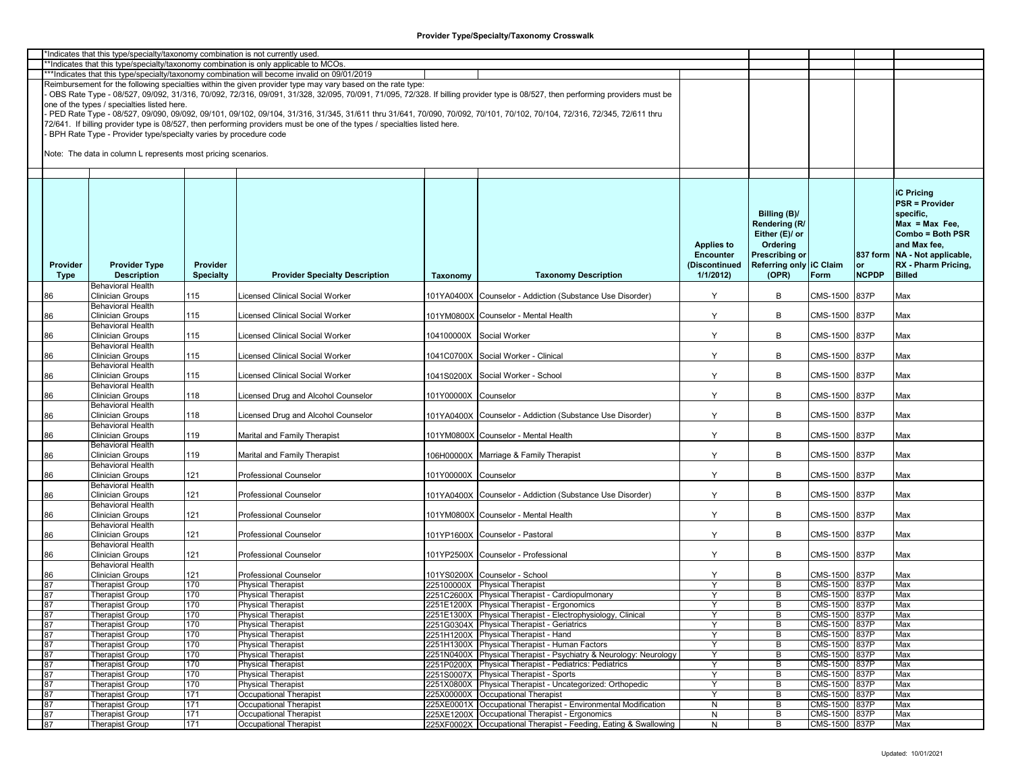|                 | *Indicates that this type/specialty/taxonomy combination is not currently used. |                  |                                                                                                                                                                         |                      |                                                                                                                                                                               |                   |                         |               |              |                                 |
|-----------------|---------------------------------------------------------------------------------|------------------|-------------------------------------------------------------------------------------------------------------------------------------------------------------------------|----------------------|-------------------------------------------------------------------------------------------------------------------------------------------------------------------------------|-------------------|-------------------------|---------------|--------------|---------------------------------|
|                 |                                                                                 |                  | **Indicates that this type/specialty/taxonomy combination is only applicable to MCOs.                                                                                   |                      |                                                                                                                                                                               |                   |                         |               |              |                                 |
|                 |                                                                                 |                  | ***Indicates that this type/specialty/taxonomy combination will become invalid on 09/01/2019                                                                            |                      |                                                                                                                                                                               |                   |                         |               |              |                                 |
|                 |                                                                                 |                  | Reimbursement for the following specialties within the given provider type may vary based on the rate type:                                                             |                      |                                                                                                                                                                               |                   |                         |               |              |                                 |
|                 |                                                                                 |                  |                                                                                                                                                                         |                      | OBS Rate Type - 08/527, 09/092, 31/316, 70/092, 72/316, 09/091, 31/328, 32/095, 70/091, 71/095, 72/328. If billing provider type is 08/527, then performing providers must be |                   |                         |               |              |                                 |
|                 | one of the types / specialties listed here.                                     |                  |                                                                                                                                                                         |                      |                                                                                                                                                                               |                   |                         |               |              |                                 |
|                 |                                                                                 |                  |                                                                                                                                                                         |                      |                                                                                                                                                                               |                   |                         |               |              |                                 |
|                 |                                                                                 |                  | PED Rate Type - 08/527, 09/090, 09/092, 09/101, 09/102, 09/104, 31/316, 31/345, 31/611 thru 31/641, 70/090, 70/092, 70/101, 70/102, 70/104, 72/316, 72/345, 72/611 thru |                      |                                                                                                                                                                               |                   |                         |               |              |                                 |
|                 |                                                                                 |                  | 72/641. If billing provider type is 08/527, then performing providers must be one of the types / specialties listed here.                                               |                      |                                                                                                                                                                               |                   |                         |               |              |                                 |
|                 | BPH Rate Type - Provider type/specialty varies by procedure code                |                  |                                                                                                                                                                         |                      |                                                                                                                                                                               |                   |                         |               |              |                                 |
|                 |                                                                                 |                  |                                                                                                                                                                         |                      |                                                                                                                                                                               |                   |                         |               |              |                                 |
|                 | Note: The data in column L represents most pricing scenarios.                   |                  |                                                                                                                                                                         |                      |                                                                                                                                                                               |                   |                         |               |              |                                 |
|                 |                                                                                 |                  |                                                                                                                                                                         |                      |                                                                                                                                                                               |                   |                         |               |              |                                 |
|                 |                                                                                 |                  |                                                                                                                                                                         |                      |                                                                                                                                                                               |                   |                         |               |              |                                 |
|                 |                                                                                 |                  |                                                                                                                                                                         |                      |                                                                                                                                                                               |                   |                         |               |              |                                 |
|                 |                                                                                 |                  |                                                                                                                                                                         |                      |                                                                                                                                                                               |                   |                         |               |              |                                 |
|                 |                                                                                 |                  |                                                                                                                                                                         |                      |                                                                                                                                                                               |                   |                         |               |              | <b>iC Pricing</b>               |
|                 |                                                                                 |                  |                                                                                                                                                                         |                      |                                                                                                                                                                               |                   |                         |               |              | <b>PSR = Provider</b>           |
|                 |                                                                                 |                  |                                                                                                                                                                         |                      |                                                                                                                                                                               |                   | Billing (B)/            |               |              | specific,                       |
|                 |                                                                                 |                  |                                                                                                                                                                         |                      |                                                                                                                                                                               |                   | Rendering (R/           |               |              | $Max = Max Free$                |
|                 |                                                                                 |                  |                                                                                                                                                                         |                      |                                                                                                                                                                               |                   |                         |               |              |                                 |
|                 |                                                                                 |                  |                                                                                                                                                                         |                      |                                                                                                                                                                               |                   | Either (E)/ or          |               |              | Combo = Both PSR                |
|                 |                                                                                 |                  |                                                                                                                                                                         |                      |                                                                                                                                                                               | <b>Applies to</b> | Ordering                |               |              | and Max fee,                    |
|                 |                                                                                 |                  |                                                                                                                                                                         |                      |                                                                                                                                                                               | <b>Encounter</b>  | Prescribing or          |               |              | 837 form   NA - Not applicable, |
| <b>Provider</b> | <b>Provider Type</b>                                                            | Provider         |                                                                                                                                                                         |                      |                                                                                                                                                                               | (Discontinued     | Referring only IC Claim |               | or           | RX - Pharm Pricing,             |
| <b>Type</b>     | <b>Description</b>                                                              | <b>Specialty</b> | <b>Provider Specialty Description</b>                                                                                                                                   | Taxonomy             | <b>Taxonomy Description</b>                                                                                                                                                   | 1/1/2012          | (OPR)                   | Form          | <b>NCPDP</b> | <b>Billed</b>                   |
|                 | <b>Behavioral Health</b>                                                        |                  |                                                                                                                                                                         |                      |                                                                                                                                                                               |                   |                         |               |              |                                 |
| 86              | <b>Clinician Groups</b>                                                         | 115              | icensed Clinical Social Worker                                                                                                                                          |                      | 101YA0400X Counselor - Addiction (Substance Use Disorder)                                                                                                                     | Y                 | B                       | CMS-1500      | 837P         | Max                             |
|                 | <b>Behavioral Health</b>                                                        |                  |                                                                                                                                                                         |                      |                                                                                                                                                                               |                   |                         |               |              |                                 |
|                 |                                                                                 |                  |                                                                                                                                                                         |                      |                                                                                                                                                                               |                   |                         |               |              |                                 |
| 86              | <b>Clinician Groups</b>                                                         | 115              | icensed Clinical Social Worker                                                                                                                                          |                      | 101YM0800X Counselor - Mental Health                                                                                                                                          | Y                 | В                       | CMS-1500      | 837P         | Max                             |
|                 | <b>Behavioral Health</b>                                                        |                  |                                                                                                                                                                         |                      |                                                                                                                                                                               |                   |                         |               |              |                                 |
| 86              | Clinician Groups                                                                | 115              | icensed Clinical Social Worker                                                                                                                                          |                      | 104100000X Social Worker                                                                                                                                                      | Y                 | В                       | CMS-1500      | 837P         | Max                             |
|                 | <b>Behavioral Health</b>                                                        |                  |                                                                                                                                                                         |                      |                                                                                                                                                                               |                   |                         |               |              |                                 |
| 86              | <b>Clinician Groups</b>                                                         | 115              | icensed Clinical Social Worker                                                                                                                                          |                      | 1041C0700X Social Worker - Clinical                                                                                                                                           | Y                 | B                       | CMS-1500      | 837P         | Max                             |
|                 | <b>Behavioral Health</b>                                                        |                  |                                                                                                                                                                         |                      |                                                                                                                                                                               |                   |                         |               |              |                                 |
| 86              | Clinician Groups                                                                | 115              | icensed Clinical Social Worker.                                                                                                                                         |                      | 1041S0200X Social Worker - School                                                                                                                                             | Y                 | B                       | CMS-1500      | 837P         | Max                             |
|                 | <b>Behavioral Health</b>                                                        |                  |                                                                                                                                                                         |                      |                                                                                                                                                                               |                   |                         |               |              |                                 |
| 86              | <b>Clinician Groups</b>                                                         | 118              | icensed Drug and Alcohol Counselor.                                                                                                                                     | 101Y00000X Counselor |                                                                                                                                                                               | Y                 | B                       | CMS-1500      | 837P         | Max                             |
|                 | <b>Behavioral Health</b>                                                        |                  |                                                                                                                                                                         |                      |                                                                                                                                                                               |                   |                         |               |              |                                 |
|                 |                                                                                 |                  |                                                                                                                                                                         |                      |                                                                                                                                                                               |                   |                         |               |              |                                 |
| 86              | <b>Clinician Groups</b>                                                         | 118              | icensed Drug and Alcohol Counselor                                                                                                                                      |                      | 101YA0400X Counselor - Addiction (Substance Use Disorder)                                                                                                                     | Y                 | В                       | CMS-1500      | 837P         | Max                             |
|                 | <b>Behavioral Health</b>                                                        |                  |                                                                                                                                                                         |                      |                                                                                                                                                                               |                   |                         |               |              |                                 |
| 86              | <b>Clinician Groups</b>                                                         | 119              | Marital and Family Therapist                                                                                                                                            |                      | 101YM0800X Counselor - Mental Health                                                                                                                                          | Y                 | В                       | CMS-1500      | 837P         | Max                             |
|                 | <b>Behavioral Health</b>                                                        |                  |                                                                                                                                                                         |                      |                                                                                                                                                                               |                   |                         |               |              |                                 |
| 86              | <b>Clinician Groups</b>                                                         | 119              | Marital and Family Therapist                                                                                                                                            |                      | 106H00000X Marriage & Family Therapist                                                                                                                                        | Y                 | B                       | CMS-1500      | 837P         | Max                             |
|                 | <b>Behavioral Health</b>                                                        |                  |                                                                                                                                                                         |                      |                                                                                                                                                                               |                   |                         |               |              |                                 |
| 86              | Clinician Groups                                                                | 121              | Professional Counselor                                                                                                                                                  | 101Y00000X Counselor |                                                                                                                                                                               | Y                 | B                       | CMS-1500      | 837P         | Max                             |
|                 | <b>Behavioral Health</b>                                                        |                  |                                                                                                                                                                         |                      |                                                                                                                                                                               |                   |                         |               |              |                                 |
|                 | <b>Clinician Groups</b>                                                         | 121              | <b>Professional Counselor</b>                                                                                                                                           |                      | 101YA0400X Counselor - Addiction (Substance Use Disorder)                                                                                                                     | Y                 | B                       | CMS-1500      | 837P         | Max                             |
| 86              |                                                                                 |                  |                                                                                                                                                                         |                      |                                                                                                                                                                               |                   |                         |               |              |                                 |
|                 | <b>Behavioral Health</b>                                                        |                  |                                                                                                                                                                         |                      |                                                                                                                                                                               |                   |                         |               |              |                                 |
| 86              | <b>Clinician Groups</b>                                                         | 121              | Professional Counselor                                                                                                                                                  |                      | 101YM0800X Counselor - Mental Health                                                                                                                                          | Y                 | В                       | CMS-1500      | 837P         | Max                             |
|                 | <b>Behavioral Health</b>                                                        |                  |                                                                                                                                                                         |                      |                                                                                                                                                                               |                   |                         |               |              |                                 |
| 86              | <b>Clinician Groups</b>                                                         | 121              | <b>Professional Counselor</b>                                                                                                                                           |                      | 101YP1600X Counselor - Pastoral                                                                                                                                               | Y                 | В                       | CMS-1500      | 837P         | Max                             |
|                 | <b>Behavioral Health</b>                                                        |                  |                                                                                                                                                                         |                      |                                                                                                                                                                               |                   |                         |               |              |                                 |
| 86              | <b>Clinician Groups</b>                                                         | 121              | Professional Counselor                                                                                                                                                  |                      | 101YP2500X Counselor - Professional                                                                                                                                           | Y                 | B                       | CMS-1500      | 837P         | Max                             |
|                 | <b>Behavioral Health</b>                                                        |                  |                                                                                                                                                                         |                      |                                                                                                                                                                               |                   |                         |               |              |                                 |
| 86              | <b>Clinician Groups</b>                                                         | 121              | Professional Counselor                                                                                                                                                  |                      | 101YS0200X Counselor - School                                                                                                                                                 | Y                 | В                       | CMS-1500      | 837P         | Max                             |
| 87              | <b>Therapist Group</b>                                                          | 170              | <b>Physical Therapist</b>                                                                                                                                               |                      | 225100000X Physical Therapist                                                                                                                                                 | Y                 | B                       | CMS-1500 837P |              | Max                             |
|                 | <b>Therapist Group</b>                                                          | 170              | <b>Physical Therapist</b>                                                                                                                                               |                      | 2251C2600X Physical Therapist - Cardiopulmonary                                                                                                                               | $\mathsf{Y}$      | В                       | CMS-1500 837P |              | Max                             |
| 87              |                                                                                 |                  |                                                                                                                                                                         |                      |                                                                                                                                                                               |                   |                         |               |              |                                 |
| 87              | <b>Therapist Group</b>                                                          | 170              | <b>Physical Therapist</b>                                                                                                                                               |                      | 2251E1200X Physical Therapist - Ergonomics                                                                                                                                    | Y                 | B                       | CMS-1500 837P |              | Max                             |
| 87              | <b>Therapist Group</b>                                                          | 170              | <b>Physical Therapist</b>                                                                                                                                               |                      | 2251E1300X Physical Therapist - Electrophysiology, Clinical                                                                                                                   |                   | В                       | CMS-1500 837P |              | Max                             |
| 87              | <b>Therapist Group</b>                                                          | 170              | <b>Physical Therapist</b>                                                                                                                                               |                      | 2251G0304X Physical Therapist - Geriatrics                                                                                                                                    | Y                 | В                       | CMS-1500 837P |              | Max                             |
| 87              | <b>Therapist Group</b>                                                          | 170              | <b>Physical Therapist</b>                                                                                                                                               |                      | 2251H1200X Physical Therapist - Hand                                                                                                                                          | Y                 | B                       | CMS-1500 837P |              | Max                             |
| 87              | <b>Therapist Group</b>                                                          | 170              | <b>Physical Therapist</b>                                                                                                                                               |                      | 2251H1300X Physical Therapist - Human Factors                                                                                                                                 | `Y                | B                       | CMS-1500 837P |              | Max                             |
| 87              | <b>Therapist Group</b>                                                          | 170              | <b>Physical Therapist</b>                                                                                                                                               |                      | 2251N0400X Physical Therapist - Psychiatry & Neurology: Neurology                                                                                                             | Y                 | B                       | CMS-1500 837P |              | Max                             |
| 87              | <b>Therapist Group</b>                                                          | 170              | <b>Physical Therapist</b>                                                                                                                                               |                      | 2251P0200X Physical Therapist - Pediatrics: Pediatrics                                                                                                                        | <sup>V</sup>      | В                       | CMS-1500 837P |              | Max                             |
| 87              |                                                                                 | 170              |                                                                                                                                                                         |                      | 2251S0007X Physical Therapist - Sports                                                                                                                                        | Y                 | В                       | CMS-1500 837P |              | Max                             |
|                 | <b>Therapist Group</b>                                                          |                  | <b>Physical Therapist</b>                                                                                                                                               |                      |                                                                                                                                                                               |                   |                         |               |              |                                 |
| 87              | <b>Therapist Group</b>                                                          | 170              | <b>Physical Therapist</b>                                                                                                                                               |                      | 2251X0800X Physical Therapist - Uncategorized: Orthopedic                                                                                                                     | Y                 | B                       | CMS-1500 837P |              | Max                             |
| 87              | <b>Therapist Group</b>                                                          | 171              | Occupational Therapist                                                                                                                                                  |                      | 225X00000X Occupational Therapist                                                                                                                                             | Y                 | В                       | CMS-1500 837P |              | Max                             |
| 87              | <b>Therapist Group</b>                                                          | 171              | Occupational Therapist                                                                                                                                                  |                      | 225XE0001X Occupational Therapist - Environmental Modification                                                                                                                | $\mathsf{N}$      | B                       | CMS-1500 837P |              | Max                             |
| 87              | <b>Therapist Group</b>                                                          | 171              | Occupational Therapist                                                                                                                                                  |                      | 225XE1200X Occupational Therapist - Ergonomics                                                                                                                                | N                 | B                       | CMS-1500 837P |              | Max                             |
| 87              | <b>Therapist Group</b>                                                          | 171              | Occupational Therapist                                                                                                                                                  |                      | 225XF0002X Occupational Therapist - Feeding, Eating & Swallowing                                                                                                              | N                 | B                       | CMS-1500 837P |              | Max                             |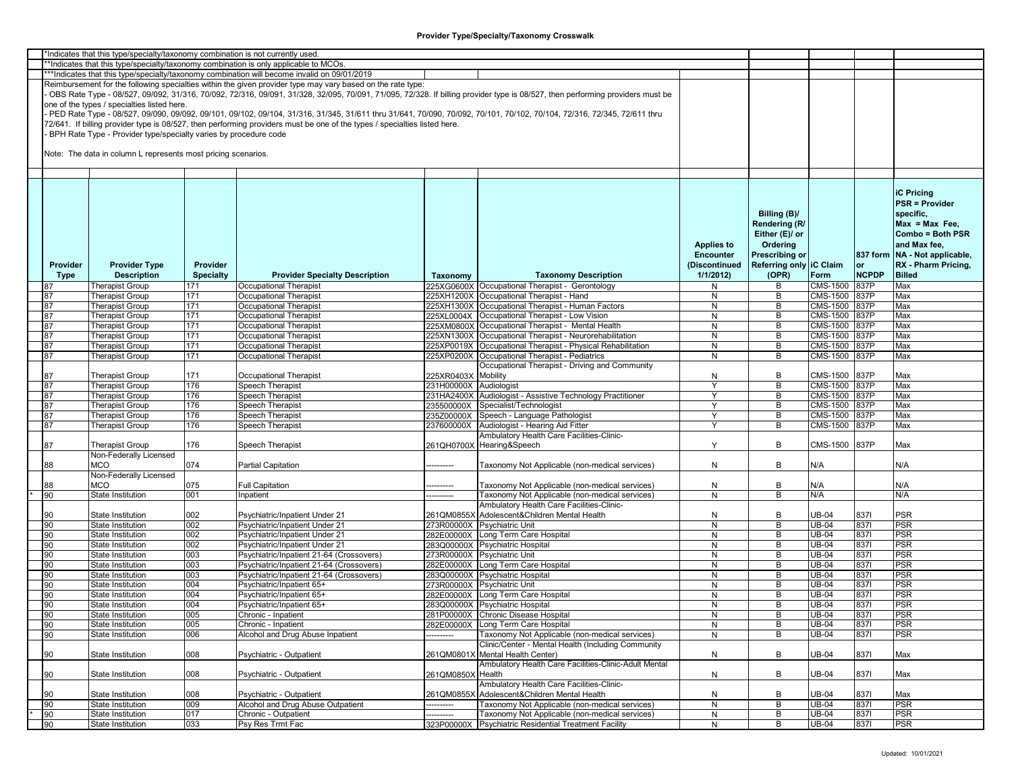|          | *Indicates that this type/specialty/taxonomy combination is not currently used. |                  |                                                                                                                                                                         |                        |                                                                                                                                                                               |                   |                         |                 |              |                                 |
|----------|---------------------------------------------------------------------------------|------------------|-------------------------------------------------------------------------------------------------------------------------------------------------------------------------|------------------------|-------------------------------------------------------------------------------------------------------------------------------------------------------------------------------|-------------------|-------------------------|-----------------|--------------|---------------------------------|
|          |                                                                                 |                  | *Indicates that this type/specialty/taxonomy combination is only applicable to MCOs.                                                                                    |                        |                                                                                                                                                                               |                   |                         |                 |              |                                 |
|          |                                                                                 |                  | ***Indicates that this type/specialty/taxonomy combination will become invalid on 09/01/2019                                                                            |                        |                                                                                                                                                                               |                   |                         |                 |              |                                 |
|          |                                                                                 |                  | Reimbursement for the following specialties within the given provider type may vary based on the rate type:                                                             |                        |                                                                                                                                                                               |                   |                         |                 |              |                                 |
|          |                                                                                 |                  |                                                                                                                                                                         |                        | OBS Rate Type - 08/527, 09/092, 31/316, 70/092, 72/316, 09/091, 31/328, 32/095, 70/091, 71/095, 72/328. If billing provider type is 08/527, then performing providers must be |                   |                         |                 |              |                                 |
|          | one of the types / specialties listed here.                                     |                  |                                                                                                                                                                         |                        |                                                                                                                                                                               |                   |                         |                 |              |                                 |
|          |                                                                                 |                  | PED Rate Type - 08/527, 09/090, 09/092, 09/101, 09/102, 09/104, 31/316, 31/345, 31/611 thru 31/641, 70/090, 70/092, 70/101, 70/102, 70/104, 72/316, 72/345, 72/611 thru |                        |                                                                                                                                                                               |                   |                         |                 |              |                                 |
|          |                                                                                 |                  |                                                                                                                                                                         |                        |                                                                                                                                                                               |                   |                         |                 |              |                                 |
|          |                                                                                 |                  | 72/641. If billing provider type is 08/527, then performing providers must be one of the types / specialties listed here.                                               |                        |                                                                                                                                                                               |                   |                         |                 |              |                                 |
|          | BPH Rate Type - Provider type/specialty varies by procedure code                |                  |                                                                                                                                                                         |                        |                                                                                                                                                                               |                   |                         |                 |              |                                 |
|          |                                                                                 |                  |                                                                                                                                                                         |                        |                                                                                                                                                                               |                   |                         |                 |              |                                 |
|          | Note: The data in column L represents most pricing scenarios.                   |                  |                                                                                                                                                                         |                        |                                                                                                                                                                               |                   |                         |                 |              |                                 |
|          |                                                                                 |                  |                                                                                                                                                                         |                        |                                                                                                                                                                               |                   |                         |                 |              |                                 |
|          |                                                                                 |                  |                                                                                                                                                                         |                        |                                                                                                                                                                               |                   |                         |                 |              |                                 |
|          |                                                                                 |                  |                                                                                                                                                                         |                        |                                                                                                                                                                               |                   |                         |                 |              |                                 |
|          |                                                                                 |                  |                                                                                                                                                                         |                        |                                                                                                                                                                               |                   |                         |                 |              | <b>iC Pricing</b>               |
|          |                                                                                 |                  |                                                                                                                                                                         |                        |                                                                                                                                                                               |                   |                         |                 |              |                                 |
|          |                                                                                 |                  |                                                                                                                                                                         |                        |                                                                                                                                                                               |                   |                         |                 |              | <b>PSR = Provider</b>           |
|          |                                                                                 |                  |                                                                                                                                                                         |                        |                                                                                                                                                                               |                   | Billing (B)/            |                 |              | specific.                       |
|          |                                                                                 |                  |                                                                                                                                                                         |                        |                                                                                                                                                                               |                   | Rendering (R/           |                 |              | $Max = Max Free$                |
|          |                                                                                 |                  |                                                                                                                                                                         |                        |                                                                                                                                                                               |                   | Either (E)/ or          |                 |              | Combo = Both PSR                |
|          |                                                                                 |                  |                                                                                                                                                                         |                        |                                                                                                                                                                               | <b>Applies to</b> | Ordering                |                 |              | and Max fee,                    |
|          |                                                                                 |                  |                                                                                                                                                                         |                        |                                                                                                                                                                               |                   |                         |                 |              |                                 |
|          |                                                                                 |                  |                                                                                                                                                                         |                        |                                                                                                                                                                               | <b>Encounter</b>  | Prescribing or          |                 |              | 837 form   NA - Not applicable, |
| Provider | <b>Provider Type</b>                                                            | Provider         |                                                                                                                                                                         |                        |                                                                                                                                                                               | (Discontinued     | Referring only IC Claim |                 | or           | RX - Pharm Pricing,             |
| Type     | <b>Description</b>                                                              | <b>Specialty</b> | <b>Provider Specialty Description</b>                                                                                                                                   | Taxonomy               | <b>Taxonomy Description</b>                                                                                                                                                   | 1/1/2012          | (OPR)                   | Form            | <b>NCPDP</b> | <b>Billed</b>                   |
|          | <b>Therapist Group</b>                                                          | 171              | Occupational Therapist                                                                                                                                                  |                        | 225XG0600X Occupational Therapist - Gerontology                                                                                                                               | N                 | В                       | CMS-1500        | 837P         | Max                             |
| 87       | <b>Therapist Group</b>                                                          | 171              | Occupational Therapist                                                                                                                                                  |                        | 225XH1200X Occupational Therapist - Hand                                                                                                                                      | N                 | В                       | CMS-1500        | 837P         | Max                             |
| 87       | Therapist Group                                                                 | 171              | Occupational Therapist                                                                                                                                                  |                        | 225XH1300X Occupational Therapist - Human Factors                                                                                                                             | N                 | B                       | CMS-1500        | <b>837P</b>  | Max                             |
| 87       | <b>Therapist Group</b>                                                          | 171              | <b>Occupational Therapist</b>                                                                                                                                           |                        | 225XL0004X Occupational Therapist - Low Vision                                                                                                                                | N                 | B                       | CMS-1500 837P   |              | Max                             |
|          |                                                                                 |                  |                                                                                                                                                                         |                        |                                                                                                                                                                               |                   |                         |                 |              |                                 |
| 87       | <b>Therapist Group</b>                                                          | 171              | Occupational Therapist                                                                                                                                                  |                        | 225XM0800X Occupational Therapist - Mental Health                                                                                                                             | N                 | B                       | <b>CMS-1500</b> | 837P         | Max                             |
| 87       | <b>Therapist Group</b>                                                          | 171              | Occupational Therapist                                                                                                                                                  |                        | 225XN1300X Occupational Therapist - Neurorehabilitation                                                                                                                       | N                 | В                       | CMS-1500        | 837P         | Max                             |
| 87       | <b>Therapist Group</b>                                                          | 171              | Occupational Therapist                                                                                                                                                  |                        | 225XP0019X Occupational Therapist - Physical Rehabilitation                                                                                                                   | N                 | В                       | CMS-1500        | 837P         | Max                             |
| 87       | <b>Therapist Group</b>                                                          | 171              | Occupational Therapist                                                                                                                                                  |                        | 225XP0200X Occupational Therapist - Pediatrics                                                                                                                                | N                 | B                       | <b>CMS-1500</b> | 837P         | Max                             |
|          |                                                                                 |                  |                                                                                                                                                                         |                        | Occupational Therapist - Driving and Community                                                                                                                                |                   |                         |                 |              |                                 |
| 87       | Therapist Group                                                                 | 171              | Occupational Therapist                                                                                                                                                  | 225XR0403X Mobility    |                                                                                                                                                                               | N                 | В                       | CMS-1500        | 837P         | Max                             |
| 87       | <b>Therapist Group</b>                                                          | 176              | <b>Speech Therapist</b>                                                                                                                                                 | 231H00000X Audiologist |                                                                                                                                                                               | Y                 | В                       | CMS-1500 837P   |              | Max                             |
| 87       | <b>Therapist Group</b>                                                          | 176              | Speech Therapist                                                                                                                                                        |                        | 231HA2400X Audiologist - Assistive Technology Practitioner                                                                                                                    | Y                 | В                       | CMS-1500        | 837P         | Max                             |
| 87       | <b>Therapist Group</b>                                                          | 176              | <b>Speech Therapist</b>                                                                                                                                                 | 235500000X             | Specialist/Technologist                                                                                                                                                       | Y                 | В                       | <b>CMS-1500</b> | 837P         | Max                             |
|          |                                                                                 | 176              |                                                                                                                                                                         |                        | 235Z00000X Speech - Language Pathologist                                                                                                                                      | Y                 | B                       | CMS-1500 837P   |              | Max                             |
| 87       | Therapist Group                                                                 |                  | <b>Speech Therapist</b>                                                                                                                                                 |                        |                                                                                                                                                                               |                   |                         |                 |              |                                 |
| 87       | Therapist Group                                                                 | 176              | Speech Therapist                                                                                                                                                        | 237600000X             | Audiologist - Hearing Aid Fitter                                                                                                                                              | Y                 | В                       | CMS-1500        | 837P         | Max                             |
|          |                                                                                 |                  |                                                                                                                                                                         |                        | Ambulatory Health Care Facilities-Clinic-                                                                                                                                     |                   |                         |                 |              |                                 |
| 87       | <b>Therapist Group</b>                                                          | 176              | Speech Therapist                                                                                                                                                        |                        | 261QH0700X Hearing&Speech                                                                                                                                                     | $\mathsf{Y}$      | В                       | CMS-1500        | 837P         | Max                             |
|          | Non-Federally Licensed                                                          |                  |                                                                                                                                                                         |                        |                                                                                                                                                                               |                   |                         |                 |              |                                 |
| 88       | MCO                                                                             | 074              | <b>Partial Capitation</b>                                                                                                                                               | --------               | Taxonomy Not Applicable (non-medical services)                                                                                                                                | N                 | В                       | N/A             |              | N/A                             |
|          | Non-Federally Licensed                                                          |                  |                                                                                                                                                                         |                        |                                                                                                                                                                               |                   |                         |                 |              |                                 |
| 88       | <b>MCO</b>                                                                      | 075              | <b>Full Capitation</b>                                                                                                                                                  | ---------              | Taxonomy Not Applicable (non-medical services)                                                                                                                                | N                 | В                       | N/A             |              | N/A                             |
| 90       | State Institution                                                               | 001              | Inpatient                                                                                                                                                               |                        | Taxonomy Not Applicable (non-medical services)                                                                                                                                | N                 | B                       | N/A             |              | N/A                             |
|          |                                                                                 |                  |                                                                                                                                                                         |                        | Ambulatory Health Care Facilities-Clinic-                                                                                                                                     |                   |                         |                 |              |                                 |
|          |                                                                                 |                  |                                                                                                                                                                         |                        |                                                                                                                                                                               |                   |                         |                 |              |                                 |
| 90       | State Institution                                                               | 002              | Psychiatric/Inpatient Under 21                                                                                                                                          |                        | 261QM0855X Adolescent&Children Mental Health                                                                                                                                  | N                 | В                       | <b>JB-04</b>    | 8371         | <b>PSR</b>                      |
| 90       | State Institution                                                               | 002              | Psychiatric/Inpatient Under 21                                                                                                                                          |                        | 273R00000X Psychiatric Unit                                                                                                                                                   | N                 | В                       | UB-04           | 8371         | PSR                             |
| 90       | State Institution                                                               | 002              | Psychiatric/Inpatient Under 21                                                                                                                                          |                        | 282E00000X Long Term Care Hospital                                                                                                                                            | N                 | В                       | UB-04           | 8371         | <b>PSR</b>                      |
| 90       | <b>State Institution</b>                                                        | 002              | Psychiatric/Inpatient Under 21                                                                                                                                          |                        | 283Q00000X Psychiatric Hospital                                                                                                                                               | $\mathsf{N}$      | В                       | UB-04           | 8371         | <b>PSR</b>                      |
| 90       | State Institution                                                               | 003              | Psychiatric/Inpatient 21-64 (Crossovers)                                                                                                                                |                        | 273R00000X Psychiatric Unit                                                                                                                                                   | N                 | В                       | UB-04           | 8371         | <b>PSR</b>                      |
| 90       | State Institution                                                               | 003              | Psychiatric/Inpatient 21-64 (Crossovers)                                                                                                                                |                        | 282E00000X Long Term Care Hospital                                                                                                                                            | N                 | В                       | UB-04           | 8371         | <b>PSR</b>                      |
| 90       | State Institution                                                               | 003              | Psychiatric/Inpatient 21-64 (Crossovers)                                                                                                                                |                        | 283Q00000X Psychiatric Hospital                                                                                                                                               | N                 | B                       | UB-04           | 8371         | <b>PSR</b>                      |
| 90       | State Institution                                                               | 004              | Psychiatric/Inpatient 65+                                                                                                                                               |                        | 273R00000X Psychiatric Unit                                                                                                                                                   | N                 | В                       | UB-04           | 8371         | <b>PSR</b>                      |
| 90       | State Institution                                                               | 004              | Psychiatric/Inpatient 65+                                                                                                                                               |                        | 282E00000X Long Term Care Hospital                                                                                                                                            | N                 | B                       | UB-04           | 8371         | <b>PSR</b>                      |
| 90       | State Institution                                                               | 004              | Psychiatric/Inpatient 65+                                                                                                                                               |                        | 283Q00000X Psychiatric Hospital                                                                                                                                               | N                 | В                       | <b>UB-04</b>    | 8371         | <b>PSR</b>                      |
| 90       |                                                                                 |                  |                                                                                                                                                                         |                        |                                                                                                                                                                               |                   |                         | $UB-04$         |              | <b>PSR</b>                      |
|          | State Institution                                                               | 005              | Chronic - Inpatient                                                                                                                                                     |                        | 281P00000X Chronic Disease Hospital                                                                                                                                           | N                 | B                       |                 | 8371         |                                 |
| 90       | State Institution                                                               | 005              | Chronic - Inpatient                                                                                                                                                     |                        | 282E00000X Long Term Care Hospital                                                                                                                                            | $\mathsf{N}$      | В                       | $UB-04$         | 8371         | <b>PSR</b>                      |
| 90       | State Institution                                                               | 006              | Alcohol and Drug Abuse Inpatient                                                                                                                                        | ---------              | Taxonomy Not Applicable (non-medical services)                                                                                                                                | $\mathsf{N}$      | В                       | UB-04           | 8371         | PSR                             |
|          |                                                                                 |                  |                                                                                                                                                                         |                        | Clinic/Center - Mental Health (Including Community                                                                                                                            |                   |                         |                 |              |                                 |
| 90       | State Institution                                                               | 008              | Psychiatric - Outpatient                                                                                                                                                |                        | 261QM0801X Mental Health Center)                                                                                                                                              | N                 | B                       | <b>JB-04</b>    | 8371         | Max                             |
|          |                                                                                 |                  |                                                                                                                                                                         |                        | Ambulatory Health Care Facilities-Clinic-Adult Mental                                                                                                                         |                   |                         |                 |              |                                 |
| 90       | State Institution                                                               | 008              | Psychiatric - Outpatient                                                                                                                                                | 261QM0850X Health      |                                                                                                                                                                               | $\mathsf{N}$      | В                       | <b>JB-04</b>    | 8371         | Max                             |
|          |                                                                                 |                  |                                                                                                                                                                         |                        | Ambulatory Health Care Facilities-Clinic-                                                                                                                                     |                   |                         |                 |              |                                 |
| 90       | State Institution                                                               | 008              | Psychiatric - Outpatient                                                                                                                                                | 261QM0855X             | Adolescent&Children Mental Health                                                                                                                                             | N                 | В                       | <b>JB-04</b>    | 8371         | Max                             |
|          |                                                                                 |                  |                                                                                                                                                                         |                        |                                                                                                                                                                               |                   |                         |                 |              |                                 |
| 90       | State Institution                                                               | 009              | Alcohol and Drug Abuse Outpatient                                                                                                                                       |                        | <b>Taxonomy Not Applicable (non-medical services)</b>                                                                                                                         | $\mathsf{N}$      | B                       | UB-04           | 8371         | <b>PSR</b>                      |
| 90       | State Institution                                                               | 017              | Chronic - Outpatient                                                                                                                                                    | ---------              | Taxonomy Not Applicable (non-medical services)                                                                                                                                | $\mathsf{N}$      | В                       | $UB-04$         | 8371         | <b>PSR</b>                      |
| 90       | State Institution                                                               | 033              | Psy Res Trmt Fac                                                                                                                                                        |                        | 323P00000X Psychiatric Residential Treatment Facility                                                                                                                         | N                 | B                       | <b>UB-04</b>    | 8371         | <b>PSR</b>                      |